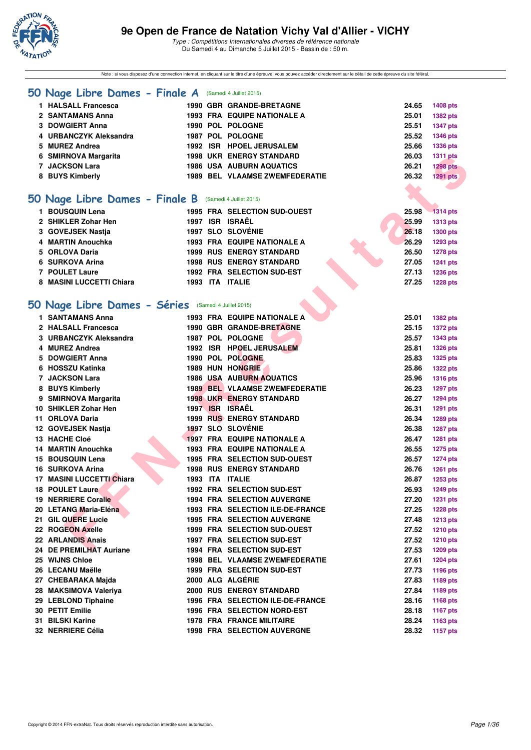

Note : si vous disposez d'une connection internet, en cliquant sur le titre d'une épreuve, vous pouvez accéder directement sur le détail de cette épreuve du site féféral.

| 50 Nage Libre Dames - Finale A (Samedi 4 Juillet 2015) |  |                                       |       |                 |
|--------------------------------------------------------|--|---------------------------------------|-------|-----------------|
| 1 HALSALL Francesca                                    |  | 1990 GBR GRANDE-BRETAGNE              | 24.65 | <b>1408 pts</b> |
| 2 SANTAMANS Anna                                       |  | <b>1993 FRA EQUIPE NATIONALE A</b>    | 25.01 | 1382 pts        |
| 3 DOWGIERT Anna                                        |  | 1990 POL POLOGNE                      | 25.51 | <b>1347 pts</b> |
| 4 URBANCZYK Aleksandra                                 |  | 1987 POL POLOGNE                      | 25.52 | <b>1346 pts</b> |
| 5 MUREZ Andrea                                         |  | 1992 ISR HPOEL JERUSALEM              | 25.66 | 1336 pts        |
| 6 SMIRNOVA Margarita                                   |  | <b>1998 UKR ENERGY STANDARD</b>       | 26.03 | <b>1311 pts</b> |
| 7 JACKSON Lara                                         |  | <b>1986 USA AUBURN AQUATICS</b>       | 26.21 | <b>1298 pts</b> |
| 8 BUYS Kimberly                                        |  | <b>1989 BEL VLAAMSE ZWEMFEDERATIE</b> | 26.32 | 1291 pts        |
|                                                        |  |                                       |       |                 |
| 50 Nage Libre Dames - Finale B (Samedi 4 Juillet 2015) |  |                                       |       |                 |
| 1 BOUSQUIN Lena                                        |  | 1995 FRA SELECTION SUD-OUEST          | 25.98 | <b>1314 pts</b> |
| 2 SHIKLER Zohar Hen                                    |  | 1997 ISR ISRAËL                       | 25.99 | <b>1313 pts</b> |
| 3 GOVEJSEK Nastja                                      |  | <b>1997 SLO SLOVÉNIE</b>              | 26.18 | <b>1300 pts</b> |
| 4 MARTIN Anouchka                                      |  | 1993 FRA EQUIPE NATIONALE A           | 26.29 | 1293 pts        |
| 5 ORLOVA Daria                                         |  | <b>1999 RUS ENERGY STANDARD</b>       | 26.50 | <b>1278 pts</b> |
| 6 SURKOVA Arina                                        |  | <b>1998 RUS ENERGY STANDARD</b>       | 27.05 | <b>1241 pts</b> |
| 7 POULET Laure                                         |  | 1992 FRA SELECTION SUD-EST            | 27.13 | 1236 pts        |
| 8 MASINI LUCCETTI Chiara                               |  | 1993 ITA ITALIE                       | 27.25 | <b>1228 pts</b> |
|                                                        |  |                                       |       |                 |
| 50 Nage Libre Dames - Séries (Samedi 4 Juillet 2015)   |  |                                       |       |                 |
| <b>1 SANTAMANS Anna</b>                                |  | 1993 FRA EQUIPE NATIONALE A           | 25.01 | <b>1382 pts</b> |
| 2 HALSALL Francesca                                    |  | <b>1990 GBR GRANDE-BRETAGNE</b>       | 25.15 | <b>1372 pts</b> |
| 3 URBANCZYK Aleksandra                                 |  | 1987 POL POLOGNE                      | 25.57 | <b>1343 pts</b> |
| 4 MUREZ Andrea                                         |  | 1992 ISR HPOEL JERUSALEM              | 25.81 | <b>1326 pts</b> |
| 5 DOWGIERT Anna                                        |  | 1990 POL POLOGNE                      | 25.83 | <b>1325 pts</b> |
| 6 HOSSZU Katinka                                       |  | <b>1989 HUN HONGRIE</b>               | 25.86 | <b>1322 pts</b> |
| 7 JACKSON Lara                                         |  | <b>1986 USA AUBURN AQUATICS</b>       | 25.96 | <b>1316 pts</b> |
| 8 BUYS Kimberly                                        |  | <b>1989 BEL VLAAMSE ZWEMFEDERATIE</b> | 26.23 | <b>1297 pts</b> |
| 9 SMIRNOVA Margarita                                   |  | <b>1998 UKR ENERGY STANDARD</b>       | 26.27 | <b>1294 pts</b> |
| 10 SHIKLER Zohar Hen                                   |  | 1997 ISR ISRAËL                       | 26.31 | <b>1291 pts</b> |
| 11 ORLOVA Daria                                        |  | <b>1999 RUS ENERGY STANDARD</b>       | 26.34 | 1289 pts        |
| 12 GOVEJSEK Nastja                                     |  | 1997 SLO SLOVÉNIE                     | 26.38 | 1287 pts        |
| 13 HACHE Cloé                                          |  | <b>1997 FRA EQUIPE NATIONALE A</b>    | 26.47 | <b>1281 pts</b> |
| 14 MARTIN Anouchka                                     |  | 1993 FRA EQUIPE NATIONALE A           | 26.55 | <b>1275 pts</b> |
| 15 BOUSQUIN Lena                                       |  | 1995 FRA SELECTION SUD-OUEST          | 26.57 | <b>1274 pts</b> |
| 16 SURKOVA Arina                                       |  | <b>1998 RUS ENERGY STANDARD</b>       | 26.76 | 1261 pts        |
| 17 MASINI LUCCETTI Chiara                              |  | 1993 ITA ITALIE                       | 26.87 | 1253 pts        |
| <b>18 POULET Laure</b>                                 |  | <b>1992 FRA SELECTION SUD-EST</b>     | 26.93 | <b>1249 pts</b> |
| <b>19 NERRIERE Coralie</b>                             |  | 1994 FRA SELECTION AUVERGNE           | 27.20 | <b>1231 pts</b> |
| 20 LETANG Maria-Eléna                                  |  | 1993 FRA SELECTION ILE-DE-FRANCE      | 27.25 | <b>1228 pts</b> |
| 21 GIL QUERE Lucie                                     |  | <b>1995 FRA SELECTION AUVERGNE</b>    | 27.48 | <b>1213 pts</b> |
| 22 ROGEON Axelle                                       |  | 1999 FRA SELECTION SUD-OUEST          | 27.52 | <b>1210 pts</b> |
| 22 ARLANDIS Anais                                      |  | 1997 FRA SELECTION SUD-EST            | 27.52 | <b>1210 pts</b> |
| 24 DE PREMILHAT Auriane                                |  | 1994 FRA SELECTION SUD-EST            | 27.53 | 1209 pts        |
| 25 WIJNS Chloe                                         |  | <b>1998 BEL VLAAMSE ZWEMFEDERATIE</b> | 27.61 | <b>1204 pts</b> |
| 26 LECANU Maëlle                                       |  | 1999 FRA SELECTION SUD-EST            | 27.73 | <b>1196 pts</b> |
| 27 CHEBARAKA Majda                                     |  | 2000 ALG ALGÉRIE                      | 27.83 | 1189 pts        |
| 28 MAKSIMOVA Valeriya                                  |  | 2000 RUS ENERGY STANDARD              | 27.84 | 1189 pts        |
| 29 LEBLOND Tiphaine                                    |  | 1996 FRA SELECTION ILE-DE-FRANCE      | 28.16 | 1168 pts        |
| 30 PETIT Emilie                                        |  | 1996 FRA SELECTION NORD-EST           | 28.18 | <b>1167 pts</b> |
| 31 BILSKI Karine                                       |  | <b>1978 FRA FRANCE MILITAIRE</b>      | 28.24 | 1163 pts        |
| 32 NERRIERE Célia                                      |  | 1998 FRA SELECTION AUVERGNE           | 28.32 | <b>1157 pts</b> |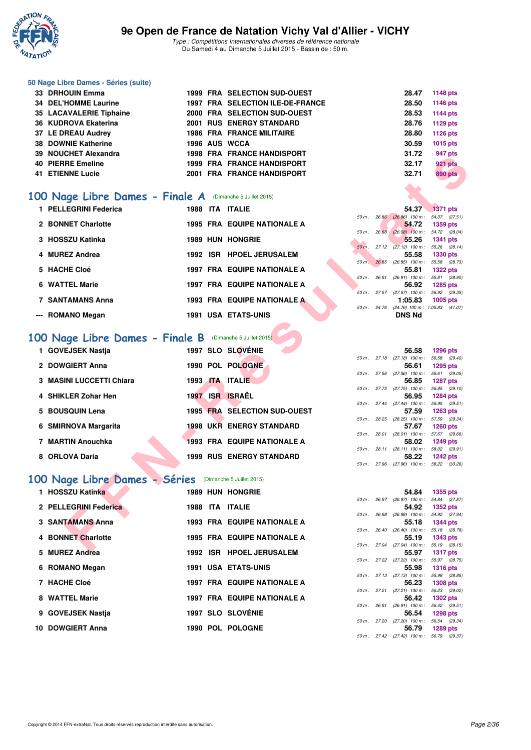

#### **50 Nage Libre Dames - Séries (suite)**

| 100 Nage Libre Dames - Finale A (Dimanche 5 Juillet 2015) |               |                                     |             |                |
|-----------------------------------------------------------|---------------|-------------------------------------|-------------|----------------|
| <b>41 ETIENNE Lucie</b>                                   |               | 2001 FRA FRANCE HANDISPORT          | 32.71<br>A. | <b>890 pts</b> |
| 40 PIERRE Emeline                                         |               | <b>1999 FRA FRANCE HANDISPORT</b>   | 32.17       | 921 pts        |
| 39 NOUCHET Alexandra                                      |               | 1998 FRA FRANCE HANDISPORT          | 31.72       | 947 pts        |
| 38 DOWNIE Katherine                                       | 1996 AUS WCCA |                                     | 30.59       | 1015 pts       |
| 37 LE DREAU Audrey                                        |               | <b>1986 FRA FRANCE MILITAIRE</b>    | 28.80       | 1126 pts       |
| 36 KUDROVA Ekaterina                                      |               | 2001 RUS ENERGY STANDARD            | 28.76       | 1129 pts       |
| 35 LACAVALERIE Tiphaine                                   |               | 2000 FRA SELECTION SUD-OUEST        | 28.53       | 1144 pts       |
| 34 DEL'HOMME Laurine                                      |               | 1997 FRA SELECTION ILE-DE-FRANCE    | 28.50       | 1146 pts       |
| 33 DRHOUIN Emma                                           |               | <b>1999 FRA SELECTION SUD-OUEST</b> | 28.47       | 1148 pts       |

### **[100 Nage Libre Dames - Finale A](http://www.ffnatation.fr/webffn/resultats.php?idact=nat&go=epr&idcpt=32627&idepr=2)** (Dimanche 5 Juillet 2015)

| 33 NOUCHET AIGACHUIG                                            |  | 1990 FRA FRANCE HANDISFORI         |             |                                                     |                   | ອ+າ µເວ        |
|-----------------------------------------------------------------|--|------------------------------------|-------------|-----------------------------------------------------|-------------------|----------------|
| <b>40 PIERRE Emeline</b>                                        |  | <b>1999 FRA FRANCE HANDISPORT</b>  |             | 32.17                                               |                   | <b>921 pts</b> |
| <b>41 ETIENNE Lucie</b>                                         |  | 2001 FRA FRANCE HANDISPORT         |             | 32.71                                               |                   | <b>890 pts</b> |
|                                                                 |  |                                    |             |                                                     |                   |                |
| 00 Nage Libre Dames - Finale A (Dimanche 5 Juillet 2015)        |  |                                    |             |                                                     |                   |                |
| 1 PELLEGRINI Federica                                           |  | 1988 ITA ITALIE                    |             | 54.37                                               | $\sqrt{1371}$ pts |                |
| 2 BONNET Charlotte                                              |  | <b>1995 FRA EQUIPE NATIONALE A</b> |             | 50 m: 26.86 (26.86) 100 m: 54.37 (27.51)<br>54.72   | <b>1359 pts</b>   |                |
|                                                                 |  |                                    |             | 50 m : 26.68 (26.68) 100 m : 54.72 (28.04)          |                   |                |
| 3 HOSSZU Katinka                                                |  | <b>1989 HUN HONGRIE</b>            |             | 55.26                                               | <b>1341 pts</b>   |                |
|                                                                 |  |                                    |             | 50 m: 27.12 (27.12) 100 m: 55.26 (28.14)            |                   |                |
| 4 MUREZ Andrea                                                  |  | 1992 ISR HPOEL JERUSALEM           |             | 55.58<br>50 m: 26.85 (26.85) 100 m: 55.58 (28.73)   | 1330 pts          |                |
| 5 HACHE Cloé                                                    |  | 1997 FRA EQUIPE NATIONALE A        |             | 55.81                                               | <b>1322 pts</b>   |                |
|                                                                 |  |                                    |             | 50 m: 26.91 (26.91) 100 m: 55.81 (28.90)            |                   |                |
| 6 WATTEL Marie                                                  |  | <b>1997 FRA EQUIPE NATIONALE A</b> |             | 56.92<br>50 m: 27.57 (27.57) 100 m: 56.92 (29.35)   | 1285 pts          |                |
| 7 SANTAMANS Anna                                                |  | 1993 FRA EQUIPE NATIONALE A        |             | 1:05.83                                             | $1005$ pts        |                |
|                                                                 |  |                                    |             | 50 m: 24.76 (24.76) 100 m: 1:05.83 (41.07)          |                   |                |
| --- ROMANO Megan                                                |  | <b>1991 USA ETATS-UNIS</b>         |             | <b>DNS Nd</b>                                       |                   |                |
| <b>00 Nage Libre Dames - Finale B</b> (Dimanche 5 Juillet 2015) |  |                                    |             |                                                     |                   |                |
|                                                                 |  |                                    |             |                                                     |                   |                |
| 1 GOVEJSEK Nastja                                               |  | 1997 SLO SLOVÉNIE                  |             | 56.58<br>50 m: 27.18 (27.18) 100 m: 56.58 (29.40)   | 1296 pts          |                |
| 2 DOWGIERT Anna                                                 |  | 1990 POL POLOGNE                   |             | 56.61                                               | 1295 pts          |                |
|                                                                 |  |                                    |             | 50 m: 27.56 (27.56) 100 m: 56.61 (29.05)            |                   |                |
| 3 MASINI LUCCETTI Chiara                                        |  | 1993 ITA ITALIE                    |             | 56.85                                               | <b>1287 pts</b>   |                |
| 4 SHIKLER Zohar Hen                                             |  | 1997 ISR ISRAËL                    |             | 50 m: 27.75 (27.75) 100 m: 56.85 (29.10)<br>56.95   | <b>1284 pts</b>   |                |
|                                                                 |  |                                    |             | 50 m: 27.44 (27.44) 100 m: 56.95 (29.51)            |                   |                |
| 5 BOUSQUIN Lena                                                 |  | 1995 FRA SELECTION SUD-OUEST       |             | 57.59                                               | <b>1263 pts</b>   |                |
|                                                                 |  |                                    |             | 50 m: 28.25 (28.25) 100 m: 57.59 (29.34)            |                   |                |
| 6 SMIRNOVA Margarita                                            |  | <b>1998 UKR ENERGY STANDARD</b>    |             | 57.67<br>50 m : 28.01 (28.01) 100 m : 57.67 (29.66) | <b>1260 pts</b>   |                |
| 7 MARTIN Anouchka                                               |  | <b>1993 FRA EQUIPE NATIONALE A</b> |             | 58.02                                               | <b>1249 pts</b>   |                |
|                                                                 |  |                                    |             | 50 m: 28.11 (28.11) 100 m: 58.02 (29.91)            |                   |                |
| 8 ORLOVA Daria                                                  |  | <b>1999 RUS ENERGY STANDARD</b>    |             | 58.22                                               | <b>1242 pts</b>   |                |
|                                                                 |  |                                    |             | 50 m: 27.96 (27.96) 100 m: 58.22 (30.26)            |                   |                |
| 00 Nage Libre Dames - Séries (Dimanche 5 Juillet 2015)          |  |                                    |             |                                                     |                   |                |
| 1 HOSSZU Katinka                                                |  | <b>1989 HUN HONGRIE</b>            |             | 54.84                                               | <b>1355 pts</b>   |                |
|                                                                 |  |                                    |             | 50 m: 26.97 (26.97) 100 m: 54.84 (27.87)            |                   |                |
| 2 PELLEGRINI Federica                                           |  | 1988 ITA ITALIE                    |             | 54.92                                               | <b>1352 pts</b>   |                |
| 3 SANTAMANS Anna                                                |  | <b>1993 FRA EQUIPE NATIONALE A</b> | 50 m: 26.98 | $(26.98)$ 100 m : 54.92 $(27.94)$<br>55.18          | <b>1344 pts</b>   |                |
|                                                                 |  |                                    |             | 50 m : 26.40 (26.40) 100 m : 55.18 (28.78)          |                   |                |
| 4 BONNET Charlotte                                              |  | <b>1995 FRA EQUIPE NATIONALE A</b> |             | 55.19                                               | <b>1343 pts</b>   |                |
| <b>E. MUDEZ Andrea</b>                                          |  | 1000 ICD UDOEL IEDUCALEM           |             | 50 m: 27.04 (27.04) 100 m: 55.19 (28.15)<br>EE 07   | $-4.04.7 + 4.4$   |                |
|                                                                 |  |                                    |             |                                                     |                   |                |

### [100 Nage Libre Dames - Finale B](http://www.ffnatation.fr/webffn/resultats.php?idact=nat&go=epr&idcpt=32627&idepr=2) (Dimanche 5 Juillet 2015)

| 1 GOVEJSEK Nastia        |      |            | 1997 SLO SLOVENIE               |        |             | 56.58                                              | 1296 pts               |  |
|--------------------------|------|------------|---------------------------------|--------|-------------|----------------------------------------------------|------------------------|--|
|                          |      |            |                                 |        | 50 m: 27.18 | $(27.18)$ 100 m :                                  | 56.58 (29.             |  |
| 2 DOWGIERT Anna          |      |            | 1990 POL POLOGNE                |        |             | 56.61                                              | 1295 pts               |  |
|                          |      |            |                                 |        |             | 50 m: 27.56 (27.56) 100 m:                         | 56.61 (29.             |  |
| 3 MASINI LUCCETTI Chiara | 1993 | <b>ITA</b> | <b>ITALIE</b>                   |        |             | 56.85                                              | 1287 pts               |  |
|                          |      |            |                                 |        |             | $50 m$ : 27.75 (27.75) $100 m$ :                   | 56.85 (29.             |  |
| 4 SHIKLER Zohar Hen      | 1997 | <b>ISR</b> | <b>ISRAEL</b>                   |        |             | 56.95                                              | 1284 pts               |  |
|                          |      |            |                                 |        | 50 m: 27.44 | $(27.44)$ 100 m :                                  | 56.95 (29.             |  |
| 5 BOUSQUIN Lena          |      |            | 1995 FRA SELECTION SUD-OUEST    |        |             | 57.59                                              | 1263 pts               |  |
| 6 SMIRNOVA Margarita     |      |            | <b>1998 UKR ENERGY STANDARD</b> | 50 m : | 28.25       | $(28.25)$ 100 m :<br>57.67                         | 57.59 (29.             |  |
|                          |      |            |                                 |        | 50 m: 28.01 | $(28.01)$ 100 m :                                  | 1260 pts<br>57.67 (29. |  |
| 7 MARTIN Anouchka        |      |            | 1993 FRA EQUIPE NATIONALE A     |        |             | 58.02                                              | 1249 pts               |  |
|                          |      |            |                                 |        | 50 m: 28.11 | $(28.11)$ 100 m :                                  | 58.02 (29.             |  |
| 8 ORLOVA Daria           |      |            | <b>1999 RUS ENERGY STANDARD</b> |        |             | 58.22                                              | <b>1242 pts</b>        |  |
|                          |      |            |                                 |        |             | $F0 \, m + 2700 \, (2700 + 100 \, m + 5000 - 100)$ |                        |  |

# **[100 Nage Libre Dames - Séries](http://www.ffnatation.fr/webffn/resultats.php?idact=nat&go=epr&idcpt=32627&idepr=2)** (Dimanche 5 Juillet 2015)

| 1 HOSSZU Katinka      |  | <b>1989 HUN HONGRIE</b>            |              | 54.84                                       | 1355 pts                      |  |
|-----------------------|--|------------------------------------|--------------|---------------------------------------------|-------------------------------|--|
| 2 PELLEGRINI Federica |  | 1988 ITA ITALIE                    |              | 50 m : 26.97 (26.97) 100 m :<br>54.92       | 54.84 (27.<br>1352 pts        |  |
|                       |  |                                    | 50 m : 26.98 | $(26.98)$ 100 m :                           | 54.92 (27.                    |  |
| 3 SANTAMANS Anna      |  | <b>1993 FRA EQUIPE NATIONALE A</b> |              | 55.18                                       | <b>1344 pts</b>               |  |
| 4 BONNET Charlotte    |  | <b>1995 FRA EQUIPE NATIONALE A</b> |              | $50 m$ : $26.40$ $(26.40) 100 m$ :<br>55.19 | 55.18 (28.<br>1343 pts        |  |
| 5 MUREZ Andrea        |  | 1992 ISR HPOEL JERUSALEM           |              | $50 m$ : 27.04 (27.04) 100 m :<br>55.97     | 55.19 (28.<br><b>1317 pts</b> |  |
| 6 ROMANO Megan        |  | <b>1991 USA ETATS-UNIS</b>         |              | 50 m : 27.22 (27.22) 100 m :<br>55.98       | 55.97 (28.<br><b>1316 pts</b> |  |
| 7 HACHE Cloé          |  | <b>1997 FRA EQUIPE NATIONALE A</b> |              | 50 m : 27.13 (27.13) 100 m :<br>56.23       | 55.98 (28.<br>1308 pts        |  |
| 8 WATTEL Marie        |  | <b>1997 FRA EQUIPE NATIONALE A</b> |              | 50 m: 27.21 (27.21) 100 m:<br>56.42         | 56.23 (29.<br>1302 pts        |  |
| 9 GOVEJSEK Nastia     |  | 1997 SLO SLOVÉNIE                  | 50 m: 26.91  | $(26.91)$ 100 m :<br>56.54                  | 56.42 (29.<br>1298 pts        |  |
|                       |  |                                    | 50 m : 27.20 | $(27.20)$ 100 m :                           | 56.54 (29.                    |  |
| 10 DOWGIERT Anna      |  | 1990 POL POLOGNE                   |              | 56.79                                       | 1289 pts                      |  |

|                  |                                            | 54.37 1371 pts |  |
|------------------|--------------------------------------------|----------------|--|
|                  | 50 m : 26.86 (26.86) 100 m :               | 54.37 (27.51)  |  |
|                  |                                            | 54.72 1359 pts |  |
| $50 m$ : $26.68$ | $(26.68)$ 100 m :                          | 54.72 (28.04)  |  |
|                  |                                            | 55.26 1341 pts |  |
|                  | $50 m$ : 27.12 (27.12) 100 m :             | 55.26 (28.14)  |  |
|                  |                                            | 55.58 1330 pts |  |
|                  | 50 m: 26.85 (26.85) 100 m:                 | 55.58 (28.73)  |  |
|                  |                                            | 55.81 1322 pts |  |
|                  | 50 m: 26.91 (26.91) 100 m: 55.81 (28.90)   |                |  |
|                  |                                            | 56.92 1285 pts |  |
|                  | 50 m: 27.57 (27.57) 100 m:                 | 56.92 (29.35)  |  |
|                  | $1:05.83$ 1005 pts                         |                |  |
|                  | 50 m: 24.76 (24.76) 100 m: 1:05.83 (41.07) |                |  |
|                  | <b>DNS Nd</b>                              |                |  |

|             |              | 56.58             | 1296 pts        |
|-------------|--------------|-------------------|-----------------|
| 50 m: 27.18 |              | $(27.18)$ 100 m : | 56.58 (29.40)   |
|             |              | 56.61             | 1295 pts        |
| 50 m: 27.56 |              | $(27.56)$ 100 m : | 56.61 (29.05)   |
|             |              | 56.85             | <b>1287 pts</b> |
|             | 50 m : 27.75 | $(27.75)$ 100 m : | 56.85 (29.10)   |
|             |              | 56.95             | <b>1284 pts</b> |
| 50 m: 27.44 |              | $(27.44)$ 100 m : | 56.95 (29.51)   |
|             |              | 57.59             | <b>1263 pts</b> |
| 50 m: 28.25 |              | $(28.25)$ 100 m : | 57.59 (29.34)   |
|             |              | 57.67             | <b>1260 pts</b> |
| 50 m: 28.01 |              | $(28.01)$ 100 m : | 57.67 (29.66)   |
|             |              | 58.02             | <b>1249 pts</b> |
|             | 50 m : 28.11 | $(28.11)$ 100 m : | 58.02 (29.91)   |
|             |              | 58.22             | <b>1242 pts</b> |
| 50 m: 27.96 |              | $(27.96)$ 100 m : | 58.22 (30.26)   |

|              |              | 54.84                        | <b>1355 pts</b> |
|--------------|--------------|------------------------------|-----------------|
| 50 m : 26.97 |              | $(26.97)$ 100 m :            | 54.84 (27.87)   |
|              |              | 54.92                        | <b>1352 pts</b> |
| 50 m : 26.98 |              | $(26.98)$ 100 m :            | 54.92 (27.94)   |
|              |              | 55.18                        | <b>1344 pts</b> |
| 50 m: 26.40  |              | $(26.40)$ 100 m :            | 55.18 (28.78)   |
|              |              | 55.19                        | <b>1343 pts</b> |
| 50 m: 27.04  |              | $(27.04)$ 100 m :            | 55.19 (28.15)   |
|              |              | 55.97                        | <b>1317 pts</b> |
| 50 m: 27.22  |              | $(27.22)$ 100 m :            | 55.97 (28.75)   |
|              |              | 55.98                        | <b>1316 pts</b> |
|              | 50 m : 27.13 | $(27.13)$ 100 m :            | 55.98 (28.85)   |
|              |              | 56.23                        | <b>1308 pts</b> |
|              | 50 m : 27.21 | $(27.21)$ 100 m :            | 56.23 (29.02)   |
|              |              | 56.42                        | 1302 pts        |
| 50 m: 26.91  |              | $(26.91)$ 100 m :            | 56.42 (29.51)   |
|              |              | 56.54                        | 1298 pts        |
| 50 m: 27.20  |              | $(27.20)$ 100 m :            | 56.54 (29.34)   |
|              |              | 56.79                        | 1289 pts        |
|              |              | 50 m : 27.42 (27.42) 100 m : | 56.79 (29.37)   |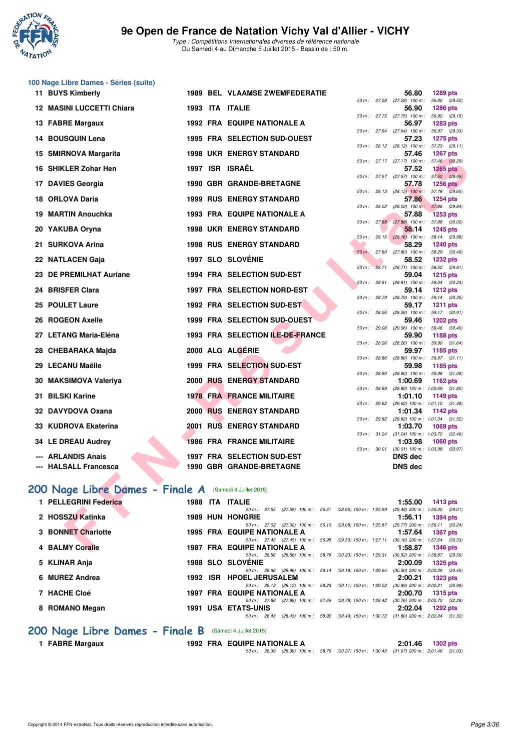

**100 Nage Libre Dames - Séries (suite)**

Type : Compétitions Internationales diverses de référence nationale Du Samedi 4 au Dimanche 5 Juillet 2015 - Bassin de : 50 m.

| 11 BUYS Kimberly                 |  | <b>1989 BEL VLAAMSE ZWEMFEDERATIE</b>                                                                         |              |              | 56.80                                                 | 1289 pts                  |         |
|----------------------------------|--|---------------------------------------------------------------------------------------------------------------|--------------|--------------|-------------------------------------------------------|---------------------------|---------|
| <b>12 MASINI LUCCETTI Chiara</b> |  | 1993 ITA ITALIE                                                                                               |              |              | 50 m: 27.28 (27.28) 100 m: 56.80 (29.52)<br>56.90     | <b>1286 pts</b>           |         |
| 13 FABRE Margaux                 |  | <b>1992 FRA EQUIPE NATIONALE A</b>                                                                            |              |              | 50 m: 27.75 (27.75) 100 m: 56.90 (29.15)<br>56.97     | <b>1283 pts</b>           |         |
| 14 BOUSQUIN Lena                 |  | 1995 FRA SELECTION SUD-OUEST                                                                                  |              |              | 50 m: 27.64 (27.64) 100 m: 56.97 (29.33)<br>57.23     | <b>1275 pts</b>           |         |
|                                  |  |                                                                                                               |              |              | 50 m: 28.12 (28.12) 100 m: 57.23 (29.11)              |                           |         |
| 15 SMIRNOVA Margarita            |  | <b>1998 UKR ENERGY STANDARD</b>                                                                               |              |              | 57.46<br>50 m: 27.17 (27.17) 100 m: 57.46 (30.29)     | <b>1267 pts</b>           |         |
| 16 SHIKLER Zohar Hen             |  | 1997 ISR ISRAËL                                                                                               |              |              | 57.52<br>50 m: 27.57 (27.57) 100 m: 57.52 (29.95)     | <b>1265 pts</b>           |         |
| 17 DAVIES Georgia                |  | 1990 GBR GRANDE-BRETAGNE                                                                                      |              |              | 57.78                                                 | <b>1256 pts</b>           |         |
| 18 ORLOVA Daria                  |  | <b>1999 RUS ENERGY STANDARD</b>                                                                               |              |              | 50 m: 28.13 (28.13) 100 m: 57.78 (29.65)<br>57.86     | <b>1254 pts</b>           |         |
| 19 MARTIN Anouchka               |  | <b>1993 FRA EQUIPE NATIONALE A</b>                                                                            |              |              | 50 m: 28.02 (28.02) 100 m: 57.86 (29.84)<br>57.88     | <b>1253 pts</b>           |         |
|                                  |  |                                                                                                               |              |              | 50 m : 27.88 (27.88) 100 m : 57.88 (30.00)            |                           |         |
| 20 YAKUBA Oryna                  |  | <b>1998 UKR ENERGY STANDARD</b>                                                                               | $50 m$ :     |              | 58.14<br>28.16 (28.16) 100 m: 58.14 (29.98)           | <b>1245 pts</b>           |         |
| 21 SURKOVA Arina                 |  | <b>1998 RUS ENERGY STANDARD</b>                                                                               |              |              | 58.29                                                 | <b>1240 pts</b>           |         |
| 22 NATLACEN Gaja                 |  | <b>1997 SLO SLOVÉNIE</b>                                                                                      |              |              | 50 m : 27.80 (27.80) 100 m : 58.29 (30.49)<br>58.52   | <b>1232 pts</b>           |         |
|                                  |  |                                                                                                               | $50 m$ :     |              | 28.71 (28.71) 100 m: 58.52 (29.81)                    |                           |         |
| 23 DE PREMILHAT Auriane          |  | 1994 FRA SELECTION SUD-EST                                                                                    |              |              | 59.04<br>$50 m$ : 28.81 (28.81) 100 m : 59.04 (30.23) | <b>1215 pts</b>           |         |
| 24 BRISFER Clara                 |  | 1997 FRA SELECTION NORD-EST                                                                                   | 50 m : 28.79 |              | 59.14                                                 | <b>1212 pts</b>           |         |
| 25 POULET Laure                  |  | 1992 FRA SELECTION SUD-EST                                                                                    |              |              | $(28.79)$ 100 m : 59.14 $(30.35)$<br>59.17            | <b>1211 pts</b>           |         |
| 26 ROGEON Axelle                 |  | 1999 FRA SELECTION SUD-OUEST                                                                                  | 50 m: 28.26  |              | $(28.26)$ 100 m : 59.17 $(30.91)$<br>59.46            | <b>1202 pts</b>           |         |
| 27 LETANG Maria-Eléna            |  | 1993 FRA SELECTION ILE-DE-FRANCE                                                                              |              |              | 50 m : 29.06 (29.06) 100 m : 59.46 (30.40)<br>59.90   | 1188 pts                  |         |
|                                  |  |                                                                                                               | 50 m: 28.26  |              | (28.26) 100 m : 59.90 (31.64)                         |                           |         |
| 28 CHEBARAKA Majda               |  | 2000 ALG ALGERIE                                                                                              | 50 m : 28.86 |              | 59.97<br>$(28.86)$ 100 m :                            | 1185 pts<br>59.97 (31.11) |         |
| 29 LECANU Maëlle                 |  | 1999 FRA SELECTION SUD-EST                                                                                    |              |              | 59.98                                                 | 1185 pts                  |         |
| 30 MAKSIMOVA Valeriya            |  | 2000 RUS ENERGY STANDARD                                                                                      | 50 m : 28.90 |              | $(28.90)$ 100 m :<br>1:00.69                          | 59.98 (31.08)<br>1162 pts |         |
|                                  |  |                                                                                                               |              | 50 m : 28.89 | $(28.89)$ 100 m : 1:00.69 $(31.80)$                   |                           |         |
| 31 BILSKI Karine                 |  | <b>1978 FRA FRANCE MILITAIRE</b>                                                                              |              |              | 1:01.10<br>50 m: 29.62 (29.62) 100 m: 1:01.10 (31.48) | 1149 pts                  |         |
| 32 DAVYDOVA Oxana                |  | <b>2000 RUS ENERGY STANDARD</b>                                                                               |              |              | 1:01.34                                               | 1142 pts                  |         |
| 33 KUDROVA Ekaterina             |  | 2001 RUS ENERGY STANDARD                                                                                      |              |              | 50 m: 29.82 (29.82) 100 m: 1:01.34 (31.52)<br>1:03.70 | <b>1069 pts</b>           |         |
|                                  |  |                                                                                                               | 50 m: 31.24  |              | $(31.24)$ 100 m : 1:03.70                             |                           | (32.46) |
| 34 LE DREAU Audrey               |  | <b>1986 FRA FRANCE MILITAIRE</b>                                                                              |              | 50 m : 30.01 | 1:03.98<br>$(30.01)$ 100 m : 1:03.98 $(33.97)$        | <b>1060 pts</b>           |         |
| <b>ARLANDIS Anais</b>            |  | 1997 FRA SELECTION SUD-EST                                                                                    |              |              | <b>DNS dec</b>                                        |                           |         |
| --- HALSALL Francesca            |  | 1990 GBR GRANDE-BRETAGNE                                                                                      |              |              | <b>DNS dec</b>                                        |                           |         |
|                                  |  |                                                                                                               |              |              |                                                       |                           |         |
| 200 Nage Libre Dames - Finale A  |  | (Samedi 4 Juillet 2015)                                                                                       |              |              |                                                       |                           |         |
| 1 PELLEGRINI Federica            |  | 1988 ITA ITALIE                                                                                               |              |              | 1:55.00                                               | <b>1413 pts</b>           |         |
| 2 HOSSZU Katinka                 |  | 50 m: 27.55<br>(27.55) 100 m : 56.51 (28.96) 150 m : 1:25.99                                                  |              |              | (29.48) 200 m: 1:55.00 (29.01)                        |                           |         |
|                                  |  | <b>1989 HUN HONGRIE</b><br>50 m : 27.02 (27.02) 100 m : 56.10 (29.08) 150 m : 1:25.87 (29.77) 200 m : 1:56.11 |              |              | 1:56.11                                               | <b>1394 pts</b>           | (30.24) |
| 3 BONNET Charlotte               |  | <b>1995 FRA EQUIPE NATIONALE A</b>                                                                            |              |              | 1:57.64                                               | <b>1367 pts</b>           |         |
| 4 BALMY Coralie                  |  | 50 m: 27.45 (27.45) 100 m: 56.95 (29.50) 150 m: 1:27.11<br><b>1987 FRA EQUIPE NATIONALE A</b>                 |              |              | $(30.16)$ 200 m : 1:57.64 $(30.53)$<br>1:58.87        | <b>1346 pts</b>           |         |

#### **[200 Nage Libre Dames - Finale A](http://www.ffnatation.fr/webffn/resultats.php?idact=nat&go=epr&idcpt=32627&idepr=3)** (Samedi 4 Juillet 2015)

| 1 PELLEGRINI Federica | 1988 | ITA        | <b>ITALIE</b>                                                                                                | 1:55.00 | <b>1413 pts</b>                     |
|-----------------------|------|------------|--------------------------------------------------------------------------------------------------------------|---------|-------------------------------------|
|                       |      |            | (28.96) 150 m : 1:25.99 (29.48) 200 m : 1:55.00 (29.01)<br>$(27.55)$ 100 m : 56.51<br>$50 \text{ m}$ : 27.55 |         |                                     |
| 2 HOSSZU Katinka      |      |            | <b>1989 HUN HONGRIE</b>                                                                                      | 1:56.11 | <b>1394 pts</b>                     |
|                       |      |            | $(29.08)$ 150 m : 1:25.87<br>50 m : 27.02 (27.02) 100 m : 56.10                                              |         | $(29.77)$ 200 m : 1:56.11 $(30.24)$ |
| 3 BONNET Charlotte    |      |            | <b>1995 FRA EQUIPE NATIONALE A</b>                                                                           | 1:57.64 | 1367 pts                            |
|                       |      |            | $50 \text{ m}$ : 27.45 (27.45) $100 \text{ m}$ :<br>(29.50) 150 m : 1:27.11<br>56.95                         |         | $(30.16)$ 200 m : 1:57.64 $(30.53)$ |
| 4 BALMY Coralie       |      |            | <b>1987 FRA EQUIPE NATIONALE A</b>                                                                           | 1:58.87 | <b>1346 pts</b>                     |
|                       |      |            | 50 m: 28.56 (28.56) 100 m: 58.79 (30.23) 150 m: 1:29.31                                                      |         | $(30.52)$ 200 m : 1:58.87 $(29.56)$ |
| 5 KLINAR Anja         |      |            | <b>1988 SLO SLOVENIE</b>                                                                                     | 2:00.09 | $1325$ pts                          |
|                       |      |            | $(30.18)$ 150 m : 1:29.64<br>50 m : 28.96 (28.96) 100 m : 59.14                                              |         | $(30.50)$ 200 m : 2:00.09 $(30.45)$ |
| 6 MUREZ Andrea        | 1992 | <b>ISR</b> | <b>HPOEL JERUSALEM</b>                                                                                       | 2:00.21 | <b>1323 pts</b>                     |
|                       |      |            | (30.11) 150 m : 1:29.22<br>$50 \text{ m}$ : 28.12 (28.12) 100 m :<br>58.23                                   |         | $(30.99)$ 200 m : 2:00.21 $(30.99)$ |
| 7 HACHE Cloé          |      |            | <b>1997 FRA EQUIPE NATIONALE A</b>                                                                           | 2:00.70 | $1315$ pts                          |
|                       |      |            | (29.78) 150 m : 1:28.42<br>$(27.88)$ 100 m :<br>57.66<br>$50 \text{ m}$ : 27.88                              |         | $(30.76)$ 200 m : 2:00.70 $(32.28)$ |
| 8 ROMANO Megan        |      |            | <b>1991 USA ETATS-UNIS</b>                                                                                   | 2:02.04 | 1292 $p$ ts                         |
|                       |      |            | (30.49) 150 m : 1:30.72<br>58.92<br>$50 \text{ m}$ : 28.43<br>$(28.43)$ 100 m :                              |         | $(31.80)$ 200 m : 2:02.04 $(31.32)$ |
|                       |      |            |                                                                                                              |         |                                     |

# **200 Nage Libre Dames - Finale B** (Samedi 4 Juillet 2015)<br>1 FABRE Margaux 1992 FRA EQUIPE NA

**1 FABRE Margaux 1992 FRA EQUIPE NATIONALE A 2:01.46 1302 pts**

50 m : 28.39 (28.39) 100 m : 58.76 (30.37) 150 m : 1:30.43 (31.67) 200 m : 2:01.46 (31.03)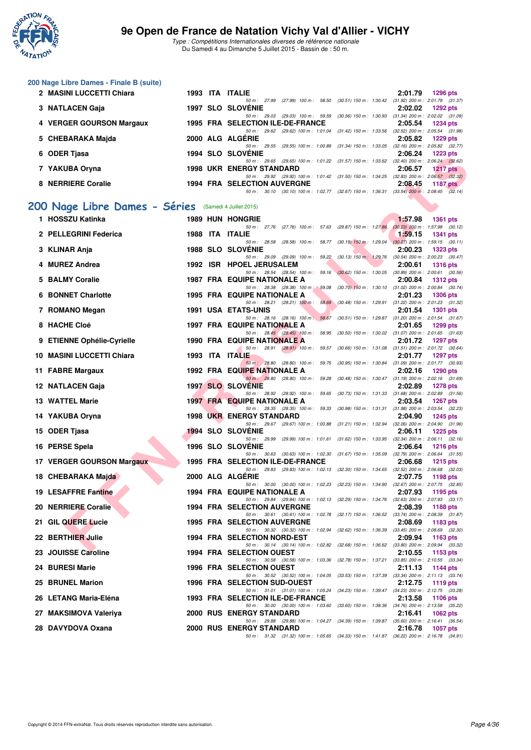

**200 Nage Libre Dames - Finale B (suite)**

#### **9e Open de France de Natation Vichy Val d'Allier - VICHY**

Type : Compétitions Internationales diverses de référence nationale Du Samedi 4 au Dimanche 5 Juillet 2015 - Bassin de : 50 m.

|   | 2 MASINI LUCCETTI Chiara                              |  | 1993 ITA ITALIE                                                                                                                | 2:01.79<br>1296 pts                                               |
|---|-------------------------------------------------------|--|--------------------------------------------------------------------------------------------------------------------------------|-------------------------------------------------------------------|
|   | 3 NATLACEN Gaja                                       |  | 50 m: 27.99 (27.99) 100 m: 58.50 (30.51) 150 m: 1:30.42 (31.92) 200 m: 2:01.79 (31.37)<br>1997 SLO SLOVÉNIE                    | 2:02.02<br>1292 pts                                               |
|   |                                                       |  | 50 m: 29.03 (29.03) 100 m: 59.59 (30.56) 150 m: 1:30.93 (31.34) 200 m: 2:02.02 (31.09)                                         |                                                                   |
|   | 4 VERGER GOURSON Margaux                              |  | 1995 FRA SELECTION ILE-DE-FRANCE<br>50 m: 29.62 (29.62) 100 m: 1:01.04 (31.42) 150 m: 1:33.56 (32.52) 200 m: 2:05.54 (31.98)   | 2:05.54<br>1234 pts                                               |
|   | 5 CHEBARAKA Majda                                     |  | 2000 ALG ALGERIE                                                                                                               | 2:05.82<br>1229 pts                                               |
|   |                                                       |  | 50 m: 29.55 (29.55) 100 m: 1:00.89 (31.34) 150 m: 1:33.05 (32.16) 200 m: 2:05.82 (32.77)                                       |                                                                   |
|   | 6 ODER Tjasa                                          |  | <b>1994 SLO SLOVENIE</b><br>50 m : 29.65 (29.65) 100 m : 1:01.22 (31.57) 150 m : 1:33.62 (32.40) 200 m : 2:06.24 (32.62)       | 2:06.24<br><b>1223 pts</b>                                        |
|   | 7 YAKUBA Oryna                                        |  | <b>1998 UKR ENERGY STANDARD</b>                                                                                                | 2:06.57<br><b>1217 pts</b>                                        |
|   | 8 NERRIERE Coralie                                    |  | 50 m: 29.92 (29.92) 100 m: 1:01.42 (31.50) 150 m: 1:34.25 (32.83) 200 m: 2:06.57 (32.32)<br><b>1994 FRA SELECTION AUVERGNE</b> | 2:08.45<br>1187 $p$ ts                                            |
|   |                                                       |  | 50 m: 30.10 (30.10) 100 m: 1:02.77 (32.67) 150 m: 1:36.31 (33.54) 200 m: 2:08.45 (32.14)                                       |                                                                   |
|   | 200 Nage Libre Dames - Séries (Samedi 4 Juillet 2015) |  |                                                                                                                                |                                                                   |
|   |                                                       |  |                                                                                                                                |                                                                   |
|   | 1 HOSSZU Katinka                                      |  | <b>1989 HUN HONGRIE</b><br>50 m: 27.76 (27.76) 100 m: 57.63 (29.87) 150 m: 1:27.86                                             | 1:57.98<br><b>1361 pts</b><br>$(30.23)$ 200 m : 1:57.98 $(30.12)$ |
|   | 2 PELLEGRINI Federica                                 |  | 1988 ITA ITALIE                                                                                                                | 1:59.15<br><b>1341 pts</b>                                        |
|   | 3 KLINAR Anja                                         |  | 50 m: 28.58 (28.58) 100 m: 58.77 (30.19) 150 m: 1:29.04<br><b>1988 SLO SLOVENIE</b>                                            | $(30.27)$ 200 m : 1:59.15 $(30.11)$<br>2:00.23<br>1323 pts        |
|   |                                                       |  | 50 m: 29.09 (29.09) 100 m: 59.22 (30.13) 150 m: 1:29.76 (30.54) 200 m: 2:00.23 (30.47)                                         |                                                                   |
|   | 4 MUREZ Andrea                                        |  | 1992 ISR HPOEL JERUSALEM                                                                                                       | 2:00.61<br><b>1316 pts</b>                                        |
| 5 | <b>BALMY Coralie</b>                                  |  | 50 m: 28.54 (28.54) 100 m: 59.16 (30.62) 150 m: 1:30.05 (30.89) 200 m: 2:00.61 (30.56)<br><b>1987 FRA EQUIPE NATIONALE A</b>   | 2:00.84<br><b>1312 pts</b>                                        |
|   |                                                       |  | 50 m : 28.38 (28.38) 100 m : 59.08 (30.70) 150 m : 1:30.10 (31.02) 200 m : 2:00.84 (30.74)                                     |                                                                   |
| 6 | <b>BONNET Charlotte</b>                               |  | <b>1995 FRA EQUIPE NATIONALE A</b><br>50 m: 28.21 (28.21) 100 m: 58.69 (30.48) 150 m: 1:29.91 (31.22) 200 m: 2:01.23 (31.32)   | 2:01.23<br><b>1306 pts</b>                                        |
|   | 7 ROMANO Megan                                        |  | <b>1991 USA ETATS-UNIS</b>                                                                                                     | 2:01.54<br><b>1301 pts</b>                                        |
|   | 8 HACHE Cloé                                          |  | 50 m: 28.16 (28.16) 100 m: 58.67 (30.51) 150 m: 1:29.87 (31.20) 200 m: 2:01.54 (31.67)<br><b>1997 FRA EQUIPE NATIONALE A</b>   | 2:01.65<br>1299 pts                                               |
|   |                                                       |  | 50 m: 28.45 (28.45) 100 m: 58.95 (30.50) 150 m: 1:30.02 (31.07) 200 m: 2:01.65 (31.63)                                         |                                                                   |
|   | 9 ETIENNE Ophélie-Cyrielle                            |  | <b>1990 FRA EQUIPE NATIONALE A</b>                                                                                             | 2:01.72<br><b>1297 pts</b>                                        |
|   | 10 MASINI LUCCETTI Chiara                             |  | 50 m: 28.91 (28.91) 100 m: 59.57 (30.66) 150 m: 1.31.08 (31.51) 200 m: 2.01.72 (30.64)<br>1993 ITA ITALIE                      | 2:01.77<br><b>1297 pts</b>                                        |
|   |                                                       |  | 50 m: 28.80 (28.80) 100 m: 59.75 (30.95) 150 m: 1:30.84 (31.09) 200 m: 2:01.77 (30.93)                                         |                                                                   |
|   | 11 FABRE Margaux                                      |  | <b>1992 FRA EQUIPE NATIONALE A</b><br>50 m: 28.80 (28.80) 100 m: 59.28 (30.48) 150 m: 1:30.47 (31.19) 200 m: 2:02.16 (31.69)   | 2:02.16<br>$1290$ pts                                             |
|   | 12 NATLACEN Gaja                                      |  | <b>1997 SLO SLOVENIE</b>                                                                                                       | 2:02.89<br><b>1278 pts</b>                                        |
|   | <b>13 WATTEL Marie</b>                                |  | 50 m: 28.92 (28.92) 100 m: 59.65 (30.73) 150 m: 1:31.33 (31.68) 200 m: 2:02.89 (31.56)<br><b>1997 FRA EQUIPE NATIONALE A</b>   | 2:03.54<br><b>1267 pts</b>                                        |
|   |                                                       |  | 50 m: 28.35 (28.35) 100 m: 59.33 (30.98) 150 m: 1:31.31 (31.98) 200 m: 2:03.54 (32.23)                                         |                                                                   |
|   | 14 YAKUBA Oryna                                       |  | <b>1998 UKR ENERGY STANDARD</b><br>50 m: 29.67 (29.67) 100 m: 1:00.88 (31.21) 150 m: 1:32.94 (32.06) 200 m: 2:04.90 (31.96)    | 2:04.90<br>1245 pts                                               |
|   | 15 ODER Tjasa                                         |  | <b>1994 SLO SLOVENIE</b>                                                                                                       | 2:06.11<br><b>1225 pts</b>                                        |
|   |                                                       |  | 50 m: 29.99 (29.99) 100 m: 1:01.61 (31.62) 150 m: 1:33.95 (32.34) 200 m: 2:06.11 (32.16)                                       |                                                                   |
|   | 16 PERSE Spela                                        |  | <b>1996 SLO SLOVENIE</b><br>50 m: 30.63 (30.63) 100 m: 1:02.30 (31.67) 150 m: 1:35.09 (32.79) 200 m: 2:06.64 (31.55)           | 2:06.64<br><b>1216 pts</b>                                        |
|   | 17 VERGER GOURSON Margaux                             |  | 1995 FRA SELECTION ILE-DE-FRANCE                                                                                               | 2:06.68<br>$1215$ pts                                             |
|   | 18 CHEBARAKA Majda                                    |  | 50 m: 29.83 (29.83) 100 m: 1:02.13 (32.30) 150 m: 1:34.65 (32.52) 200 m: 2:06.68 (32.03)<br>2000 ALG ALGERIE                   | 2:07.75<br>1198 pts                                               |
|   |                                                       |  | 50 m: 30.00 (30.00) 100 m: 1:02.23 (32.23) 150 m: 1:34.90 (32.67) 200 m: 2:07.75 (32.85)                                       |                                                                   |
|   | 19 LESAFFRE Fantine                                   |  | 1994 FRA EQUIPE NATIONALE A<br>50 m : 29.84 (29.84) 100 m : 1:02.13 (32.29) 150 m : 1:34.76 (32.63) 200 m : 2:07.93 (33.17)    | 2:07.93<br>1195 pts                                               |
|   | 20 NERRIERE Coralie                                   |  | 1994 FRA SELECTION AUVERGNE                                                                                                    | 2:08.39<br>1188 pts                                               |
|   |                                                       |  | 50 m: 30.61 (30.61) 100 m: 1:02.78 (32.17) 150 m: 1:36.52 (33.74) 200 m: 2:08.39 (31.87)                                       |                                                                   |
|   | 21 GIL QUERE Lucie                                    |  | <b>1995 FRA SELECTION AUVERGNE</b><br>50 m : 30.32 (30.32) 100 m : 1:02.94 (32.62) 150 m : 1:36.39                             | 2:08.69<br>1183 pts<br>$(33.45)$ 200 m : 2:08.69 $(32.30)$        |
|   | 22 BERTHIER Julie                                     |  | 1994 FRA SELECTION NORD-EST                                                                                                    | 2:09.94<br>1163 $pts$                                             |
|   | 23 JOUISSE Caroline                                   |  | 50 m: 30.14 (30.14) 100 m: 1:02.82 (32.68) 150 m: 1:36.62 (33.80) 200 m: 2:09.94 (33.32)<br><b>1994 FRA SELECTION OUEST</b>    | 2:10.55<br>1153 pts                                               |
|   |                                                       |  | 50 m: 30.58 (30.58) 100 m: 1:03.36 (32.78) 150 m: 1:37.21 (33.85) 200 m: 2:10.55 (33.34)                                       |                                                                   |

**24 BURESI Marie 1996 FRA SELECTION OUEST 2:11.13 1144 pts**

50 m : 30.52 (30.52) 100 m : 1:04.05 (33.53) 150 m : 1:37.39 (33.34) 200 m : 2:11.13 (33.74)<br> **CTION SUD-OUEST** 2:12.75 1119 pts

50 m : 31.01 (31.01) 100 m : 1:05.24 (34.23) 150 m : 1:39.47 (34.23) 200 m : 2:12.75 (33.28)<br> **CTION ILE-DE-FRANCE** 2:13.58 1106 pts

50 m : 30.00 (30.00) 100 m : 1:03.60 (33.60) 150 m : 1:38.36 (34.76) 200 m : 2:13.58 (35.22)<br>
3GY STANDARD 2:16.41 1062 pts

50 m : 29.88 (29.88) 100 m : 1:04.27 (34.39) 150 m : 1:39.87 (35.60) 200 m : 2:16.41 (36.54)

50 m : 31.32 (31.32) 100 m : 1:05.65 (34.33) 150 m : 1:41.87 (36.22) 200 m : 2:16.78 (34.91)

- 26 LETANG Maria-Eléna 1993 FRA SELECTION ILE-DE-FRANCE
- 27 MAKSIMOVA Valeriya 2000 RUS ENERGY STANDARD
- 28 DAVYDOVA Oxana 2000 RUS ENERGY STANDARD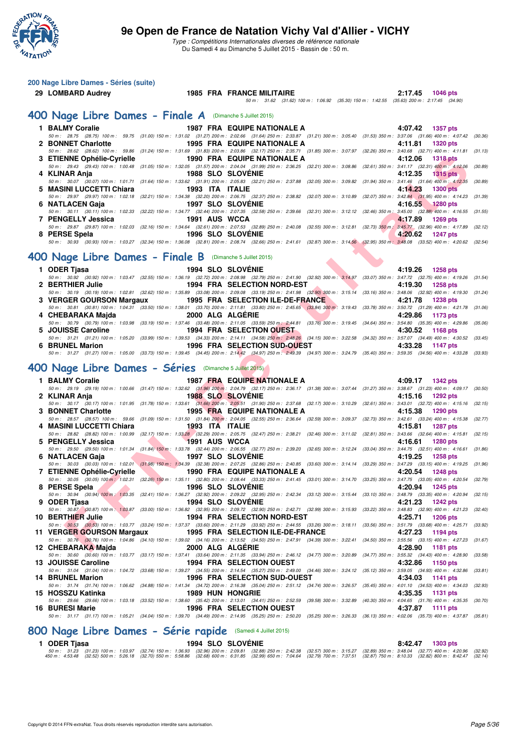

**200 Nage Libre Dames - Séries (suite)**

Type : Compétitions Internationales diverses de référence nationale Du Samedi 4 au Dimanche 5 Juillet 2015 - Bassin de : 50 m.

 $\frac{1}{3}$ 

**29 LOMBARD Audrey 1985 FRA FRANCE MILITAIRE 2:17.45 1046 pts**

|                                                                                                                                                                                                            |                 |                                     |  | (34.90) 2010. 2.17.45 (34.90) 30.35) 2011. [1.42.35] 2011. [1.100] (1.62) 2012. [100] 30.11. |         |
|------------------------------------------------------------------------------------------------------------------------------------------------------------------------------------------------------------|-----------------|-------------------------------------|--|----------------------------------------------------------------------------------------------|---------|
| 400 Nage Libre Dames - Finale A (Dimanche 5 Juillet 2015)                                                                                                                                                  |                 |                                     |  |                                                                                              |         |
| 1 BALMY Coralie                                                                                                                                                                                            |                 | <b>1987 FRA EQUIPE NATIONALE A</b>  |  | 4:07.42<br>1357 pts                                                                          |         |
| 50 m: 28.75 (28.75) 100 m: 59.75 (31.00) 150 m: 1:31.02 (31.27) 200 m: 2:02.66 (31.64) 250 m: 2:33.87 (31.21) 300 m: 3:05.40 (31.53) 350 m: 3:37.06 (31.66) 400 m: 4:07.42 (30.36)<br>2 BONNET Charlotte   |                 | 1995 FRA EQUIPE NATIONALE A         |  | 4:11.81<br><b>1320 pts</b>                                                                   |         |
| 50 m: 28.62 (28.62) 100 m: 59.86 (31.24) 150 m: 1:31.69 (31.83) 200 m: 2:03.86 (32.17) 250 m: 2:35.71 (31.85) 300 m: 3:07.97 (32.26) 350 m: 3:40.68 (32.71) 400 m: 4:11.81 (31.13)                         |                 |                                     |  |                                                                                              |         |
| 3 ETIENNE Ophélie-Cyrielle                                                                                                                                                                                 |                 | <b>1990 FRA EQUIPE NATIONALE A</b>  |  | 4:12.06<br><b>1318 pts</b>                                                                   |         |
| 50 m: 29.43 (29.43) 100 m: 1:00.48 (31.05) 150 m: 1:32.05 (31.57) 200 m: 2:04.04 (31.99) 250 m: 2:36.25 (32.21) 300 m: 3:08.86 (32.61) 350 m: 3:41.17 (32.31) 400 m: 4:12.06                               |                 |                                     |  |                                                                                              | (30.89) |
| 4 KLINAR Anja<br>50 m: 30.07 (30.07) 100 m: 1:01.71 (31.64) 150 m: 1:33.62 (31.91) 200 m: 2:05.83 (32.21) 250 m: 2:37.88 (32.05) 300 m: 3:09.82 (31.94) 350 m: 3:41.46 (31.64) 400 m: 4:12.35 (30.89)      |                 | <b>1988 SLO SLOVENIE</b>            |  | 4:12.35<br>1315 pts                                                                          |         |
| 5 MASINI LUCCETTI Chiara                                                                                                                                                                                   | 1993 ITA ITALIE |                                     |  | 4:14.23<br><b>1300 pts</b>                                                                   |         |
| 50 m : 29.97 (29.97) 100 m : 1:02.18 (32.21) 150 m : 1:34.38 (32.20) 200 m : 2:06.75 (32.37) 250 m : 2:38.82 (32.07) 300 m : 3:10.89                                                                       |                 |                                     |  | (32.07) 350 m : 3:42.84 (31.95) 400 m : 4:14.23                                              | (31.39) |
| 6 NATLACEN Gaja                                                                                                                                                                                            |                 | <b>1997 SLO SLOVENIE</b>            |  | 4:16.55<br><b>1280 pts</b>                                                                   |         |
| 50 m: 30.11 (30.11) 100 m: 1:02.33 (32.22) 150 m: 1:34.77 (32.44) 200 m: 2:07.35 (32.58) 250 m: 2:39.66 (32.31) 300 m: 3:12.12 (32.46) 350 m: 3:45.00 (32.88) 400 m: 4:16.55 (31.55)<br>7 PENGELLY Jessica | 1991 AUS WCCA   |                                     |  | 4:17.89<br><b>1269 pts</b>                                                                   |         |
| 50 m : 29.87 (29.87) 100 m : 1:02.03 (32.16) 150 m : 1:34.64 (32.61) 200 m : 2:07.53 (32.89) 250 m : 2:40.08 (32.55) 300 m : 3:12.81 (32.73) 350 m : 3:45.77 (32.96) 400 m : 4:17.89 (32.12)               |                 |                                     |  |                                                                                              |         |
| 8 PERSE Spela                                                                                                                                                                                              |                 | <b>1996 SLO SLOVENIE</b>            |  | 4:20.62<br><b>1247 pts</b>                                                                   |         |
| 50 m : 30.93 (30.93) 100 m : 1:03.27 (32.34) 150 m : 1:36.08 (32.81) 200 m : 2:08.74 (32.66) 250 m : 2:41.61 (32.87) 300 m : 3:14.56 (32.95) 350 m : 3:48.08 (33.52) 400 m : 4:20.62 (32.54)               |                 |                                     |  |                                                                                              |         |
| 400 Nage Libre Dames - Finale B (Dimanche 5 Juillet 2015)                                                                                                                                                  |                 |                                     |  |                                                                                              |         |
| 1 ODER Tjasa                                                                                                                                                                                               |                 | 1994 SLO SLOVENIE                   |  | 4:19.26<br><b>1258 pts</b>                                                                   |         |
| 50 m : 30.92 (30.92) 100 m : 1:03.47 (32.55) 150 m : 1:36.19 (32.72) 200 m : 2:08.98 (32.79) 250 m : 2:41.90 (32.92) 300 m : 3:14.97 (33.07) 350 m : 3:47.72 (32.75) 400 m : 4:19.26 (31.54)               |                 |                                     |  |                                                                                              |         |
| 2 BERTHIER Julie<br>50 m: 30.19 (30.19) 100 m: 1:02.81 (32.62) 150 m: 1:35.89 (33.08) 200 m: 2:09.08 (33.19) 250 m: 2:41.98 (32.90) 300 m: 3:15.14 (33.16) 350 m: 3:48.06 (32.92) 400 m: 4:19.30           |                 | <b>1994 FRA SELECTION NORD-EST</b>  |  | 4:19.30<br><b>1258 pts</b>                                                                   |         |
| 3 VERGER GOURSON Margaux                                                                                                                                                                                   |                 | 1995 FRA SELECTION ILE-DE-FRANCE    |  | 4:21.78<br><b>1238 pts</b>                                                                   | (31.24) |
| 50 m: 30.81 (30.81) 100 m: 1:04.31 (33.50) 150 m: 1:38.01 (33.70) 200 m: 2:11.81 (33.80) 250 m: 2:45.65 (33.84) 300 m: 3:19.43 (33.78) 350 m: 3:50.72 (31.29) 400 m: 4:21.78                               |                 |                                     |  |                                                                                              | (31.06) |
| 4 CHEBARAKA Majda                                                                                                                                                                                          |                 | 2000 ALG ALGERIE                    |  | 4:29.86<br>1173 pts                                                                          |         |
| 50 m: 30.79 (30.79) 100 m: 1:03.98 (33.19) 150 m: 1:37.46 (33.48) 200 m: 2:11.05 (33.59) 250 m: 2:44.81 (33.76) 300 m: 3:19.45 (34.64) 350 m: 3:54.80 (35.35) 400 m: 4:29.86 (35.06)<br>5 JOUISSE Caroline |                 | <b>1994 FRA SELECTION OUEST</b>     |  | 4:30.52<br>1168 pts                                                                          |         |
| 50 m: 31.21 (31.21) 100 m: 1:05.20 (33.99) 150 m: 1:39.53 (34.33) 200 m: 2:14.11 (34.58) 250 m: 2:48.26 (34.15) 300 m: 3:22.58 (34.32) 350 m: 3:57.07 (34.49) 400 m: 4:30.52 (33.45)                       |                 |                                     |  |                                                                                              |         |
| <b>6 BRUNEL Marion</b>                                                                                                                                                                                     |                 | 1996 FRA SELECTION SUD-OUEST        |  | 4:33.28<br>1147 pts                                                                          |         |
| 50 m: 31.27 (31.27) 100 m: 1:05.00 (33.73) 150 m: 1:39.45 (34.45) 200 m: 2:14.42 (34.97) 250 m: 2:49.39 (34.97) 300 m: 3:24.79 (35.40) 350 m: 3:59.35 (34.56) 400 m: 4:33.28 (33.93)                       |                 |                                     |  |                                                                                              |         |
|                                                                                                                                                                                                            |                 |                                     |  |                                                                                              |         |
|                                                                                                                                                                                                            |                 |                                     |  |                                                                                              |         |
| 400 Nage Libre Dames - Séries (Dimanche 5 Juillet 2015)                                                                                                                                                    |                 |                                     |  |                                                                                              |         |
| 1 BALMY Coralie<br>50 m: 29.19 (29.19) 100 m: 1:00.66 (31.47) 150 m: 1:32.62 (31.96) 200 m: 2:04.79 (32.17) 250 m: 2:36.17 (31.38) 300 m: 3:07.44 (31.27) 350 m: 3:38.67 (31.23) 400 m: 4:09.17 (30.50)    |                 | <b>1987 FRA EQUIPE NATIONALE A</b>  |  | 4:09.17<br><b>1342 pts</b>                                                                   |         |
| 2 KLINAR Anja                                                                                                                                                                                              |                 | <b>1988 SLO SLOVENIE</b>            |  | 4:15.16<br>1292 pts                                                                          |         |
| 50 m: 30.17 (30.17) 100 m: 1:01.95 (31.78) 150 m: 1:33.61 (31.66) 200 m: 2:05.51 (31.90) 250 m: 2:37.68 (32.17) 300 m: 3:10.29 (32.61) 350 m: 3:43.01 (32.72) 400 m: 4:15.16 (32.15)                       |                 |                                     |  |                                                                                              |         |
| 3 BONNET Charlotte<br>50 m: 28.57 (28.57) 100 m: 59.66 (31.09) 150 m: 1:31.50 (31.84) 200 m: 2:04.05 (32.55) 250 m: 2:36.64 (32.59) 300 m: 3:09.37 (32.73) 350 m: 3:42.61 (33.24) 400 m: 4:15.38 (32.77)   |                 | <b>1995 FRA EQUIPE NATIONALE A</b>  |  | 4:15.38<br><b>1290 pts</b>                                                                   |         |
| 4 MASINI LUCCETTI Chiara                                                                                                                                                                                   | 1993 ITA ITALIE |                                     |  | 4:15.81<br><b>1287 pts</b>                                                                   |         |
| 50 m: 28.82 (28.82) 100 m: 1:00.99 (32.17) 150 m: 1:33. <mark>28 (</mark> 32.29) 200 m: 2:05.75 (32.47) 250 m: 2:38.21 (32.46) 300 m: 3:11.02 (32.81) 350 m: 3:43.66 (32.64) 400 m: 4:15.81 (32.15)        |                 |                                     |  |                                                                                              |         |
| 5 PENGELLY Jessica<br>50 m: 29.50 (29.50) 100 m: 1:01.34 (31.84) 150 m: 1:33.78 (32.44) 200 m: 2:06.55 (32.77) 250 m: 2:39.20 (32.65) 300 m: 3:12.24 (33.04) 350 m: 3:44.75 (32.51) 400 m: 4:16.61 (31.86) | 1991 AUS WCCA   |                                     |  | 4:16.61<br>1280 pts                                                                          |         |
| 6 NATLACEN Gaja                                                                                                                                                                                            |                 | <b>1997 SLO SLOVENIE</b>            |  | 4:19.25<br><b>1258 pts</b>                                                                   |         |
| 50 m: 30.03 (30.03) 100 m: 1:02.01 (31.98) 150 m: 1:34.39 (32.38) 200 m: 2:07.25 (32.86) 250 m: 2:40.85 (33.60) 300 m: 3:14.14 (33.29) 350 m: 3:47.29 (33.15) 400 m: 4:19.25 (31.96)                       |                 |                                     |  |                                                                                              |         |
| 7 ETIENNE Ophélie-Cyrielle                                                                                                                                                                                 |                 | <b>1990 FRA EQUIPE NATIONALE A</b>  |  | 4:20.54<br><b>1248 pts</b>                                                                   |         |
| 50 m: 30.05 (30.05) 100 m: 1:02.31 (32.26) 150 m: 1:35.11 (32.80) 200 m: 2:08.44 (33.33) 250 m: 2:41.45 (33.01) 300 m: 3:14.70 (33.25) 350 m: 3:47.75 (33.05) 400 m: 4:20.54 (32.79)<br>8 PERSE Spela      |                 | <b>1996 SLO SLOVENIE</b>            |  | 4:20.94<br><b>1245 pts</b>                                                                   |         |
| 50 m : 30.94 (30.94) 100 m : 1:03.35 (32.41) 150 m : 1:36.27 (32.92) 200 m : 2:09.22 (32.95) 250 m : 2:42.34 (33.12) 300 m : 3:15.44 (33.10) 350 m : 3:48.79 (33.35) 400 m : 4:20.94 (32.15)               |                 |                                     |  |                                                                                              |         |
| 9 ODER Tjasa                                                                                                                                                                                               |                 | <b>1994 SLO SLOVÉNIE</b>            |  | 4:21.23 1242 pts                                                                             |         |
| 50 m: 30.87 (30.87) 100 m: 1:03.87 (33.00) 150 m: 1:36.82 (32.95) 200 m: 2:09.72 (32.90) 250 m: 2:42.71 (32.99) 300 m: 3:15.93 (33.22) 350 m: 3:48.83 (32.90) 400 m: 4:21.23 (32.40)<br>10 BERTHIER Julie  |                 | 1994 FRA SELECTION NORD-EST         |  | 4:25.71<br><b>1206 pts</b>                                                                   |         |
| 50 m: 30.53 (30.53) 100 m: 1:03.77 (33.24) 150 m: 1:37.37 (33.60) 200 m: 2:11.29 (33.92) 250 m: 2:44.55 (33.26) 300 m: 3:18.11 (33.56) 350 m: 3:51.79 (33.68) 400 m: 4:25.71 (33.92)                       |                 |                                     |  |                                                                                              |         |
| 11 VERGER GOURSON Margaux                                                                                                                                                                                  |                 | 1995 FRA SELECTION ILE-DE-FRANCE    |  | 4:27.23<br>1194 pts                                                                          |         |
| 50 m :    30.76    (30.76)  100 m :   1:04.86    (34.10)  150 m :   1:39.02    (34.16)  200 m :   2:13.52    (34.50)  250 m :   2:47.91    (34.39)  300 m :   3:22.41<br>12 CHEBARAKA Majda                |                 | 2000 ALG ALGERIE                    |  | (34.50) 350 m: 3:55.56 (33.15) 400 m: 4:27.23 (31.67)<br>4:28.90                             |         |
| 50 m : 30.60 (30.60) 100 m : 1:03.77 (33.17) 150 m : 1:37.41 (33.64) 200 m : 2:11.35 (33.94) 250 m : 2:46.12 (34.77) 300 m : 3:20.89                                                                       |                 |                                     |  | 1181 pts<br>$(34.77)$ 350 m : 3:55.32 $(34.43)$ 400 m : 4:28.90                              | (33.58) |
| 13 JOUISSE Caroline                                                                                                                                                                                        |                 | <b>1994 FRA SELECTION OUEST</b>     |  | 4:32.86<br>1150 pts                                                                          |         |
| 50 m : 31.04 (31.04) 100 m : 1:04.72 (33.68) 150 m : 1:39.27 (34.55) 200 m : 2:14.54 (35.27) 250 m : 2:49.00 (34.46) 300 m : 3:24.12                                                                       |                 |                                     |  | $(35.12)$ 350 m : 3:59.05 $(34.93)$ 400 m : 4:32.86                                          | (33.81) |
| <b>14 BRUNEL Marion</b><br>50 m : 31.74 (31.74) 100 m : 1:06.62 (34.88) 150 m : 1:41.34 (34.72) 200 m : 2:16.38 (35.04) 250 m : 2:51.12 (34.74) 300 m : 3:26.57                                            |                 | <b>1996 FRA SELECTION SUD-OUEST</b> |  | 4:34.03<br>1141 pts<br>$(35.45)$ 350 m : 4:01.10 $(34.53)$ 400 m : 4:34.03 $(32.93)$         |         |
| 15 HOSSZU Katinka                                                                                                                                                                                          |                 | <b>1989 HUN HONGRIE</b>             |  | 4:35.35<br>1131 pts                                                                          |         |
| 50 m : 29.66 (29.66) 100 m : 1:03.18 (33.52) 150 m : 1:38.60 (35.42) 200 m : 2:13.01 (34.41) 250 m : 2:52.59 (39.58) 300 m : 3:32.89<br>16 BURESI Marie                                                    |                 | 1996 FRA SELECTION OUEST            |  | (40.30) 350 m : 4:04.65 (31.76) 400 m : 4:35.35 (30.70)<br>4:37.87<br>1111 pts               |         |

# [800 Nage Libre Dames - Série rapide](http://www.ffnatation.fr/webffn/resultats.php?idact=nat&go=epr&idcpt=32627&idepr=5) (Samedi 4 Juillet 2015)<br>1 ODER Tiasa 1994 SLO SLOVÉNIE

**1 ODER Tjasa 1994 SLO SLOVÉNIE 8:42.47 1303 pts** 50 m: 31.23 (31.23) 100 m: 1:03.97 (32.74) 150 m: 1:36.93 (32.96) 200 m: 2:09.81 (32.88) 250 m: 2:42.38 (32.57) 300 m: 3:15.27 (32.89) 350 m: 3:48.04 (32.77) 400 m: 4:20.96 (32.92)<br>450 m: 4:53.48 (32.52) 500 m: 5:26.18 (32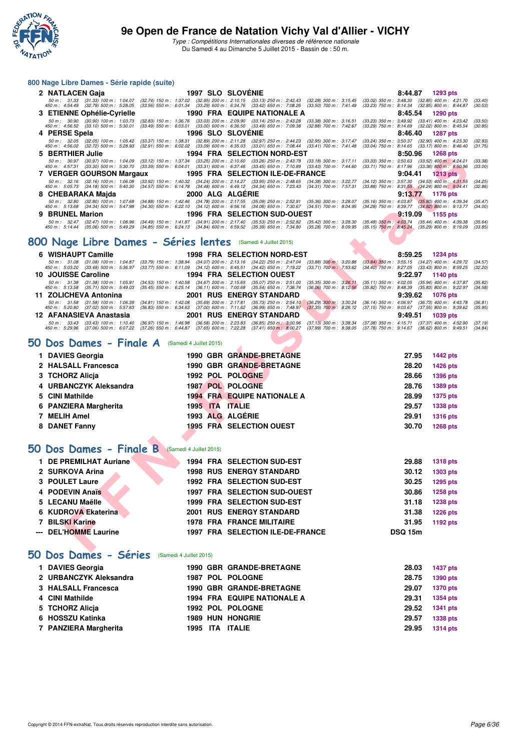

#### **800 Nage Libre Dames - Série rapide (suite)**

|                  | 2 NATLACEN Gaja 1997 SLO SLOVENIE                                                                                                                                                                                                                                                                                                                                               | 8:44.87 1293 pts   |
|------------------|---------------------------------------------------------------------------------------------------------------------------------------------------------------------------------------------------------------------------------------------------------------------------------------------------------------------------------------------------------------------------------|--------------------|
|                  | 50 m : 31.33 (31.33) 100 m : 1:04.07 (32.74) 150 m : 1:37.02 (32.95) 200 m : 2:10.15 (33.13) 250 m : 2:42.43 (32.28) 300 m : 3:15.45 (33.02) 350 m : 3:48.30 (32.85) 400 m : 4:21.70<br>450 m : 4:54.49 (32.79) 500 m : 5:28.05 (33.56) 550 m : 6:01.34 (33.29) 600 m : 6:34.76 (33.42) 650 m : 7:08.26 (33.50) 700 m : 7:41.49 (33.23) 750 m : 8:14.34 (32.85) 800 m : 8:44.87 | (33.40)<br>(30.53) |
|                  | 3 ETIENNE Ophélie-Cyrielle 1990 FRA EQUIPE NATIONALE A                                                                                                                                                                                                                                                                                                                          | 8:45.54 1290 pts   |
|                  | 50 m : 30.90 (30.90) 100 m : 1:03.73 (32.83) 150 m : 1:36.76 (33.03) 200 m : 2:09.90 (33.14) 250 m : 2:43.28 (33.38) 300 m : 3:16.51 (33.23) 350 m : 3:49.92 (33.41) 400 m : 4:23.42<br>450 m : 4:56.52 (33.10) 500 m : 5:30.01 (33.49) 550 m : 6:03.01 (33.00) 600 m : 6:36.50 (33.49) 650 m : 7:09.38 (32.88) 700 m : 7:42.67 (33.29) 750 m : 8:14.69 (32.02) 800 m : 8:45.54 | (33.50)<br>(30.85) |
| 4 PERSE Spela    | <b>1996 SLO SLOVENIE</b>                                                                                                                                                                                                                                                                                                                                                        | 8:46.40 1287 pts   |
|                  | 50 m : 32.05 (32.05) 100 m : 1:05.42 (33.37) 150 m : 1:38.31 (32.89) 200 m : 2:11.28 (32.97) 250 m : 2:44.23 (32.95) 300 m : 3:17.47 (33.24) 350 m : 3:50.37 (32.90) 400 m : 4:23.30 (32.93)<br>450 m: 4:56.02 (32.72) 500 m: 5:28.93 (32.91) 550 m: 6:02.02 (33.09) 600 m: 6:35.03 (33.01) 650 m: 7:08.44 (33.41) 700 m: 7:41.48 (33.04) 750 m: 8:14.65 (33.17) 800 m: 8:46.40 | (31.75)            |
| 5 BERTHIER Julie | 1994 FRA SELECTION NORD-EST                                                                                                                                                                                                                                                                                                                                                     | 8:50.96 1268 pts   |
|                  | 50 m: 30.97 (30.97) 100 m: 1:04.09 (33.12) 150 m: 1:37.34 (33.25) 200 m: 2:10.60 (33.26) 250 m: 2:43.78 (33.18) 300 m: 3:17.11 (33.33) 350 m: 3:50.63 (33.52) 400 m: 4:24.01 (33.38)<br>450 m: 4:57.31 (33.30) 500 m: 5:30.70 (33.39) 550 m: 6:04.01 (33.31) 600 m: 6:37.46 (33.45) 650 m: 7:10.89 (33.43) 700 m: 7:44.60 (33.71) 750 m: 8:17.96 (33.36) 800 m: 8:50.96         | (33.00)            |
|                  |                                                                                                                                                                                                                                                                                                                                                                                 | $9:04.41$ 1213 pts |
|                  | 50 m: 32.16 (32.16) 100 m: 1:06.08 (33.92) 150 m: 1:40.32 (34.24) 200 m: 2:14.27 (33.95) 250 m: 2:48.65 (34.38) 300 m: 3:22.77 (34.12) 350 m: 3:57.30 (34.53) 400 m: 4:31.55<br>450 m: 5:05.73 (34.18) 500 m: 5:40.30 (34.57) 550 m: 6:14.78 (34.48) 600 m: 6:49.12 (34.34) 650 m: 7:23.43 (34.31) 700 m: 7:57.31 (33.88) 750 m: 8:31.55 (34.24) 800 m: 9:04.41                 | (34.25)<br>(32.86) |
|                  | 8 CHEBARAKA Majda 2000 ALG ALGÉRIE                                                                                                                                                                                                                                                                                                                                              | $9:13.77$ 1176 pts |
|                  | 50 m: 32.80 (32.80) 100 m: 1:07.68 (34.88) 150 m: 1:42.46 (34.78) 200 m: 2:17.55 (35.09) 250 m: 2:52.91 (35.36) 300 m: 3:28.07 (35.16) 350 m: 4:03.87 (35.80) 400 m: 4:39.34<br>450 m : 5:13.68 (34.34) 500 m : 5:47.98 (34.30) 550 m : 6:22.10 (34.12) 600 m : 6:56.16 (34.06) 650 m : 7:30.67 (34.51) 700 m : 8:04.95 (34.28) 750 m : 8:39.77 (34.82) 800 m : 9:13.77         | (35.47)<br>(34.00) |
| 9 BRUNEL Marion  | 1996 FRA SELECTION SUD-OUEST 3115.09 1155 pts                                                                                                                                                                                                                                                                                                                                   |                    |
|                  | 50 m : 32.47 (32.47) 100 m : 1:06.96 (34.49) 150 m : 1:41.87 (34.91) 200 m : 2:17.40 (35.53) 250 m : 2:52.82 (35.42) 300 m : 3:28.30 (35.48) 350 m : 4:03.74 (35.44) 400 m : 4:39.38<br>450 m : 5:14.44 (35.06) 500 m : 5:49.29 (34.85) 550 m : 6:24.13 (34.84) 600 m : 6:59.52 (35.39) 650 m : 7:34.80 (35.28) 700 m : 8:09.95 (35.15) 750 m : 8:45.24 (35.29) 800 m : 9:19.09 | (35.64)<br>(33.85) |

# **[800 Nage Libre Dames - Séries lentes](http://www.ffnatation.fr/webffn/resultats.php?idact=nat&go=epr&idcpt=32627&idepr=5)** (Samedi 4 Juillet 2015)

|        |                                                                                                                                                                                                                                 | 1994 FRA                                                                                                                    |                                                        |                                                              |                                                        |                                                          | 0.JU.JU        | ⊥∠∪∪ pis                                                                                                   |                    |
|--------|---------------------------------------------------------------------------------------------------------------------------------------------------------------------------------------------------------------------------------|-----------------------------------------------------------------------------------------------------------------------------|--------------------------------------------------------|--------------------------------------------------------------|--------------------------------------------------------|----------------------------------------------------------|----------------|------------------------------------------------------------------------------------------------------------|--------------------|
|        | 50 m : 30.97 (30.97) 100 m : 1:04.09 (33.12) 150 m : 1:37.34 (33.25) 200 m : 2:10.60 (33.26) 250 m : 2:43.78<br>450 m : 4:57.31 (33.30) 500 m : 5:30.70 (33.39) 550 m : 6:04.01 (33.31) 600 m : 6:37.46 (33.45) 650 m : 7:10.89 |                                                                                                                             |                                                        |                                                              | $(33.18)$ 300 m : 3:17.11<br>$(33.43)$ 700 m : 7:44.60 |                                                          |                | $(33.33)$ 350 m : 3:50.63 $(33.52)$ 400 m : 4:24.01<br>$(33.71)$ 750 m : 8:17.96 $(33.36)$ 800 m : 8:50.96 | (33.38)<br>(33.00) |
|        | 7 VERGER GOURSON Margaux                                                                                                                                                                                                        |                                                                                                                             |                                                        | 1995 FRA SELECTION ILE-DE-FRANCE                             |                                                        |                                                          | 9:04.41        | <b>1213 pts</b>                                                                                            |                    |
| 50 m : | $(32.16)$ 100 m : 1:06.08<br>32.16<br>450 m : 5:05.73 (34.18) 500 m : 5:40.30                                                                                                                                                   | $(33.92)$ 150 m : 1:40.32<br>(34.57) 550 m: 6:14.78 (34.48) 600 m: 6:49.12 (34.34) 650 m: 7:23.43                           | $(34.24)$ 200 m : 2:14.27                              | $(33.95)$ 250 m : 2:48.65                                    | $(34.38)$ 300 m : 3:22.77<br>(34.31) 700 m : 7:57.31   | $(34.12)$ 350 m : 3:57.30                                |                | $(34.53)$ 400 m : 4:31.55<br>$(33.88)$ 750 m : $8.31.55$ $(34.24)$ 800 m : $9.04.41$                       | (34.25)<br>(32.86) |
|        | CHEBARAKA Majda                                                                                                                                                                                                                 |                                                                                                                             |                                                        | 2000 ALG ALGERIE                                             |                                                        |                                                          | 9:13.77        | <b>1176 pts</b>                                                                                            |                    |
|        | 50 m: 32.80 (32.80) 100 m: 1:07.68<br>450 m : 5:13.68 (34.34) 500 m : 5:47.98                                                                                                                                                   | $(34.88)$ 150 m : 1:42.46<br>$(34.30)$ 550 m : 6:22.10                                                                      | $(34.78)$ 200 m : 2:17.55<br>$(34.12)$ 600 m : 6:56.16 | $(35.09)$ 250 m : 2:52.91<br>$(34.06)$ 650 m : 7:30.67       | (35.36) 300 m : 3:28.07<br>$(34.51)$ 700 m : 8:04.95   | $(35.16)$ 350 m : 4:03.87<br>$(34.28)$ 750 m : 8:39.77   |                | $(35.80)$ 400 m : 4:39.34<br>$(34.82)$ 800 m : 9:13.77                                                     | (35.47)<br>(34.00) |
|        | <b>BRUNEL Marion</b>                                                                                                                                                                                                            |                                                                                                                             |                                                        | <b>1996 FRA SELECTION SUD-OUEST</b>                          |                                                        |                                                          | 9:19.09        | 1155 pts                                                                                                   |                    |
|        | 50 m : 32.47 (32.47) 100 m : 1:06.96<br>450 m: 5:14.44 (35.06) 500 m: 5:49.29                                                                                                                                                   | (34.49) 150 m: 1:41.87 (34.91) 200 m: 2:17.40<br>$(34.85)$ 550 m : 6:24.13 $(34.84)$ 600 m : 6:59.52                        |                                                        | $(35.53)$ 250 m : 2:52.82<br>$(35.39)$ 650 m : 7:34.80       | $(35.42)$ 300 m : 3:28.30<br>$(35.28)$ 700 m : 8:09.95 | $(35.48)$ 350 m $: 4:03.74$<br>$(35.15)$ 750 m : 8:45.24 |                | $(35.44)$ 400 m : 4:39.38<br>$(35.29)$ 800 m : 9:19.09                                                     | (35.64)<br>(33.85) |
|        |                                                                                                                                                                                                                                 |                                                                                                                             |                                                        |                                                              |                                                        |                                                          |                |                                                                                                            |                    |
|        | 00 Nage Libre Dames - Séries lentes                                                                                                                                                                                             |                                                                                                                             |                                                        | (Samedi 4 Juillet 2015)                                      |                                                        |                                                          |                |                                                                                                            |                    |
|        | 6 WISHAUPT Camille                                                                                                                                                                                                              |                                                                                                                             |                                                        | <b>1998 FRA SELECTION NORD-EST</b>                           |                                                        |                                                          | 8:59.25        | <b>1234 pts</b>                                                                                            |                    |
|        | 50 m: 31.08 (31.08) 100 m: 1:04.87 (33.79) 150 m: 1:38.94 (34.07) 200 m: 2:13.16 (34.22) 250 m: 2:47.04<br>450 m : 5:03.20 (33.48) 500 m : 5:36.97                                                                              | (33.77) 550 m: 6:11.09 (34.12) 600 m: 6:45.51 (34.42) 650 m: 7:19.22                                                        |                                                        |                                                              | $(33.88)$ 300 m : 3:20.88<br>$(33.71)$ 700 m : 7:53.62 |                                                          |                | $(33.84)$ 350 m : 3:55.15 $(34.27)$ 400 m : 4:29.72<br>(34.40) 750 m : 8:27.05 (33.43) 800 m : 8:59.25     | (34.57)<br>(32.20) |
|        | 10 JOUISSE Caroline                                                                                                                                                                                                             |                                                                                                                             |                                                        | <b>1994 FRA SELECTION OUEST</b>                              |                                                        |                                                          | 9:22.97        | 1140 pts                                                                                                   |                    |
|        | 50 m : 31.38 (31.38) 100 m : 1:05.91<br>450 m : 5:13.58 (35.71) 500 m : 5:49.03                                                                                                                                                 | (34.53) 150 m: 1:40.58 (34.67) 200 m: 2:15.65 (35.07) 250 m: 2:51.00<br>$(35.45)$ 550 m : 6:25.14 $(36.11)$ 600 m : 7:00.68 |                                                        | (35.54) 650 m : 7:36.74                                      | $(35.35)$ 300 m : 3:26.11<br>$(36.06)$ 700 m : 8:12.56 | $(35.11)$ 350 m : 4:02.05<br>$(35.82)$ 750 m : 8:48.39   |                | $(35.94)$ 400 m : 4:37.87<br>$(35.83)$ 800 m : 9:22.97                                                     | (35.82)<br>(34.58) |
|        | 11 ZOLICHEVA Antonina                                                                                                                                                                                                           |                                                                                                                             |                                                        | <b>2001 RUS ENERGY STANDARD</b>                              |                                                        |                                                          | 9:39.62        | <b>1076 pts</b>                                                                                            |                    |
|        | 50 m: 31.58 (31.58) 100 m: 1:06.39                                                                                                                                                                                              | $(34.81)$ 150 m : 1:42.08                                                                                                   | $(35.69)$ 200 m : 2:17.81                              | $(35.73)$ 250 m : 2:54.10                                    | $(36.29)$ 300 m : 3:30.24                              | $(36.14)$ 350 m : 4:06.97                                |                | $(36.73)$ 400 m : 4:43.78                                                                                  | (36.81)            |
|        | 450 m : 5:20.80<br>(37.02) 500 m : 5:57.63<br>12 AFANASIEVA Anastasia                                                                                                                                                           | $(36.83)$ 550 m : 6:34.63                                                                                                   | $(37.00)$ 600 m : 7:11.62                              | $(36.99)$ 650 m : 7:48.97<br><b>2001 RUS ENERGY STANDARD</b> | $(37.35)$ 700 m : 8:26.12                              |                                                          | 9:49.51        | (37.15) 750 m : 9:03.67 (37.55) 800 m : 9:39.62<br>1039 pts                                                | (35.95)            |
|        | 50 m: 33.43 (33.43) 100 m: 1:10.40                                                                                                                                                                                              | $(36.97)$ 150 m : 1:46.98                                                                                                   | $(36.58)$ 200 m : 2:23.83                              | $(36.85)$ 250 m : 3:00.96                                    | $(37.13)$ 300 m : 3:38.34                              |                                                          |                | (37.38) 350 m: 4:15.71 (37.37) 400 m: 4:52.90                                                              | (37.19)            |
|        | 450 m : 5:29.96 (37.06) 500 m : 6:07.22                                                                                                                                                                                         | $(37.26)$ 550 m : 6:44.87                                                                                                   | $(37.65)$ 600 m : 7:22.28                              | $(37.41)$ 650 m : 8:00.27                                    | $(37.99)$ 700 m : 8:38.05                              |                                                          |                | (37.78) 750 m : 9:14.67 (36.62) 800 m : 9:49.51                                                            | (34.84)            |
| Ю      | Dos Dames - Finale A                                                                                                                                                                                                            | (Samedi 4 Juillet 2015)                                                                                                     |                                                        |                                                              |                                                        |                                                          |                |                                                                                                            |                    |
|        | 1 DAVIES Georgia                                                                                                                                                                                                                |                                                                                                                             |                                                        | 1990 GBR GRANDE-BRETAGNE                                     |                                                        |                                                          | 27.95          | <b>1442 pts</b>                                                                                            |                    |
|        | 2 HALSALL Francesca                                                                                                                                                                                                             |                                                                                                                             |                                                        | 1990 GBR GRANDE-BRETAGNE                                     |                                                        |                                                          | 28.20          | 1426 pts                                                                                                   |                    |
|        | <b>TCHORZ Alicja</b>                                                                                                                                                                                                            |                                                                                                                             |                                                        | 1992 POL POLOGNE                                             |                                                        |                                                          | 28.66          | <b>1396 pts</b>                                                                                            |                    |
|        | <b>URBANCZYK Aleksandra</b>                                                                                                                                                                                                     |                                                                                                                             |                                                        | <b>1987 POL POLOGNE</b>                                      |                                                        |                                                          | 28.76          | <b>1389 pts</b>                                                                                            |                    |
| 5      | <b>CINI Mathilde</b>                                                                                                                                                                                                            |                                                                                                                             |                                                        | <b>1994 FRA EQUIPE NATIONALE A</b>                           |                                                        |                                                          | 28.99          | <b>1375 pts</b>                                                                                            |                    |
|        | <b>PANZIERA Margherita</b>                                                                                                                                                                                                      |                                                                                                                             |                                                        | 1995 ITA ITALIE                                              |                                                        |                                                          | 29.57          | <b>1338 pts</b>                                                                                            |                    |
|        | <b>MELIH Amel</b>                                                                                                                                                                                                               |                                                                                                                             |                                                        | 1993 ALG ALGERIE                                             |                                                        |                                                          | 29.91          | <b>1316 pts</b>                                                                                            |                    |
|        | 8 DANET Fanny                                                                                                                                                                                                                   |                                                                                                                             |                                                        | <b>1995 FRA SELECTION OUEST</b>                              |                                                        |                                                          | 30.70          | <b>1268 pts</b>                                                                                            |                    |
|        |                                                                                                                                                                                                                                 |                                                                                                                             |                                                        |                                                              |                                                        |                                                          |                |                                                                                                            |                    |
|        | <b>JO Dos Dames - Finale B</b> (Samedi 4 Juillet 2015)                                                                                                                                                                          |                                                                                                                             |                                                        |                                                              |                                                        |                                                          |                |                                                                                                            |                    |
|        |                                                                                                                                                                                                                                 |                                                                                                                             |                                                        |                                                              |                                                        |                                                          |                |                                                                                                            |                    |
| 1.     | <b>DE PREMILHAT Auriane</b>                                                                                                                                                                                                     |                                                                                                                             |                                                        | <b>1994 FRA SELECTION SUD-EST</b>                            |                                                        |                                                          | 29.88          | <b>1318 pts</b>                                                                                            |                    |
| 2.     | <b>SURKOVA Arina</b>                                                                                                                                                                                                            |                                                                                                                             |                                                        | <b>1998 RUS ENERGY STANDARD</b>                              |                                                        |                                                          | 30.12          | 1303 pts                                                                                                   |                    |
| з      | <b>POULET Laure</b>                                                                                                                                                                                                             |                                                                                                                             |                                                        | <b>1992 FRA SELECTION SUD-EST</b>                            |                                                        |                                                          | 30.25          | 1295 pts                                                                                                   |                    |
|        | <b>PODEVIN Anaïs</b>                                                                                                                                                                                                            |                                                                                                                             |                                                        | <b>1997 FRA SELECTION SUD-OUEST</b>                          |                                                        |                                                          | 30.86          | <b>1258 pts</b>                                                                                            |                    |
|        | <b>LECANU Maëlle</b>                                                                                                                                                                                                            | 1999                                                                                                                        |                                                        | <b>FRA SELECTION SUD-EST</b>                                 |                                                        |                                                          | 31.18          | <b>1238 pts</b>                                                                                            |                    |
|        | <b>KUDROVA Ekaterina</b>                                                                                                                                                                                                        |                                                                                                                             |                                                        | <b>2001 RUS ENERGY STANDARD</b>                              |                                                        |                                                          | 31.38          | <b>1226 pts</b>                                                                                            |                    |
|        | <b>BILSKI Karine</b>                                                                                                                                                                                                            |                                                                                                                             |                                                        | <b>1978 FRA FRANCE MILITAIRE</b>                             |                                                        |                                                          | 31.95          | 1192 pts                                                                                                   |                    |
|        | <b>DEL'HOMME Laurine</b>                                                                                                                                                                                                        |                                                                                                                             |                                                        | 1997 FRA SELECTION ILE-DE-FRANCE                             |                                                        |                                                          | <b>DSQ 15m</b> |                                                                                                            |                    |
|        |                                                                                                                                                                                                                                 |                                                                                                                             |                                                        |                                                              |                                                        |                                                          |                |                                                                                                            |                    |
|        | - - -                                                                                                                                                                                                                           |                                                                                                                             |                                                        |                                                              |                                                        |                                                          |                |                                                                                                            |                    |

#### **[50 Dos Dames - Finale A](http://www.ffnatation.fr/webffn/resultats.php?idact=nat&go=epr&idcpt=32627&idepr=11)** (Samedi 4 Juillet 2015)

| 1 DAVIES Georgia       |  | <b>1990 GBR GRANDE-BRETAGNE</b>    | 27.95 | <b>1442 pts</b> |
|------------------------|--|------------------------------------|-------|-----------------|
| 2 HALSALL Francesca    |  | <b>1990 GBR GRANDE-BRETAGNE</b>    | 28.20 | <b>1426 pts</b> |
| 3 TCHORZ Alicia        |  | 1992 POL POLOGNE                   | 28.66 | <b>1396 pts</b> |
| 4 URBANCZYK Aleksandra |  | 1987 POL POLOGNE                   | 28.76 | 1389 pts        |
| 5 CINI Mathilde        |  | <b>1994 FRA EQUIPE NATIONALE A</b> | 28.99 | 1375 pts        |
| 6 PANZIERA Margherita  |  | 1995 ITA ITALIE                    | 29.57 | 1338 pts        |
| 7 MELIH Amel           |  | 1993 ALG ALGÉRIE                   | 29.91 | <b>1316 pts</b> |
| 8 DANET Fanny          |  | <b>1995 FRA SELECTION OUEST</b>    | 30.70 | <b>1268 pts</b> |

# **[50 Dos Dames - Finale B](http://www.ffnatation.fr/webffn/resultats.php?idact=nat&go=epr&idcpt=32627&idepr=11)** (Samedi 4 Juillet 2015)

| <b>DE PREMILHAT Auriane</b> |      | 1994 FRA SELECTION SUD-EST         | 29.88          | <b>1318 pts</b> |
|-----------------------------|------|------------------------------------|----------------|-----------------|
|                             |      |                                    |                |                 |
| 2 SURKOVA Arina             |      | <b>1998 RUS ENERGY STANDARD</b>    | 30.12          | 1303 pts        |
| 3 POULET Laure              |      | 1992 FRA SELECTION SUD-EST         | 30.25          | 1295 pts        |
| 4 PODEVIN Anaïs             |      | 1997 FRA SELECTION SUD-OUEST       | 30.86          | <b>1258 pts</b> |
| 5 LECANU Maëlle             |      | 1999 FRA SELECTION SUD-EST         | 31.18          | 1238 pts        |
| 6 KUDROVA Ekaterina         |      | <b>2001 RUS ENERGY STANDARD</b>    | 31.38          | <b>1226 pts</b> |
| 7 BILSKI Karine             |      | <b>1978 FRA FRANCE MILITAIRE</b>   | 31.95          | 1192 pts        |
| --- DEL'HOMME Laurine       | 1997 | <b>FRA SELECTION ILE-DE-FRANCE</b> | <b>DSQ 15m</b> |                 |

#### **[50 Dos Dames - Séries](http://www.ffnatation.fr/webffn/resultats.php?idact=nat&go=epr&idcpt=32627&idepr=11)** (Samedi 4 Juillet 2015)

| 1 DAVIES Georgia       |  | <b>1990 GBR GRANDE-BRETAGNE</b>    | 28.03 | <b>1437 pts</b> |
|------------------------|--|------------------------------------|-------|-----------------|
| 2 URBANCZYK Aleksandra |  | 1987 POL POLOGNE                   | 28.75 | <b>1390 pts</b> |
| 3 HALSALL Francesca    |  | 1990 GBR GRANDE-BRETAGNE           | 29.07 | <b>1370 pts</b> |
| 4 CINI Mathilde        |  | <b>1994 FRA EQUIPE NATIONALE A</b> | 29.31 | 1354 pts        |
| 5 TCHORZ Alicia        |  | 1992 POL POLOGNE                   | 29.52 | 1341 pts        |
| 6 HOSSZU Katinka       |  | <b>1989 HUN HONGRIE</b>            | 29.57 | 1338 pts        |
| 7 PANZIERA Margherita  |  | 1995 ITA ITALIE                    | 29.95 | <b>1314 pts</b> |
|                        |  |                                    |       |                 |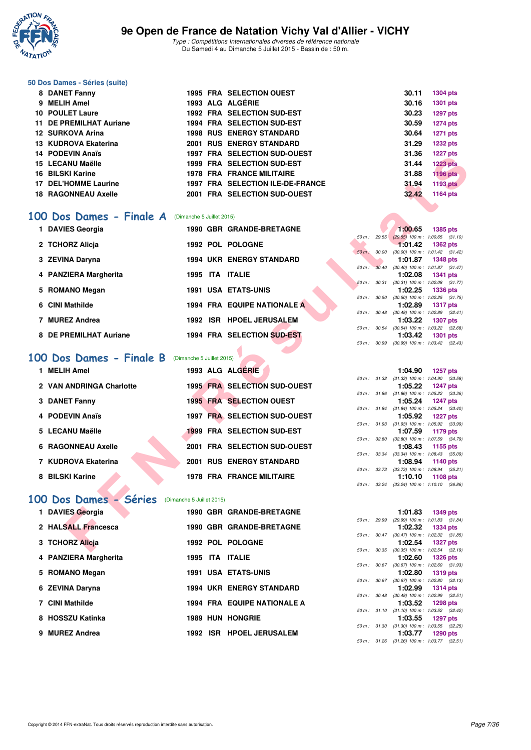

#### **50 Dos Dames - Séries (suite)**

| 8 DANET Fanny              |  | <b>1995 FRA SELECTION OUEST</b>         | 30.11 | <b>1304 pts</b> |
|----------------------------|--|-----------------------------------------|-------|-----------------|
| 9 MELIH Amel               |  | 1993 ALG ALGÉRIE                        | 30.16 | 1301 pts        |
| <b>10 POULET Laure</b>     |  | <b>1992 FRA SELECTION SUD-EST</b>       | 30.23 | <b>1297 pts</b> |
| 11 DE PREMILHAT Auriane    |  | <b>1994 FRA SELECTION SUD-EST</b>       | 30.59 | <b>1274 pts</b> |
| 12 SURKOVA Arina           |  | <b>1998 RUS ENERGY STANDARD</b>         | 30.64 | <b>1271 pts</b> |
| 13 KUDROVA Ekaterina       |  | <b>2001 RUS ENERGY STANDARD</b>         | 31.29 | <b>1232 pts</b> |
| 14 PODEVIN Anaïs           |  | <b>1997 FRA SELECTION SUD-OUEST</b>     | 31.36 | <b>1227 pts</b> |
| 15 LECANU Maëlle           |  | <b>1999 FRA SELECTION SUD-EST</b>       | 31.44 | <b>1223 pts</b> |
| 16 BILSKI Karine           |  | <b>1978 FRA FRANCE MILITAIRE</b>        | 31.88 | <b>1196 pts</b> |
| 17 DEL'HOMME Laurine       |  | <b>1997 FRA SELECTION ILE-DE-FRANCE</b> | 31.94 | 1193 pts        |
| <b>18 RAGONNEAU Axelle</b> |  | 2001 FRA SELECTION SUD-OUEST            | 32.42 | 1164 pts        |

#### **[100 Dos Dames - Finale A](http://www.ffnatation.fr/webffn/resultats.php?idact=nat&go=epr&idcpt=32627&idepr=12)** (Dimanche 5 Juillet 2015)

| 1 DAVIES Georgia       |      |     | <b>1990 GBR GRANDE-BRETAGNE</b> |                          |              | 1:00.65                                                 | 1385 pts        |  |
|------------------------|------|-----|---------------------------------|--------------------------|--------------|---------------------------------------------------------|-----------------|--|
|                        |      |     |                                 | $50 m$ : 29.55           |              | $(29.55)$ 100 m : 1:00.65 (31.                          |                 |  |
| 2 TCHORZ Alicia        |      |     | 1992 POL POLOGNE                | $50 m$ :                 | <i>30.00</i> | 1:01.42<br>$(30.00)$ 100 m : 1:01.42 $(31.$             | 1362 pts        |  |
| 3 ZEVINA Daryna        |      |     | <b>1994 UKR ENERGY STANDARD</b> |                          |              | 1:01.87                                                 | 1348 pts        |  |
|                        |      |     |                                 | 50 m:                    | 30.40        | $(30.40)$ 100 m : 1:01.87 (31.                          |                 |  |
| 4 PANZIERA Margherita  | 1995 |     | ITA ITALIE                      |                          |              | 1:02.08                                                 | 1341 pts        |  |
|                        |      |     |                                 | $50 m$ :                 | 30.31        | $(30.31)$ 100 m : 1:02.08 $(31.$                        |                 |  |
| 5 ROMANO Megan         |      |     | <b>1991 USA ETATS-UNIS</b>      |                          |              | 1:02.25                                                 | 1336 pts        |  |
| 6 CINI Mathilde        |      |     | 1994 FRA EQUIPE NATIONALE A     | 50 m :                   | 30.50        | $(30.50)$ 100 m : 1:02.25 $(31.$<br>1:02.89             | <b>1317 pts</b> |  |
|                        |      |     |                                 |                          | 50 m: 30.48  | $(30.48)$ 100 m : 1:02.89 $(32.$                        |                 |  |
| 7 MUREZ Andrea         | 1992 | ISR | <b>HPOEL JERUSALEM</b>          |                          |              | 1:03.22                                                 | 1307 pts        |  |
| 8 DE PREMILHAT Auriane |      |     | 1994 FRA SELECTION SUD-EST      | $50 \text{ m}$ : $30.54$ |              | $(30.54)$ 100 m : 1:03.22 $(32.$<br>1:03.42             | 1301 pts        |  |
|                        |      |     |                                 |                          |              | $F0 \sim 20.00 \times 20.001100 \sim 1.0242 \times 200$ |                 |  |

# **[100 Dos Dames - Finale B](http://www.ffnatation.fr/webffn/resultats.php?idact=nat&go=epr&idcpt=32627&idepr=12)** (Dimanche 5 Juillet 2015)

| FUULVIIV AIIGIS                                 |                           | SELECTION SUD-OULST                     |              | ں       | 1441 pm                                                         |
|-------------------------------------------------|---------------------------|-----------------------------------------|--------------|---------|-----------------------------------------------------------------|
| 15 LECANU Maëlle                                |                           | 1999 FRA SELECTION SUD-EST              |              | 31.44   | <b>1223 pts</b>                                                 |
| <b>16 BILSKI Karine</b>                         |                           | <b>1978 FRA FRANCE MILITAIRE</b>        |              | 31.88   | <b>1196 pts</b>                                                 |
| <b>17 DEL'HOMME Laurine</b>                     |                           | <b>1997 FRA SELECTION ILE-DE-FRANCE</b> |              | 31.94   | <b>1193 pts</b>                                                 |
| <b>18 RAGONNEAU Axelle</b>                      |                           | 2001 FRA SELECTION SUD-OUEST            |              | 32.42   | 1164 pts                                                        |
|                                                 |                           |                                         |              |         |                                                                 |
|                                                 |                           |                                         |              |         |                                                                 |
| 00 Dos Dames - Finale A                         | (Dimanche 5 Juillet 2015) |                                         |              |         |                                                                 |
| 1 DAVIES Georgia                                |                           | 1990 GBR GRANDE-BRETAGNE                |              | 1:00.65 | <b>1385 pts</b>                                                 |
|                                                 |                           | 1992 POL POLOGNE                        |              |         | 50 m: 29.55 (29.55) 100 m: 1:00.65 (31.10)                      |
| 2 TCHORZ Alicja                                 |                           |                                         | 50 m : 30.00 | 1:01.42 | <b>1362 pts</b><br>$(30.00)$ 100 m : 1:01.42 $(31.42)$          |
| 3 ZEVINA Daryna                                 |                           | <b>1994 UKR ENERGY STANDARD</b>         |              | 1:01.87 | <b>1348 pts</b>                                                 |
|                                                 |                           |                                         |              |         | 50 m : 30.40 (30.40) 100 m : 1:01.87 (31.47)                    |
| 4 PANZIERA Margherita                           | 1995 ITA ITALIE           |                                         |              | 1:02.08 | <b>1341 pts</b>                                                 |
| 5 ROMANO Megan                                  |                           | <b>1991 USA ETATS-UNIS</b>              |              | 1:02.25 | 50 m: 30.31 (30.31) 100 m: 1:02.08 (31.77)<br><b>1336 pts</b>   |
|                                                 |                           |                                         | 50 m : 30.50 |         | $(30.50)$ 100 m : 1:02.25 $(31.75)$                             |
| 6 CINI Mathilde                                 |                           | 1994 FRA EQUIPE NATIONALE A             |              | 1:02.89 | <b>1317 pts</b>                                                 |
|                                                 |                           |                                         | 50 m : 30.48 |         | $(30.48)$ 100 m : 1:02.89 $(32.41)$                             |
| 7 MUREZ Andrea                                  |                           | 1992 ISR HPOEL JERUSALEM                |              | 1:03.22 | <b>1307 pts</b>                                                 |
| 8 DE PREMILHAT Auriane                          |                           | 1994 FRA SELECTION SUD-EST              |              | 1:03.42 | 50 m : 30.54 (30.54) 100 m : 1:03.22 (32.68)                    |
|                                                 |                           |                                         |              |         | <b>1301 pts</b><br>50 m : 30.99 (30.99) 100 m : 1:03.42 (32.43) |
|                                                 |                           |                                         |              |         |                                                                 |
| 00 Dos Dames - Finale B                         | (Dimanche 5 Juillet 2015) |                                         |              |         |                                                                 |
| 1 MELIH Amel                                    |                           | 1993 ALG ALGÉRIE                        |              | 1:04.90 | <b>1257 pts</b>                                                 |
|                                                 |                           |                                         |              |         | 50 m: 31.32 (31.32) 100 m: 1:04.90 (33.58)                      |
| 2 VAN ANDRINGA Charlotte                        |                           | 1995 FRA SELECTION SUD-OUEST            |              | 1:05.22 | <b>1247 pts</b>                                                 |
|                                                 |                           |                                         |              |         | 50 m: 31.86 (31.86) 100 m: 1:05.22 (33.36)                      |
| 3 DANET Fanny                                   |                           | <b>1995 FRA SELECTION OUEST</b>         |              | 1:05.24 | <b>1247 pts</b>                                                 |
| 4 PODEVIN Anaïs                                 |                           | 1997 FRA SELECTION SUD-OUEST            |              | 1:05.92 | 50 m: 31.84 (31.84) 100 m: 1:05.24 (33.40)<br><b>1227 pts</b>   |
|                                                 |                           |                                         |              |         | 50 m: 31.93 (31.93) 100 m: 1:05.92 (33.99)                      |
| 5 LECANU Maëlle                                 |                           | <b>1999 FRA SELECTION SUD-EST</b>       |              | 1:07.59 | 1179 pts                                                        |
|                                                 |                           |                                         |              |         | 50 m: 32.80 (32.80) 100 m: 1:07.59 (34.79)                      |
| <b>6 RAGONNEAU Axelle</b>                       |                           | 2001 FRA SELECTION SUD-OUEST            |              | 1:08.43 | 1155 pts                                                        |
| 7 KUDROVA Ekaterina                             |                           | <b>2001 RUS ENERGY STANDARD</b>         |              | 1:08.94 | 50 m: 33.34 (33.34) 100 m: 1:08.43 (35.09)<br>1140 pts          |
|                                                 |                           |                                         |              |         | 50 m: 33.73 (33.73) 100 m: 1:08.94 (35.21)                      |
| 8 BILSKI Karine                                 |                           | <b>1978 FRA FRANCE MILITAIRE</b>        |              | 1:10.10 | 1108 pts                                                        |
|                                                 |                           |                                         |              |         | 50 m: 33.24 (33.24) 100 m: 1:10.10 (36.86)                      |
| 00 Dos Dames - Séries (Dimanche 5 Juillet 2015) |                           |                                         |              |         |                                                                 |
| 1 DAVIES Georgia                                |                           | <b>1990 GBR GRANDE-BRETAGNE</b>         |              | 1:01.83 | <b>1349 pts</b>                                                 |
|                                                 |                           |                                         |              |         | 50 m: 29.99 (29.99) 100 m: 1:01.83 (31.84)                      |
| 2 HALSALL Francesca                             |                           | <b>1990 GBR GRANDE-BRETAGNE</b>         |              | 1:02.32 | <b>1334 pts</b>                                                 |
|                                                 |                           |                                         |              |         | 50 m: 30.47 (30.47) 100 m: 1:02.32 (31.85)                      |
| 3 TCHORZ Alicja                                 |                           | 1992 POL POLOGNE                        |              | 1:02.54 | 1327 pts<br>50 m: 30.35 (30.35) 100 m: 1:02.54 (32.19)          |
|                                                 |                           |                                         |              |         |                                                                 |

### [100 Dos Dames - Séries](http://www.ffnatation.fr/webffn/resultats.php?idact=nat&go=epr&idcpt=32627&idepr=12) (Dimanche 5 Juillet 2015)

|  | 1 DAVIES Georgia      |  | <b>1990 GBR GRANDE-BRETAGNE</b>    |        |                          | 1:01.83                                     | 1349 pts        |  |
|--|-----------------------|--|------------------------------------|--------|--------------------------|---------------------------------------------|-----------------|--|
|  |                       |  |                                    |        | 50 m : 29.99             | $(29.99)$ 100 m : 1:01.83 (31.              |                 |  |
|  | 2 HALSALL Francesca   |  | <b>1990 GBR GRANDE-BRETAGNE</b>    |        |                          | 1:02.32                                     | 1334 pts        |  |
|  | 3 TCHORZ Alicia       |  | 1992 POL POLOGNE                   |        | $50 m$ : $30.47$         | $(30.47)$ 100 m : 1:02.32 $(31.$<br>1:02.54 | 1327 pts        |  |
|  | 4 PANZIERA Margherita |  | 1995 ITA ITALIE                    |        | 50 m : 30.35             | $(30.35)$ 100 m : 1:02.54 $(32.$<br>1:02.60 | <b>1326 pts</b> |  |
|  |                       |  | <b>1991 USA ETATS-UNIS</b>         | 50 m : | 30.67                    | $(30.67)$ 100 m : 1:02.60 $(31.$            |                 |  |
|  | 5 ROMANO Megan        |  |                                    |        | 50 m: 30.67              | 1:02.80<br>$(30.67)$ 100 m : 1:02.80 $(32.$ | <b>1319 pts</b> |  |
|  | 6 ZEVINA Daryna       |  | <b>1994 UKR ENERGY STANDARD</b>    |        |                          | 1:02.99                                     | 1314 pts        |  |
|  | 7 CINI Mathilde       |  | <b>1994 FRA EQUIPE NATIONALE A</b> |        | $50 \text{ m}$ : $30.48$ | $(30.48)$ 100 m : 1:02.99 (32.<br>1:03.52   | <b>1298 pts</b> |  |
|  |                       |  |                                    |        | 50 m: 31.10              | $(31.10)$ 100 m : 1:03.52 $(32.$            |                 |  |
|  | 8 HOSSZU Katinka      |  | <b>1989 HUN HONGRIE</b>            |        |                          | 1:03.55                                     | 1297 pts        |  |
|  |                       |  |                                    |        | 50 m : 31.30             | $(31.30)$ 100 m : 1:03.55 $(32.$            |                 |  |
|  | 9 MUREZ Andrea        |  | 1992 ISR HPOEL JERUSALEM           |        |                          | 1:03.77                                     | 1290 pts        |  |
|  |                       |  |                                    |        |                          |                                             |                 |  |

|                          |              | 1:00.65                      | <b>1385 pts</b>     |  |
|--------------------------|--------------|------------------------------|---------------------|--|
| $50 m$ : 29.55           |              | $(29.55)$ 100 m :            | $1:00.65$ $(31.10)$ |  |
|                          |              | $1:01.42$ 1362 pts           |                     |  |
| $50 \text{ m}$ ; $30.00$ |              | $(30.00)$ 100 m :            | $1:01.42$ $(31.42)$ |  |
|                          |              | 1:01.87 1348 pts             |                     |  |
| $50 \text{ m}$ : $30.40$ |              | $(30.40)$ 100 m :            | $1:01.87$ $(31.47)$ |  |
|                          |              | $1:02.08$ 1341 pts           |                     |  |
| 50 m: 30.31              |              | $(30.31)$ 100 m :            | $1:02.08$ $(31.77)$ |  |
|                          |              | $1:02.25$ 1336 pts           |                     |  |
| $50 m$ : $30.50$         |              | $(30.50)$ 100 m :            | $1:02.25$ $(31.75)$ |  |
|                          |              | 1:02.89 1317 pts             |                     |  |
|                          |              | 50 m: 30.48 (30.48) 100 m:   | $1:02.89$ $(32.41)$ |  |
|                          |              | $1:03.22$ 1307 pts           |                     |  |
|                          | 50 m : 30.54 | $(30.54)$ 100 m :            | 1:03.22 (32.68)     |  |
|                          |              | 1:03.42 1301 pts             |                     |  |
|                          |              | 50 m : 30.99 (30.99) 100 m : | $1:03.42$ $(32.43)$ |  |

|             |              | 1:04.90           | <b>1257 pts</b>     |
|-------------|--------------|-------------------|---------------------|
| $50 m$ :    | 31.32        | $(31.32)$ 100 m : | 1:04.90 (33.58)     |
|             |              | 1:05.22           | 1247 pts            |
| 50 m: 31.86 |              | $(31.86) 100 m$ : | 1:05.22 (33.36)     |
|             |              | 1:05.24           | 1247 pts            |
| 50 m: 31.84 |              | $(31.84) 100 m$ : | $1:05.24$ $(33.40)$ |
|             |              | 1:05.92           | 1227 pts            |
|             | 50 m : 31.93 | $(31.93) 100 m$ : | 1:05.92 (33.99)     |
|             |              |                   |                     |
|             |              | 1:07.59           | 1179 pts            |
| 50 m: 32.80 |              | $(32.80)$ 100 m : | 1:07.59 (34.79)     |
|             |              | 1:08.43           | 1155 pts            |
| $50 m$ :    | 33.34        | $(33.34) 100 m$ : | 1:08.43 (35.09)     |
|             |              | 1:08.94           | 1140 pts            |
| 50 m: 33.73 |              | $(33.73)$ 100 m : | 1:08.94 (35.21)     |
|             |              | 1:10.10           | 1108 pts            |

|          |              | 1:01.83                            | <b>1349 pts</b>     |
|----------|--------------|------------------------------------|---------------------|
| $50 m$ : | 29.99        | $(29.99)$ 100 m :                  | $1:01.83$ $(31.84)$ |
|          |              | 1:02.32                            | 1334 pts            |
|          | 50 m : 30.47 | $(30.47)$ 100 m :                  | $1:02.32$ $(31.85)$ |
|          |              | 1:02.54                            | 1327 pts            |
|          |              | 50 m: 30.35 (30.35) 100 m:         | $1:02.54$ $(32.19)$ |
|          |              | 1:02.60                            | 1326 pts            |
|          | 50 m : 30.67 | $(30.67)$ 100 m :                  | 1:02.60 (31.93)     |
|          |              | 1:02.80                            | 1319 pts            |
|          |              | 50 m: 30.67 (30.67) 100 m:         | $1:02.80$ $(32.13)$ |
|          |              |                                    | $1:02.99$ 1314 pts  |
|          |              | 50 m: 30.48 (30.48) 100 m:         | $1:02.99$ $(32.51)$ |
|          |              |                                    | $1:03.52$ 1298 pts  |
|          |              | $50 m$ : $31.10$ $(31.10) 100 m$ : | 1:03.52 (32.42)     |
|          |              |                                    | $1:03.55$ 1297 pts  |
|          |              | 50 m: 31.30 (31.30) 100 m:         | 1:03.55 (32.25)     |
|          |              |                                    | 1:03.77 1290 pts    |
|          |              | 50 m : 31.26 (31.26) 100 m :       | $1:03.77$ $(32.51)$ |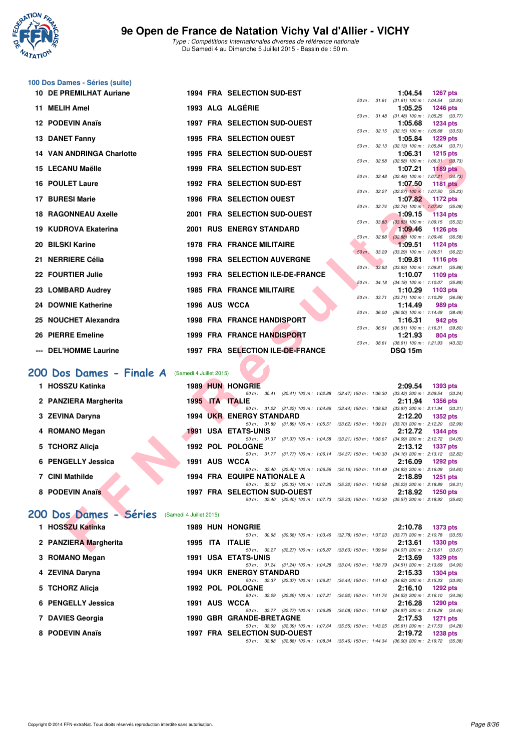

|     | 100 Dos Dames - Séries (suite)   |                         |                                                                                                                                 |                   |                                                                          |
|-----|----------------------------------|-------------------------|---------------------------------------------------------------------------------------------------------------------------------|-------------------|--------------------------------------------------------------------------|
|     | 10 DE PREMILHAT Auriane          |                         | 1994 FRA SELECTION SUD-EST                                                                                                      |                   | 1:04.54<br><b>1267 pts</b>                                               |
| 11. | <b>MELIH Amel</b>                |                         | 1993 ALG ALGÉRIE                                                                                                                |                   | 50 m: 31.61 (31.61) 100 m: 1:04.54 (32.93)<br>1:05.25<br><b>1246 pts</b> |
|     | 12 PODEVIN Anaïs                 |                         | <b>1997 FRA SELECTION SUD-OUEST</b>                                                                                             |                   | 50 m: 31.48 (31.48) 100 m: 1:05.25 (33.77)<br>1:05.68<br><b>1234 pts</b> |
|     |                                  |                         |                                                                                                                                 |                   | 50 m: 32.15 (32.15) 100 m: 1:05.68 (33.53)                               |
|     | 13 DANET Fanny                   |                         | <b>1995 FRA SELECTION OUEST</b>                                                                                                 | 50 m: 32.13       | 1:05.84<br><b>1229 pts</b><br>$(32.13)$ 100 m : 1:05.84 $(33.71)$        |
|     | <b>14 VAN ANDRINGA Charlotte</b> |                         | 1995 FRA SELECTION SUD-OUEST                                                                                                    |                   | 1:06.31<br><b>1215 pts</b>                                               |
|     | 15 LECANU Maëlle                 |                         | 1999 FRA SELECTION SUD-EST                                                                                                      |                   | 50 m: 32.58 (32.58) 100 m: 1:06.31 (33.73)<br>1:07.21<br><b>1189 pts</b> |
|     | <b>16 POULET Laure</b>           |                         | 1992 FRA SELECTION SUD-EST                                                                                                      | 50 m : 32.48      | $(32.48)$ 100 m : 1:07.21 $(34.73)$<br>1:07.50<br><b>1181 pts</b>        |
|     |                                  |                         |                                                                                                                                 |                   | 50 m : 32.27 (32.27) 100 m : 1:07.50 (35.23)                             |
|     | 17 BURESI Marie                  |                         | <b>1996 FRA SELECTION OUEST</b>                                                                                                 | 50 m : 32.74      | 1:07.82<br>1172 pts<br>$(32.74)$ 100 m : 1:07.82 $(35.08)$               |
|     | <b>18 RAGONNEAU Axelle</b>       |                         | 2001 FRA SELECTION SUD-OUEST                                                                                                    | 50 m: 33.83       | 1:09.15<br><b>1134 pts</b><br>$(33.83)$ 100 m : 1:09.15 $(35.32)$        |
|     | 19 KUDROVA Ekaterina             |                         | <b>2001 RUS ENERGY STANDARD</b>                                                                                                 |                   | 1:09.46<br><b>1126 pts</b>                                               |
| 20  | <b>BILSKI Karine</b>             |                         | <b>1978 FRA FRANCE MILITAIRE</b>                                                                                                | 50 m: 32.88       | $(32.88)$ 100 m : 1:09.46 $(36.58)$<br>1:09.51<br><b>1124 pts</b>        |
| 21  | <b>NERRIERE Célia</b>            |                         | <b>1998 FRA SELECTION AUVERGNE</b>                                                                                              | $50 m$ :<br>33.29 | (33.29) 100 m: 1:09.51 (36.22)                                           |
|     |                                  |                         |                                                                                                                                 | $50 m$ :          | 1:09.81<br><b>1116 pts</b><br>33.93 (33.93) 100 m : 1:09.81 (35.88)      |
|     | 22 FOURTIER Julie                |                         | 1993 FRA SELECTION ILE-DE-FRANCE                                                                                                |                   | 1:10.07<br>1109 pts<br>50 m: 34.18 (34.18) 100 m: 1:10.07 (35.89)        |
|     | 23 LOMBARD Audrey                |                         | <b>1985 FRA FRANCE MILITAIRE</b>                                                                                                |                   | 1:10.29<br>1103 pts                                                      |
|     | 24 DOWNIE Katherine              |                         | 1996 AUS WCCA                                                                                                                   |                   | 50 m: 33.71 (33.71) 100 m: 1:10.29 (36.58)<br>1:14.49<br>989 pts         |
|     | <b>NOUCHET Alexandra</b>         |                         | <b>1998 FRA FRANCE HANDISPORT</b>                                                                                               | 50 m : 36.00      | $(36.00)$ 100 m : 1:14.49 $(38.49)$<br>1:16.31<br>942 pts                |
|     |                                  |                         |                                                                                                                                 | 50 m : 36.51      | $(36.51)$ 100 m : 1:16.31 $(39.80)$                                      |
| 26  | <b>PIERRE Emeline</b>            |                         | <b>1999 FRA FRANCE HANDISPORT</b>                                                                                               |                   | 1:21.93<br>804 pts<br>50 m: 38.61 (38.61) 100 m: 1:21.93 (43.32)         |
|     | --- DEL'HOMME Laurine            |                         | 1997 FRA SELECTION ILE-DE-FRANCE                                                                                                |                   | <b>DSQ 15m</b>                                                           |
|     |                                  |                         |                                                                                                                                 |                   |                                                                          |
|     | 200 Dos Dames - Finale A         | (Samedi 4 Juillet 2015) |                                                                                                                                 |                   |                                                                          |
|     | 1 HOSSZU Katinka                 |                         | <b>1989 HUN HONGRIE</b><br>50 m: 30.41 (30.41) 100 m: 1:02.88 (32.47) 150 m: 1:36.30 (33.42) 200 m: 2:09.54 (33.24)             |                   | 2:09.54<br>1393 pts                                                      |
|     | 2 PANZIERA Margherita            |                         | 1995 ITA ITALIE<br>50 m : 31.22 (31.22) 100 m : 1:04.66 (33.44) 150 m : 1:38.63                                                 |                   | 2:11.94<br><b>1356 pts</b><br>$(33.97)$ 200 m : 2:11.94 $(33.31)$        |
|     | 3 ZEVINA Daryna                  |                         | <b>1994 UKR ENERGY STANDARD</b>                                                                                                 |                   | 2:12.20<br>1352 pts                                                      |
|     | 4 ROMANO Megan                   |                         | 50 m: 31.89 (31.89) 100 m: 1:05.51 (33.62) 150 m: 1:39.21 (33.70) 200 m: 2:12.20 (32.99)<br>1991 USA ETATS-UNIS                 |                   | 2:12.72<br><b>1344 pts</b>                                               |
|     |                                  |                         | 50 m: 31.37 (31.37) 100 m: 1:04.58 (33.21) 150 m: 1:38.67 (34.09) 200 m: 2:12.72 (34.05)<br>1992 POL POLOGNE                    |                   | <b>1337 pts</b>                                                          |
|     | 5 TCHORZ Alicja                  |                         | 50 m: 31.77 (31.77) 100 m: 1:06.14 (34.37) 150 m: 1:40.30 (34.16) 200 m: 2:13.12 (32.82)                                        |                   | 2:13.12                                                                  |
|     | 6 PENGELLY Jessica               |                         | 1991 AUS WCCA<br>50 m: 32.40 (32.40) 100 m: 1:06.56 (34.16) 150 m: 1:41.49 (34.93) 200 m: 2:16.09 (34.60)                       |                   | 2:16.09<br>1292 pts                                                      |
|     | 7 CINI Mathilde                  |                         | <b>1994 FRA EQUIPE NATIONALE A</b>                                                                                              |                   | 2:18.89<br>1251 pts                                                      |
|     | 8 PODEVIN Anaïs                  |                         | 50 m: 32.03 (32.03) 100 m: 1:07.35 (35.32) 150 m: 1:42.58 (35.23) 200 m: 2:18.89 (36.31)<br><b>1997 FRA SELECTION SUD-OUEST</b> |                   | 2:18.92<br>1250 pts                                                      |
|     |                                  |                         | 50 m: 32.40 (32.40) 100 m: 1:07.73 (35.33) 150 m: 1:43.30 (35.57) 200 m: 2:18.92 (35.62)                                        |                   |                                                                          |
|     | 200 Dos Dames - Séries           | (Samedi 4 Juillet 2015) |                                                                                                                                 |                   |                                                                          |
|     | 1 HOSSZU Katinka                 |                         | <b>1989 HUN HONGRIE</b>                                                                                                         |                   | 2:10.78<br>1373 pts                                                      |
|     | 2 PANZIERA Margherita            |                         | 50 m: 30.68 (30.68) 100 m: 1:03.46 (32.78) 150 m: 1:37.23 (33.77) 200 m: 2:10.78 (33.55)<br>1995 ITA ITALIE                     |                   | 2:13.61<br>1330 pts                                                      |
|     |                                  |                         | 50 m: 32.27 (32.27) 100 m: 1:05.87 (33.60) 150 m: 1:39.94 (34.07) 200 m: 2:13.61 (33.67)                                        |                   |                                                                          |

# [200 Dos Dames - Finale A](http://www.ffnatation.fr/webffn/resultats.php?idact=nat&go=epr&idcpt=32627&idepr=13) (Samedi 4 Juillet 2015)

| 1 HOSSZU Katinka      |  | <b>1989 HUN HONGRIE</b>                              |                                                           |                                                     | 2:09.54 | <b>1393 pts</b>                                        |
|-----------------------|--|------------------------------------------------------|-----------------------------------------------------------|-----------------------------------------------------|---------|--------------------------------------------------------|
| 2 PANZIERA Margherita |  | 50 m : 30.41<br>1995 ITA ITALIE                      | $(30.41)$ 100 m : 1:02.88                                 | (32.47) 150 m : 1:36.30                             | 2:11.94 | $(33.42)$ 200 m : 2:09.54 $(33.24)$<br><b>1356 pts</b> |
| 3 ZEVINA Daryna       |  | <b>1994 UKR ENERGY STANDARD</b>                      | 50 m: 31.22 (31.22) 100 m: 1:04.66 (33.44) 150 m: 1:38.63 |                                                     | 2:12.20 | $(33.97)$ 200 m : 2:11.94 $(33.31)$<br><b>1352 pts</b> |
| 4 ROMANO Megan        |  | $50 \text{ m}$ : 31.89<br><b>1991 USA ETATS-UNIS</b> | $(31.89)$ 100 m : 1:05.51                                 | $(33.62)$ 150 m : 1:39.21                           | 2:12.72 | $(33.70)$ 200 m : 2:12.20 $(32.99)$<br><b>1344 pts</b> |
| 5 TCHORZ Alicia       |  | 50 m : 31.37<br>1992 POL POLOGNE                     |                                                           | $(31.37)$ 100 m : 1:04.58 $(33.21)$ 150 m : 1:38.67 | 2:13.12 | $(34.09)$ 200 m : 2:12.72 $(34.05)$<br><b>1337 pts</b> |
| 6 PENGELLY Jessica    |  | 1991 AUS WCCA                                        | 50 m: 31.77 (31.77) 100 m: 1:06.14 (34.37) 150 m: 1:40.30 |                                                     | 2:16.09 | $(34.16)$ 200 m : 2:13.12 $(32.82)$<br>$1292$ pts      |
| 7 CINI Mathilde       |  | <b>1994 FRA EQUIPE NATIONALE A</b>                   | 50 m: 32.40 (32.40) 100 m: 1:06.56 (34.16) 150 m: 1:41.49 |                                                     | 2:18.89 | $(34.93)$ 200 m : 2:16.09 $(34.60)$<br><b>1251 pts</b> |
| 8 PODEVIN Anaïs       |  | <b>1997 FRA SELECTION SUD-OUEST</b>                  | 50 m: 32.03 (32.03) 100 m: 1:07.35                        | (35.32) 150 m : 1:42.58                             | 2:18.92 | $(35.23)$ 200 m : 2:18.89 $(36.31)$<br><b>1250 pts</b> |
|                       |  | 50 m : 32.40                                         | (32.40) 100 m : 1:07.73                                   | (35.33) 150 m : 1:43.30                             |         | $(35.57)$ 200 m : 2:18.92 $(35.62)$                    |

# **[200 Dos Dames - Séries](http://www.ffnatation.fr/webffn/resultats.php?idact=nat&go=epr&idcpt=32627&idepr=13)** (Samedi 4 Juillet 2015)

| 1 HOSSZU Katinka      | <b>1989 HUN HONGRIE</b>                             |                                    |                                                     | 2:10.78 | <b>1373 pts</b>                                        |
|-----------------------|-----------------------------------------------------|------------------------------------|-----------------------------------------------------|---------|--------------------------------------------------------|
| 2 PANZIERA Margherita | 30.68<br>50 m :<br><b>ITA ITALIE</b><br>1995        |                                    | $(30.68)$ 100 m : 1:03.46 $(32.78)$ 150 m : 1:37.23 | 2:13.61 | $(33.77)$ 200 m : 2:10.78 $(33.55)$<br><b>1330 pts</b> |
|                       | $50 \text{ m}$ : 32.27                              |                                    | (32.27) 100 m : 1:05.87 (33.60) 150 m : 1:39.94     |         | $(34.07)$ 200 m : 2:13.61 $(33.67)$                    |
| 3 ROMANO Megan        | <b>1991 USA ETATS-UNIS</b>                          |                                    |                                                     | 2:13.69 | 1329 pts                                               |
| 4 ZEVINA Daryna       | 50 m : 31.24<br><b>1994 UKR ENERGY STANDARD</b>     | $(31.24)$ 100 m : 1:04.28          | (33.04) 150 m : 1:38.79                             | 2:15.33 | $(34.51)$ 200 m : 2:13.69 $(34.90)$<br><b>1304 pts</b> |
|                       | $50 \text{ m}$ : $32.37$                            |                                    | $(32.37)$ 100 m : 1:06.81 $(34.44)$ 150 m : 1:41.43 |         | $(34.62)$ 200 m : 2:15.33 $(33.90)$                    |
| 5 TCHORZ Alicia       | 1992 POL POLOGNE                                    |                                    |                                                     | 2:16.10 | $1292$ pts                                             |
| 6 PENGELLY Jessica    | 50 m : 32.29<br>1991 AUS WCCA                       |                                    | (32.29) 100 m : 1:07.21 (34.92) 150 m : 1:41.74     | 2:16.28 | $(34.53)$ 200 m : 2:16.10 $(34.36)$<br>1290 pts        |
| 7 DAVIES Georgia      | <b>1990 GBR GRANDE-BRETAGNE</b>                     | 50 m: 32.77 (32.77) 100 m: 1:06.85 | (34.08) 150 m : 1:41.82                             | 2:17.53 | $(34.97)$ 200 m : 2:16.28 $(34.46)$<br><b>1271 pts</b> |
|                       | 50 m : 32.09                                        | $(32.09)$ 100 m : 1:07.64          | $(35.55)$ 150 m : 1:43.25                           |         | $(35.61)$ 200 m : 2:17.53 $(34.28)$                    |
| 8 PODEVIN Anaïs       | <b>1997 FRA SELECTION SUD-OUEST</b><br>50 m : 32.88 |                                    | (32.88) 100 m : 1:08.34 (35.46) 150 m : 1:44.34     | 2:19.72 | <b>1238 pts</b><br>$(36.00)$ 200 m : 2:19.72 $(35.38)$ |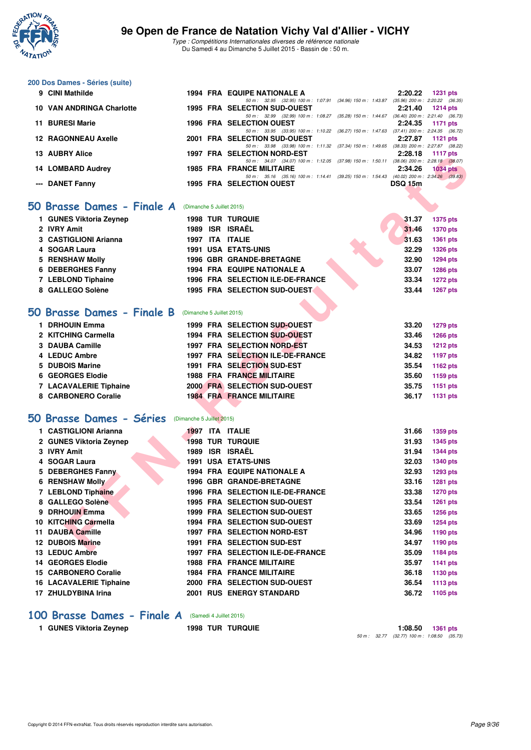

Type : Compétitions Internationales diverses de référence nationale Du Samedi 4 au Dimanche 5 Juillet 2015 - Bassin de : 50 m.

#### **200 Dos Dames - Séries (suite)**

| 9 CINI Mathilde            | 1994 FRA EQUIPE NATIONALE A                               |                           | 2:20.22        | <b>1231 pts</b>                     |
|----------------------------|-----------------------------------------------------------|---------------------------|----------------|-------------------------------------|
|                            | 50 m : 32.95 (32.95) 100 m : 1:07.91                      | $(34.96)$ 150 m : 1:43.87 |                | $(35.96)$ 200 m : 2:20.22 $(36.35)$ |
| 10 VAN ANDRINGA Charlotte  | <b>1995 FRA SELECTION SUD-OUEST</b>                       |                           |                | $2:21.40$ 1214 pts                  |
|                            | 50 m : 32.99 (32.99) 100 m : 1:08.27                      | $(35.28)$ 150 m : 1:44.67 |                | $(36.40)$ 200 m : 2:21.40 $(36.73)$ |
| 11 BURESI Marie            | <b>1996 FRA SELECTION OUEST</b>                           |                           |                | 2:24.35 1171 pts                    |
|                            | 50 m: 33.95 (33.95) 100 m: 1:10.22                        | $(36.27)$ 150 m : 1:47.63 |                | $(37.41)$ 200 m : 2:24.35 $(36.72)$ |
| <b>12 RAGONNEAU Axelle</b> | 2001 FRA SELECTION SUD-OUEST                              |                           | 2:27.87        | $1121$ pts                          |
|                            | 50 m: 33.98 (33.98) 100 m: 1:11.32 (37.34) 150 m: 1:49.65 |                           |                | $(38.33)$ 200 m : 2:27.87 $(38.22)$ |
| 13 AUBRY Alice             | 1997 FRA SELECTION NORD-EST                               |                           |                | $2:28.18$ 1117 pts                  |
|                            | 50 m: 34.07 (34.07) 100 m: 1:12.05                        | $(37.98)$ 150 m : 1:50.11 |                | $(38.06)$ 200 m : 2:28.18 $(38.07)$ |
| 14 LOMBARD Audrey          | <b>1985 FRA FRANCE MILITAIRE</b>                          |                           | 2:34.26        | <b>1034 pts</b>                     |
|                            | 50 m: 35.16 (35.16) 100 m: 1:14.41                        | (39.25) 150 m : 1:54.43   |                | $(40.02)$ 200 m : 2:34.26 $(39.83)$ |
| --- DANET Fanny            | 1995 FRA SELECTION OUEST                                  |                           | <b>DSQ 15m</b> |                                     |
|                            |                                                           |                           |                |                                     |

#### **50 Brasse Dames - Finale A** (Dimanche 5 Juillet 2015)

| 1 GUNES Viktoria Zeynep | <b>1998 TUR TURQUIE</b>            | 31.37<br>1375 pts        |
|-------------------------|------------------------------------|--------------------------|
| 2 IVRY Amit             | ISR ISRAËL<br>1989                 | <b>1370 pts</b><br>31.46 |
| 3 CASTIGLIONI Arianna   | ITA ITALIE<br>1997                 | 31.63<br>1361 pts        |
| 4 SOGAR Laura           | <b>1991 USA ETATS-UNIS</b>         | 32.29<br>1326 pts        |
| 5 RENSHAW Molly         | <b>1996 GBR GRANDE-BRETAGNE</b>    | 32.90<br>1294 pts        |
| 6 DEBERGHES Fanny       | <b>1994 FRA EQUIPE NATIONALE A</b> | <b>1286 pts</b><br>33.07 |
| 7 LEBLOND Tiphaine      | 1996 FRA SELECTION ILE-DE-FRANCE   | <b>1272 pts</b><br>33.34 |
| 8 GALLEGO Solène        | 1995 FRA SELECTION SUD-OUEST       | 1267 pts<br>33.44        |

#### **[50 Brasse Dames - Finale B](http://www.ffnatation.fr/webffn/resultats.php?idact=nat&go=epr&idcpt=32627&idepr=21)** (Dimanche 5 Juillet 2015)

| <b>DRHOUIN Emma</b>           | 1999 FRA SELECTION SUD-OUEST     | 33.20 | <b>1279 pts</b> |
|-------------------------------|----------------------------------|-------|-----------------|
| 2 KITCHING Carmella           | 1994 FRA SELECTION SUD-OUEST     | 33.46 | 1266 pts        |
| 3 DAUBA Camille               | 1997 FRA SELECTION NORD-EST      | 34.53 | <b>1212 pts</b> |
| 4 LEDUC Ambre                 | 1997 FRA SELECTION ILE-DE-FRANCE | 34.82 | 1197 pts        |
| 5 DUBOIS Marine               | 1991 FRA SELECTION SUD-EST       | 35.54 | 1162 pts        |
| 6 GEORGES Elodie              | <b>1988 FRA FRANCE MILITAIRE</b> | 35.60 | 1159 pts        |
| <b>7 LACAVALERIE Tiphaine</b> | 2000 FRA SELECTION SUD-OUEST     | 35.75 | 1151 pts        |
| 8 CARBONERO Coralie           | <b>1984 FRA FRANCE MILITAIRE</b> | 36.17 | <b>1131 pts</b> |

### **[50 Brasse Dames - Séries](http://www.ffnatation.fr/webffn/resultats.php?idact=nat&go=epr&idcpt=32627&idepr=21)** (Dimanche 5 Juillet 2015)

| IJ AUDRI AIIUC                    |                           | 1997 FRA | <b>JELEVIIVIN NUNU EJI</b>                                                                                                   | 2.20. IO       | 1111 <b>pm</b>  |
|-----------------------------------|---------------------------|----------|------------------------------------------------------------------------------------------------------------------------------|----------------|-----------------|
| 14 LOMBARD Audrey                 |                           |          | 50 m: 34.07 (34.07) 100 m: 1:12.05 (37.98) 150 m: 1:50.11 (38.06) 200 m: 2:28.18 (38.07)<br><b>1985 FRA FRANCE MILITAIRE</b> | 2:34.26        | <b>1034 pts</b> |
| --- DANET Fanny                   |                           |          | 50 m: 35.16 (35.16) 100 m: 1:14.41 (39.25) 150 m: 1:54.43 (40.02) 200 m: 2:34.26 (39.83)<br><b>1995 FRA SELECTION OUEST</b>  | <b>DSQ 15m</b> |                 |
|                                   |                           |          |                                                                                                                              |                |                 |
| 50 Brasse Dames - Finale A        | (Dimanche 5 Juillet 2015) |          |                                                                                                                              |                |                 |
|                                   |                           |          |                                                                                                                              |                |                 |
| 1 GUNES Viktoria Zeynep           |                           |          | <b>1998 TUR TURQUIE</b>                                                                                                      | 31.37          | 1375 pts        |
| 2 IVRY Amit                       |                           |          | 1989 ISR ISRAËL                                                                                                              | 31.46          | <b>1370 pts</b> |
| 3 CASTIGLIONI Arianna             |                           |          | 1997 ITA ITALIE                                                                                                              | 31.63          | 1361 pts        |
| 4 SOGAR Laura                     |                           |          | <b>1991 USA ETATS-UNIS</b>                                                                                                   | 32.29          | 1326 pts        |
| 5 RENSHAW Molly                   |                           |          | 1996 GBR GRANDE-BRETAGNE                                                                                                     | 32.90          | <b>1294 pts</b> |
| 6 DEBERGHES Fanny                 |                           |          | 1994 FRA EQUIPE NATIONALE A                                                                                                  | 33.07          | 1286 pts        |
| 7 LEBLOND Tiphaine                |                           |          | 1996 FRA SELECTION ILE-DE-FRANCE                                                                                             | 33.34          | <b>1272 pts</b> |
| 8 GALLEGO Solène                  |                           |          | 1995 FRA SELECTION SUD-OUEST                                                                                                 | 33.44          | 1267 pts        |
|                                   |                           |          |                                                                                                                              |                |                 |
| <b>50 Brasse Dames - Finale B</b> | (Dimanche 5 Juillet 2015) |          |                                                                                                                              |                |                 |
| 1 DRHOUIN Emma                    |                           |          | 1999 FRA SELECTION SUD-OUEST                                                                                                 | 33.20          | 1279 pts        |
| 2 KITCHING Carmella               |                           |          | 1994 FRA SELECTION SUD-OUEST                                                                                                 | 33.46          | <b>1266 pts</b> |
| 3 DAUBA Camille                   |                           |          | 1997 FRA SELECTION NORD-EST                                                                                                  | 34.53          | <b>1212 pts</b> |
| 4 LEDUC Ambre                     |                           |          | 1997 FRA SELECTION ILE-DE-FRANCE                                                                                             | 34.82          | 1197 pts        |
| 5 DUBOIS Marine                   |                           |          | 1991 FRA SELECTION SUD-EST                                                                                                   | 35.54          | 1162 pts        |
| 6 GEORGES Elodie                  |                           |          | <b>1988 FRA FRANCE MILITAIRE</b>                                                                                             | 35.60          | 1159 pts        |
| 7 LACAVALERIE Tiphaine            |                           |          | 2000 FRA SELECTION SUD-OUEST                                                                                                 | 35.75          | 1151 pts        |
| 8 CARBONERO Coralie               |                           |          | <b>1984 FRA FRANCE MILITAIRE</b>                                                                                             | 36.17          | 1131 pts        |
|                                   |                           |          |                                                                                                                              |                |                 |
| <b>50 Brasse Dames - Séries</b>   | (Dimanche 5 Juillet 2015) |          |                                                                                                                              |                |                 |
| 1 CASTIGLIONI Arianna             |                           |          | 1997 ITA ITALIE                                                                                                              | 31.66          | 1359 pts        |
| 2 GUNES Viktoria Zeynep           |                           |          | <b>1998 TUR TURQUIE</b>                                                                                                      | 31.93          | <b>1345 pts</b> |
| 3 IVRY Amit                       |                           |          | 1989 ISR ISRAËL                                                                                                              | 31.94          | <b>1344 pts</b> |
| 4 SOGAR Laura                     |                           |          | <b>1991 USA ETATS-UNIS</b>                                                                                                   | 32.03          | 1340 pts        |
| 5 DEBERGHES Fanny                 |                           |          | <b>1994 FRA EQUIPE NATIONALE A</b>                                                                                           | 32.93          | <b>1293 pts</b> |
| <b>6 RENSHAW Molly</b>            |                           |          | <b>1996 GBR GRANDE-BRETAGNE</b>                                                                                              | 33.16          | 1281 pts        |
| 7 LEBLOND Tiphaine                |                           |          | 1996 FRA SELECTION ILE-DE-FRANCE                                                                                             | 33.38          | <b>1270 pts</b> |
| 8 GALLEGO Solène                  |                           |          | 1995 FRA SELECTION SUD-OUEST                                                                                                 | 33.54          | <b>1261 pts</b> |
| 9 DRHOUIN Emma                    |                           |          | 1999 FRA SELECTION SUD-OUEST                                                                                                 | 33.65          | 1256 pts        |
| 10 KITCHING Carmella              |                           |          | 1994 FRA SELECTION SUD-OUEST                                                                                                 | 33.69          | <b>1254 pts</b> |
| 11 DAUBA Camille                  |                           |          | 1997 FRA SELECTION NORD-EST                                                                                                  | 34.96          | 1190 pts        |
| <b>12 DUBOIS Marine</b>           |                           |          | 1991 FRA SELECTION SUD-EST                                                                                                   | 34.97          | 1190 pts        |
| 13 LEDUC Ambre                    |                           |          | 1997 FRA SELECTION ILE-DE-FRANCE                                                                                             | 35.09          | 1184 pts        |
| <b>14 GEORGES Elodie</b>          |                           |          | <b>1988 FRA FRANCE MILITAIRE</b>                                                                                             | 35.97          | 1141 pts        |
| <b>15 CARBONERO Coralie</b>       |                           |          | <b>1984 FRA FRANCE MILITAIRE</b>                                                                                             | 36.18          | 1130 pts        |
| <b>16 LACAVALERIE Tiphaine</b>    |                           |          | 2000 FRA SELECTION SUD-OUEST                                                                                                 | 36.54          | <b>1113 pts</b> |
| 17 ZHULDYBINA Irina               |                           |          | <b>2001 RUS ENERGY STANDARD</b>                                                                                              | 36.72          | 1105 pts        |

#### **[100 Brasse Dames - Finale A](http://www.ffnatation.fr/webffn/resultats.php?idact=nat&go=epr&idcpt=32627&idepr=22)** (Samedi 4 Juillet 2015)

**1 GUNES Viktoria Zeynep 1998 TUR TURQUIE 1:08.50 1361 pts**

50 m : 32.77 (32.77) 100 m : 1:08.50 (35.73)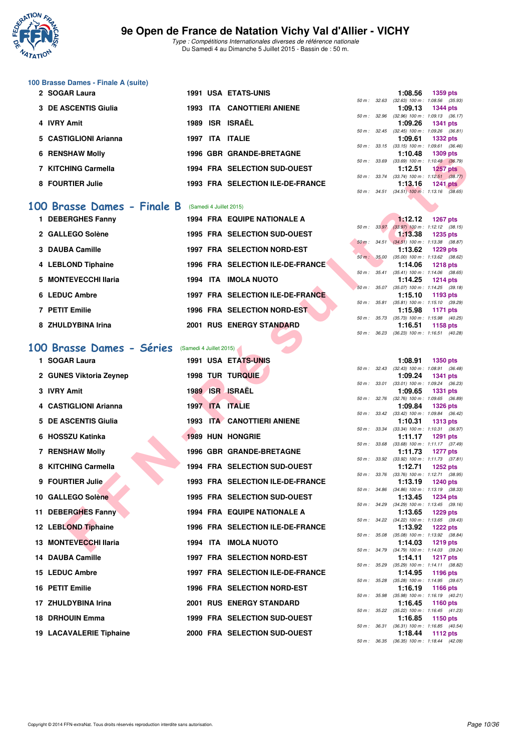

Type : Compétitions Internationales diverses de référence nationale Du Samedi 4 au Dimanche 5 Juillet 2015 - Bassin de : 50 m.

# **100 Brasse Dames - Finale A (suite)**

| 2 SOGAR Laura          | <b>1991 USA ETATS-UNIS</b>              | 1359 pts<br>1:08.56                                  |
|------------------------|-----------------------------------------|------------------------------------------------------|
|                        |                                         | 50 m: 32.63 (32.63) 100 m: 1:08.56 (35.              |
| 3 DE ASCENTIS Giulia   | <b>1993 ITA CANOTTIERI ANIENE</b>       | 1:09.13 1344 pts                                     |
|                        |                                         | (32.96) 100 m : 1:09.13 (36.<br>50 m: 32.96          |
| 4 IVRY Amit            | <b>ISR ISRAËL</b><br>1989               | 1:09.26 1341 pts                                     |
|                        |                                         | 50 m: 32.45 (32.45) 100 m: 1:09.26 (36.              |
| 5 CASTIGLIONI Arianna  | 1997 ITA ITALIE                         | 1:09.61 1332 pts                                     |
|                        |                                         | $(33.15)$ 100 m : 1:09.61 $(36.$<br>$50 m$ : $33.15$ |
| <b>6 RENSHAW Molly</b> | <b>1996 GBR GRANDE-BRETAGNE</b>         | 1:10.48 1309 pts                                     |
|                        |                                         | $(33.69)$ 100 m : 1:10.48 $(36.$<br>50 m : 33.69     |
| 7 KITCHING Carmella    | 1994 FRA SELECTION SUD-OUEST            | 1:12.51<br><b>1257 pts</b>                           |
|                        |                                         | $(33.74)$ 100 m : 1:12.51 $(38.$<br>50 m: 33.74      |
| 8 FOURTIER Julie       | <b>1993 FRA SELECTION ILE-DE-FRANCE</b> | 1:13.16<br><b>1241 pts</b>                           |

#### **[100 Brasse Dames - Finale B](http://www.ffnatation.fr/webffn/resultats.php?idact=nat&go=epr&idcpt=32627&idepr=22)** (Samedi 4 Juillet 2015)

| 1 DEBERGHES Fanny    |  | <b>1994 FRA EQUIPE NATIONALE A</b> |                  | $1:12.12$ 1267 pts                        |          |  |
|----------------------|--|------------------------------------|------------------|-------------------------------------------|----------|--|
|                      |  |                                    |                  | 50 m: 33.97 (33.97) 100 m: 1:12.12 (38.   |          |  |
| 2 GALLEGO Solène     |  | 1995 FRA SELECTION SUD-OUEST       |                  | $1:13.38$ 1235 pts                        |          |  |
|                      |  |                                    |                  | 50 m : 34.51 (34.51) 100 m : 1:13.38 (38. |          |  |
| 3 DAUBA Camille      |  | <b>1997 FRA SELECTION NORD-EST</b> |                  | 1:13.62 1229 pts                          |          |  |
|                      |  |                                    | 50 m : 35.00     | $(35.00)$ 100 m : 1:13.62 $(38.$          |          |  |
| 4 LEBLOND Tiphaine   |  | 1996 FRA SELECTION ILE-DE-FRANCE   |                  | 1:14.06 1218 pts                          |          |  |
|                      |  |                                    | $50 m$ : $35.41$ | $(35.41)$ 100 m : 1:14.06 (38.            |          |  |
| 5 MONTEVECCHI Ilaria |  | 1994 ITA IMOLA NUOTO               |                  | 1:14.25 1214 pts                          |          |  |
|                      |  |                                    |                  | 50 m: 35.07 (35.07) 100 m: 1:14.25 (39.   |          |  |
| 6 LEDUC Ambre        |  | 1997 FRA SELECTION ILE-DE-FRANCE   | 50 m : 35.81     | 1:15.10<br>$(35.81)$ 100 m : 1:15.10 (39. | 1193 pts |  |
| 7 PETIT Emilie       |  | 1996 FRA SELECTION NORD-EST        |                  | 1:15.98                                   |          |  |
|                      |  |                                    | 50 m : 35.73     | $(35.73)$ 100 m : 1:15.98 (40.            | 1171 pts |  |
| 8 ZHULDYBINA Irina   |  | <b>2001 RUS ENERGY STANDARD</b>    |                  | 1:16.51                                   | 1158 pts |  |
|                      |  |                                    |                  |                                           |          |  |

# [100 Brasse Dames - Séries](http://www.ffnatation.fr/webffn/resultats.php?idact=nat&go=epr&idcpt=32627&idepr=22) **(Samedi 4 Juillet 2015)**

| <b>REIVOLLAW MUILY</b>     |                         | GRANDE-DRETAGNE                         |              |              | 1.IV.40                                                 | ່າ ວັນສະນາສ     |  |
|----------------------------|-------------------------|-----------------------------------------|--------------|--------------|---------------------------------------------------------|-----------------|--|
| 7 KITCHING Carmella        |                         | 1994 FRA SELECTION SUD-OUEST            |              |              | 50 m : 33.69 (33.69) 100 m : 1:10.48 (36.79)<br>1:12.51 | <b>1257 pts</b> |  |
|                            |                         |                                         |              |              | 50 m: 33.74 (33.74) 100 m: 1:12.51 (38.77)              |                 |  |
| 8 FOURTIER Julie           |                         | 1993 FRA SELECTION ILE-DE-FRANCE        |              |              | 1:13.16<br>50 m: 34.51 (34.51) 100 m: 1:13.16 (38.65)   | $1241$ pts      |  |
|                            |                         |                                         |              |              |                                                         |                 |  |
| 00 Brasse Dames - Finale B | (Samedi 4 Juillet 2015) |                                         |              |              |                                                         |                 |  |
| 1 DEBERGHES Fanny          |                         | <b>1994 FRA EQUIPE NATIONALE A</b>      |              |              | 1:12.12                                                 | <b>1267 pts</b> |  |
|                            |                         |                                         | 50 m : 33.97 |              | $(33.97)$ 100 m : 1:12.12 $(38.15)$                     |                 |  |
| 2 GALLEGO Solène           |                         | 1995 FRA SELECTION SUD-OUEST            |              | 50 m: 34.51  | 1:13.38<br>$(34.51)$ 100 m : 1:13.38 $(38.87)$          | <b>1235 pts</b> |  |
| 3 DAUBA Camille            |                         | 1997 FRA SELECTION NORD-EST             |              |              | 1:13.62                                                 | <b>1229 pts</b> |  |
|                            |                         |                                         |              |              | 50 m : 35.00 (35.00) 100 m : 1:13.62 (38.62)            |                 |  |
| 4 LEBLOND Tiphaine         |                         | 1996 FRA SELECTION ILE-DE-FRANCE        |              |              | 1:14.06<br>50 m: 35.41 (35.41) 100 m: 1:14.06 (38.65)   | <b>1218 pts</b> |  |
| 5 MONTEVECCHI Ilaria       |                         | 1994 ITA IMOLA NUOTO                    |              |              | 1:14.25                                                 | <b>1214 pts</b> |  |
| 6 LEDUC Ambre              |                         | 1997 FRA SELECTION ILE-DE-FRANCE        |              |              | 50 m: 35.07 (35.07) 100 m: 1:14.25 (39.18)              |                 |  |
|                            |                         |                                         |              | 50 m : 35.81 | 1:15.10<br>$(35.81)$ 100 m : 1:15.10 $(39.29)$          | 1193 pts        |  |
| 7 PETIT Emilie             |                         | 1996 FRA SELECTION NORD-EST             |              |              | 1:15.98                                                 | 1171 pts        |  |
| 8 ZHULDYBINA Irina         |                         | 2001 RUS ENERGY STANDARD                |              |              | 50 m: 35.73 (35.73) 100 m: 1:15.98 (40.25)              |                 |  |
|                            |                         |                                         |              | 50 m : 36.23 | 1:16.51<br>(36.23) 100 m: 1:16.51 (40.28)               | 1158 pts        |  |
|                            |                         |                                         |              |              |                                                         |                 |  |
| 00 Brasse Dames - Séries   | (Samedi 4 Juillet 2015) |                                         |              |              |                                                         |                 |  |
| 1 SOGAR Laura              |                         | <b>1991 USA ETATS-UNIS</b>              |              |              | 1:08.91                                                 | <b>1350 pts</b> |  |
| 2 GUNES Viktoria Zeynep    |                         | <b>1998 TUR TURQUIE</b>                 |              |              | 50 m: 32.43 (32.43) 100 m: 1:08.91 (36.48)<br>1:09.24   | <b>1341 pts</b> |  |
|                            |                         |                                         |              | 50 m : 33.01 | $(33.01)$ 100 m : 1:09.24 $(36.23)$                     |                 |  |
| 3 IVRY Amit                |                         | 1989 ISR ISRAËL                         |              |              | 1:09.65                                                 | <b>1331 pts</b> |  |
| 4 CASTIGLIONI Arianna      |                         | 1997 ITA ITALIE                         |              |              | 50 m: 32.76 (32.76) 100 m: 1:09.65 (36.89)<br>1:09.84   | <b>1326 pts</b> |  |
|                            |                         |                                         |              |              | 50 m: 33.42 (33.42) 100 m: 1:09.84 (36.42)              |                 |  |
| 5 DE ASCENTIS Giulia       |                         | <b>1993 ITA CANOTTIERI ANIENE</b>       |              |              | 1:10.31                                                 | <b>1313 pts</b> |  |
| 6 HOSSZU Katinka           |                         | <b>1989 HUN HONGRIE</b>                 |              |              | 50 m: 33.34 (33.34) 100 m: 1:10.31 (36.97)<br>1:11.17   | <b>1291 pts</b> |  |
|                            |                         |                                         |              |              | 50 m: 33.68 (33.68) 100 m: 1:11.17 (37.49)              |                 |  |
| 7 RENSHAW Molly            |                         | <b>1996 GBR GRANDE-BRETAGNE</b>         |              |              | 1:11.73<br>50 m: 33.92 (33.92) 100 m: 1:11.73 (37.81)   | <b>1277 pts</b> |  |
| 8 KITCHING Carmella        |                         | 1994 FRA SELECTION SUD-OUEST            |              |              | 1:12.71                                                 | <b>1252 pts</b> |  |
|                            |                         |                                         |              | 50 m : 33.76 | $(33.76)$ 100 m : 1:12.71 $(38.95)$                     |                 |  |
| 9 FOURTIER Julie           |                         | <b>1993 FRA SELECTION ILE-DE-FRANCE</b> |              |              | 1:13.19<br>50 m: 34.86 (34.86) 100 m: 1:13.19 (38.33)   | <b>1240 pts</b> |  |
| 10 GALLEGO Solène          |                         | 1995 FRA SELECTION SUD-OUEST            |              |              | 1:13.45                                                 | <b>1234 pts</b> |  |
|                            |                         |                                         |              |              | 50 m: 34.29 (34.29) 100 m: 1:13.45 (39.16)              |                 |  |
| 11 DEBERGHES Fanny         |                         | <b>1994 FRA EQUIPE NATIONALE A</b>      |              |              | 1:13.65<br>50 m: 34.22 (34.22) 100 m: 1:13.65 (39.43)   | <b>1229 pts</b> |  |
| 12 LEBLOND Tiphaine        |                         | 1996 FRA SELECTION ILE-DE-FRANCE        |              |              | 1:13.92                                                 | <b>1222 pts</b> |  |
| 13 MONTEVECCHI Ilaria      |                         |                                         |              |              | 50 m: 35.08 (35.08) 100 m: 1:13.92 (38.84)              |                 |  |
|                            |                         | 1994 ITA IMOLA NUOTO                    |              |              | 1:14.03<br>50 m: 34.79 (34.79) 100 m: 1:14.03 (39.24)   | 1219 pts        |  |
| 14 DAUBA Camille           |                         | 1997 FRA SELECTION NORD-EST             |              |              | 1:14.11                                                 | <b>1217 pts</b> |  |
|                            |                         |                                         | 50 m : 35.29 |              | (35.29) 100 m: 1:14.11 (38.82)                          |                 |  |
| 15 LEDUC Ambre             |                         | 1997 FRA SELECTION ILE-DE-FRANCE        |              | 50 m : 35.28 | 1:14.95<br>(35.28) 100 m: 1:14.95 (39.67)               | 1196 pts        |  |
| 16 PETIT Emilie            |                         | <b>1996 FRA SELECTION NORD-EST</b>      |              |              | 1:16.19                                                 | <b>1166 pts</b> |  |
| 17 ZHULDYBINA Irina        |                         | <b>2001 RUS ENERGY STANDARD</b>         |              |              | 50 m: 35.98 (35.98) 100 m: 1:16.19 (40.21)              |                 |  |
|                            |                         |                                         |              |              | 1:16.45<br>50 m: 35.22 (35.22) 100 m: 1:16.45 (41.23)   | <b>1160 pts</b> |  |
| 18 DRHOUIN Emma            |                         | 1999 FRA SELECTION SUD-OUEST            |              |              | 1:16.85                                                 | 1150 pts        |  |
|                            |                         | 2000 FRA SELECTION SUD-OUEST            |              |              | 50 m: 36.31 (36.31) 100 m: 1:16.85 (40.54)<br>1:18.44   | <b>1112 pts</b> |  |
| 19 LACAVALERIE Tiphaine    |                         |                                         |              |              |                                                         |                 |  |

|              |              | 1:08.56                             | <b>1359 pts</b>     |  |
|--------------|--------------|-------------------------------------|---------------------|--|
|              | 50 m : 32.63 | $(32.63)$ 100 m :                   | 1:08.56 (35.93)     |  |
|              |              | 1:09.13                             | <b>1344 pts</b>     |  |
| 50 m : 32.96 |              | $(32.96)$ 100 m :                   | $1:09.13$ $(36.17)$ |  |
|              |              | 1:09.26 1341 pts                    |                     |  |
| $50 m$ :     | 32.45        | $(32.45)$ 100 m :                   | 1:09.26 (36.81)     |  |
|              |              | 1:09.61                             | 1332 pts            |  |
| $50 m$ :     |              | 33.15 (33.15) 100 m :               | $1:09.61$ $(36.46)$ |  |
|              |              | 1:10.48 1309 pts                    |                     |  |
| $50 m$ :     | 33.69        | $(33.69)$ 100 m :                   | $1:10.48$ $(36.79)$ |  |
|              |              | 1:12.51                             | <b>1257 pts</b>     |  |
| $50 m$ :     | 33.74        | $(33.74)$ 100 m :                   | $1:12.51$ (38.77)   |  |
|              |              | $1:13.16$ 1241 pts                  |                     |  |
| $50 m$ :     | 34.51        | $(34.51)$ 100 m : 1:13.16 $(38.65)$ |                     |  |
|              |              |                                     |                     |  |

|                  |       | 1:12.12            | 1267 pts            |  |
|------------------|-------|--------------------|---------------------|--|
| $50 m$ : $33.97$ |       | $(33.97)$ 100 m :  | $1:12.12$ $(38.15)$ |  |
|                  |       | 1:13.38            | <b>1235 pts</b>     |  |
| $50 m$ :         | 34.51 | $(34.51)$ 100 m :  | 1:13.38 (38.87)     |  |
|                  |       | 1:13.62            | 1229 pts            |  |
| $50 m$ :         | 35.00 | $(35.00)$ 100 m :  | 1:13.62 (38.62)     |  |
|                  |       | 1:14.06            | <b>1218 pts</b>     |  |
| $50 m$ :         | 35.41 | $(35.41)$ 100 m :  | $1:14.06$ $(38.65)$ |  |
|                  |       | 1:14.25            | 1214 pts            |  |
| $50 m$ : $35.07$ |       | $(35.07)$ 100 m :  | $1:14.25$ (39.18)   |  |
|                  |       | 1:15.10            | 1193 pts            |  |
| 50 m: 35.81      |       | $(35.81)$ 100 m :  | $1:15.10$ $(39.29)$ |  |
|                  |       | 1:15.98            | 1171 pts            |  |
| 50 m : 35.73     |       | $(35.73)$ 100 m :  | $1:15.98$ $(40.25)$ |  |
|                  |       | $1:16.51$ 1158 pts |                     |  |
| 50 m : 36.23     |       | $(36.23)$ 100 m :  | $1:16.51$ (40.28)   |  |
|                  |       |                    |                     |  |

|          |       | 1:08.91           | 1350 pts        |         |
|----------|-------|-------------------|-----------------|---------|
| 50 m :   | 32.43 | $(32.43) 100 m$ : | 1:08.91         | (36.48) |
|          |       | 1:09.24           | <b>1341 pts</b> |         |
| $50 m$ : | 33.01 | $(33.01)$ 100 m : | 1:09.24 (36.23) |         |
|          |       | 1:09.65           | 1331            | pts     |
| $50 m$ : | 32.76 | $(32.76)$ 100 m : | 1:09.65         | (36.89) |
|          |       | 1:09.84           | 1326 pts        |         |
| $50 m$ : | 33.42 | $(33.42)$ 100 m : | 1:09.84         | (36.42) |
|          |       | 1:10.31           | 1313 pts        |         |
| $50 m$ : | 33.34 | $(33.34) 100 m$ : | 1:10.31         | (36.97) |
|          |       | 1:11.17           | 1291            | pts     |
| $50 m$ : | 33.68 | $(33.68) 100 m$ : | 1:11.17         | (37.49) |
|          |       | 1:11.73           | 1277 pts        |         |
| $50 m$ : | 33.92 | $(33.92)$ 100 m : | 1:11.73         | (37.81) |
|          |       | 1:12.71           | 1252 pts        |         |
| $50 m$ : | 33.76 | $(33.76) 100 m$ : | 1:12.71         | (38.95) |
|          |       | 1:13.19           | <b>1240 pts</b> |         |
| $50 m$ : | 34.86 | $(34.86) 100 m$ : | 1:13.19         | (38.33) |
|          |       | 1:13.45           | 1234 pts        |         |
| $50 m$ : | 34.29 | $(34.29)$ 100 m : | 1:13.45         | (39.16) |
|          |       | 1:13.65           | 1229 pts        |         |
| $50 m$ : | 34.22 | $(34.22)$ 100 m : | 1:13.65         | (39.43) |
|          |       | 1:13.92           | <b>1222 pts</b> |         |
| $50 m$ : | 35.08 | $(35.08) 100 m$ : | 1:13.92         | (38.84) |
|          |       | 1:14.03           | <b>1219 pts</b> |         |
| $50 m$ : | 34.79 | $(34.79)$ 100 m : | 1:14.03         | (39.24) |
|          |       | 1:14.11           | <b>1217 pts</b> |         |
| $50 m$ : | 35.29 | $(35.29)$ 100 m : | 1:14.11         | (38.82) |
|          |       | 1:14.95           | 1196 pts        |         |
| $50 m$ : | 35.28 | $(35.28) 100 m$ : | 1:14.95         | (39.67) |
|          |       | 1:16.19           | 1166 pts        |         |
| $50 m$ : | 35.98 | $(35.98) 100 m$ : | 1:16.19         | (40.21) |
|          |       | 1:16.45           | 1160 pts        |         |
| $50 m$ : | 35.22 | $(35.22)$ 100 m : | 1:16.45         | (41.23) |
|          |       | 1:16.85           | 1150 pts        |         |
| $50 m$ : | 36.31 | $(36.31)$ 100 m : | 1:16.85(40.54)  |         |
|          |       | 1:18.44           | <b>1112 pts</b> |         |
| $50 m$ : | 36.35 | $(36.35)$ 100 m : | 1:18.44         | (42.09) |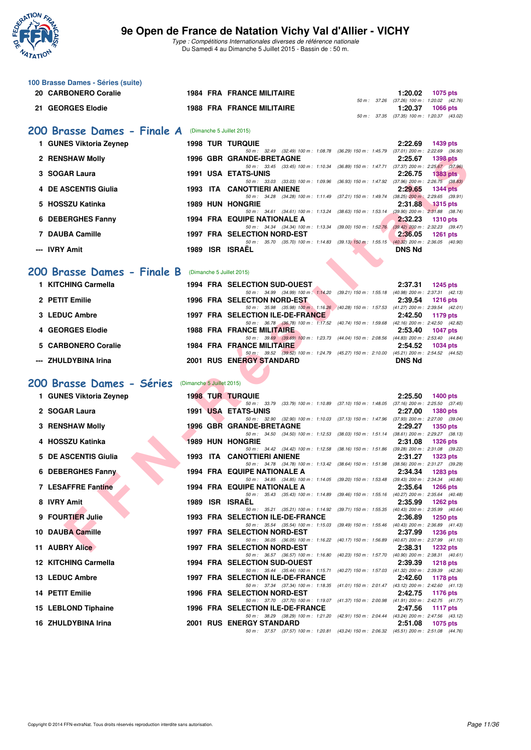

| 100 Brasse Dames - Séries (suite)          |                           |                                                                                                                                                                 |                                                                          |
|--------------------------------------------|---------------------------|-----------------------------------------------------------------------------------------------------------------------------------------------------------------|--------------------------------------------------------------------------|
| 20 CARBONERO Coralie                       |                           | <b>1984 FRA FRANCE MILITAIRE</b>                                                                                                                                | 1:20.02<br>1075 pts<br>50 m: 37.26 (37.26) 100 m: 1:20.02 (42.76)        |
| 21 GEORGES Elodie                          |                           | <b>1988 FRA FRANCE MILITAIRE</b>                                                                                                                                | 1:20.37<br><b>1066 pts</b><br>50 m: 37.35 (37.35) 100 m: 1:20.37 (43.02) |
|                                            |                           |                                                                                                                                                                 |                                                                          |
| 200 Brasse Dames - Finale A                |                           | (Dimanche 5 Juillet 2015)                                                                                                                                       |                                                                          |
| 1 GUNES Viktoria Zeynep                    |                           | <b>1998 TUR TURQUIE</b><br>50 m: 32.49 (32.49) 100 m: 1:08.78 (36.29) 150 m: 1:45.79 (37.01) 200 m: 2:22.69 (36.90)                                             | 2:22.69<br>1439 pts                                                      |
| 2 RENSHAW Molly                            |                           | <b>1996 GBR GRANDE-BRETAGNE</b><br>50 m: 33.45 (33.45) 100 m: 1:10.34 (36.89) 150 m: 1:47.71 (37.37) 200 m: 2:25.67 (37.96)                                     | 2:25.67<br><b>1398 pts</b>                                               |
| 3 SOGAR Laura                              |                           | <b>1991 USA ETATS-UNIS</b>                                                                                                                                      | 2:26.75<br><b>1383 pts</b>                                               |
| 4 DE ASCENTIS Giulia                       |                           | 50 m: 33.03 (33.03) 100 m: 1:09.96 (36.93) 150 m: 1:47.92 (37.96) 200 m: 2:26.75 (38.83)<br>1993 ITA CANOTTIERI ANIENE                                          | 2:29.65<br><b>1344 pts</b>                                               |
| 5 HOSSZU Katinka                           |                           | 50 m: 34.28 (34.28) 100 m: 1:11.49 (37.21) 150 m: 1:49.74 (38.25) 200 m: 2:29.65 (39.91)<br><b>1989 HUN HONGRIE</b>                                             | 2:31.88<br><b>1315 pts</b>                                               |
| 6 DEBERGHES Fanny                          |                           | 50 m: 34.61 (34.61) 100 m: 1:13.24 (38.63) 150 m: 1:53.14 (39.90) 200 m: 2:31.88 (38.74)<br><b>1994 FRA EQUIPE NATIONALE A</b>                                  | 2:32.23<br><b>1310 pts</b>                                               |
| 7 DAUBA Camille                            |                           | 50 m: 34.34 (34.34) 100 m: 1:13.34 (39.00) 150 m: 1:52.76 (39.42) 200 m: 2:32.23 (39.47)<br>1997 FRA SELECTION NORD-EST                                         | 2:36.05<br>1261 $pts$                                                    |
| --- IVRY Amit                              |                           | 50 m: 35.70 (35.70) 100 m: 1:14.83 (39.13) 150 m: 1:55.15 (40.32) 200 m: 2:36.05 (40.90)<br>1989 ISR ISRAËL                                                     | <b>DNS Nd</b>                                                            |
|                                            |                           |                                                                                                                                                                 |                                                                          |
| 200 Brasse Dames - Finale B                |                           | (Dimanche 5 Juillet 2015)                                                                                                                                       |                                                                          |
| 1 KITCHING Carmella                        |                           | <b>1994 FRA SELECTION SUD-OUEST</b>                                                                                                                             | 2:37.31<br><b>1245 pts</b>                                               |
| 2 PETIT Emilie                             |                           | 50 m: 34.99 (34.99) 100 m: 1:14.20 (39.21) 150 m: 1:55.18 (40.98) 200 m: 2:37.31 (42.13)<br><b>1996 FRA SELECTION NORD-EST</b>                                  | 2:39.54<br><b>1216 pts</b>                                               |
| 3 LEDUC Ambre                              |                           | 50 m: 35.98 (35.98) 100 m: 1:16.26 (40.28) 150 m: 1:57.53 (41.27) 200 m: 2:39.54 (42.01)<br>1997 FRA SELECTION ILE-DE-FRANCE                                    | 2:42.50<br>1179 pts                                                      |
| 4 GEORGES Elodie                           |                           | 50 m: 36.78 (36.78) 100 m: 1:17.52 (40.74) 150 m: 1:59.68 (42.16) 200 m: 2:42.50 (42.82)                                                                        | 2:53.40                                                                  |
|                                            |                           | <b>1988 FRA FRANCE MILITAIRE</b><br>50 m: 39.69 (39.69) 100 m: 1:23.73 (44.04) 150 m: 2:08.56 (44.83) 200 m: 2:53.40 (44.84)                                    | <b>1047 pts</b>                                                          |
| 5 CARBONERO Coralie                        |                           | <b>1984 FRA FRANCE MILITAIRE</b><br>50 m: 39.52 (39.52) 100 m: 1:24.79 (45.27) 150 m: 2:10.00 (45.21) 200 m: 2:54.52 (44.52)                                    | 2:54.52<br><b>1034 pts</b>                                               |
| --- ZHULDYBINA Irina                       |                           | <b>2001 RUS ENERGY STANDARD</b>                                                                                                                                 | <b>DNS Nd</b>                                                            |
|                                            |                           |                                                                                                                                                                 |                                                                          |
|                                            |                           |                                                                                                                                                                 |                                                                          |
| 200 Brasse Dames - Séries                  | (Dimanche 5 Juillet 2015) |                                                                                                                                                                 |                                                                          |
| 1 GUNES Viktoria Zeynep                    |                           | <b>1998 TUR TURQUIE</b><br>50 m: 33.79 (33.79) 100 m: 1:10.89 (37.10) 150 m: 1:48.05 (37.16) 200 m: 2:25.50 (37.45)                                             | 2:25.50<br><b>1400 pts</b>                                               |
| 2 SOGAR Laura                              |                           | <b>1991 USA ETATS-UNIS</b><br>50 m: 32.90 (32.90) 100 m: 1:10.03 (37.13) 150 m: 1:47.96 (37.93) 200 m: 2:27.00 (39.04)                                          | 2:27.00<br><b>1380 pts</b>                                               |
| 3 RENSHAW Molly                            |                           | <b>1996 GBR GRANDE-BRETAGNE</b><br>50 m: 34.50 (34.50) 100 m: 1:12.53 (38.03) 150 m: 1:51.14 (38.61) 200 m: 2:29.27 (38.13)                                     | 2:29.27<br><b>1350 pts</b>                                               |
| 4 HOSSZU Katinka                           |                           | <b>1989 HUN HONGRIE</b>                                                                                                                                         | 2:31.08<br><b>1326 pts</b>                                               |
| 5 DE ASCENTIS Giulia                       |                           | 50 m: 34.42 (34.42) 100 m: 1:12.58 (38.16) 150 m: 1:51.86 (39.28) 200 m: 2:31.08 (39.22)<br>1993 ITA CANOTTIERI ANIENE                                          | 2:31.27<br>1323 pts                                                      |
| 6 DEBERGHES Fanny                          |                           | 50 m: 34.78 (34.78) 100 m: 1:13.42 (38.64) 150 m: 1:51.98 (38.56) 200 m: 2:31.27 (39.29)<br><b>1994 FRA EQUIPE NATIONALE A</b>                                  | 2:34.34<br>1283 pts                                                      |
| <b>7 LESAFFRE Fantine</b>                  |                           | 50 m: 34.85 (34.85) 100 m: 1:14.05 (39.20) 150 m: 1:53.48<br><b>1994 FRA EQUIPE NATIONALE A</b>                                                                 | (39.43) 200 m : 2:34.34 (40.86)<br>2:35.64<br><b>1266 pts</b>            |
|                                            |                           | 50 m: 35.43 (35.43) 100 m: 1:14.89 (39.46) 150 m: 1:55.16 (40.27) 200 m: 2:35.64 (40.48)                                                                        |                                                                          |
| 8 IVRY Amit                                |                           | 1989 ISR ISRAEL<br>50 m : 35.21 (35.21) 100 m : 1:14.92 (39.71) 150 m : 1:55.35 (40.43) 200 m : 2:35.99 (40.64)                                                 | 2:35.99<br><b>1262 pts</b>                                               |
| 9 FOURTIER Julie                           |                           | 1993 FRA SELECTION ILE-DE-FRANCE<br>50 m: 35.54 (35.54) 100 m: 1:15.03 (39.49) 150 m: 1:55.46 (40.43) 200 m: 2:36.89 (41.43)                                    | 2:36.89<br>1250 pts                                                      |
| 10 DAUBA Camille                           |                           | <b>1997 FRA SELECTION NORD-EST</b><br>50 m: 36.05 (36.05) 100 m: 1:16.22 (40.17) 150 m: 1:56.89 (40.67) 200 m: 2:37.99 (41.10)                                  | 2:37.99<br>1236 pts                                                      |
| 11 AUBRY Alice                             |                           | <b>1997 FRA SELECTION NORD-EST</b>                                                                                                                              | 2:38.31<br><b>1232 pts</b>                                               |
| 12 KITCHING Carmella                       |                           | 50 m: 36.57 (36.57) 100 m: 1:16.80 (40.23) 150 m: 1:57.70 (40.90) 200 m: 2:38.31 (40.61)<br><b>1994 FRA SELECTION SUD-OUEST</b>                                 | 2:39.39<br><b>1218 pts</b>                                               |
| 13 LEDUC Ambre                             |                           | 50 m: 35.44 (35.44) 100 m: 1:15.71 (40.27) 150 m: 1:57.03 (41.32) 200 m: 2:39.39 (42.36)<br>1997 FRA SELECTION ILE-DE-FRANCE                                    | 2:42.60<br>1178 pts                                                      |
| 14 PETIT Emilie                            |                           | 50 m: 37.34 (37.34) 100 m: 1:18.35 (41.01) 150 m: 2:01.47 (43.12) 200 m: 2:42.60 (41.13)<br>1996 FRA SELECTION NORD-EST                                         | 2:42.75<br>1176 pts                                                      |
|                                            |                           | 50 m: 37.70 (37.70) 100 m: 1:19.07 (41.37) 150 m: 2:00.98 (41.91) 200 m: 2:42.75 (41.77)                                                                        |                                                                          |
| 15 LEBLOND Tiphaine<br>16 ZHULDYBINA Irina |                           | 1996 FRA SELECTION ILE-DE-FRANCE<br>50 m: 38.29 (38.29) 100 m: 1:21.20 (42.91) 150 m: 2:04.44 (43.24) 200 m: 2:47.56 (43.12)<br><b>2001 RUS ENERGY STANDARD</b> | 2:47.56<br><b>1117 pts</b><br>2:51.08<br>1075 pts                        |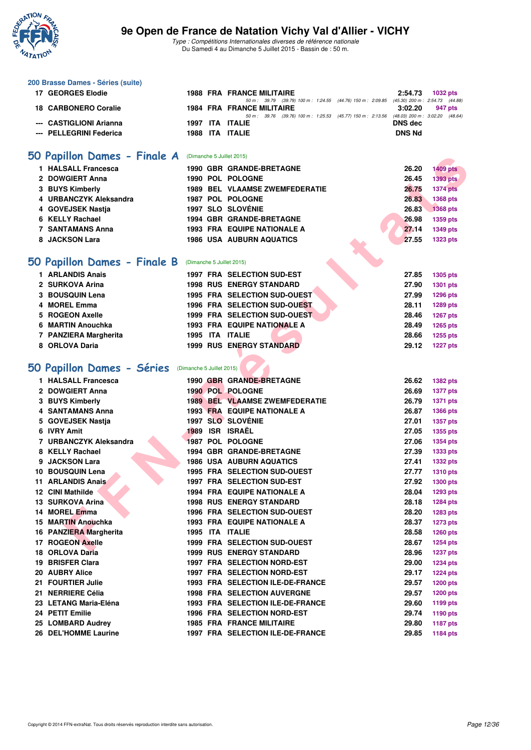

| 200 Brasse Dames - Séries (suite)                    |  |                                                                                                                              |                |                 |
|------------------------------------------------------|--|------------------------------------------------------------------------------------------------------------------------------|----------------|-----------------|
| 17 GEORGES Elodie                                    |  | <b>1988 FRA FRANCE MILITAIRE</b>                                                                                             | 2:54.73        | 1032 pts        |
| <b>18 CARBONERO Coralie</b>                          |  | 50 m: 39.79 (39.79) 100 m: 1:24.55 (44.76) 150 m: 2:09.85 (45.30) 200 m: 2:54.73 (44.88)<br><b>1984 FRA FRANCE MILITAIRE</b> | 3:02.20        | 947 pts         |
| --- CASTIGLIONI Arianna                              |  | 50 m: 39.76 (39.76) 100 m: 1:25.53 (45.77) 150 m: 2:13.56 (48.03) 200 m: 3:02.20 (48.64)                                     | <b>DNS</b> dec |                 |
|                                                      |  | 1997 ITA ITALIE<br>1988 ITA ITALIE                                                                                           | <b>DNS Nd</b>  |                 |
| --- PELLEGRINI Federica                              |  |                                                                                                                              |                |                 |
| 50 Papillon Dames - Finale A                         |  | (Dimanche 5 Juillet 2015)                                                                                                    |                |                 |
| 1 HALSALL Francesca                                  |  | <b>1990 GBR GRANDE-BRETAGNE</b>                                                                                              | 26.20          | <b>1409 pts</b> |
| 2 DOWGIERT Anna                                      |  | 1990 POL POLOGNE                                                                                                             | 26.45          | <b>1393 pts</b> |
| 3 BUYS Kimberly                                      |  | <b>1989 BEL VLAAMSE ZWEMFEDERATIE</b>                                                                                        | 26.75          | <b>1374 pts</b> |
| 4 URBANCZYK Aleksandra                               |  | 1987 POL POLOGNE                                                                                                             | 26.83          | 1368 pts        |
| 4 GOVEJSEK Nastja                                    |  | <b>1997 SLO SLOVÉNIE</b>                                                                                                     | 26.83          | <b>1368 pts</b> |
| 6 KELLY Rachael                                      |  | 1994 GBR GRANDE-BRETAGNE                                                                                                     | 26.98          | 1359 pts        |
| <b>7 SANTAMANS Anna</b>                              |  | 1993 FRA EQUIPE NATIONALE A                                                                                                  | 27.14          | <b>1349 pts</b> |
| 8 JACKSON Lara                                       |  | <b>1986 USA AUBURN AQUATICS</b>                                                                                              | 27.55          | <b>1323 pts</b> |
|                                                      |  |                                                                                                                              |                |                 |
| 50 Papillon Dames - Finale B                         |  | (Dimanche 5 Juillet 2015)                                                                                                    |                |                 |
| 1 ARLANDIS Anais                                     |  | 1997 FRA SELECTION SUD-EST                                                                                                   | 27.85          | <b>1305 pts</b> |
| 2 SURKOVA Arina                                      |  | <b>1998 RUS ENERGY STANDARD</b>                                                                                              | 27.90          | <b>1301 pts</b> |
| 3 BOUSQUIN Lena                                      |  | 1995 FRA SELECTION SUD-OUEST                                                                                                 | 27.99          | <b>1296 pts</b> |
| 4 MOREL Emma                                         |  | <b>1996 FRA SELECTION SUD-OUEST</b>                                                                                          | 28.11          | 1289 pts        |
| 5 ROGEON Axelle                                      |  | 1999 FRA SELECTION SUD-OUEST                                                                                                 | 28.46          | <b>1267 pts</b> |
| 6 MARTIN Anouchka                                    |  | <b>1993 FRA EQUIPE NATIONALE A</b>                                                                                           | 28.49          | 1265 pts        |
| 7 PANZIERA Margherita                                |  | 1995 ITA ITALIE                                                                                                              | 28.66          | 1255 pts        |
| 8 ORLOVA Daria                                       |  | <b>1999 RUS ENERGY STANDARD</b>                                                                                              | 29.12          | <b>1227 pts</b> |
|                                                      |  |                                                                                                                              |                |                 |
|                                                      |  |                                                                                                                              |                |                 |
| 50 Papillon Dames - Séries (Dimanche 5 Juillet 2015) |  |                                                                                                                              |                |                 |
| 1 HALSALL Francesca                                  |  | 1990 GBR GRANDE-BRETAGNE                                                                                                     | 26.62          | <b>1382 pts</b> |
| 2 DOWGIERT Anna                                      |  | 1990 POL POLOGNE                                                                                                             | 26.69          | <b>1377 pts</b> |
| 3 BUYS Kimberly                                      |  | <b>1989 BEL VLAAMSE ZWEMFEDERATIE</b>                                                                                        | 26.79          | <b>1371 pts</b> |
| 4 SANTAMANS Anna                                     |  | <b>1993 FRA EQUIPE NATIONALE A</b>                                                                                           | 26.87          | <b>1366 pts</b> |
| 5 GOVEJSEK Nastja                                    |  | 1997 SLO SLOVENIE                                                                                                            | 27.01          | 1357 pts        |
| 6 IVRY Amit                                          |  | 1989 ISR ISRAËL                                                                                                              | 27.05          | 1355 pts        |
| 7 URBANCZYK Aleksandra                               |  | 1987 POL POLOGNE                                                                                                             | 27.06          | <b>1354 pts</b> |
| 8 KELLY Rachael                                      |  | 1994 GBR GRANDE-BRETAGNE                                                                                                     | 27.39          | <b>1333 pts</b> |
| 9 JACKSON Lara                                       |  | <b>1986 USA AUBURN AQUATICS</b>                                                                                              | 27.41          | <b>1332 pts</b> |
| 10 BOUSQUIN Lena                                     |  | 1995 FRA SELECTION SUD-OUEST                                                                                                 | 27.77          | <b>1310 pts</b> |
| 11 ARLANDIS Anais                                    |  | 1997 FRA SELECTION SUD-EST                                                                                                   | 27.92          | <b>1300 pts</b> |
| 12 CINI Mathilde                                     |  | <b>1994 FRA EQUIPE NATIONALE A</b><br><b>1998 RUS ENERGY STANDARD</b>                                                        | 28.04          | 1293 pts        |
| 13 SURKOVA Arina                                     |  |                                                                                                                              | 28.18          | 1284 pts        |
| 14 MOREL Emma<br>15 MARTIN Anouchka                  |  | 1996 FRA SELECTION SUD-OUEST                                                                                                 | 28.20          | 1283 pts        |
| 16 PANZIERA Margherita                               |  | <b>1993 FRA EQUIPE NATIONALE A</b>                                                                                           | 28.37          | <b>1273 pts</b> |
| 17 ROGEON Axelle                                     |  | 1995 ITA ITALIE<br>1999 FRA SELECTION SUD-OUEST                                                                              | 28.58          | <b>1260 pts</b> |
|                                                      |  |                                                                                                                              | 28.67          | <b>1254 pts</b> |
| 18 ORLOVA Daria                                      |  | <b>1999 RUS ENERGY STANDARD</b>                                                                                              | 28.96          | <b>1237 pts</b> |
| 19 BRISFER Clara                                     |  | <b>1997 FRA SELECTION NORD-EST</b>                                                                                           | 29.00          | <b>1234 pts</b> |
| 20 AUBRY Alice                                       |  | <b>1997 FRA SELECTION NORD-EST</b>                                                                                           | 29.17          | <b>1224 pts</b> |
| 21 FOURTIER Julie                                    |  | 1993 FRA SELECTION ILE-DE-FRANCE                                                                                             | 29.57          | <b>1200 pts</b> |
| 21 NERRIERE Célia<br>23 LETANG Maria-Eléna           |  | <b>1998 FRA SELECTION AUVERGNE</b><br>1993 FRA SELECTION ILE-DE-FRANCE                                                       | 29.57<br>29.60 | <b>1200 pts</b> |
| 24 PETIT Emilie                                      |  | 1996 FRA SELECTION NORD-EST                                                                                                  | 29.74          | 1199 pts        |
|                                                      |  | <b>1985 FRA FRANCE MILITAIRE</b>                                                                                             | 29.80          | 1190 pts        |
| 25 LOMBARD Audrey<br>26 DEL'HOMME Laurine            |  | 1997 FRA SELECTION ILE-DE-FRANCE                                                                                             | 29.85          | <b>1187 pts</b> |
|                                                      |  |                                                                                                                              |                | 1184 pts        |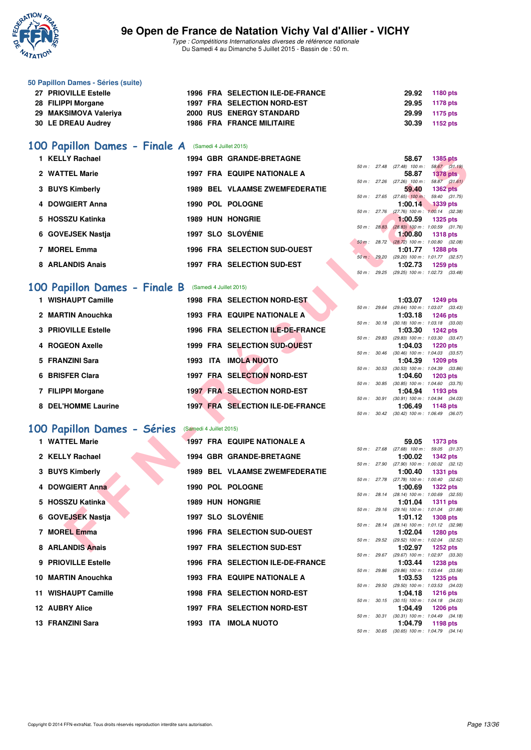

Type : Compétitions Internationales diverses de référence nationale Du Samedi 4 au Dimanche 5 Juillet 2015 - Bassin de : 50 m.

| 50 Papillon Dames - Séries (suite) |  |                                  |                |          |
|------------------------------------|--|----------------------------------|----------------|----------|
| 27 PRIOVILLE Estelle               |  | 1996 FRA SELECTION ILE-DE-FRANCE | 29.92          | 1180 pts |
| 28 FILIPPI Morgane                 |  | 1997 FRA SELECTION NORD-EST      | 29.95 1178 pts |          |
| 29 MAKSIMOVA Valeriya              |  | <b>2000 RUS ENERGY STANDARD</b>  | 29.99          | 1175 pts |
| 30 LE DREAU Audrey                 |  | <b>1986 FRA FRANCE MILITAIRE</b> | 30.39          | 1152 pts |
|                                    |  |                                  |                |          |

#### [100 Papillon Dames - Finale A](http://www.ffnatation.fr/webffn/resultats.php?idact=nat&go=epr&idcpt=32627&idepr=32) (Samedi 4 Juillet 2015)

| 1 KELLY Rachael   |                         | <b>1994 GBR GRANDE-BRETAGNE</b>       |          |                        | 58.67                                         | 1385 pts                      |  |
|-------------------|-------------------------|---------------------------------------|----------|------------------------|-----------------------------------------------|-------------------------------|--|
| 2 WATTEL Marie    |                         | <b>1997 FRA EQUIPE NATIONALE A</b>    |          | $50 \text{ m}$ : 27.48 | $(27.48)$ 100 m :<br>58.87                    | 58.67 (31.<br><b>1378 pts</b> |  |
| 3 BUYS Kimberly   |                         | <b>1989 BEL VLAAMSE ZWEMFEDERATIE</b> | 50 m :   | 27.26                  | $(27.26)$ 100 m :<br>59.40                    | 58.87 (31.<br><b>1362 pts</b> |  |
| 4 DOWGIERT Anna   |                         | 1990 POL POLOGNE                      | 50 m :   | 27.65                  | $(27.65)$ 100 m :<br>1:00.14                  | 59.40 (31.<br>1339 pts        |  |
| 5 HOSSZU Katinka  | <b>1989 HUN HONGRIE</b> |                                       |          | 50 m : 27.76           | $(27.76)$ 100 m : 1:00.14 (32.<br>1:00.59     | 1325 pts                      |  |
| 6 GOVEJSEK Nastia |                         | 1997 SLO SLOVÉNIE                     | 50 m :   | 28.83                  | $(28.83)$ 100 m : 1:00.59 (31.<br>1:00.80     | <b>1318 pts</b>               |  |
| <b>MOREL Emma</b> |                         | <b>1996 FRA SELECTION SUD-OUEST</b>   | $50 m$ : | 28.72                  | $(28.72)$ 100 m : 1:00.80 (32.<br>1:01.77     | 1288 pts                      |  |
| 8 ARLANDIS Anais  |                         | <b>1997 FRA SELECTION SUD-EST</b>     |          | 50 m: 29.20            | $(29.20)$ 100 m : 1:01.77 $(32.1)$<br>1:02.73 | 1259 pts                      |  |

# **[100 Papillon Dames - Finale B](http://www.ffnatation.fr/webffn/resultats.php?idact=nat&go=epr&idcpt=32627&idepr=32)** (Samedi 4 Juillet 2015)

| 1 KELLY Rachael              |                         | 1994 GBR GRANDE-BRETAGNE              |             |              | 58.67<br><b>1385 pts</b>                                                   |
|------------------------------|-------------------------|---------------------------------------|-------------|--------------|----------------------------------------------------------------------------|
| 2 WATTEL Marie               |                         | <b>1997 FRA EQUIPE NATIONALE A</b>    |             |              | $50 m$ : 27.48 (27.48) 100 m :<br>58.67 (31.19)<br>58.87<br>$1378$ pts     |
|                              |                         |                                       |             |              | 58.87 (31.61)<br>50 m : 27.26 (27.26) 100 m :                              |
| 3 BUYS Kimberly              |                         | <b>1989 BEL VLAAMSE ZWEMFEDERATIE</b> |             |              | 59.40<br><b>1362 pts</b>                                                   |
|                              |                         |                                       |             |              | $50 m$ : 27.65 (27.65) 100 m:<br>59.40 (31.75)                             |
| 4 DOWGIERT Anna              |                         | 1990 POL POLOGNE                      | 50 m: 27.76 |              | 1:00.14<br><b>1339 pts</b><br>$(27.76)$ 100 m : 1:00.14 $(32.38)$          |
| 5 HOSSZU Katinka             |                         | <b>1989 HUN HONGRIE</b>               |             |              | 1:00.59<br><b>1325 pts</b>                                                 |
|                              |                         |                                       | 50 m: 28.83 |              | $(28.83)$ 100 m : 1:00.59 $(31.76)$                                        |
| 6 GOVEJSEK Nastja            |                         | <b>1997 SLO SLOVÉNIE</b>              |             |              | 1:00.80<br><b>1318 pts</b>                                                 |
| 7 MOREL Emma                 |                         | 1996 FRA SELECTION SUD-OUEST          |             |              | 50 m : 28.72 (28.72) 100 m : 1:00.80 (32.08)<br>1:01.77<br><b>1288 pts</b> |
|                              |                         |                                       |             |              | 50 m : 29.20 (29.20) 100 m : 1:01.77 (32.57)                               |
| 8 ARLANDIS Anais             |                         | 1997 FRA SELECTION SUD-EST            |             |              | 1:02.73<br><b>1259 pts</b>                                                 |
|                              |                         |                                       |             |              | 50 m: 29.25 (29.25) 100 m: 1:02.73 (33.48)                                 |
|                              |                         |                                       |             |              |                                                                            |
| 00 Papillon Dames - Finale B |                         | (Samedi 4 Juillet 2015)               |             |              |                                                                            |
| 1 WISHAUPT Camille           |                         | <b>1998 FRA SELECTION NORD-EST</b>    |             |              | 1:03.07<br><b>1249 pts</b>                                                 |
|                              |                         |                                       |             | 50 m : 29.64 | (29.64) 100 m: 1:03.07 (33.43)                                             |
| 2 MARTIN Anouchka            |                         | <b>1993 FRA EQUIPE NATIONALE A</b>    |             | 50 m : 30.18 | 1:03.18<br><b>1246 pts</b><br>$(30.18)$ 100 m : 1:03.18 $(33.00)$          |
| <b>3 PRIOVILLE Estelle</b>   |                         | 1996 FRA SELECTION ILE-DE-FRANCE      |             |              | 1:03.30<br><b>1242 pts</b>                                                 |
|                              |                         |                                       |             | 50 m : 29.83 | (29.83) 100 m: 1:03.30 (33.47)                                             |
| 4 ROGEON Axelle              |                         | 1999 FRA SELECTION SUD-OUEST          |             |              | 1:04.03<br><b>1220 pts</b>                                                 |
|                              |                         |                                       |             |              | 50 m: 30.46 (30.46) 100 m: 1:04.03 (33.57)                                 |
| 5 FRANZINI Sara              |                         | <b>1993 ITA IMOLA NUOTO</b>           |             | 50 m : 30.53 | 1:04.39<br>1209 pts                                                        |
| 6 BRISFER Clara              |                         | 1997 FRA SELECTION NORD-EST           |             |              | $(30.53)$ 100 m : 1:04.39 $(33.86)$<br>1:04.60<br><b>1203 pts</b>          |
|                              |                         |                                       |             |              | 50 m : 30.85 (30.85) 100 m : 1:04.60 (33.75)                               |
| 7 FILIPPI Morgane            |                         | <b>1997 FRA SELECTION NORD-EST</b>    |             |              | 1:04.94<br>1193 pts                                                        |
|                              |                         |                                       |             | 50 m : 30.91 | $(30.91)$ 100 m : 1:04.94 $(34.03)$                                        |
| <b>8 DEL'HOMME Laurine</b>   |                         | 1997 FRA SELECTION ILE-DE-FRANCE      |             |              | 1:06.49<br><b>1148 pts</b>                                                 |
|                              |                         |                                       |             |              | 50 m : 30.42 (30.42) 100 m : 1:06.49 (36.07)                               |
| 00 Papillon Dames - Séries   | (Samedi 4 Juillet 2015) |                                       |             |              |                                                                            |
| 1 WATTEL Marie               |                         | <b>1997 FRA EQUIPE NATIONALE A</b>    |             |              |                                                                            |
|                              |                         |                                       |             |              | 59.05<br>1373 pts<br>50 m: 27.68 (27.68) 100 m: 59.05 (31.37)              |
| 2 KELLY Rachael              |                         | <b>1994 GBR GRANDE-BRETAGNE</b>       |             |              | 1:00.02<br><b>1342 pts</b>                                                 |
|                              |                         |                                       |             | 50 m : 27.90 | $(27.90)$ 100 m : 1:00.02 $(32.12)$                                        |
| 3 BUYS Kimberly              |                         | <b>1989 BEL VLAAMSE ZWEMFEDERATIE</b> |             |              | 1:00.40<br><b>1331 pts</b>                                                 |
| 4 DOWGIERT Anna              |                         | 1990 POL POLOGNE                      |             |              | 50 m: 27.78 (27.78) 100 m: 1:00.40 (32.62)                                 |
|                              |                         |                                       |             |              | 1:00.69<br><b>1322 pts</b><br>50 m : 28.14 (28.14) 100 m : 1:00.69 (32.55) |
| 5 HOSSZU Katinka             |                         | <b>1989 HUN HONGRIE</b>               |             |              | 1:01.04<br><b>1311 pts</b>                                                 |
|                              |                         |                                       |             |              | 50 m: 29.16 (29.16) 100 m: 1:01.04 (31.88)                                 |
| 6 GOVEJSEK Nastja            |                         | <b>1997 SLO SLOVÉNIE</b>              |             |              | <b>1308 pts</b><br>1:01.12                                                 |
| 7 MOREL Emma                 |                         | 1996 FRA SELECTION SUD-OUEST          |             | 50 m : 28.14 | (28.14) 100 m: 1:01.12 (32.98)                                             |
|                              |                         |                                       |             |              | 1:02.04<br><b>1280 pts</b><br>50 m: 29.52 (29.52) 100 m: 1:02.04 (32.52)   |
| 8 ARLANDIS Anais             |                         | 1997 FRA SELECTION SUD-EST            |             |              | 1:02.97<br><b>1252 pts</b>                                                 |
|                              |                         |                                       |             |              |                                                                            |

#### **[100 Papillon Dames - Séries](http://www.ffnatation.fr/webffn/resultats.php?idact=nat&go=epr&idcpt=32627&idepr=32)** (Samedi 4 Juillet 2015)

| 1 WATTEL Marie      |  | <b>1997 FRA EQUIPE NATIONALE A</b>    |  | 59.05 1373 pts                                              |  |
|---------------------|--|---------------------------------------|--|-------------------------------------------------------------|--|
|                     |  |                                       |  | 50 m: 27.68 (27.68) 100 m: 59.05 (31.                       |  |
| 2 KELLY Rachael     |  | <b>1994 GBR GRANDE-BRETAGNE</b>       |  | 1:00.02 $1342 \text{ pts}$                                  |  |
|                     |  |                                       |  | 50 m: 27.90 (27.90) 100 m: 1:00.02 (32.                     |  |
| 3 BUYS Kimberly     |  | <b>1989 BEL VLAAMSE ZWEMFEDERATIE</b> |  | $1:00.40$ 1331 pts                                          |  |
|                     |  |                                       |  | 50 m: 27.78 (27.78) 100 m: 1:00.40 (32.                     |  |
| 4 DOWGIERT Anna     |  | 1990 POL POLOGNE                      |  | 1:00.69 1322 pts                                            |  |
|                     |  |                                       |  | 50 m: 28.14 (28.14) 100 m: 1:00.69 (32.                     |  |
| 5 HOSSZU Katinka    |  | <b>1989 HUN HONGRIE</b>               |  | 1:01.04 1311 pts<br>50 m: 29.16 (29.16) 100 m: 1:01.04 (31. |  |
| 6 GOVEJSEK Nastja   |  | <b>1997 SLO SLOVÉNIE</b>              |  | 1:01.12 1308 pts                                            |  |
|                     |  |                                       |  | 50 m: 28.14 (28.14) 100 m: 1:01.12 (32.                     |  |
| 7 MOREL Emma        |  | <b>1996 FRA SELECTION SUD-OUEST</b>   |  | 1:02.04 1280 pts                                            |  |
|                     |  |                                       |  | 50 m: 29.52 (29.52) 100 m: 1:02.04 (32.                     |  |
| 8 ARLANDIS Anais    |  | 1997 FRA SELECTION SUD-EST            |  | 1:02.97 1252 pts                                            |  |
|                     |  |                                       |  | 50 m: 29.67 (29.67) 100 m: 1:02.97 (33.                     |  |
| 9 PRIOVILLE Estelle |  | 1996 FRA SELECTION ILE-DE-FRANCE      |  | 1:03.44 1238 pts                                            |  |
|                     |  |                                       |  | 50 m: 29.86 (29.86) 100 m: 1:03.44 (33.                     |  |
| 10 MARTIN Anouchka  |  | 1993 FRA EQUIPE NATIONALE A           |  | 1:03.53 1235 pts                                            |  |
|                     |  |                                       |  | 50 m: 29.50 (29.50) 100 m: 1:03.53 (34.                     |  |
| 11 WISHAUPT Camille |  | <b>1998 FRA SELECTION NORD-EST</b>    |  | 1:04.18 1216 pts                                            |  |
|                     |  |                                       |  | 50 m: 30.15 (30.15) 100 m: 1:04.18 (34.                     |  |
| 12 AUBRY Alice      |  | 1997 FRA SELECTION NORD-EST           |  | 1:04.49 1206 pts                                            |  |
|                     |  |                                       |  | 50 m: 30.31 (30.31) 100 m: 1:04.49 (34.                     |  |
| 13 FRANZINI Sara    |  | 1993 ITA IMOLA NUOTO                  |  | 1:04.79 1198 pts                                            |  |

|  | 50 m : 27.26 (27.26) 100 m :   |  | 58.87 (31.61)                                |  |
|--|--------------------------------|--|----------------------------------------------|--|
|  |                                |  | 59.40 1362 pts                               |  |
|  | $50 m$ : 27.65 (27.65) 100 m : |  | 59.40 (31.75)                                |  |
|  |                                |  | $1:00.14$ 1339 pts                           |  |
|  |                                |  | 50 m : 27.76 (27.76) 100 m : 1:00.14 (32.38) |  |
|  |                                |  | 1:00.59 1325 pts                             |  |
|  |                                |  | 50 m: 28.83 (28.83) 100 m: 1:00.59 (31.76)   |  |
|  |                                |  | $1:00.80$ 1318 pts                           |  |
|  |                                |  | 50 m : 28.72 (28.72) 100 m : 1:00.80 (32.08) |  |
|  |                                |  | 1:01.77 1288 pts                             |  |
|  |                                |  | 50 m: 29.20 (29.20) 100 m: 1:01.77 (32.57)   |  |
|  |                                |  | 1:02.73 1259 pts                             |  |
|  |                                |  | 50 m: 29.25 (29.25) 100 m: 1:02.73 (33.48)   |  |
|  |                                |  |                                              |  |

|             |              | 1:03.07                    | <b>1249 pts</b>     |  |
|-------------|--------------|----------------------------|---------------------|--|
| 50 m: 29.64 |              | (29.64) 100 m :            | 1:03.07 (33.43)     |  |
|             |              | 1:03.18                    | <b>1246 pts</b>     |  |
| 50 m: 30.18 |              | $(30.18) 100 m$ :          | $1:03.18$ $(33.00)$ |  |
|             |              | 1:03.30                    | 1242 pts            |  |
| 50 m: 29.83 |              | $(29.83) 100 m$ :          | 1:03.30 (33.47)     |  |
|             |              | 1:04.03 1220 pts           |                     |  |
| 50 m :      | 30.46        | $(30.46)$ 100 m :          | $1:04.03$ $(33.57)$ |  |
|             |              | 1:04.39                    | 1209 pts            |  |
| 50 m: 30.53 |              | $(30.53)$ 100 m :          | 1:04.39 (33.86)     |  |
|             |              | $1:04.60$ 1203 pts         |                     |  |
| $50 m$ :    | 30.85        | $(30.85)$ 100 m :          | 1:04.60 (33.75)     |  |
|             |              | 1:04.94                    | 1193 pts            |  |
|             | 50 m : 30.91 | $(30.91)$ 100 m :          | 1:04.94 (34.03)     |  |
|             |              | 1:06.49 1148 pts           |                     |  |
|             |              | 50 m: 30.42 (30.42) 100 m: | 1:06.49 (36.07)     |  |

|                |              | 59.05 1373 pts                    |                     |  |
|----------------|--------------|-----------------------------------|---------------------|--|
| 50 m: 27.68    |              | $(27.68)$ 100 m : 59.05 $(31.37)$ |                     |  |
|                |              | 1:00.02                           | 1342 pts            |  |
| 50 m: 27.90    |              | $(27.90)$ 100 m :                 | $1:00.02$ $(32.12)$ |  |
|                |              | 1:00.40                           | 1331 pts            |  |
| 50 m: 27.78    |              | $(27.78) 100 m$ :                 | 1:00.40 (32.62)     |  |
|                |              | 1:00.69                           | 1322 pts            |  |
| $50 m$ : 28.14 |              | $(28.14) 100 m$ :                 | 1:00.69 (32.55)     |  |
|                |              | 1:01.04                           | 1311 pts            |  |
| 50 m: 29.16    |              | $(29.16) 100 m$ :                 | 1:01.04 (31.88)     |  |
|                |              | 1:01.12                           | 1308 pts            |  |
| $50 m$ : 28.14 |              | $(28.14) 100 m$ :                 | 1:01.12 (32.98)     |  |
|                |              | 1:02.04                           | 1280 pts            |  |
| 50 m: 29.52    |              | $(29.52)$ 100 m :                 | 1:02.04 (32.52)     |  |
|                |              | 1:02.97                           | $1252$ pts          |  |
| $50 m$ : 29.67 |              | $(29.67) 100 m$ :                 | 1:02.97 (33.30)     |  |
|                |              | 1:03.44                           | <b>1238 pts</b>     |  |
| 50 m: 29.86    |              | $(29.86) 100 m$ :                 | 1:03.44 (33.58)     |  |
|                |              | 1:03.53                           | 1235 pts            |  |
| 50 m : 29.50   |              | $(29.50)$ 100 m :                 | 1:03.53 (34.03)     |  |
|                |              | 1:04.18                           | <b>1216 pts</b>     |  |
| 50 m: 30.15    |              | $(30.15)$ 100 m :                 | $1:04.18$ $(34.03)$ |  |
|                |              | 1:04.49                           | 1206 pts            |  |
|                | 50 m : 30.31 | $(30.31)$ 100 m :                 | $1:04.49$ $(34.18)$ |  |
|                |              | 1:04.79                           | 1198 pts            |  |
| 50 m: 30.65    |              | $(30.65)$ 100 m :                 | $1:04.79$ $(34.14)$ |  |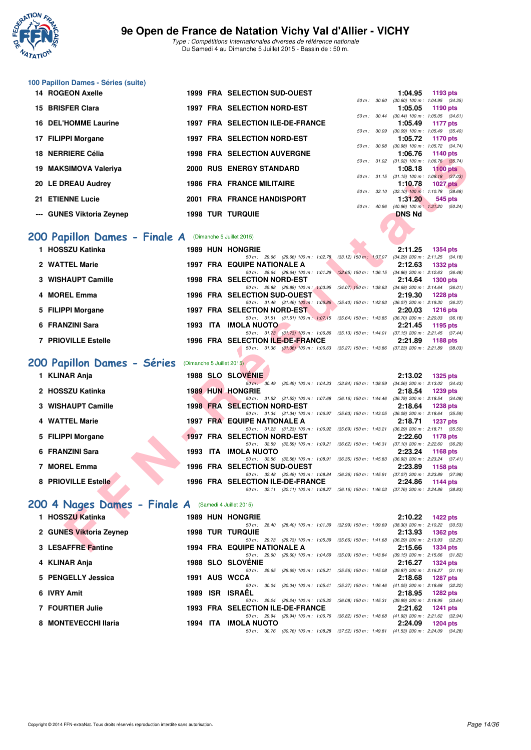

**100 Papillon Dames - Séries (suite)**

#### **9e Open de France de Natation Vichy Val d'Allier - VICHY**

Type : Compétitions Internationales diverses de référence nationale Du Samedi 4 au Dimanche 5 Juillet 2015 - Bassin de : 50 m.

| 14 ROGEON Axelle            |  | <b>1999 FRA SELECTION SUD-OUEST</b> |              | 1:04.95                                                 | 1193 pts        |  |
|-----------------------------|--|-------------------------------------|--------------|---------------------------------------------------------|-----------------|--|
|                             |  |                                     | 50 m : 30.60 | $(30.60)$ 100 m : 1:04.95 $(34.35)$                     |                 |  |
| 15 BRISFER Clara            |  | 1997 FRA SELECTION NORD-EST         |              | $1:05.05$ 1190 pts                                      |                 |  |
|                             |  |                                     |              | 50 m: 30.44 (30.44) 100 m: 1:05.05 (34.61)              |                 |  |
| <b>16 DEL'HOMME Laurine</b> |  | 1997 FRA SELECTION ILE-DE-FRANCE    |              | 1:05.49                                                 | 1177 pts        |  |
|                             |  | 1997 FRA SELECTION NORD-EST         | 50 m : 30.09 | $(30.09)$ 100 m : 1:05.49 $(35.40)$                     |                 |  |
| 17 FILIPPI Morgane          |  |                                     | 50 m: 30.98  | 1:05.72 1170 pts                                        |                 |  |
| 18 NERRIERE Célia           |  | <b>1998 FRA SELECTION AUVERGNE</b>  |              | $(30.98)$ 100 m : 1:05.72 $(34.74)$<br>1:06.76 1140 pts |                 |  |
|                             |  |                                     | 50 m: 31.02  | $(31.02)$ 100 m : 1:06.76 $(35.74)$                     |                 |  |
| 19 MAKSIMOVA Valeriya       |  | <b>2000 RUS ENERGY STANDARD</b>     |              | 1:08.18                                                 | $1100$ pts      |  |
|                             |  |                                     |              | 50 m: 31.15 (31.15) 100 m: 1:08.18 (37.03)              |                 |  |
| 20 LE DREAU Audrey          |  | <b>1986 FRA FRANCE MILITAIRE</b>    |              | 1:10.78                                                 | <b>1027 pts</b> |  |
|                             |  |                                     | 50 m: 32.10  | $(32.10)$ 100 m : 1:10.78 $(38.68)$                     |                 |  |
| 21 ETIENNE Lucie            |  | 2001 FRA FRANCE HANDISPORT          |              | 1:31.20                                                 | 545 pts         |  |
|                             |  |                                     | 50 m: 40.96  | (40.96) 100 m: 1:31.20 (50.24)                          |                 |  |
| --- GUNES Viktoria Zeynep   |  | <b>1998 TUR TURQUIE</b>             |              | <b>DNS Nd</b>                                           |                 |  |
|                             |  |                                     |              |                                                         |                 |  |

### **[200 Papillon Dames - Finale A](http://www.ffnatation.fr/webffn/resultats.php?idact=nat&go=epr&idcpt=32627&idepr=33)** (Dimanche 5 Juillet 2015)

| 1 HOSSZU Katinka           |          | <b>1989 HUN HONGRIE</b>            |                                      |                           | 2:11.25                             | 1354 pts        |  |
|----------------------------|----------|------------------------------------|--------------------------------------|---------------------------|-------------------------------------|-----------------|--|
|                            |          |                                    | 50 m: 29.66 (29.66) 100 m: 1:02.78   | $(33.12)$ 150 m : 1:37.07 | $(34.29)$ 200 m : 2:11.25 $(34.18)$ |                 |  |
| 2 WATTEL Marie             |          | 1997 FRA EQUIPE NATIONALE A        |                                      |                           | 2:12.63                             | <b>1332 pts</b> |  |
|                            |          |                                    | 50 m: 28.64 (28.64) 100 m: 1:01.29   | $(32.65)$ 150 m : 1:36.15 | $(34.86)$ 200 m : 2:12.63 $(36.48)$ |                 |  |
| 3 WISHAUPT Camille         |          | <b>1998 FRA SELECTION NORD-EST</b> |                                      |                           | 2:14.64                             | <b>1300 pts</b> |  |
|                            |          |                                    | 50 m: 29.88 (29.88) 100 m: 1.03.95   | $(34.07)$ 150 m : 1:38.63 | $(34.68)$ 200 m : 2:14.64 $(36.01)$ |                 |  |
| 4 MOREL Emma               |          | 1996 FRA SELECTION SUD-OUEST       |                                      |                           | 2:19.30                             | <b>1228 pts</b> |  |
|                            |          |                                    | 50 m: 31.46 (31.46) 100 m: 1:06.86   | (35.40) 150 m : 1:42.93   | $(36.07)$ 200 m : 2:19.30 $(36.37)$ |                 |  |
| 5 FILIPPI Morgane          |          | 1997 FRA SELECTION NORD-EST        |                                      |                           | 2:20.03                             | $1216$ pts      |  |
|                            |          |                                    | 50 m: 31.51 (31.51) 100 m: 1:07.15   | $(35.64)$ 150 m : 1:43.85 | $(36.70)$ 200 m : 2:20.03 $(36.18)$ |                 |  |
| 6 FRANZINI Sara            | 1993 ITA | <b>IMOLA NUOTO</b>                 |                                      |                           | 2:21.45                             | 1195 pts        |  |
|                            |          |                                    | 50 m : 31.73 (31.73) 100 m : 1:06.86 | $(35.13)$ 150 m : 1:44.01 | $(37.15)$ 200 m : 2:21.45 $(37.44)$ |                 |  |
| <b>7 PRIOVILLE Estelle</b> |          | 1996 FRA SELECTION ILE-DE-FRANCE   |                                      |                           | 2:21.89                             | 1188 pts        |  |
|                            |          |                                    | 50 m: 31.36 (31.36) 100 m: 1:06.63   | $(35.27)$ 150 m : 1:43.86 | $(37.23)$ 200 m : 2:21.89 $(38.03)$ |                 |  |

# **[200 Papillon Dames - Séries](http://www.ffnatation.fr/webffn/resultats.php?idact=nat&go=epr&idcpt=32627&idepr=33)** (Dimanche 5 Juillet 2015)

| 0 NENNIENE COIIA                                              |  | 1990 FRA SELECTION AUVERSINE                                                                                                   | 1. VV. 1 V<br>בוע שדוו                                                   |
|---------------------------------------------------------------|--|--------------------------------------------------------------------------------------------------------------------------------|--------------------------------------------------------------------------|
| 9 MAKSIMOVA Valeriya                                          |  | <b>2000 RUS ENERGY STANDARD</b>                                                                                                | 50 m: 31.02 (31.02) 100 m: 1:06.76 (35.74)<br>1:08.18<br><b>1100 pts</b> |
|                                                               |  |                                                                                                                                | 50 m: 31.15 (31.15) 100 m: 1:08.18 (37.03)                               |
| 0 LE DREAU Audrey                                             |  | <b>1986 FRA FRANCE MILITAIRE</b>                                                                                               | 1:10.78<br>1027 $p$ ts<br>50 m: 32.10 (32.10) 100 m: 1:10.78 (38.68)     |
| 1 ETIENNE Lucie                                               |  | 2001 FRA FRANCE HANDISPORT                                                                                                     | 1:31.20<br>545 pts                                                       |
|                                                               |  |                                                                                                                                | 50 m: 40.96 (40.96) 100 m: 1:31.20 (50.24)                               |
| -- GUNES Viktoria Zeynep                                      |  | <b>1998 TUR TURQUIE</b>                                                                                                        | <b>DNS Nd</b>                                                            |
|                                                               |  |                                                                                                                                |                                                                          |
| <b>10 Papillon Dames - Finale A</b> (Dimanche 5 Juillet 2015) |  |                                                                                                                                |                                                                          |
| 1 HOSSZU Katinka                                              |  | <b>1989 HUN HONGRIE</b>                                                                                                        | 2:11.25<br>1354 pts                                                      |
|                                                               |  | 50 m: 29.66 (29.66) 100 m: 1:02.78 (33.12) 150 m: 1:37.07 (34.29) 200 m: 2:11.25 (34.18)                                       |                                                                          |
| 2 WATTEL Marie                                                |  | 1997 FRA EQUIPE NATIONALE A<br>50 m: 28.64 (28.64) 100 m: 1:01.29 (32.65) 150 m: 1:36.15 (34.86) 200 m: 2:12.63 (36.48)        | 2:12.63<br>1332 pts                                                      |
| 3 WISHAUPT Camille                                            |  | 1998 FRA SELECTION NORD-EST                                                                                                    | 2:14.64<br><b>1300 pts</b>                                               |
|                                                               |  | 50 m: 29.88 (29.88) 100 m: 1:03.95 (34.07) 150 m: 1:38.63 (34.68) 200 m: 2:14.64 (36.01)                                       |                                                                          |
| 4 MOREL Emma                                                  |  | 1996 FRA SELECTION SUD-OUEST                                                                                                   | 2:19.30<br><b>1228 pts</b>                                               |
|                                                               |  | 50 m: 31.46 (31.46) 100 m: 1:06.86 (35.40) 150 m: 1:42.93 (36.07) 200 m: 2:19.30 (36.37)                                       |                                                                          |
| 5 FILIPPI Morgane                                             |  | 1997 FRA SELECTION NORD-EST                                                                                                    | 2:20.03<br><b>1216 pts</b>                                               |
| 6 FRANZINI Sara                                               |  | 50 m: 31.51 (31.51) 100 m: 1:07.15 (35.64) 150 m: 1:43.85 (36.70) 200 m: 2:20.03 (36.18)<br>1993 ITA IMOLA NUOTO               | 2:21.45<br>1195 pts                                                      |
|                                                               |  | 50 m: 31.73 (31.73) 100 m: 1:06.86 (35.13) 150 m: 1:44.01 (37.15) 200 m: 2:21.45 (37.44)                                       |                                                                          |
| 7 PRIOVILLE Estelle                                           |  | 1996 FRA SELECTION ILE-DE-FRANCE                                                                                               | 2:21.89<br>1188 pts                                                      |
|                                                               |  | 50 m: 31.36 (31.36) 100 m: 1:06.63 (35.27) 150 m: 1:43.86 (37.23) 200 m: 2:21.89 (38.03)                                       |                                                                          |
|                                                               |  |                                                                                                                                |                                                                          |
| 0 Papillon Dames - Séries                                     |  | (Dimanche 5 Juillet 2015)                                                                                                      |                                                                          |
| 1 KLINAR Anja                                                 |  | 1988 SLO SLOVENIE                                                                                                              | 2:13.02<br>1325 pts                                                      |
|                                                               |  | 50 m: 30.49 (30.49) 100 m: 1:04.33 (33.84) 150 m: 1:38.59 (34.26) 200 m: 2:13.02 (34.43)                                       |                                                                          |
| 2 HOSSZU Katinka                                              |  | <b>1989 HUN HONGRIE</b>                                                                                                        | 2:18.54<br>1239 pts                                                      |
| 3 WISHAUPT Camille                                            |  | 50 m: 31.52 (31.52) 100 m: 1:07.68 (36.16) 150 m: 1:44.46 (36.78) 200 m: 2:18.54 (34.08)<br>1998 FRA SELECTION NORD-EST        |                                                                          |
|                                                               |  | 50 m: 31.34 (31.34) 100 m: 1:06.97 (35.63) 150 m: 1:43.05 (36.08) 200 m: 2:18.64 (35.59)                                       | 2:18.64<br><b>1238 pts</b>                                               |
| 4 WATTEL Marie                                                |  | 1997 FRA EQUIPE NATIONALE A                                                                                                    | 2:18.71<br><b>1237 pts</b>                                               |
|                                                               |  | 50 m: 31.23 (31.23) 100 m: 1:06.92 (35.69) 150 m: 1:43.21 (36.29) 200 m: 2:18.71 (35.50)                                       |                                                                          |
| 5 FILIPPI Morgane                                             |  | 1997 FRA SELECTION NORD-EST                                                                                                    | 2:22.60<br>1178 pts                                                      |
|                                                               |  | 50 m: 32.59 (32.59) 100 m: 1:09.21 (36.62) 150 m: 1:46.31 (37.10) 200 m: 2:22.60 (36.29)                                       |                                                                          |
| 6 FRANZINI Sara                                               |  | 1993 ITA IMOLA NUOTO<br>50 m: 32.56 (32.56) 100 m: 1:08.91 (36.35) 150 m: 1:45.83 (36.92) 200 m: 2:23.24 (37.41)               | 2:23.24<br>1168 pts                                                      |
| 7 MOREL Emma                                                  |  | <b>1996 FRA SELECTION SUD-OUEST</b>                                                                                            | 2:23.89<br>1158 pts                                                      |
|                                                               |  | 50 m: 32.48 (32.48) 100 m: 1:08.84 (36.36) 150 m: 1:45.91 (37.07) 200 m: 2:23.89 (37.98)                                       |                                                                          |
| 8 PRIOVILLE Estelle                                           |  | 1996 FRA SELECTION ILE-DE-FRANCE                                                                                               | 2:24.86<br>1144 pts                                                      |
|                                                               |  | 50 m: 32.11 (32.11) 100 m: 1:08.27 (36.16) 150 m: 1:46.03 (37.76) 200 m: 2:24.86 (38.83)                                       |                                                                          |
|                                                               |  |                                                                                                                                |                                                                          |
| 10 4 Nages Dames - Finale A (Samedi 4 Juillet 2015)           |  |                                                                                                                                |                                                                          |
| 1 HOSSZU Katinka                                              |  | <b>1989 HUN HONGRIE</b>                                                                                                        | 2:10.22<br><b>1422 pts</b>                                               |
|                                                               |  | 50 m: 28.40 (28.40) 100 m: 1:01.39 (32.99) 150 m: 1:39.69 (38.30) 200 m: 2:10.22 (30.53)                                       |                                                                          |
| 2 GUNES Viktoria Zeynep                                       |  | <b>1998 TUR TURQUIE</b>                                                                                                        | 2:13.93<br><b>1362 pts</b>                                               |
| 3 LESAFFRE Fantine                                            |  | 50 m: 29.73 (29.73) 100 m: 1:05.39 (35.66) 150 m: 1:41.68 (36.29) 200 m: 2:13.93 (32.25)<br><b>1994 FRA EQUIPE NATIONALE A</b> | 2:15.66                                                                  |
|                                                               |  |                                                                                                                                | <b>1334 pts</b>                                                          |

# [200 4 Nages Dames - Finale A](http://www.ffnatation.fr/webffn/resultats.php?idact=nat&go=epr&idcpt=32627&idepr=41) (Samedi 4 Juillet 2015)

| 1 HOSSZU Katinka        |  |                  |                                                               |                                                                           |                                                                 | 2:10.22                                                                                                                                                                                                                                                                                                                                                                                                                                                  | 1422 pts        |                                                                                                                                                                                                                                                                                                                                      |
|-------------------------|--|------------------|---------------------------------------------------------------|---------------------------------------------------------------------------|-----------------------------------------------------------------|----------------------------------------------------------------------------------------------------------------------------------------------------------------------------------------------------------------------------------------------------------------------------------------------------------------------------------------------------------------------------------------------------------------------------------------------------------|-----------------|--------------------------------------------------------------------------------------------------------------------------------------------------------------------------------------------------------------------------------------------------------------------------------------------------------------------------------------|
|                         |  |                  |                                                               |                                                                           |                                                                 |                                                                                                                                                                                                                                                                                                                                                                                                                                                          |                 |                                                                                                                                                                                                                                                                                                                                      |
| 2 GUNES Viktoria Zeynep |  |                  |                                                               |                                                                           |                                                                 | 2:13.93                                                                                                                                                                                                                                                                                                                                                                                                                                                  | <b>1362 pts</b> |                                                                                                                                                                                                                                                                                                                                      |
|                         |  |                  |                                                               |                                                                           | $(35.66)$ 150 m : 1:41.68                                       |                                                                                                                                                                                                                                                                                                                                                                                                                                                          |                 |                                                                                                                                                                                                                                                                                                                                      |
| 3 LESAFFRE Fantine      |  |                  |                                                               |                                                                           |                                                                 | 2:15.66                                                                                                                                                                                                                                                                                                                                                                                                                                                  | 1334 pts        |                                                                                                                                                                                                                                                                                                                                      |
|                         |  |                  |                                                               |                                                                           |                                                                 |                                                                                                                                                                                                                                                                                                                                                                                                                                                          |                 |                                                                                                                                                                                                                                                                                                                                      |
| 4 KLINAR Anja           |  |                  |                                                               |                                                                           |                                                                 | 2:16.27                                                                                                                                                                                                                                                                                                                                                                                                                                                  | 1324 pts        |                                                                                                                                                                                                                                                                                                                                      |
|                         |  |                  |                                                               |                                                                           |                                                                 |                                                                                                                                                                                                                                                                                                                                                                                                                                                          |                 |                                                                                                                                                                                                                                                                                                                                      |
| 5 PENGELLY Jessica      |  |                  |                                                               |                                                                           |                                                                 | 2:18.68                                                                                                                                                                                                                                                                                                                                                                                                                                                  | 1287 pts        |                                                                                                                                                                                                                                                                                                                                      |
|                         |  |                  |                                                               |                                                                           |                                                                 |                                                                                                                                                                                                                                                                                                                                                                                                                                                          |                 |                                                                                                                                                                                                                                                                                                                                      |
| 6 IVRY Amit             |  |                  |                                                               |                                                                           |                                                                 | 2:18.95                                                                                                                                                                                                                                                                                                                                                                                                                                                  | $1282$ pts      |                                                                                                                                                                                                                                                                                                                                      |
|                         |  |                  |                                                               |                                                                           | (36.08) 150 m : 1:45.31                                         |                                                                                                                                                                                                                                                                                                                                                                                                                                                          |                 |                                                                                                                                                                                                                                                                                                                                      |
| 7 FOURTIER Julie        |  |                  |                                                               |                                                                           |                                                                 | 2:21.62                                                                                                                                                                                                                                                                                                                                                                                                                                                  | <b>1241 pts</b> |                                                                                                                                                                                                                                                                                                                                      |
|                         |  |                  |                                                               |                                                                           |                                                                 |                                                                                                                                                                                                                                                                                                                                                                                                                                                          |                 |                                                                                                                                                                                                                                                                                                                                      |
| 8 MONTEVECCHI Ilaria    |  |                  |                                                               |                                                                           |                                                                 | 2:24.09                                                                                                                                                                                                                                                                                                                                                                                                                                                  | 1204 pts        |                                                                                                                                                                                                                                                                                                                                      |
|                         |  |                  |                                                               |                                                                           |                                                                 |                                                                                                                                                                                                                                                                                                                                                                                                                                                          |                 |                                                                                                                                                                                                                                                                                                                                      |
|                         |  | 1989<br>1994 ITA | <b>1998 TUR TURQUIE</b><br>1991 AUS WCCA<br><b>ISR ISRAEL</b> | <b>1989 HUN HONGRIE</b><br><b>1988 SLO SLOVENIE</b><br><b>IMOLA NUOTO</b> | 1994 FRA EQUIPE NATIONALE A<br>1993 FRA SELECTION ILE-DE-FRANCE | 50 m: 28.40 (28.40) 100 m: 1:01.39 (32.99) 150 m: 1:39.69<br>50 m : 29.73 (29.73) 100 m : 1:05.39<br>50 m: 29.60 (29.60) 100 m: 1:04.69 (35.09) 150 m: 1:43.84<br>50 m : 29.65 (29.65) 100 m : 1:05.21 (35.56) 150 m : 1:45.08<br>$(35.37)$ 150 m : 1:46.46<br>50 m : 30.04 (30.04) 100 m : 1:05.41<br>50 m : 29.24 (29.24) 100 m : 1:05.32<br>$(36.82)$ 150 m : 1:48.68<br>50 m : 29.94 (29.94) 100 m : 1:06.76<br>50 m : 30.76 (30.76) 100 m : 1:08.28 |                 | $(38.30)$ 200 m : 2:10.22 $(30.53)$<br>$(36.29)$ 200 m : 2:13.93 $(32.25)$<br>$(39.15)$ 200 m : 2:15.66 $(31.82)$<br>$(39.87)$ 200 m : 2:16.27 $(31.19)$<br>$(41.05)$ 200 m : 2:18.68 $(32.22)$<br>$(39.99)$ 200 m : 2:18.95 $(33.64)$<br>(41.92) 200 m : 2:21.62 (32.94)<br>(37.52) 150 m : 1:49.81 (41.53) 200 m : 2:24.09 (34.28) |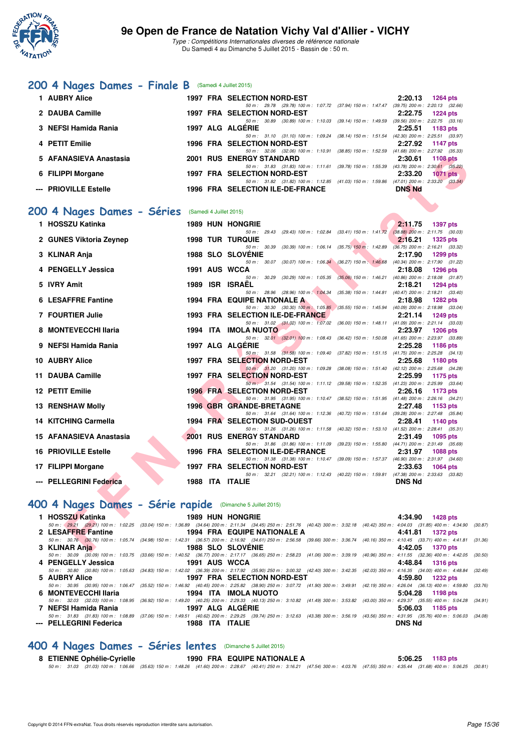

### **[200 4 Nages Dames - Finale B](http://www.ffnatation.fr/webffn/resultats.php?idact=nat&go=epr&idcpt=32627&idepr=41)** (Samedi 4 Juillet 2015)

| 1 AUBRY Alice          | <b>1997 FRA SELECTION NORD-EST</b>                                                                                             | 2:20.13<br>1264 pts                                               |
|------------------------|--------------------------------------------------------------------------------------------------------------------------------|-------------------------------------------------------------------|
| 2 DAUBA Camille        | 50 m : 29.78 (29.78) 100 m : 1:07.72 (37.94) 150 m : 1:47.47<br><b>1997 FRA SELECTION NORD-EST</b>                             | $(39.75)$ 200 m : 2:20.13 $(32.66)$<br>2:22.75<br><b>1224 pts</b> |
| 3 NEFSI Hamida Rania   | $(39.14)$ 150 m : 1:49.59<br>(30.89) 100 m : 1:10.03<br>50 m : 30.89<br>1997 ALG ALGERIE                                       | $(39.56)$ 200 m : 2:22.75 $(33.16)$<br>2:25.51<br>1183 $pts$      |
| 4 PETIT Emilie         | 50 m: 31.10 (31.10) 100 m: 1.09.24 (38.14) 150 m: 1.51.54 (42.30) 200 m: 2:25.51 (33.97)<br><b>1996 FRA SELECTION NORD-EST</b> | 2:27.92<br>$1147$ pts                                             |
|                        | $(38.85)$ 150 m : 1:52.59<br>50 m: 32.06 (32.06) 100 m: 1:10.91                                                                | $(41.68)$ 200 m : 2:27.92 $(35.33)$                               |
| 5 AFANASIEVA Anastasia | <b>2001 RUS ENERGY STANDARD</b><br>(39.78) 150 m : 1:55.39<br>50 m: 31.83 (31.83) 100 m: 1:11.61                               | 2:30.61<br><b>1108 pts</b><br>$(43.78)$ 200 m : 2:30.61 $(35.22)$ |
| 6 FILIPPI Morgane      | <b>1997 FRA SELECTION NORD-EST</b><br>$(41.03)$ 150 m : 1:59.86<br>50 m: 31.82 (31.82) 100 m: 1:12.85                          | 2:33.20<br>$1071$ pts<br>$(47.01)$ 200 m : 2:33.20<br>(33.34)     |
| --- PRIOVILLE Estelle  | <b>1996 FRA SELECTION ILE-DE-FRANCE</b>                                                                                        | <b>DNS Nd</b>                                                     |

#### **[200 4 Nages Dames - Séries](http://www.ffnatation.fr/webffn/resultats.php?idact=nat&go=epr&idcpt=32627&idepr=41)** (Samedi 4 Juillet 2015)

| 5 AFANASIEVA Anastasia                                    |      | <b>2001 RUS ENERGY STANDARD</b><br>2:30.61<br>1108 pts                                                                                                                                                                                    |
|-----------------------------------------------------------|------|-------------------------------------------------------------------------------------------------------------------------------------------------------------------------------------------------------------------------------------------|
|                                                           |      | 50 m: 31.83 (31.83) 100 m: 1:11.61 (39.78) 150 m: 1:55.39 (43.78) 200 m: 2:30.61 (35.22)                                                                                                                                                  |
| 6 FILIPPI Morgane                                         |      | 1997 FRA SELECTION NORD-EST<br>2:33.20<br><b>1071 pts</b>                                                                                                                                                                                 |
| --- PRIOVILLE Estelle                                     |      | 50 m: 31.82 (31.82) 100 m: 1:12.85 (41.03) 150 m: 1:59.86 (47.01) 200 m: 2:33.20 (33.34)<br>1996 FRA SELECTION ILE-DE-FRANCE<br><b>DNS Nd</b>                                                                                             |
|                                                           |      |                                                                                                                                                                                                                                           |
|                                                           |      |                                                                                                                                                                                                                                           |
| 00 4 Nages Dames - Séries                                 |      | (Samedi 4 Juillet 2015)                                                                                                                                                                                                                   |
| 1 HOSSZU Katinka                                          |      | <b>1989 HUN HONGRIE</b><br>2:11.75<br><b>1397 pts</b>                                                                                                                                                                                     |
|                                                           |      | 50 m: 29.43 (29.43) 100 m: 1:02.84 (33.41) 150 m: 1:41.72 (38.88) 200 m: 2:11.75 (30.03)                                                                                                                                                  |
| 2 GUNES Viktoria Zeynep                                   |      | <b>1998 TUR TURQUIE</b><br>2:16.21<br><b>1325 pts</b>                                                                                                                                                                                     |
|                                                           |      | 50 m: 30.39 (30.39) 100 m: 1:06.14 (35.75) 150 m: 1:42.89 (36.75) 200 m: 2:16.21 (33.32)                                                                                                                                                  |
| 3 KLINAR Anja                                             |      | <b>1988 SLO SLOVENIE</b><br>2:17.90<br>1299 pts<br>50 m: 30.07 (30.07) 100 m: 1:06.34 (36.27) 150 m: 1:46.68 (40.34) 200 m: 2:17.90 (31.22)                                                                                               |
| 4 PENGELLY Jessica                                        |      | 1991 AUS WCCA<br>2:18.08<br>1296 pts                                                                                                                                                                                                      |
|                                                           |      | 50 m : 30.29 (30.29) 100 m : 1:05.35 (35.06) 150 m : 1:46.21 (40.86) 200 m : 2:18.08 (31.87)                                                                                                                                              |
| 5 IVRY Amit                                               | 1989 | <b>ISR ISRAEL</b><br>2:18.21<br><b>1294 pts</b>                                                                                                                                                                                           |
|                                                           |      | 50 m: 28.96 (28.96) 100 m: 1:04.34 (35.38) 150 m: 1:44.81 (40.47) 200 m: 2:18.21 (33.40)                                                                                                                                                  |
| <b>6 LESAFFRE Fantine</b>                                 |      | 1994 FRA EQUIPE NATIONALE A<br>2:18.98<br><b>1282 pts</b>                                                                                                                                                                                 |
|                                                           |      | 50 m: 30.30 (30.30) 100 m: 1:05.85 (35.55) 150 m: 1:45.94 (40.09) 200 m: 2:18.98 (33.04)                                                                                                                                                  |
| 7 FOURTIER Julie                                          |      | 1993 FRA SELECTION ILE-DE-FRANCE<br>2:21.14<br><b>1249 pts</b><br>50 m: 31.02 (31.02) 100 m: 1:07.02 (36.00) 150 m: 1:48.11 (41.09) 200 m: 2:21.14 (33.03)                                                                                |
| 8 MONTEVECCHI Ilaria                                      |      | <b>1994 ITA IMOLA NUOTO</b><br>2:23.97<br><b>1206 pts</b>                                                                                                                                                                                 |
|                                                           |      | 50 m: 32.01 (32.01) 100 m: 1:08.43 (36.42) 150 m: 1:50.08 (41.65) 200 m: 2:23.97 (33.89)                                                                                                                                                  |
| 9 NEFSI Hamida Rania                                      |      | 1997 ALG ALGERIE<br>2:25.28<br>1186 pts                                                                                                                                                                                                   |
|                                                           |      | 50 m: 31.58 (31.58) 100 m: 1:09.40 (37.82) 150 m: 1:51.15 (41.75) 200 m: 2:25.28 (34.13)                                                                                                                                                  |
| 10 AUBRY Alice                                            |      | 1997 FRA SELECTION NORD-EST<br>2:25.68<br>1180 pts                                                                                                                                                                                        |
| 11 DAUBA Camille                                          |      | 50 m: 31.20 (31.20) 100 m: 1:09.28 (38.08) 150 m: 1:51.40 (42.12) 200 m: 2:25.68 (34.28)<br>1997 FRA SELECTION NORD-EST<br>2:25.99<br>1175 pts                                                                                            |
|                                                           |      | 50 m: 31.54 (31.54) 100 m: 1:11.12 (39.58) 150 m: 1:52.35 (41.23) 200 m: 2:25.99 (33.64)                                                                                                                                                  |
| 12 PETIT Emilie                                           |      | <b>1996 FRA SELECTION NORD-EST</b><br>2:26.16<br>1173 pts                                                                                                                                                                                 |
|                                                           |      | 50 m: 31.95 (31.95) 100 m: 1:10.47 (38.52) 150 m: 1:51.95 (41.48) 200 m: 2:26.16 (34.21)                                                                                                                                                  |
| 13 RENSHAW Molly                                          |      | <b>1996 GBR GRANDE-BRETAGNE</b><br>2:27.48<br>1153 pts                                                                                                                                                                                    |
|                                                           |      | 50 m: 31.64 (31.64) 100 m: 1:12.36 (40.72) 150 m: 1:51.64 (39.28) 200 m: 2:27.48 (35.84)                                                                                                                                                  |
| 14 KITCHING Carmella                                      |      | <b>1994 FRA SELECTION SUD-OUEST</b><br>2:28.41<br>1140 pts                                                                                                                                                                                |
| 15 AFANASIEVA Anastasia                                   |      | 50 m: 31.26 (31.26) 100 m: 1:11.58 (40.32) 150 m: 1:53.10 (41.52) 200 m: 2:28.41 (35.31)<br>2001 RUS ENERGY STANDARD<br>2:31.49<br>1095 pts                                                                                               |
|                                                           |      | 50 m: 31.86 (31.86) 100 m: 1:11.09 (39.23) 150 m: 1:55.80 (44.71) 200 m: 2:31.49 (35.69)                                                                                                                                                  |
| <b>16 PRIOVILLE Estelle</b>                               |      | 1996 FRA SELECTION ILE-DE-FRANCE<br>2:31.97<br><b>1088 pts</b>                                                                                                                                                                            |
|                                                           |      | 50 m: 31.38 (31.38) 100 m: 1:10.47 (39.09) 150 m: 1:57.37 (46.90) 200 m: 2:31.97 (34.60)                                                                                                                                                  |
| 17 FILIPPI Morgane                                        |      | <b>1997 FRA SELECTION NORD-EST</b><br>2:33.63<br><b>1064 pts</b>                                                                                                                                                                          |
|                                                           |      | 50 m: 32.21 (32.21) 100 m: 1:12.43 (40.22) 150 m: 1:59.81 (47.38) 200 m: 2:33.63 (33.82)                                                                                                                                                  |
| --- PELLEGRINI Federica                                   |      | 1988 ITA ITALIE<br><b>DNS Nd</b>                                                                                                                                                                                                          |
|                                                           |      |                                                                                                                                                                                                                                           |
| 00 4 Nages Dames - Série rapide (Dimanche 5 Juillet 2015) |      |                                                                                                                                                                                                                                           |
|                                                           |      |                                                                                                                                                                                                                                           |
| 1 HOSSZU Katinka                                          |      | <b>1989 HUN HONGRIE</b><br>4:34.90<br><b>1428 pts</b><br>50 m: 29.21 (29.21) 100 m: 1:02.25 (33.04) 150 m: 1:36.89 (34.64) 200 m: 2:11.34 (34.45) 250 m: 2:51.76 (40.42) 300 m: 3:32.18 (40.42) 350 m: 4:04.03 (31.85) 400 m: 4:34.90 (31 |
| 2 LESAFFRE Fantine                                        |      | 1994 FRA EQUIPE NATIONALE A<br>4:41.81<br><b>1372 pts</b>                                                                                                                                                                                 |
|                                                           |      | 50 m: 30.76 (30.76) 100 m: 1:05.74 (34.98) 150 m: 1:42.31 (36.57) 200 m: 2:16.92 (34.61) 250 m: 2:56.58 (39.66) 300 m: 3:36.74 (40.16) 350 m: 4:10.45 (33.71) 400 m: 4:41.81 (3                                                           |
| 3 KLINAR Anja                                             |      | <b>1988 SLO SLOVENIE</b><br>4:42.05<br><b>1370 pts</b>                                                                                                                                                                                    |

#### **[400 4 Nages Dames - Série rapide](http://www.ffnatation.fr/webffn/resultats.php?idact=nat&go=epr&idcpt=32627&idepr=42)** (Dimanche 5 Juillet 2015)

| 1 HOSSZU Katinka <b>walau kutoka 1 Maret 1958</b> | <b>1989 HUN HONGRIE</b>     | 4:34.90 1428 pts                                                                                                                                                                              |
|---------------------------------------------------|-----------------------------|-----------------------------------------------------------------------------------------------------------------------------------------------------------------------------------------------|
|                                                   |                             | 50 m : (29.21 (29.21) 100 m : 1:02.25 (33.04) 150 m : 1:36.89 (34.64) 200 m : 2:11.34 (34.45) 250 m : 2:51.76 (40.42) 300 m : 3:32.18 (40.42) 350 m : 4:04.03 (31.85) 400 m : 4:34.90 (30.87) |
| 2 LESAFFRE Fantine                                | 1994 FRA EQUIPE NATIONALE A | 4:41.81 1372 pts                                                                                                                                                                              |
|                                                   |                             | 50 m: 30.76 (30.76) 100 m: 1:05.74 (34.98) 150 m: 1:42.31 (36.57) 200 m: 2:16.92 (34.61) 250 m: 2:56.58 (39.66) 300 m: 3:36.74 (40.16) 350 m: 4:10.45 (33.71) 400 m: 4:41.81 (31.36)          |
| 3 KLINAR Anja                                     | <b>1988 SLO SLOVENIE</b>    | 4:42.05 1370 pts                                                                                                                                                                              |
|                                                   |                             | 50 m : 30.09 (30.09) 100 m : 1:03.75 (33.66) 150 m : 1:40.52 (36.77) 200 m : 2:17.17 (36.65) 250 m : 2:58.23 (41.06) 300 m : 3:39.19 (40.96) 350 m : 4:11.55 (32.36) 400 m : 4:42.05 (30.50)  |
| 4 PENGELLY Jessica                                | 1991 AUS WCCA               | 4:48.84 1316 pts                                                                                                                                                                              |
|                                                   |                             | 50 m: 30.80 (30.80) 100 m: 1:05.63 (34.83) 150 m: 1:42.02 (36.39) 200 m: 2:17.92 (35.90) 250 m: 3:00.32 (42.40) 300 m: 3:42.35 (42.03) 350 m: 4:16.35 (34.00) 400 m: 4:48.84 (32.49)          |
| 5 AUBRY Alice                                     | 1997 FRA SELECTION NORD-EST | 4:59.80 1232 pts                                                                                                                                                                              |
|                                                   |                             | 50 m: 30.95 (30.95) 100 m: 1:06.47 (35.52) 150 m: 1:46.92 (40.45) 200 m: 2:25.82 (38.90) 250 m: 3:07.72 (41.90) 300 m: 3:49.91 (42.19) 350 m: 4:26.04 (36.13) 400 m: 4:59.80 (33.76)          |
| 6 MONTEVECCHI Ilaria                              | 1994 ITA IMOLA NUOTO        | 5:04.28 1198 pts                                                                                                                                                                              |
|                                                   |                             | 50 m : 32.03 (32.03) 100 m : 1:08.95 (36.92) 150 m : 1:49.20 (40.25) 200 m : 2:29.33 (40.13) 250 m : 3:10.82 (41.49) 300 m : 3:53.82 (43.00) 350 m : 4:29.37 (35.55) 400 m : 5:04.28 (34.91)  |
| 7 NEFSI Hamida Rania                              | 1997 ALG ALGERIE            | $5:06.03$ 1185 pts                                                                                                                                                                            |
|                                                   |                             | 50 m: 31.83 (31.83) 100 m: 1:08.89 (37.06) 150 m: 1:49.51 (40.62) 200 m: 2:29.25 (39.74) 250 m: 3:12.63 (43.38) 300 m: 3:56.19 (43.56) 350 m: 4:31.95 (35.76) 400 m: 5:06.03 (34.08)          |
| --- PELLEGRINI Federica                           | 1988 ITA ITALIE             | <b>DNS Nd</b>                                                                                                                                                                                 |

#### **[400 4 Nages Dames - Séries lentes](http://www.ffnatation.fr/webffn/resultats.php?idact=nat&go=epr&idcpt=32627&idepr=42)** (Dimanche 5 Juillet 2015)

8 ETIENNE Ophélie-Cyrielle 1990 FRA EQUIPE NATIONALE A 5:06.25 1183 pts<br>50 m : 31.03 (31.03) 100 m : 1:06.66 (35.63) 150 m : 1:48.26 (41.60) 200 m : 2:28.67 (40.41) 250 m : 3:16.21 (47.54) 300 m : 4:03.76 (47.55) 350 m : 4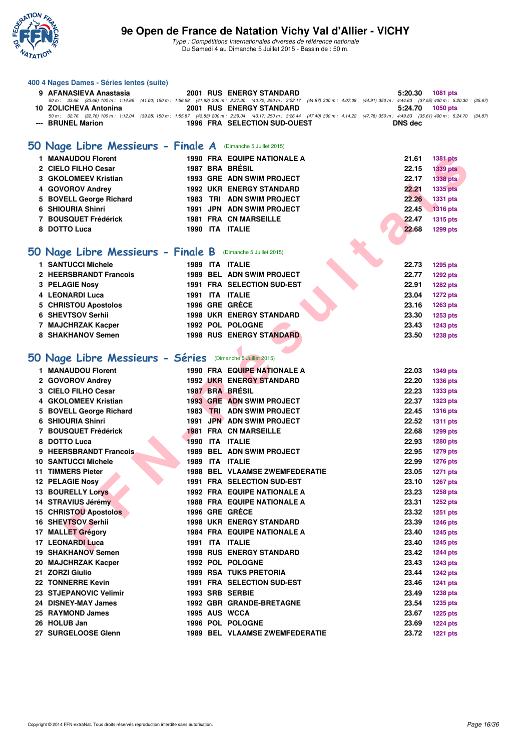

|   | 400 4 Nages Dames - Séries lentes (suite)                    |  |                                                                                                                                                                                                                                |                |                 |
|---|--------------------------------------------------------------|--|--------------------------------------------------------------------------------------------------------------------------------------------------------------------------------------------------------------------------------|----------------|-----------------|
|   | 9 AFANASIEVA Anastasia                                       |  | <b>2001 RUS ENERGY STANDARD</b>                                                                                                                                                                                                | 5:20.30        | <b>1081 pts</b> |
|   |                                                              |  | 50 m: 33.66 (33.66) 100 m: 1:14.66 (41.00) 150 m: 1:56.58 (41.92) 200 m: 2:37.30 (40.72) 250 m: 3:22.17 (44.87) 300 m: 4:07.08 (44.91) 350 m: 4:44.63 (37.55) 400 m: 5:20.30                                                   |                | (35.67)         |
|   | 10 ZOLICHEVA Antonina                                        |  | <b>2001 RUS ENERGY STANDARD</b><br>50 m : 32.76 (32.76) 100 m : 1:12.04 (39.28) 150 m : 1:55.87 (43.83) 200 m : 2:39.04 (43.17) 250 m : 3:26.44 (47.40) 300 m : 4:14.22 (47.78) 350 m : 4:49.83 (35.61) 400 m : 5:24.70 (34.87 | 5:24.70        | <b>1050 pts</b> |
|   | --- BRUNEL Marion                                            |  | <b>1996 FRA SELECTION SUD-OUEST</b>                                                                                                                                                                                            | <b>DNS</b> dec |                 |
|   |                                                              |  |                                                                                                                                                                                                                                |                |                 |
|   | 50 Nage Libre Messieurs - Finale A (Dimanche 5 Juillet 2015) |  |                                                                                                                                                                                                                                |                |                 |
|   | 1 MANAUDOU Florent                                           |  | <b>1990 FRA EQUIPE NATIONALE A</b>                                                                                                                                                                                             | 21.61          | <b>1381 pts</b> |
|   | 2 CIELO FILHO Cesar                                          |  | 1987 BRA BRÉSIL                                                                                                                                                                                                                | 22.15          | <b>1339 pts</b> |
|   | 3 GKOLOMEEV Kristian                                         |  | 1993 GRE ADN SWIM PROJECT                                                                                                                                                                                                      | 22.17          | 1338 pts        |
|   | 4 GOVOROV Andrey                                             |  | <b>1992 UKR ENERGY STANDARD</b>                                                                                                                                                                                                | 22.21          | <b>1335 pts</b> |
|   | 5 BOVELL George Richard                                      |  | 1983 TRI ADN SWIM PROJECT                                                                                                                                                                                                      | 22.26          | <b>1331 pts</b> |
|   | 6 SHIOURIA Shinri                                            |  | 1991 JPN ADN SWIM PROJECT                                                                                                                                                                                                      | 22.45          | <b>1316 pts</b> |
|   | 7 BOUSQUET Frédérick                                         |  | <b>1981 FRA CN MARSEILLE</b>                                                                                                                                                                                                   | 22.47          | <b>1315 pts</b> |
|   | 8 DOTTO Luca                                                 |  | 1990 ITA ITALIE                                                                                                                                                                                                                | 22.68          | <b>1299 pts</b> |
|   |                                                              |  |                                                                                                                                                                                                                                |                |                 |
|   | 50 Nage Libre Messieurs - Finale B (Dimanche 5 Juillet 2015) |  |                                                                                                                                                                                                                                |                |                 |
|   |                                                              |  |                                                                                                                                                                                                                                |                |                 |
|   | <b>1 SANTUCCI Michele</b>                                    |  | 1989 ITA ITALIE                                                                                                                                                                                                                | 22.73          | <b>1295 pts</b> |
|   | 2 HEERSBRANDT Francois                                       |  | 1989 BEL ADN SWIM PROJECT                                                                                                                                                                                                      | 22.77          | <b>1292 pts</b> |
|   | <b>3 PELAGIE Nosy</b>                                        |  | 1991 FRA SELECTION SUD-EST                                                                                                                                                                                                     | 22.91          | <b>1282 pts</b> |
|   | 4 LEONARDI Luca                                              |  | 1991 ITA ITALIE                                                                                                                                                                                                                | 23.04          | <b>1272 pts</b> |
|   | 5 CHRISTOU Apostolos                                         |  | 1996 GRE GRECE                                                                                                                                                                                                                 | 23.16          | <b>1263 pts</b> |
|   | 6 SHEVTSOV Serhii                                            |  | <b>1998 UKR ENERGY STANDARD</b>                                                                                                                                                                                                | 23.30          | 1253 pts        |
|   | 7 MAJCHRZAK Kacper                                           |  | 1992 POL POLOGNE                                                                                                                                                                                                               | 23.43          | <b>1243 pts</b> |
|   | 8 SHAKHANOV Semen                                            |  | <b>1998 RUS ENERGY STANDARD</b>                                                                                                                                                                                                | 23.50          | <b>1238 pts</b> |
|   |                                                              |  |                                                                                                                                                                                                                                |                |                 |
|   | 50 Nage Libre Messieurs - Séries (Dimanche 5 Juillet 2015)   |  |                                                                                                                                                                                                                                |                |                 |
|   | 1 MANAUDOU Florent                                           |  | <b>1990 FRA EQUIPE NATIONALE A</b>                                                                                                                                                                                             | 22.03          | <b>1349 pts</b> |
|   | 2 GOVOROV Andrey                                             |  | <b>1992 UKR ENERGY STANDARD</b>                                                                                                                                                                                                | 22.20          | <b>1336 pts</b> |
|   | 3 CIELO FILHO Cesar                                          |  | 1987 BRA BRESIL                                                                                                                                                                                                                | 22.23          | <b>1333 pts</b> |
|   | 4 GKOLOMEEV Kristian                                         |  | <b>1993 GRE ADN SWIM PROJECT</b>                                                                                                                                                                                               | 22.37          | <b>1323 pts</b> |
|   | 5 BOVELL George Richard                                      |  | 1983 TRI ADN SWIM PROJECT                                                                                                                                                                                                      | 22.45          | <b>1316 pts</b> |
| 6 | <b>SHIOURIA Shinri</b>                                       |  | 1991 JPN ADN SWIM PROJECT                                                                                                                                                                                                      | 22.52          | <b>1311 pts</b> |
|   | 7 BOUSQUET Frédérick                                         |  | <b>1981 FRA CN MARSEILLE</b>                                                                                                                                                                                                   | 22.68          | 1299 pts        |
| 8 | <b>DOTTO Luca</b>                                            |  | 1990 ITA ITALIE                                                                                                                                                                                                                | 22.93          | <b>1280 pts</b> |
| 9 | <b>HEERSBRANDT Francois</b>                                  |  | 1989 BEL ADN SWIM PROJECT                                                                                                                                                                                                      | 22.95          | <b>1279 pts</b> |
|   | <b>10 SANTUCCI Michele</b>                                   |  | 1989 ITA ITALIE                                                                                                                                                                                                                | 22.99          | <b>1276 pts</b> |
|   | <b>11 TIMMERS Pieter</b>                                     |  | <b>1988 BEL VLAAMSE ZWEMFEDERATIE</b>                                                                                                                                                                                          | 23.05          | <b>1271 pts</b> |
|   | 12 PELAGIE Nosy                                              |  | 1991 FRA SELECTION SUD-EST                                                                                                                                                                                                     | 23.10          | <b>1267 pts</b> |
|   | <b>13 BOURELLY Lorys</b>                                     |  | <b>1992 FRA EQUIPE NATIONALE A</b>                                                                                                                                                                                             | 23.23          | <b>1258 pts</b> |
|   | 14 STRAVIUS Jérémy                                           |  | <b>1988 FRA EQUIPE NATIONALE A</b>                                                                                                                                                                                             | 23.31          | <b>1252 pts</b> |
|   | <b>15 CHRISTOU Apostolos</b>                                 |  | 1996 GRE GRECE                                                                                                                                                                                                                 | 23.32          | <b>1251 pts</b> |
|   | 16 SHEVTSOV Serhii                                           |  | <b>1998 UKR ENERGY STANDARD</b>                                                                                                                                                                                                | 23.39          | <b>1246 pts</b> |
|   | 17 MALLET Grégory                                            |  | <b>1984 FRA EQUIPE NATIONALE A</b>                                                                                                                                                                                             | 23.40          | <b>1245 pts</b> |
|   | 17 LEONARDI Luca                                             |  | 1991 ITA ITALIE                                                                                                                                                                                                                | 23.40          | <b>1245 pts</b> |
|   | <b>19 SHAKHANOV Semen</b>                                    |  | <b>1998 RUS ENERGY STANDARD</b>                                                                                                                                                                                                | 23.42          | <b>1244 pts</b> |
|   | 20 MAJCHRZAK Kacper                                          |  | 1992 POL POLOGNE                                                                                                                                                                                                               | 23.43          | <b>1243 pts</b> |
|   | 21 ZORZI Giulio                                              |  | <b>1989 RSA TUKS PRETORIA</b>                                                                                                                                                                                                  | 23.44          | <b>1242 pts</b> |
|   | 22 TONNERRE Kevin                                            |  | 1991 FRA SELECTION SUD-EST                                                                                                                                                                                                     | 23.46          | <b>1241 pts</b> |
|   | 23 STJEPANOVIC Velimir                                       |  | 1993 SRB SERBIE                                                                                                                                                                                                                | 23.49          | <b>1238 pts</b> |
|   | 24 DISNEY-MAY James                                          |  | 1992 GBR GRANDE-BRETAGNE                                                                                                                                                                                                       | 23.54          | <b>1235 pts</b> |
|   | 25 RAYMOND James                                             |  | 1995 AUS WCCA                                                                                                                                                                                                                  | 23.67          | <b>1225 pts</b> |
|   | 26 HOLUB Jan                                                 |  | 1996 POL POLOGNE                                                                                                                                                                                                               | 23.69          | <b>1224 pts</b> |
|   | 27 SURGELOOSE Glenn                                          |  | <b>1989 BEL VLAAMSE ZWEMFEDERATIE</b>                                                                                                                                                                                          | 23.72          | <b>1221 pts</b> |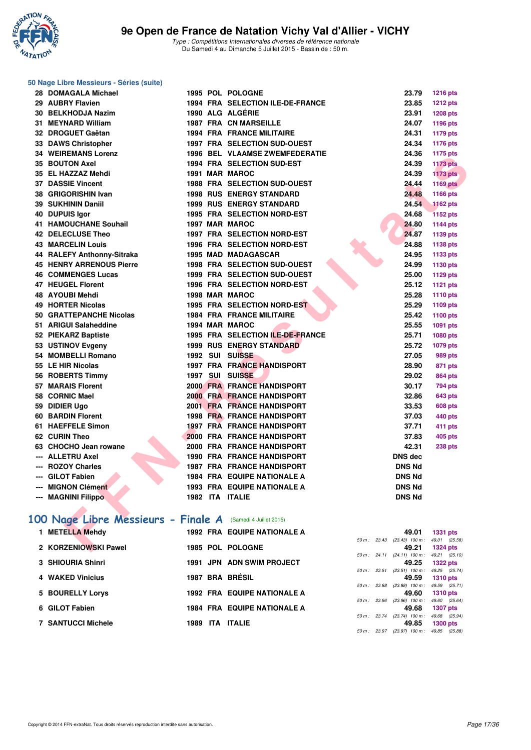

#### **50 Nage Libre Messieurs - Séries (suite)**

| 28 DOMAGALA Michael                                        |  | 1995 POL POLOGNE                    | 23.79                            | <b>1216 pts</b> |
|------------------------------------------------------------|--|-------------------------------------|----------------------------------|-----------------|
| 29 AUBRY Flavien                                           |  | 1994 FRA SELECTION ILE-DE-FRANCE    | 23.85                            | <b>1212 pts</b> |
| 30 BELKHODJA Nazim                                         |  | 1990 ALG ALGÉRIE                    | 23.91                            | <b>1208 pts</b> |
| 31 MEYNARD William                                         |  | <b>1987 FRA CN MARSEILLE</b>        | 24.07                            | 1196 pts        |
| 32 DROGUET Gaëtan                                          |  | <b>1994 FRA FRANCE MILITAIRE</b>    | 24.31                            | 1179 pts        |
| 33 DAWS Christopher                                        |  | <b>1997 FRA SELECTION SUD-OUEST</b> | 24.34                            | 1176 pts        |
| <b>34 WEIREMANS Lorenz</b>                                 |  | 1996 BEL VLAAMSE ZWEMFEDERATIE      | 24.36                            | <b>1175 pts</b> |
| <b>35 BOUTON Axel</b>                                      |  | 1994 FRA SELECTION SUD-EST          | 24.39                            | <b>1173 pts</b> |
| 35 EL HAZZAZ Mehdi                                         |  | 1991 MAR MAROC                      | 24.39                            | <b>1173 pts</b> |
| <b>37 DASSIE Vincent</b>                                   |  | 1988 FRA SELECTION SUD-OUEST        | 24.44                            | <b>1169 pts</b> |
| 38 GRIGORISHIN Ivan                                        |  | <b>1998 RUS ENERGY STANDARD</b>     | 24.48                            | 1166 pts        |
| 39 SUKHININ Daniil                                         |  | <b>1999 RUS ENERGY STANDARD</b>     | 24.54                            | <b>1162 pts</b> |
| 40 DUPUIS Igor                                             |  | 1995 FRA SELECTION NORD-EST         | 24.68                            | <b>1152 pts</b> |
| <b>41 HAMOUCHANE Souhail</b>                               |  | 1997 MAR MAROC                      | 24.80                            | 1144 pts        |
| <b>42 DELECLUSE Theo</b>                                   |  | <b>1997 FRA SELECTION NORD-EST</b>  | 24.87                            | 1139 pts        |
| <b>43 MARCELIN Louis</b>                                   |  | <b>1996 FRA SELECTION NORD-EST</b>  | 24.88                            | 1138 pts        |
| 44 RALEFY Anthonny-Sitraka                                 |  | 1995 MAD MADAGASCAR                 | 24.95                            | 1133 pts        |
| <b>45 HENRY ARRENOUS Pierre</b>                            |  | <b>1998 FRA SELECTION SUD-OUEST</b> | 24.99                            | 1130 pts        |
| <b>46 COMMENGES Lucas</b>                                  |  | 1999 FRA SELECTION SUD-OUEST        | 25.00                            | 1129 pts        |
| <b>47 HEUGEL Florent</b>                                   |  | 1996 FRA SELECTION NORD-EST         | 25.12                            | 1121 pts        |
| 48 AYOUBI Mehdi                                            |  | 1998 MAR MAROC                      | 25.28                            | 1110 pts        |
| <b>49 HORTER Nicolas</b>                                   |  | 1995 FRA SELECTION NORD-EST         | 25.29                            | 1109 pts        |
| 50 GRATTEPANCHE Nicolas                                    |  | <b>1984 FRA FRANCE MILITAIRE</b>    | 25.42                            | 1100 pts        |
| 51 ARIGUI Salaheddine                                      |  | 1994 MAR MAROC                      | 25.55                            | 1091 pts        |
| 52 PIEKARZ Baptiste                                        |  | 1995 FRA SELECTION ILE-DE-FRANCE    | 25.71                            | 1080 pts        |
| 53 USTINOV Evgeny                                          |  | <b>1999 RUS ENERGY STANDARD</b>     | 25.72                            | 1079 pts        |
| 54 MOMBELLI Romano                                         |  | 1992 SUI SUISSE                     | 27.05                            | <b>989 pts</b>  |
| 55 LE HIR Nicolas                                          |  | <b>1997 FRA FRANCE HANDISPORT</b>   | 28.90                            | 871 pts         |
| 56 ROBERTS Timmy                                           |  | 1997 SUI SUISSE                     | 29.02                            | <b>864 pts</b>  |
| 57 MARAIS Florent                                          |  | <b>2000 FRA FRANCE HANDISPORT</b>   | 30.17                            | <b>794 pts</b>  |
| 58 CORNIC Mael                                             |  | 2000 FRA FRANCE HANDISPORT          | 32.86                            | <b>643 pts</b>  |
| 59 DIDIER Ugo                                              |  | 2001 FRA FRANCE HANDISPORT          | 33.53                            | <b>608 pts</b>  |
| <b>60 BARDIN Florent</b>                                   |  | <b>1998 FRA FRANCE HANDISPORT</b>   | 37.03                            | 440 pts         |
| 61 HAEFFELE Simon                                          |  | 1997 FRA FRANCE HANDISPORT          | 37.71                            | 411 pts         |
| 62 CURIN Theo                                              |  | 2000 FRA FRANCE HANDISPORT          | 37.83                            | 405 pts         |
| 63 CHOCHO Jean rowane                                      |  | 2000 FRA FRANCE HANDISPORT          | 42.31                            | 238 pts         |
| --- ALLETRU Axel                                           |  | <b>1990 FRA FRANCE HANDISPORT</b>   | <b>DNS dec</b>                   |                 |
| <b>ROZOY Charles</b>                                       |  | <b>1987 FRA FRANCE HANDISPORT</b>   | <b>DNS Nd</b>                    |                 |
| --- GILOT Fabien                                           |  | <b>1984 FRA EQUIPE NATIONALE A</b>  | <b>DNS Nd</b>                    |                 |
| --- MIGNON Clément                                         |  | <b>1993 FRA EQUIPE NATIONALE A</b>  | <b>DNS Nd</b>                    |                 |
| --- MAGNINI Filippo                                        |  | 1982 ITA ITALIE                     | <b>DNS Nd</b>                    |                 |
|                                                            |  |                                     |                                  |                 |
| 00 Nage Libre Messieurs - Finale A (Samedi 4 Juillet 2015) |  |                                     |                                  |                 |
| 1 METELLA Mehdy                                            |  | <b>1992 FRA EQUIPE NATIONALE A</b>  | 49.01                            | <b>1331 pts</b> |
|                                                            |  |                                     | 50 m: 23.43 (23.43) 100 m: 49.01 | (25.58)         |
| 2 KORZENIOWSKI Pawel                                       |  | 1985 POL POLOGNE                    | 49.21                            | <b>1324 pts</b> |

# **[100 Nage Libre Messieurs - Finale A](http://www.ffnatation.fr/webffn/resultats.php?idact=nat&go=epr&idcpt=32627&idepr=52)** (Samedi 4 Juillet 2015)

| 1 METELLA Mehdy           |      |            | <b>1992 FRA EQUIPE NATIONALE A</b> |                        | 49.01                                          | 1331 pts                      |  |
|---------------------------|------|------------|------------------------------------|------------------------|------------------------------------------------|-------------------------------|--|
| 2 KORZENIOWSKI Pawel      |      |            | 1985 POL POLOGNE                   |                        | 50 m: 23.43 (23.43) 100 m: 49.01 (25.<br>49.21 | 1324 pts                      |  |
|                           |      |            |                                    |                        | 50 m: 24.11 (24.11) 100 m: 49.21 (25.          |                               |  |
| 3 SHIOURIA Shinri         |      |            | 1991 JPN ADN SWIM PROJECT          |                        | 49.25                                          | <b>1322 pts</b>               |  |
| <b>4 WAKED Vinicius</b>   |      |            | 1987 BRA BRÉSIL                    | $50 m$ : 23.51         | $(23.51)$ 100 m :<br>49.59                     | 49.25 (25.<br><b>1310 pts</b> |  |
| 5 BOURELLY Lorys          |      |            | <b>1992 FRA EQUIPE NATIONALE A</b> | 50 m : 23.88           | (23.88) 100 m : 49.59 (25.<br>49.60            | <b>1310 pts</b>               |  |
| 6 GILOT Fabien            |      |            | <b>1984 FRA EQUIPE NATIONALE A</b> | $50 \text{ m}$ : 23.96 | $(23.96)$ 100 m :<br>49.68                     | 49.60 (25.<br>1307 pts        |  |
| <b>7 SANTUCCI Michele</b> | 1989 | <b>ITA</b> | <b>ITALIE</b>                      | 50 m : 23.74           | $(23.74)$ 100 m :<br>49.85                     | 49.68 (25.<br>1300 pts        |  |
|                           |      |            |                                    |                        |                                                |                               |  |

|                |                | 49.01             | 1331 pts        |
|----------------|----------------|-------------------|-----------------|
| $50 m$ : 23.43 |                | $(23.43)$ 100 m : | 49.01 (25.58)   |
|                |                | 49.21             | 1324 pts        |
|                | 50 m : 24.11   | $(24.11)$ 100 m : | 49.21 (25.10)   |
|                |                | 49.25             | 1322 pts        |
|                | $50 m$ : 23.51 | $(23.51)$ 100 m : | 49.25 (25.74)   |
|                |                |                   | 49.59 1310 pts  |
| 50 m: 23.88    |                | $(23.88)$ 100 m : | 49.59 (25.71)   |
|                |                | 49.60             | <b>1310 pts</b> |
| 50 m: 23.96    |                | $(23.96)$ 100 m : | 49.60 (25.64)   |
|                |                | 49.68             | 1307 pts        |
|                | 50 m : 23.74   | $(23.74)$ 100 m : | 49.68 (25.94)   |
|                |                |                   | 49.85 1300 pts  |
|                | 50 m : 23.97   | $(23.97)$ 100 m : | 49.85 (25.88)   |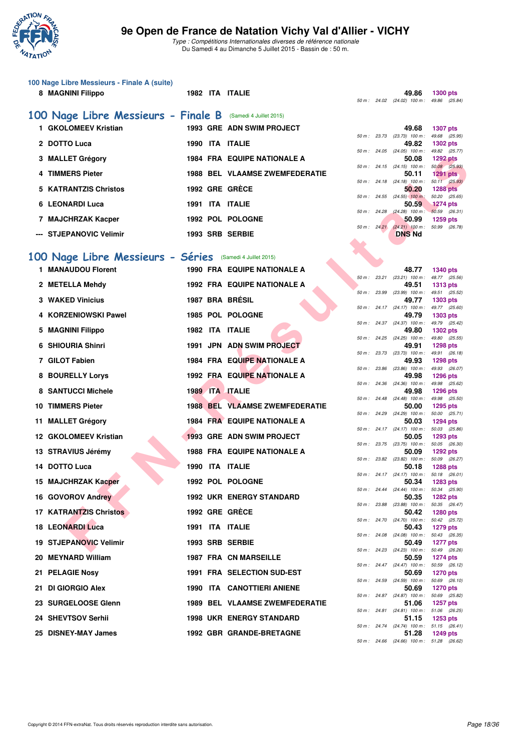

|   | 100 Nage Libre Messieurs - Finale A (suite)<br>8 MAGNINI Filippo |  | 1982 ITA ITALIE                       |             |             | 49.86<br>50 m: 24.02 (24.02) 100 m: 49.86 (25.84)   | <b>1300 pts</b>                  |
|---|------------------------------------------------------------------|--|---------------------------------------|-------------|-------------|-----------------------------------------------------|----------------------------------|
|   | 100 Nage Libre Messieurs - Finale B (Samedi 4 Juillet 2015)      |  |                                       |             |             |                                                     |                                  |
|   | 1 GKOLOMEEV Kristian                                             |  | 1993 GRE ADN SWIM PROJECT             |             |             | 49.68                                               | <b>1307 pts</b>                  |
|   | 2 DOTTO Luca                                                     |  | 1990 ITA ITALIE                       | 50 m: 23.73 |             | (23.73) 100 m: 49.68 (25.95)<br>49.82               | 1302 pts                         |
|   | 3 MALLET Grégory                                                 |  | <b>1984 FRA EQUIPE NATIONALE A</b>    |             |             | 50 m: 24.05 (24.05) 100 m: 49.82 (25.77)<br>50.08   | <b>1292 pts</b>                  |
|   | 4 TIMMERS Pieter                                                 |  | <b>1988 BEL VLAAMSE ZWEMFEDERATIE</b> |             |             | 50 m: 24.15 (24.15) 100 m: 50.08 (25.93)<br>50.11   | <b>1291 pts</b>                  |
| 5 | <b>KATRANTZIS Christos</b>                                       |  | 1992 GRE GRECE                        |             |             | 50 m: 24.18 (24.18) 100 m: 50.11 (25.93)<br>50.20   | <b>1288 pts</b>                  |
|   | 6 LEONARDI Luca                                                  |  | 1991 ITA ITALIE                       |             |             | 50 m : $24.55$ $(24.55)$ 100 m :<br>50.59           | 50.20 (25.65)<br><b>1274 pts</b> |
|   |                                                                  |  | 1992 POL POLOGNE                      |             |             | 50 m : 24.28 (24.28) 100 m : 50.59 (26.31)          |                                  |
|   | 7 MAJCHRZAK Kacper                                               |  |                                       |             | 50 m: 24.21 | 50.99<br>$(24.21)$ 100 m :                          | 1259 pts<br>50.99 (26.78)        |
|   | --- STJEPANOVIC Velimir                                          |  | 1993 SRB SERBIE                       |             |             | <b>DNS Nd</b>                                       |                                  |
|   | 100 Nage Libre Messieurs - Séries (Samedi 4 Juillet 2015)        |  |                                       |             |             |                                                     |                                  |
|   | 1 MANAUDOU Florent                                               |  | <b>1990 FRA EQUIPE NATIONALE A</b>    |             |             | 48.77                                               | <b>1340 pts</b>                  |
|   | 2 METELLA Mehdy                                                  |  | <b>1992 FRA EQUIPE NATIONALE A</b>    |             |             | 50 m: 23.21 (23.21) 100 m: 48.77 (25.56)<br>49.51   | <b>1313 pts</b>                  |
|   | <b>3 WAKED Vinicius</b>                                          |  | 1987 BRA BRÉSIL                       |             |             | 50 m: 23.99 (23.99) 100 m: 49.51 (25.52)<br>49.77   | 1303 pts                         |
| 4 | <b>KORZENIOWSKI Pawel</b>                                        |  | 1985 POL POLOGNE                      |             |             | 50 m: 24.17 (24.17) 100 m: 49.77 (25.60)<br>49.79   | 1303 pts                         |
|   | 5 MAGNINI Filippo                                                |  | 1982 ITA ITALIE                       |             |             | 50 m: 24.37 (24.37) 100 m: 49.79 (25.42)<br>49.80   | 1302 pts                         |
| 6 | <b>SHIOURIA Shinri</b>                                           |  | 1991 JPN ADN SWIM PROJECT             |             |             | 50 m: 24.25 (24.25) 100 m: 49.80 (25.55)<br>49.91   | <b>1298 pts</b>                  |
|   | 7 GILOT Fabien                                                   |  | 1984 FRA EQUIPE NATIONALE A           |             |             | 50 m: 23.73 (23.73) 100 m: 49.91 (26.18)<br>49.93   | <b>1298 pts</b>                  |
| 8 | <b>BOURELLY Lorys</b>                                            |  | <b>1992 FRA EQUIPE NATIONALE A</b>    | 50 m: 23.86 |             | $(23.86)$ 100 m : 49.93 $(26.07)$<br>49.98          | 1296 pts                         |
|   | <b>8 SANTUCCI Michele</b>                                        |  | 1989 ITA ITALIE                       |             |             | 50 m: 24.36 (24.36) 100 m: 49.98 (25.62)<br>49.98   | 1296 pts                         |
|   | <b>10 TIMMERS Pieter</b>                                         |  | <b>1988 BEL VLAAMSE ZWEMFEDERATIE</b> |             |             | 50 m: 24.48 (24.48) 100 m:<br>50.00                 | 49.98 (25.50)<br>1295 pts        |
|   | 11 MALLET Grégory                                                |  | <b>1984 FRA EQUIPE NATIONALE A</b>    |             |             | 50 m: 24.29 (24.29) 100 m: 50.00 (25.71)<br>50.03   |                                  |
|   |                                                                  |  | 1993 GRE ADN SWIM PROJECT             |             |             | 50 m: 24.17 (24.17) 100 m: 50.03 (25.86)            | <b>1294 pts</b>                  |
|   | 12 GKOLOMEEV Kristian                                            |  |                                       |             |             | 50.05<br>50 m: 23.75 (23.75) 100 m: 50.05 (26.30)   | 1293 pts                         |
|   | 13 STRAVIUS Jérémy                                               |  | <b>1988 FRA EQUIPE NATIONALE A</b>    |             |             | 50.09<br>50 m: 23.82 (23.82) 100 m: 50.09 (26.27)   | <b>1292 pts</b>                  |
|   | 14 DOTTO Luca                                                    |  | 1990 ITA ITALIE                       |             |             | 50.18<br>50 m: 24.17 (24.17) 100 m: 50.18 (26.01)   | <b>1288 pts</b>                  |
|   | 15 MAJCHRZAK Kacper                                              |  | 1992 POL POLOGNE                      |             |             | 50.34<br>50 m: 24.44 (24.44) 100 m: 50.34 (25.90)   | <b>1283 pts</b>                  |
|   | 16 GOVOROV Andrey                                                |  | <b>1992 UKR ENERGY STANDARD</b>       |             |             | 50.35<br>50 m: 23.88 (23.88) 100 m: 50.35 (26.47)   | <b>1282 pts</b>                  |
|   | <b>17 KATRANTZIS Christos</b>                                    |  | 1992 GRE GRECE                        |             |             | 50.42<br>50 m: 24.70 (24.70) 100 m: 50.42 (25.72)   | <b>1280 pts</b>                  |
|   | <b>18 LEONARDI Luca</b>                                          |  | 1991 ITA ITALIE                       |             |             | 50.43<br>50 m: 24.08 (24.08) 100 m: 50.43 (26.35)   | <b>1279 pts</b>                  |
|   | <b>19 STJEPANOVIC Velimir</b>                                    |  | 1993 SRB SERBIE                       |             |             | 50.49<br>50 m: 24.23 (24.23) 100 m: 50.49 (26.26)   | <b>1277 pts</b>                  |
|   | 20 MEYNARD William                                               |  | 1987 FRA CN MARSEILLE                 |             |             | 50.59                                               | <b>1274 pts</b>                  |
|   | 21 PELAGIE Nosy                                                  |  | 1991 FRA SELECTION SUD-EST            |             |             | 50 m: 24.47 (24.47) 100 m: 50.59 (26.12)<br>50.69   | <b>1270 pts</b>                  |
|   | 21 DI GIORGIO Alex                                               |  | 1990 ITA CANOTTIERI ANIENE            |             |             | 50 m : 24.59 (24.59) 100 m : 50.69 (26.10)<br>50.69 | <b>1270 pts</b>                  |
|   | 23 SURGELOOSE Glenn                                              |  | <b>1989 BEL VLAAMSE ZWEMFEDERATIE</b> |             |             | 50 m: 24.87 (24.87) 100 m: 50.69 (25.82)<br>51.06   | <b>1257 pts</b>                  |
|   | 24 SHEVTSOV Serhii                                               |  | <b>1998 UKR ENERGY STANDARD</b>       |             |             | 50 m: 24.81 (24.81) 100 m: 51.06 (26.25)<br>51.15   | 1253 pts                         |
|   | 25 DISNEY-MAY James                                              |  | 1992 GBR GRANDE-BRETAGNE              |             |             | 50 m: 24.74 (24.74) 100 m: 51.15 (26.41)<br>51.28   | 1249 pts                         |
|   |                                                                  |  |                                       |             |             | 50 m: 24.66 (24.66) 100 m: 51.28 (26.62)            |                                  |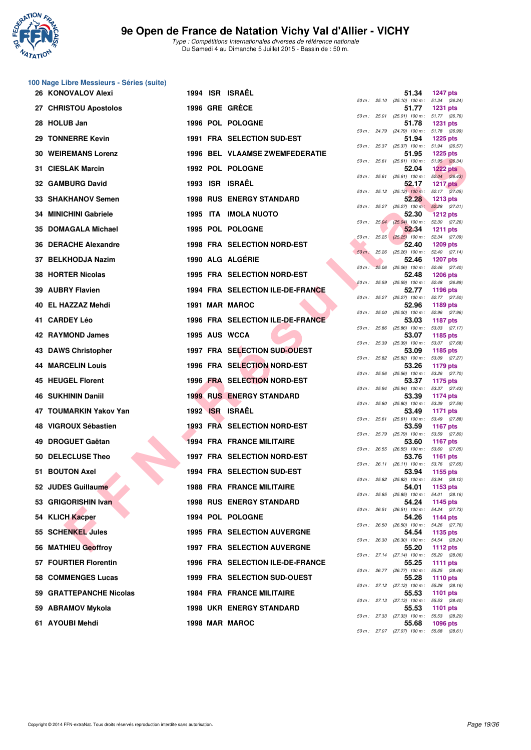

|    | 100 Nage Libre Messieurs - Séries (suite) |  |                                       |              |              |                                                     |                                  |
|----|-------------------------------------------|--|---------------------------------------|--------------|--------------|-----------------------------------------------------|----------------------------------|
|    | 26 KONOVALOV Alexi                        |  | 1994 ISR ISRAËL                       |              |              | 51.34<br>50 m: 25.10 (25.10) 100 m: 51.34 (26.24)   | <b>1247 pts</b>                  |
|    | 27 CHRISTOU Apostolos                     |  | 1996 GRE GRECE                        |              |              | 51.77<br>50 m: 25.01 (25.01) 100 m: 51.77 (26.76)   | <b>1231 pts</b>                  |
|    | 28 HOLUB Jan                              |  | 1996 POL POLOGNE                      |              |              | 51.78<br>50 m: 24.79 (24.79) 100 m: 51.78 (26.99)   | <b>1231 pts</b>                  |
|    | 29 TONNERRE Kevin                         |  | 1991 FRA SELECTION SUD-EST            |              |              | 51.94                                               | <b>1225 pts</b>                  |
|    | <b>30 WEIREMANS Lorenz</b>                |  | <b>1996 BEL VLAAMSE ZWEMFEDERATIE</b> |              |              | 50 m: 25.37 (25.37) 100 m: 51.94 (26.57)<br>51.95   | <b>1225 pts</b>                  |
|    | 31 CIESLAK Marcin                         |  | 1992 POL POLOGNE                      |              |              | 50 m: 25.61 (25.61) 100 m: 51.95 (26.34)<br>52.04   | $1222$ pts                       |
|    | <b>32 GAMBURG David</b>                   |  | 1993 ISR ISRAËL                       |              | 50 m: 25.61  | $(25.61)$ 100 m : 52.04 $(26.43)$<br>52.17          | <b>1217 pts</b>                  |
|    | 33 SHAKHANOV Semen                        |  | <b>1998 RUS ENERGY STANDARD</b>       |              |              | 50 m: 25.12 (25.12) 100 m: 52.17 (27.05)<br>52.28   | <b>1213 pts</b>                  |
|    | 34 MINICHINI Gabriele                     |  | 1995 ITA IMOLA NUOTO                  |              |              | 50 m: 25.27 (25.27) 100 m: 52.28 (27.01)<br>52.30   | <b>1212 pts</b>                  |
|    | 35 DOMAGALA Michael                       |  | 1995 POL POLOGNE                      |              |              | 50 m : 25.04 (25.04) 100 m : 52.30 (27.26)<br>52.34 | <b>1211 pts</b>                  |
|    | 36 DERACHE Alexandre                      |  | <b>1998 FRA SELECTION NORD-EST</b>    |              |              | 50 m: 25.25 (25.25) 100 m: 52.34 (27.09)<br>52.40   | 1209 pts                         |
| 37 | <b>BELKHODJA Nazim</b>                    |  | 1990 ALG ALGÉRIE                      |              |              | 50 m : 25.26 (25.26) 100 m : 52.40 (27.14)<br>52.46 | <b>1207 pts</b>                  |
|    | 38 HORTER Nicolas                         |  | 1995 FRA SELECTION NORD-EST           | $50 m$ :     |              | 25.06 (25.06) 100 m : 52.46 (27.40)<br>52.48        | <b>1206 pts</b>                  |
|    | 39 AUBRY Flavien                          |  | 1994 FRA SELECTION ILE-DE-FRANCE      | 50 m: 25.59  |              | (25.59) 100 m : 52.48 (26.89)                       |                                  |
|    |                                           |  |                                       |              |              | 52.77<br>50 m: 25.27 (25.27) 100 m: 52.77 (27.50)   | 1196 pts                         |
| 40 | EL HAZZAZ Mehdi                           |  | 1991 MAR MAROC                        |              |              | 52.96<br>50 m : 25.00 (25.00) 100 m :               | 1189 pts<br>52.96 (27.96)        |
|    | 41 CARDEY Léo                             |  | 1996 FRA SELECTION ILE-DE-FRANCE      |              |              | 53.03<br>50 m: 25.86 (25.86) 100 m: 53.03 (27.17)   | <b>1187 pts</b>                  |
|    | 42 RAYMOND James                          |  | 1995 AUS WCCA                         | 50 m : 25.39 |              | 53.07<br>$(25.39)$ 100 m : 53.07 $(27.68)$          | 1185 pts                         |
|    | 43 DAWS Christopher                       |  | 1997 FRA SELECTION SUD-OUEST          |              |              | 53.09<br>50 m: 25.82 (25.82) 100 m: 53.09 (27.27)   | 1185 pts                         |
|    | <b>44 MARCELIN Louis</b>                  |  | 1996 FRA SELECTION NORD-EST           |              |              | 53.26<br>50 m : 25.56 (25.56) 100 m : 53.26 (27.70) | 1179 pts                         |
|    | 45 HEUGEL Florent                         |  | 1996 FRA SELECTION NORD-EST           | 50 m : 25.94 |              | 53.37<br>$(25.94)$ 100 m : 53.37 $(27.43)$          | 1175 pts                         |
|    | 46 SUKHININ Daniil                        |  | <b>1999 RUS ENERGY STANDARD</b>       |              |              | 53.39<br>50 m: 25.80 (25.80) 100 m: 53.39 (27.59)   | 1174 pts                         |
|    | 47 TOUMARKIN Yakov Yan                    |  | 1992 ISR ISRAEL                       |              |              | 53.49                                               | <b>1171 pts</b>                  |
|    | 48 VIGROUX Sébastien                      |  | <b>1993 FRA SELECTION NORD-EST</b>    | 50 m: 25.61  |              | $(25.61)$ 100 m : 53.49 $(27.88)$<br>53.59          | <b>1167 pts</b>                  |
| 49 | <b>DROGUET Gaëtan</b>                     |  | <b>1994 FRA FRANCE MILITAIRE</b>      |              | 50 m : 25.79 | $(25.79)$ 100 m : 53.59 $(27.80)$<br>53.60          | <b>1167 pts</b>                  |
|    | 50 DELECLUSE Theo                         |  | 1997 FRA SELECTION NORD-EST           |              |              | 50 m : 26.55 (26.55) 100 m : 53.60<br>53.76         | (27.05)<br><b>1161 pts</b>       |
|    | 51 BOUTON Axel                            |  | <b>1994 FRA SELECTION SUD-EST</b>     |              |              | 50 m: 26.11 (26.11) 100 m: 53.76 (27.65)<br>53.94   | 1155 pts                         |
|    | 52 JUDES Guillaume                        |  | <b>1988 FRA FRANCE MILITAIRE</b>      |              |              | 50 m : 25.82 (25.82) 100 m : 53.94 (28.12)<br>54.01 | 1153 pts                         |
|    | 53 GRIGORISHIN Ivan                       |  | <b>1998 RUS ENERGY STANDARD</b>       |              |              | 50 m: 25.85 (25.85) 100 m: 54.01 (28.16)<br>54.24   | 1145 pts                         |
|    | 54 KLICH Kacper                           |  | 1994 POL POLOGNE                      |              |              | 50 m: 26.51 (26.51) 100 m: 54.24 (27.73)<br>54.26   | 1144 pts                         |
|    | 55 SCHENKEL Jules                         |  | <b>1995 FRA SELECTION AUVERGNE</b>    |              |              | 50 m : 26.50 (26.50) 100 m : 54.26 (27.76)<br>54.54 | 1135 pts                         |
|    | 56 MATHIEU Geoffroy                       |  | <b>1997 FRA SELECTION AUVERGNE</b>    |              |              | 50 m : 26.30 (26.30) 100 m : 54.54 (28.24)<br>55.20 | 1112 pts                         |
|    | 57 FOURTIER Florentin                     |  | 1996 FRA SELECTION ILE-DE-FRANCE      |              |              | 50 m: 27.14 (27.14) 100 m: 55.20 (28.06)            |                                  |
|    |                                           |  |                                       |              |              | 55.25<br>50 m: 26.77 (26.77) 100 m: 55.25 (28.48)   | 1111 $pts$                       |
|    | <b>58 COMMENGES Lucas</b>                 |  | 1999 FRA SELECTION SUD-OUEST          |              |              | 55.28<br>50 m : 27.12 (27.12) 100 m :               | <b>1110 pts</b><br>55.28 (28.16) |
|    | 59 GRATTEPANCHE Nicolas                   |  | <b>1984 FRA FRANCE MILITAIRE</b>      |              |              | 55.53<br>50 m: 27.13 (27.13) 100 m: 55.53 (28.40)   | <b>1101 pts</b>                  |
|    | 59 ABRAMOV Mykola                         |  | <b>1998 UKR ENERGY STANDARD</b>       |              |              | 55.53<br>50 m: 27.33 (27.33) 100 m: 55.53 (28.20)   | <b>1101 pts</b>                  |
|    | 61 AYOUBI Mehdi                           |  | 1998 MAR MAROC                        |              |              | 55.68                                               | <b>1096 pts</b>                  |

|          |       | 51.34                      | 1247 pts                            |
|----------|-------|----------------------------|-------------------------------------|
| 50 m :   | 25.10 | $(25.10)$ 100 m :          | 51.34<br>(26.24)                    |
| $50 m$ : | 25.01 | 51.77<br>$(25.01)$ 100 m : | 1231 pts<br>51.77<br>(26.76)        |
|          |       | 51.78                      | <b>1231 pts</b>                     |
| $50 m$ : | 24.79 | $(24.79)$ 100 m :<br>51.94 | 51.78<br>(26.99)<br>1225 pts        |
| $50 m$ : | 25.37 | $(25.37)$ 100 m :          | 51.94<br>(26.57)                    |
| $50 m$ : | 25.61 | 51.95<br>$(25.61)$ 100 m : | 1225 pts<br>51.95<br>(26.34)        |
|          |       | 52.04                      | <b>1222 pts</b>                     |
| $50 m$ : | 25.61 | $(25.61)$ 100 m :          | 52.04<br>(26.43)                    |
| $50 m$ : | 25.12 | 52.17<br>$(25.12)$ 100 m : | <b>1217 pts</b><br>52.17<br>(27.05) |
|          |       | 52.28                      | 1213 pts                            |
| $50 m$ : | 25.27 | $(25.27)$ 100 m :<br>52.30 | 52.28<br>(27.01)<br><b>1212 pts</b> |
| $50 m$ : | 25.04 | $(25.04)$ 100 m :          | 52.30<br>(27.26)                    |
| $50 m$ : | 25.25 | 52.34<br>$(25.25)$ 100 m : | <b>1211 pts</b><br>52.34<br>(27.09) |
|          |       | 52.40                      | 1209 pts                            |
| $50 m$ : | 25.26 | $(25.26)$ 100 m :<br>52.46 | (27.14)<br>52.40<br>1207 pts        |
| $50 m$ : | 25.06 | $(25.06)$ 100 m :          | 52.46<br>(27.40)                    |
|          | 25.59 | 52.48<br>$(25.59)$ 100 m : | 1206 pts<br>52.48                   |
| $50 m$ : |       | 52.77                      | (26.89)<br>1196 pts                 |
| $50 m$ : | 25.27 | $(25.27)$ 100 m :          | 52.77<br>(27.50)                    |
| $50 m$ : | 25.00 | 52.96<br>$(25.00)$ 100 m : | 1189 pts<br>52.96<br>(27.96)        |
|          |       | 53.03                      | <b>1187 pts</b>                     |
| $50 m$ : | 25.86 | $(25.86)$ 100 m :<br>53.07 | (27.17)<br>53.03<br>1185 pts        |
| $50 m$ : | 25.39 | $(25.39)$ 100 m :          | 53.07<br>(27.68)                    |
| $50 m$ : | 25.82 | 53.09<br>$(25.82)$ 100 m : | 1185 pts<br>53.09<br>(27.27)        |
|          |       | 53.26                      | 1179 pts                            |
| $50 m$ : | 25.56 | $(25.56)$ 100 m :<br>53.37 | (27.70)<br>53.26<br><b>1175 pts</b> |
| $50 m$ : | 25.94 | $(25.94)$ 100 m :          | 53.37<br>(27.43)                    |
| $50 m$ : | 25.80 | 53.39<br>$(25.80)$ 100 m : | 1174 pts<br>(27.59)<br>53.39        |
|          |       | 53.49                      | 1171 pts                            |
| $50 m$ : | 25.61 | $(25.61)$ 100 m :<br>53.59 | 53.49<br>(27.88)<br>1167 pts        |
| $50 m$ : | 25.79 | $(25.79)$ 100 m :          | 53.59<br>(27.80)                    |
| $50 m$ : | 26.55 | 53.60<br>$(26.55)$ 100 m : | 1167 pts<br>(27.05)                 |
|          |       | 53.76                      | 53.60<br>1161<br>pts                |
| $50 m$ : | 26.11 | $(26.11)$ 100 m :          | 53.76<br>(27.65)                    |
| $50 m$ : | 25.82 | 53.94<br>$(25.82)$ 100 m : | 1155 pts<br>53.94 (28.12)           |
|          |       | 54.01                      | 1153 pts                            |
| $50 m$ : | 25.85 | $(25.85)$ 100 m :<br>54.24 | 54.01<br>(28.16)<br>1145 pts        |
| $50 m$ : | 26.51 | $(26.51)$ 100 m :          | 54.24<br>(27.73)                    |
| $50 m$ : | 26.50 | 54.26<br>$(26.50)$ 100 m : | <b>1144 pts</b><br>54.26<br>(27.76) |
|          |       | 54.54                      | 1135 pts                            |
| $50 m$ : | 26.30 | $(26.30)$ 100 m :<br>55.20 | 54.54<br>(28.24)<br>1112 pts        |
| 50 m :   | 27.14 | $(27.14)$ 100 m :          | 55.20<br>(28.06)                    |
| $50 m$ : | 26.77 | 55.25<br>$(26.77)$ 100 m : | 1111 pts<br>55.25                   |
|          |       | 55.28                      | (28.48)<br>1110 pts                 |
| $50 m$ : | 27.12 | $(27.12)$ 100 m :          | 55.28<br>(28.16)                    |
| $50 m$ : | 27.13 | 55.53<br>$(27.13)$ 100 m : | 1101<br>pts<br>55.53<br>(28.40)     |
|          |       | 55.53                      | 1101<br>pts                         |
| $50 m$ : | 27.33 | $(27.33)$ 100 m :<br>55.68 | 55.53<br>(28.20)<br>1096 pts        |
| 50 m :   | 27.07 | $(27.07)$ 100 m :          | 55.68<br>(28.61)                    |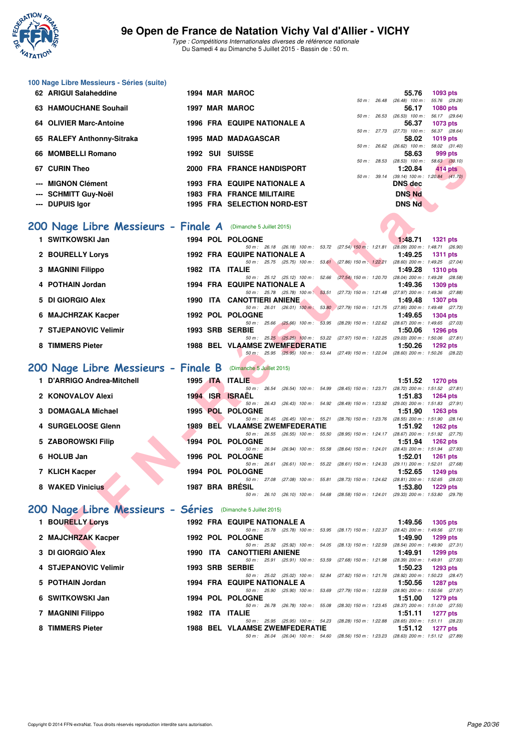

Type : Compétitions Internationales diverses de référence nationale Du Samedi 4 au Dimanche 5 Juillet 2015 - Bassin de : 50 m.

| 100 Nage Libre Messieurs - Séries (suite)                     |       |      |                                                                                                                                 |             |                                                                |
|---------------------------------------------------------------|-------|------|---------------------------------------------------------------------------------------------------------------------------------|-------------|----------------------------------------------------------------|
| 62 ARIGUI Salaheddine                                         |       |      | 1994 MAR MAROC                                                                                                                  |             | 55.76<br>1093 pts                                              |
| 63 HAMOUCHANE Souhail                                         |       |      | 1997 MAR MAROC                                                                                                                  | 50 m: 26.48 | 55.76 (29.28)<br>$(26.48)$ 100 m :<br>56.17<br>1080 pts        |
|                                                               |       |      | <b>1996 FRA EQUIPE NATIONALE A</b>                                                                                              | 50 m: 26.53 | $(26.53)$ 100 m : 56.17 $(29.64)$<br>56.37                     |
| <b>OLIVIER Marc-Antoine</b><br>64                             |       |      |                                                                                                                                 |             | 1073 pts<br>50 m: 27.73 (27.73) 100 m: 56.37 (28.64)           |
| 65 RALEFY Anthonny-Sitraka                                    |       |      | <b>1995 MAD MADAGASCAR</b>                                                                                                      | 50 m: 26.62 | 58.02<br>1019 pts<br>$(26.62)$ 100 m : 58.02 $(31.40)$         |
| <b>MOMBELLI Romano</b><br>66                                  |       |      | 1992 SUI SUISSE                                                                                                                 |             | 58.63<br>999 pts                                               |
| <b>CURIN Theo</b><br>67                                       |       |      | 2000 FRA FRANCE HANDISPORT                                                                                                      |             | 50 m: 28.53 (28.53) 100 m: 58.63 (30.10)<br>1:20.84<br>414 pts |
|                                                               |       |      |                                                                                                                                 | 50 m: 39.14 | $(39.14)$ 100 m : 1:20.84 $(41.70)$                            |
| <b>MIGNON Clément</b>                                         |       |      | <b>1993 FRA EQUIPE NATIONALE A</b>                                                                                              |             | <b>DNS</b> dec                                                 |
| <b>SCHMITT Guy-Noël</b>                                       |       |      | <b>1983 FRA FRANCE MILITAIRE</b>                                                                                                |             | <b>DNS Nd</b>                                                  |
| <b>DUPUIS Igor</b>                                            |       |      | 1995 FRA SELECTION NORD-EST                                                                                                     |             | <b>DNS Nd</b>                                                  |
| 200 Nage Libre Messieurs - Finale A (Dimanche 5 Juillet 2015) |       |      |                                                                                                                                 |             |                                                                |
|                                                               |       |      |                                                                                                                                 |             |                                                                |
| 1 SWITKOWSKI Jan                                              |       |      | 1994 POL POLOGNE<br>50 m: 26.18 (26.18) 100 m: 53.72 (27.54) 150 m: 1:21.81 (28.09) 200 m: 1:48.71 (26.90)                      |             | 1:48.71<br><b>1321 pts</b>                                     |
| <b>BOURELLY Lorys</b><br>2                                    |       |      | <b>1992 FRA EQUIPE NATIONALE A</b>                                                                                              |             | 1:49.25<br><b>1311 pts</b>                                     |
| <b>MAGNINI Filippo</b><br>3                                   |       |      | 50 m: 25.75 (25.75) 100 m: 53.61 (27.86) 150 m: 1:22.21<br>1982 ITA ITALIE                                                      |             | (28.60) 200 m: 1:49.25 (27.04)<br>1:49.28<br><b>1310 pts</b>   |
|                                                               |       |      | 50 m: 25.12 (25.12) 100 m: 52.66 (27.54) 150 m: 1:20.70                                                                         |             | (28.04) 200 m: 1:49.28 (28.58)                                 |
| <b>POTHAIN Jordan</b>                                         |       |      | <b>1994 FRA EQUIPE NATIONALE A</b>                                                                                              |             | 1:49.36<br><b>1309 pts</b>                                     |
| DI GIORGIO Alex<br>5                                          |       |      | 50 m: 25.78 (25.78) 100 m: 53.51 (27.73) 150 m: 1:21.48<br>1990 ITA CANOTTIERI ANIENE                                           |             | (27.97) 200 m : 1:49.36 (27.88)<br>1:49.48<br><b>1307 pts</b>  |
|                                                               |       |      | 50 m: 26.01 (26.01) 100 m: 53.80 (27.79) 150 m: 1:21.75 (27.95) 200 m: 1:49.48 (27.73)                                          |             |                                                                |
| <b>MAJCHRZAK Kacper</b><br>6                                  |       |      | 1992 POL POLOGNE<br>50 m : 25.66 (25.66) 100 m : 53.95 (28.29) 150 m : 1:22.62 (28.67) 200 m : 1:49.65 (27.03)                  |             | 1:49.65<br><b>1304 pts</b>                                     |
| <b>7 STJEPANOVIC Velimir</b>                                  |       |      | 1993 SRB SERBIE                                                                                                                 |             | 1:50.06<br><b>1296 pts</b>                                     |
|                                                               |       |      | 50 m: 25.25 (25.25) 100 m: 53.22 (27.97) 150 m: 1:22.25 (29.03) 200 m: 1:50.06 (27.81)                                          |             |                                                                |
| 8 TIMMERS Pieter                                              |       |      | <b>1988 BEL VLAAMSE ZWEMFEDERATIE</b><br>50 m: 25.95 (25.95) 100 m: 53.44 (27.49) 150 m: 1:22.04 (28.60) 200 m: 1:50.26 (28.22) |             | 1:50.26<br><b>1292 pts</b>                                     |
| 200 Nage Libre Messieurs - Finale B (Dimanche 5 Juillet 2015) |       |      |                                                                                                                                 |             |                                                                |
|                                                               |       |      |                                                                                                                                 |             |                                                                |
| <b>D'ARRIGO Andrea-Mitchell</b><br>1.                         |       |      | 1995 ITA ITALIE<br>50 m: 26.54 (26.54) 100 m: 54.99 (28.45) 150 m: 1:23.71                                                      |             | 1:51.52<br>1270 pts<br>(28.72) 200 m: 1:51.52 (27.81)          |
| 2 KONOVALOV Alexi                                             |       |      | 1994 ISR ISRAEL                                                                                                                 |             | 1:51.83<br>1264 pts                                            |
| <b>DOMAGALA Michael</b><br>з                                  |       |      | 50 m: 26.43 (26.43) 100 m: 54.92 (28.49) 150 m: 1:23.92 (29.00) 200 m: 1:51.83 (27.91)<br>1995 POL POLOGNE                      |             | 1:51.90<br><b>1263 pts</b>                                     |
|                                                               |       |      | 50 m : 26.45 (26.45) 100 m : 55.21 (28.76) 150 m : 1:23.76 (28.55) 200 m : 1:51.90 (28.14)                                      |             |                                                                |
| 4 SURGELOOSE Glenn                                            |       |      | <b>1989 BEL VLAAMSE ZWEMFEDERATIE</b><br>50 m: 26.55 (26.55) 100 m: 55.50 (28.95) 150 m: 1:24.17 (28.67) 200 m: 1:51.92 (27.75) |             | 1:51.92<br><b>1262 pts</b>                                     |
| 5 ZABOROWSKI Filip                                            |       |      | 1994 POL POLOGNE                                                                                                                |             | 1:51.94<br><b>1262 pts</b>                                     |
|                                                               |       |      | 50 m: 26.94 (26.94) 100 m: 55.58 (28.64) 150 m: 1:24.01 (28.43) 200 m: 1:51.94 (27.93)                                          |             |                                                                |
| 6 HOLUB Jan                                                   |       |      | 1996 POL POLOGNE<br>50 m: 26.61 (26.61) 100 m: 55.22 (28.61) 150 m: 1:24.33 (29.11) 200 m: 1:52.01                              |             | 1:52.01<br><b>1261 pts</b><br>(27.68)                          |
| 7 KLICH Kacper                                                |       |      | 1994 POL POLOGNE                                                                                                                |             | 1:52.65<br><b>1249 pts</b>                                     |
| 8 WAKED Vinicius                                              |       |      | 50 m: 27.08 (27.08) 100 m: 55.81 (28.73) 150 m: 1:24.62 (28.81) 200 m: 1:52.65 (28.03)<br>1987 BRA BRÉSIL                       |             | 1:53.80<br>1229 pts                                            |
|                                                               |       |      | 50 m: 26.10 (26.10) 100 m: 54.68 (28.58) 150 m: 1:24.01 (29.33) 200 m: 1:53.80 (29.79)                                          |             |                                                                |
| 200 Nage Libre Messieurs - Séries (Dimanche 5 Juillet 2015)   |       |      |                                                                                                                                 |             |                                                                |
|                                                               |       |      |                                                                                                                                 |             |                                                                |
| 1 BOURELLY Lorys                                              |       |      | <b>1992 FRA EQUIPE NATIONALE A</b><br>50 m: 25.78 (25.78) 100 m: 53.95 (28.17) 150 m: 1:22.37 (28.42) 200 m: 1:49.56 (27.19)    |             | 1:49.56<br>1305 pts                                            |
| 2 MAJCHRZAK Kacper                                            |       |      | 1992 POL POLOGNE                                                                                                                |             | 1:49.90<br>1299 pts                                            |
| <b>2. BLOIDDOID ALAM</b>                                      | 1000. | IT A | 50 m: 25.92 (25.92) 100 m: 54.05 (28.13) 150 m: 1:22.59 (28.54) 200 m: 1:49.90 (27.31)<br>CANOTTIEDI ANIENE                     |             | 4.40.04<br>$1000 -$                                            |

#### **[200 Nage Libre Messieurs - Finale B](http://www.ffnatation.fr/webffn/resultats.php?idact=nat&go=epr&idcpt=32627&idepr=53)** (Dimanche 5 Juillet 2015)

| 1 D'ARRIGO Andrea-Mitchell |  | 1995 ITA ITALIE                |  |                                                                                        |         | $1:51.52$ 1270 pts                  |
|----------------------------|--|--------------------------------|--|----------------------------------------------------------------------------------------|---------|-------------------------------------|
|                            |  | 50 m : 26.54                   |  | (26.54) 100 m: 54.99 (28.45) 150 m: 1:23.71                                            |         | $(28.72)$ 200 m : 1:51.52 $(27.81)$ |
| 2  KONOVALOV Alexi         |  | 1994 ISR ISRAEL                |  |                                                                                        | 1:51.83 | 1264 pts                            |
|                            |  |                                |  | 50 m: 26.43 (26.43) 100 m: 54.92 (28.49) 150 m: 1:23.92 (29.00) 200 m: 1:51.83 (27.91) |         |                                     |
| 3 DOMAGALA Michael         |  | 1995 POL POLOGNE               |  |                                                                                        | 1:51.90 | 1263 pts                            |
|                            |  |                                |  | 50 m: 26.45 (26.45) 100 m: 55.21 (28.76) 150 m: 1:23.76                                |         | $(28.55)$ 200 m : 1:51.90 $(28.14)$ |
| 4 SURGELOOSE Glenn         |  | 1989 BEL VLAAMSE ZWEMFEDERATIE |  |                                                                                        | 1:51.92 | 1262 pts                            |
|                            |  | $50 m$ : 26.55                 |  | (26.55) 100 m: 55.50 (28.95) 150 m: 1.24.17 (28.67) 200 m: 1.51.92 (27.75)             |         |                                     |
| 5 ZABOROWSKI Filip         |  | 1994 POL POLOGNE               |  |                                                                                        | 1:51.94 | 1262 $p$ ts                         |
|                            |  | $50 \text{ m}$ : 26.94         |  | (26.94) 100 m: 55.58 (28.64) 150 m: 1:24.01                                            |         | $(28.43)$ 200 m : 1:51.94 $(27.93)$ |
| 6 HOLUB Jan                |  | 1996 POL POLOGNE               |  |                                                                                        | 1:52.01 | $1261$ pts                          |
|                            |  | 50 m: 26.61                    |  | (26.61) 100 m: 55.22 (28.61) 150 m: 1:24.33 (29.11) 200 m: 1:52.01 (27.68)             |         |                                     |
| 7 KLICH Kacper             |  | 1994 POL POLOGNE               |  |                                                                                        | 1:52.65 | <b>1249 pts</b>                     |
|                            |  |                                |  | 50 m: 27.08 (27.08) 100 m: 55.81 (28.73) 150 m: 1:24.62                                |         | $(28.81)$ 200 m : 1:52.65 $(28.03)$ |
| 8 WAKED Vinicius           |  | <b>1987 BRA BRESIL</b>         |  |                                                                                        | 1:53.80 | 1229 pts                            |
|                            |  |                                |  | 50 m: 26.10 (26.10) 100 m: 54.68 (28.58) 150 m: 1:24.01 (29.33) 200 m: 1:53.80 (29.79) |         |                                     |
|                            |  |                                |  |                                                                                        |         |                                     |

### **[200 Nage Libre Messieurs - Séries](http://www.ffnatation.fr/webffn/resultats.php?idact=nat&go=epr&idcpt=32627&idepr=53)** (Dimanche 5 Juillet 2015)

| 1 BOURELLY Lorys      |  | <b>1992 FRA EQUIPE NATIONALE A</b>         |                       |                                                                                        | 1:49.56                                    | <b>1305 pts</b> |  |
|-----------------------|--|--------------------------------------------|-----------------------|----------------------------------------------------------------------------------------|--------------------------------------------|-----------------|--|
| 2 MAJCHRZAK Kacper    |  | 50 m : 25.78<br>1992 POL POLOGNE           |                       | (25.78) 100 m: 53.95 (28.17) 150 m: 1:22.37 (28.42) 200 m: 1:49.56 (27.19)             | 1:49.90                                    | $1299$ pts      |  |
| 3 DI GIORGIO Alex     |  | <b>1990 ITA CANOTTIERI ANIENE</b>          |                       | 50 m: 25.92 (25.92) 100 m: 54.05 (28.13) 150 m: 1:22.59                                | (28.54) 200 m : 1:49.90 (27.31)<br>1:49.91 | $1299$ pts      |  |
| 4 STJEPANOVIC Velimir |  | 50 m : 25.91<br>1993 SRB SERBIE            |                       | (25.91) 100 m: 53.59 (27.68) 150 m: 1:21.98 (28.39) 200 m: 1:49.91 (27.93)             | 1:50.23                                    | $1293$ pts      |  |
| 5 POTHAIN Jordan      |  | <b>1994 FRA EQUIPE NATIONALE A</b>         |                       | 50 m: 25.02 (25.02) 100 m: 52.84 (27.82) 150 m: 1:21.76 (28.92) 200 m: 1:50.23 (28.47) | 1:50.56                                    | 1287 pts        |  |
| 6 SWITKOWSKI Jan      |  | $50 \text{ m}$ : 25.90<br>1994 POL POLOGNE |                       | (25.90) 100 m: 53.69 (27.79) 150 m: 1.22.59 (28.90) 200 m: 1.50.56 (27.97)             | 1:51.00                                    | 1279 pts        |  |
| 7 MAGNINI Filippo     |  | 50 m : 26.78<br>1982 ITA ITALIE            |                       | (26.78) 100 m: 55.08 (28.30) 150 m: 1:23.45 (28.37) 200 m: 1:51.00 (27.55)             | 1:51.11                                    | 1277 pts        |  |
| 8 TIMMERS Pieter      |  | 1988 BEL VLAAMSE ZWEMFEDERATIE             |                       | 50 m: 25.95 (25.95) 100 m: 54.23 (28.28) 150 m: 1:22.88 (28.65) 200 m: 1:51.11 (28.23) | 1:51.12                                    | 1277 pts        |  |
|                       |  | 50 m : 26.04                               | (26.04) 100 m : 54.60 | (28.56) 150 m : 1:23.23 (28.63) 200 m : 1:51.12 (27.89)                                |                                            |                 |  |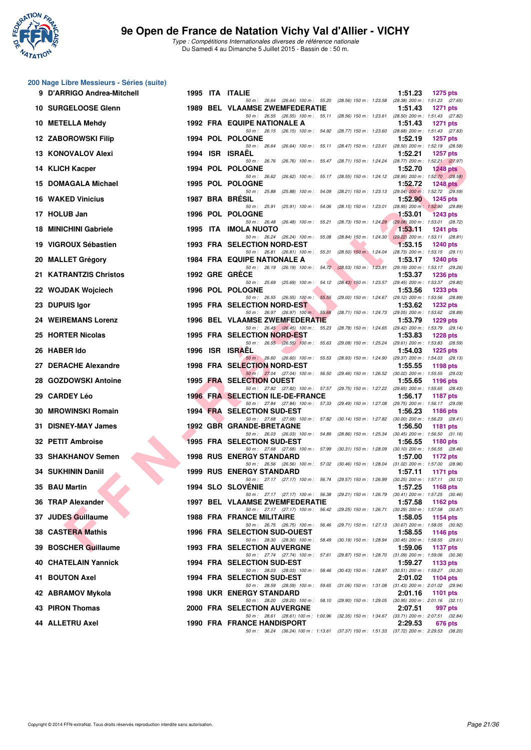

Type : Compétitions Internationales diverses de référence nationale Du Samedi 4 au Dimanche 5 Juillet 2015 - Bassin de : 50 m.

#### **200 Nage Libre Messieurs - Séries (suite)**

|     | 9 D'ARRIGO Andrea-Mitchell |  | 1995 ITA ITALIE                                                                                                                                                                                                    | 1:51.23 | <b>1275 pts</b>                                 |
|-----|----------------------------|--|--------------------------------------------------------------------------------------------------------------------------------------------------------------------------------------------------------------------|---------|-------------------------------------------------|
|     | 10 SURGELOOSE Glenn        |  | 50 m: 26.64 (26.64) 100 m: 55.20 (28.56) 150 m: 1:23.58 (28.38) 200 m: 1:51.23 (27.65)<br>1989 BEL VLAAMSE ZWEMFEDERATIE<br>50 m: 26.55 (26.55) 100 m: 55.11 (28.56) 150 m: 1:23.61 (28.50) 200 m: 1:51.43 (27.82) | 1:51.43 | <b>1271 pts</b>                                 |
|     | 10 METELLA Mehdy           |  | <b>1992 FRA EQUIPE NATIONALE A</b>                                                                                                                                                                                 | 1:51.43 | 1271 pts                                        |
|     | 12 ZABOROWSKI Filip        |  | 50 m: 26.15 (26.15) 100 m: 54.92 (28.77) 150 m: 1:23.60 (28.68) 200 m: 1:51.43 (27.83)<br><b>1994 POL POLOGNE</b>                                                                                                  | 1:52.19 | <b>1257 pts</b>                                 |
|     | 13 KONOVALOV Alexi         |  | 50 m: 26.64 (26.64) 100 m: 55.11 (28.47) 150 m: 1:23.61 (28.50) 200 m: 1:52.19 (28.58)<br>1994 ISR ISRAEL                                                                                                          | 1:52.21 | <b>1257 pts</b>                                 |
|     | 14 KLICH Kacper            |  | 50 m: 26.76 (26.76) 100 m: 55.47 (28.71) 150 m: 1:24.24 (28.77) 200 m: 1:52.21 (27.97)<br><b>1994 POL POLOGNE</b>                                                                                                  | 1:52.70 | <b>1248 pts</b>                                 |
|     | 15 DOMAGALA Michael        |  | 50 m: 26.62 (26.62) 100 m: 55.17 (28.55) 150 m: 1:24.12 (28.95) 200 m: 1:52.70 (28.58)<br>1995 POL POLOGNE                                                                                                         | 1:52.72 | <b>1248 pts</b>                                 |
|     | <b>16 WAKED Vinicius</b>   |  | 50 m: 25.88 (25.88) 100 m: 54.09 (28.21) 150 m: 1:23.13 (29.04) 200 m: 1:52.72 (29.59)<br>1987 BRA BRESIL                                                                                                          | 1:52.90 | 1245 pts                                        |
|     | 17 HOLUB Jan               |  | 50 m : 25.91<br>(25.91) 100 m : 54.06 (28.15) 150 m : 1:23.01 (28.95) 200 m : 1:52.90 (29.89)<br>1996 POL POLOGNE                                                                                                  | 1:53.01 | <b>1243 pts</b>                                 |
|     | 18 MINICHINI Gabriele      |  | 50 m: 26.48 (26.48) 100 m: 55.21 (28.73) 150 m: 1:24.29 (29.08) 200 m: 1:53.01 (28.72)<br>1995 ITA IMOLA NUOTO                                                                                                     | 1:53.11 | 1241 pts                                        |
|     | 19 VIGROUX Sébastien       |  | 50 m: 26.24 (26.24) 100 m: 55.08 (28.84) 150 m: 1:24.30 (29.22) 200 m: 1:53.11 (28.81)<br>1993 FRA SELECTION NORD-EST                                                                                              | 1:53.15 | <b>1240 pts</b>                                 |
|     | 20 MALLET Grégory          |  | 50 m: 26.81 (26.81) 100 m: 55.31 (28.50) 150 m: 1:24.04 (28.73) 200 m: 1:53.15 (29.11)<br><b>1984 FRA EQUIPE NATIONALE A</b>                                                                                       | 1:53.17 | <b>1240 pts</b>                                 |
|     | 21 KATRANTZIS Christos     |  | 50 m: 26.19 (26.19) 100 m: 54.72 (28.53) 150 m: 1:23.91 (29.19) 200 m: 1:53.17 (29.26)<br>1992 GRE GRECE                                                                                                           | 1:53.37 | <b>1236 pts</b>                                 |
|     | 22 WOJDAK Wojciech         |  | 50 m: 25.69 (25.69) 100 m: 54.12 (28.43) 150 m: 1:23.57 (29.45) 200 m: 1:53.37 (29.80)<br>1996 POL POLOGNE                                                                                                         | 1:53.56 | <b>1233 pts</b>                                 |
|     | 23 DUPUIS Igor             |  | 50 m: 26.55 (26.55) 100 m: 55.55 (29.00) 150 m: 1:24.67 (29.12) 200 m: 1:53.56 (28.89)<br>1995 FRA SELECTION NORD-EST                                                                                              | 1:53.62 | <b>1232 pts</b>                                 |
|     | 24 WEIREMANS Lorenz        |  | 50 m: 26.97 (26.97) 100 m: 55.68 (28.71) 150 m: 1:24.73 (29.05) 200 m: 1:53.62 (28.89)<br>1996 BEL VLAAMSE ZWEMFEDERATIE                                                                                           | 1:53.79 | <b>1229 pts</b>                                 |
|     | 25 HORTER Nicolas          |  | 50 m: 26.45 (26.45) 100 m: 55.23 (28.78) 150 m: 1:24.65 (29.42) 200 m: 1:53.79 (29.14)<br>1995 FRA SELECTION NORD-EST                                                                                              | 1:53.83 | <b>1228 pts</b>                                 |
|     | 26 HABER Ido               |  | 50 m: 26.55 (26.55) 100 m: 55.63 (29.08) 150 m: 1:25.24 (29.61) 200 m: 1:53.83 (28.59)<br>1996 ISR ISRAEL                                                                                                          | 1:54.03 | 1225 pts                                        |
|     | 27 DERACHE Alexandre       |  | 50 m: 26.60 (26.60) 100 m: 55.53 (28.93) 150 m: 1:24.90 (29.37) 200 m: 1:54.03 (29.13)<br><b>1998 FRA SELECTION NORD-EST</b>                                                                                       | 1:55.55 | 1198 pts                                        |
|     | 28 GOZDOWSKI Antoine       |  | 50 m: 27.04 (27.04) 100 m: 56.50 (29.46) 150 m: 1:26.52 (30.02) 200 m: 1:55.55 (29.03)<br>1995 FRA SELECTION OUEST                                                                                                 | 1:55.65 | 1196 pts                                        |
|     | 29 CARDEY Léo              |  | 50 m: 27.82 (27.82) 100 m: 57.57 (29.75) 150 m: 1:27.22 (29.65) 200 m: 1:55.65 (28.43)<br><b>1996 FRA SELECTION ILE-DE-FRANCE</b>                                                                                  | 1:56.17 | 1187 pts                                        |
|     |                            |  | 50 m: 27.84 (27.84) 100 m: 57.33 (29.49) 150 m: 1:27.08 (29.75) 200 m: 1:56.17 (29.09)                                                                                                                             | 1:56.23 |                                                 |
|     | 30 MROWINSKI Romain        |  | <b>1994 FRA SELECTION SUD-EST</b><br>50 m: 27.68 (27.68) 100 m: 57.82 (30.14) 150 m: 1:27.82 (30.00) 200 m: 1:56.23 (28.41)                                                                                        |         | 1186 pts                                        |
| 31. | <b>DISNEY-MAY James</b>    |  | 1992 GBR GRANDE-BRETAGNE<br>50 m: 26.03 (26.03) 100 m: 54.89 (28.86) 150 m: 1:25.34 (30.45) 200 m: 1:56.50 (31.16)                                                                                                 | 1:56.50 | <b>1181 pts</b>                                 |
|     | 32 PETIT Ambroise          |  | <b>1995 FRA SELECTION SUD-EST</b><br>50 m: 27.68 (27.68) 100 m: 57.99 (30.31) 150 m: 1.28.09 (30.10) 200 m: 1.56.55 (28.46)                                                                                        | 1:56.55 | <b>1180 pts</b>                                 |
|     | 33 SHAKHANOV Semen         |  | <b>1998 RUS ENERGY STANDARD</b><br>50 m: 26.56 (26.56) 100 m: 57.02 (30.46) 150 m: 1:28.04 (31.02) 200 m: 1:57.00 (28.96)                                                                                          | 1:57.00 | 1172 pts                                        |
|     | 34 SUKHININ Daniil         |  | <b>1999 RUS ENERGY STANDARD</b><br>50 m: 27.17 (27.17) 100 m: 56.74 (29.57) 150 m: 1:26.99 (30.25) 200 m: 1:57.11 (30.12)                                                                                          | 1:57.11 | 1171 pts                                        |
|     | 35 BAU Martin              |  | 1994 SLO SLOVÉNIE<br>50 m: 27.17 (27.17) 100 m: 56.38 (29.21) 150 m: 1:26.79 (30.41) 200 m: 1:57.25 (30.46)                                                                                                        | 1:57.25 | 1168 pts                                        |
|     | 36 TRAP Alexander          |  | 1997 BEL VLAAMSE ZWEMFEDERATIE                                                                                                                                                                                     | 1:57.58 | 1162 pts                                        |
|     | 37 JUDES Guillaume         |  | 50 m: 27.17 (27.17) 100 m: 56.42 (29.25) 150 m: 1:26.71 (30.29) 200 m: 1:57.58 (30.87)<br>1988 FRA FRANCE MILITAIRE                                                                                                | 1:58.05 | 1154 pts                                        |
|     | 38 CASTERA Mathis          |  | 50 m: 26.75 (26.75) 100 m: 56.46 (29.71) 150 m: 1:27.13 (30.67) 200 m: 1:58.05 (30.92)<br>1996 FRA SELECTION SUD-OUEST                                                                                             | 1:58.55 | 1146 pts                                        |
|     | 39 BOSCHER Guillaume       |  | 50 m: 28.30 (28.30) 100 m: 58.49 (30.19) 150 m: 1:28.94 (30.45) 200 m: 1:58.55 (29.61)<br><b>1993 FRA SELECTION AUVERGNE</b>                                                                                       | 1:59.06 | <b>1137 pts</b>                                 |
|     | 40 CHATELAIN Yannick       |  | 50 m : 27.74 (27.74) 100 m : 57.61 (29.87) 150 m : 1:28.70<br>1994 FRA SELECTION SUD-EST                                                                                                                           | 1:59.27 | $(31.09)$ 200 m : 1:59.06 $(30.36)$<br>1133 pts |
|     | 41 BOUTON Axel             |  | 50 m: 28.03 (28.03) 100 m: 58.46 (30.43) 150 m: 1:28.97 (30.51) 200 m: 1:59.27 (30.30)<br>1994 FRA SELECTION SUD-EST                                                                                               | 2:01.02 | 1104 pts                                        |
|     | 42 ABRAMOV Mykola          |  | 50 m: 28.59 (28.59) 100 m: 59.65 (31.06) 150 m: 1:31.08 (31.43) 200 m: 2:01.02 (29.94)<br><b>1998 UKR ENERGY STANDARD</b>                                                                                          | 2:01.16 | 1101 pts                                        |
|     | 43 PIRON Thomas            |  | 50 m: 28.20 (28.20) 100 m: 58.10 (29.90) 150 m: 1:29.05 (30.95) 200 m: 2:01.16 (32.11)<br>2000 FRA SELECTION AUVERGNE                                                                                              | 2:07.51 | 997 pts                                         |
|     | 44 ALLETRU Axel            |  | 50 m: 28.61 (28.61) 100 m: 1:00.96 (32.35) 150 m: 1:34.67 (33.71) 200 m: 2:07.51 (32.84)<br><b>1990 FRA FRANCE HANDISPORT</b>                                                                                      | 2:29.53 | 676 pts                                         |
|     |                            |  | 50 m: 36.24 (36.24) 100 m: 1:13.61 (37.37) 150 m: 1:51.33 (37.72) 200 m: 2:29.53 (38.20)                                                                                                                           |         |                                                 |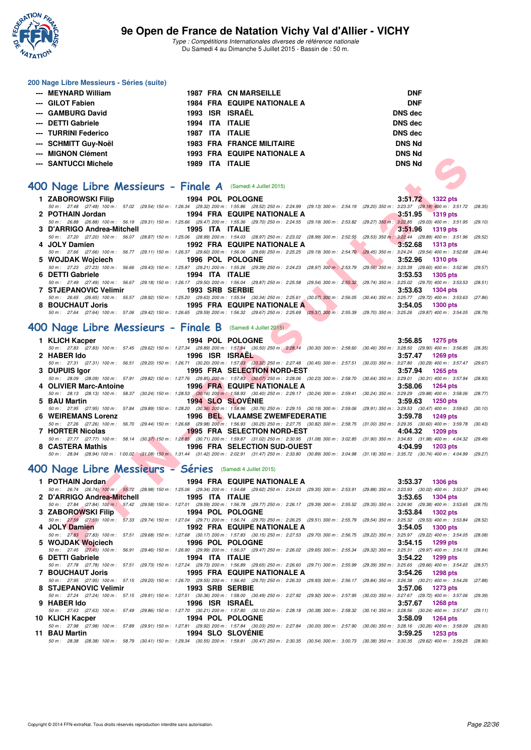

#### **200 Nage Libre Messieurs - Séries (suite)**

| --- MEYNARD William  |      | <b>1987 FRA CN MARSEILLE</b>       | <b>DNF</b>     |
|----------------------|------|------------------------------------|----------------|
| --- GILOT Fabien     |      | <b>1984 FRA EQUIPE NATIONALE A</b> | <b>DNF</b>     |
| --- GAMBURG David    |      | 1993 ISR ISRAËL                    | <b>DNS</b> dec |
| --- DETTI Gabriele   |      | 1994 ITA ITALIE                    | DNS dec        |
| --- TURRINI Federico |      | 1987 ITA ITALIE                    | <b>DNS</b> dec |
| --- SCHMITT Guy-Noël |      | <b>1983 FRA FRANCE MILITAIRE</b>   | <b>DNS Nd</b>  |
| --- MIGNON Clément   |      | <b>1993 FRA EQUIPE NATIONALE A</b> | <b>DNS Nd</b>  |
| --- SANTUCCI Michele | 1989 | ITA ITALIE                         | <b>DNS Nd</b>  |

### **[400 Nage Libre Messieurs - Finale A](http://www.ffnatation.fr/webffn/resultats.php?idact=nat&go=epr&idcpt=32627&idepr=54)** (Samedi 4 Juillet 2015)

| ווסווטו אוטוואו יי                                                |                         | <b>1993 FRA EQUIPE NATIONALE A</b>                                                                                                                                         | וויט פוט                                                                                                                                                                                                                 |
|-------------------------------------------------------------------|-------------------------|----------------------------------------------------------------------------------------------------------------------------------------------------------------------------|--------------------------------------------------------------------------------------------------------------------------------------------------------------------------------------------------------------------------|
| -- SANTUCCI Michele                                               | 1989 ITA ITALIE         |                                                                                                                                                                            | <b>DNS Nd</b>                                                                                                                                                                                                            |
|                                                                   |                         |                                                                                                                                                                            |                                                                                                                                                                                                                          |
| <b>JO Nage Libre Messieurs - Finale A</b> (Samedi 4 Juillet 2015) |                         |                                                                                                                                                                            |                                                                                                                                                                                                                          |
| 1 ZABOROWSKI Filip                                                |                         | 1994 POL POLOGNE                                                                                                                                                           | 3:51.72 1322 pts                                                                                                                                                                                                         |
|                                                                   |                         |                                                                                                                                                                            | 50 m: 27.48 (27.48) 100 m: 57.02 (29.54) 150 m: 1:26.34 (29.32) 200 m: 1:55.86 (29.52) 250 m: 2:24.99 (29.13) 300 m: 2:54.19 (29.20) 350 m: 3:23.37 (29.18) 400 m: 3:51.72 (28.35                                        |
| 2 POTHAIN Jordan                                                  |                         | 1994 FRA EQUIPE NATIONALE A                                                                                                                                                | 3:51.95<br><b>1319 pts</b>                                                                                                                                                                                               |
|                                                                   |                         |                                                                                                                                                                            | 50 m: 26.88 (26.88) 100 m: 56.19 (29.31) 150 m: 1:25.66 (29.47) 200 m: 1:55.36 (29.70) 250 m: 2:24.55 (29.19) 300 m: 2:53.82 (29.27) 350 m: 3:22.85 (29.03) 400 m: 3:51.95 (29.10)                                       |
| 3 D'ARRIGO Andrea-Mitchell                                        | 1995 ITA ITALIE         |                                                                                                                                                                            | 3:51.96<br><b>1319 pts</b><br>50 m : 27.20 (27.20) 100 m : 56.07 (28.87) 150 m : 1:25.06 (28.99) 200 m : 1:54.03 (28.97) 250 m : 2:23.02 (28.99) 300 m : 2:52.55 (29.53) 350 m : 3:22.44 (29.89) 400 m : 3:51.96 (29.52  |
| 4 JOLY Damien                                                     |                         | <b>Contract Contract Contract</b><br>1992 FRA EQUIPE NATIONALE A                                                                                                           | a an a<br>3:52.68<br><b>1313 pts</b>                                                                                                                                                                                     |
|                                                                   |                         | 50 m: 27.66 (27.66) 100 m: 56.77 (29.11) 150 m: 1:26.37 (29.60) 200 m: 1:56.06 (29.69) 250 m: 2:25.25 (29.19) 300 m: 2:54.70 (29.45) 350 m: 3:24.24 (29.54) 400 m: 3:52.68 | (28.44)                                                                                                                                                                                                                  |
| 5 WOJDAK Wojciech                                                 | <b>1996 POL POLOGNE</b> |                                                                                                                                                                            | 3:52.96<br><b>1310 pts</b>                                                                                                                                                                                               |
|                                                                   |                         |                                                                                                                                                                            | 50 m : 27.23 (27.23) 100 m : 56.66 (29.43) 150 m : 1:25.87 (29.21) 200 m : 1:55.26 (29.39) 250 m : 2:24.23 (28.97) 300 m : 2:53.79 (29.56) 350 m : 3:23.39 (29.60) 400 m : 3:52.96 (29.57                                |
| 6 DETTI Gabriele                                                  | 1994 ITA ITALIE         |                                                                                                                                                                            | 3:53.53<br><b>1305 pts</b>                                                                                                                                                                                               |
|                                                                   |                         | 50 m: 27.49 (27.49) 100 m: 56.67 (29.18) 150 m: 1:26.17 (29.50) 200 m: 1:56.04 (29.87) 250 m: 2:25.58 (29.54) 300 m: 2:55.32 (29.74) 350 m: 3:25.02 (29.70) 400 m: 3:53.53 | (28.51)                                                                                                                                                                                                                  |
| <b>7 STJEPANOVIC Velimir</b>                                      | 1993 SRB SERBIE         |                                                                                                                                                                            | 3:53.63<br>1304 pts                                                                                                                                                                                                      |
|                                                                   |                         | 1995 FRA EQUIPE NATIONALE A                                                                                                                                                | 50 m: 26.65 (26.65) 100 m: 55.57 (28.92) 150 m: 1:25.20 (29.63) 200 m: 1:55.54 (30.34) 250 m: 2:25.61 (30.07) 300 m: 2:56.05 (30.44) 350 m: 3:25.77 (29.72) 400 m: 3:53.63 (27.86                                        |
| 8 BOUCHAUT Joris                                                  |                         |                                                                                                                                                                            | 3:54.05<br><b>1300 pts</b><br>50 m : 27.64 (27.64) 100 m : 57.06 (29.42) 150 m : 1:26.65 (29.59) 200 m : 1:56.32 (29.67) 250 m : 2:25.69 (29.37) 300 m : 2:55.39 (29.70) 350 m : 3:25.26 (29.87) 400 m : 3:54.05 (28.79) |
|                                                                   |                         |                                                                                                                                                                            |                                                                                                                                                                                                                          |
| 00 Nage Libre Messieurs - Finale B (Samedi 4 Juillet 2015)        |                         |                                                                                                                                                                            |                                                                                                                                                                                                                          |
| 1 KLICH Kacper                                                    |                         | 1994 POL POLOGNE                                                                                                                                                           | 3:56.85<br>1275 pts                                                                                                                                                                                                      |
|                                                                   |                         |                                                                                                                                                                            | 50 m: 27.83 (27.83) 100 m: 57.45 (29.62) 150 m: 1:27.34 (29.89) 200 m: 1:57.84 (30.50) 250 m: 2:28.14 (30.30) 300 m: 2:58.60 (30.46) 350 m: 3:28.50 (29.90) 400 m: 3:56.85 (28.35                                        |
| 2 HABER Ido                                                       | 1996 ISR ISRAEL         |                                                                                                                                                                            | 3:57.47<br>1269 pts                                                                                                                                                                                                      |
|                                                                   |                         |                                                                                                                                                                            | 50 m: 27.31 (27.31) 100 m: 56.51 (29.20) 150 m: 1:26.71 (30.20) 200 m: 1:57.03 (30.32) 250 m: 2:27.48 (30.45) 300 m: 2:57.51 (30.03) 350 m: 3:27.80 (30.29) 400 m: 3:57.47 (29.67                                        |
| 3 DUPUIS Igor                                                     |                         | <b>1995 FRA SELECTION NORD-EST</b>                                                                                                                                         | 3:57.94<br>1265 pts                                                                                                                                                                                                      |
|                                                                   |                         | 50 m: 28.09 (28.09) 100 m: 57.91 (29.82) 150 m: 1:27.76 (29.85) 200 m: 1:57.83 (30.07) 250 m: 2:28.06 (30.23) 300 m: 2:58.70 (30.64) 350 m: 3:29.01 (30.31) 400 m: 3:57.94 | (28.93)                                                                                                                                                                                                                  |
| 4 OLIVIER Marc-Antoine                                            |                         | <b>1996 FRA EQUIPE NATIONALE A</b>                                                                                                                                         | 3:58.06<br>1264 pts                                                                                                                                                                                                      |
| 5 BAU Martin                                                      |                         | <b>1994 SLO SLOVENIE</b>                                                                                                                                                   | 50 m : 28.13 (28.13) 100 m : 58.37 (30.24) 150 m : 1:28.53 (30.16) 200 m : 1:58.93 (30.40) 250 m : 2:29.17 (30.24) 300 m : 2:59.41 (30.24) 350 m : 3:29.29 (29.88) 400 m : 3:58.06 (28.77<br>3:59.63<br>1250 pts         |
|                                                                   |                         | 50 m: 27.95 (27.95) 100 m: 57.84 (29.89) 150 m: 1:28.20 (30.36) 200 m: 1:58.96 (30.76) 250 m: 2:29.15 (30.19) 300 m: 2:59.06 (29.91) 350 m: 3:29.53 (30.47) 400 m: 3:59.63 | (30.10)                                                                                                                                                                                                                  |
| <b>6 WEIREMANS Lorenz</b>                                         |                         | 1996 BEL VLAAMSE ZWEMFEDERATIE                                                                                                                                             | 3:59.78<br>1249 pts                                                                                                                                                                                                      |
|                                                                   |                         |                                                                                                                                                                            | 50 m: 27.26 (27.26) 100 m: 56.70 (29.44) 150 m: 1:26.68 (29.98) 200 m: 1:56.93 (30.25) 250 m: 2:27.75 (30.82) 300 m: 2:58.75 (31.00) 350 m: 3:29.35 (30.60) 400 m: 3:59.78 (30.43                                        |
| 7 HORTER Nicolas                                                  |                         | 1995 FRA SELECTION NORD-EST                                                                                                                                                | 4:04.32<br>1209 pts                                                                                                                                                                                                      |
|                                                                   |                         |                                                                                                                                                                            | 50 m: 27.77 (27.77) 100 m: 58.14 (30.37) 150 m: 1:28.85 (30.71) 200 m: 1:59.87 (31.02) 250 m: 2:30.95 (31.08) 300 m: 3:02.85 (31.90) 350 m: 3:34.83 (31.98) 400 m: 4:04.32 (29.49                                        |
| 8 CASTERA Mathis                                                  |                         | 1996 FRA SELECTION SUD-OUEST                                                                                                                                               | 4:04.99<br>1203 pts                                                                                                                                                                                                      |
|                                                                   |                         |                                                                                                                                                                            | 50 m: 28.94 (28.94) 100 m: 1:00.02 (31.08) 150 m: 1:31.44 (31.42) 200 m: 2:02.91 (31.47) 250 m: 2:33.80 (30.89) 300 m: 3:04.98 (31.18) 350 m: 3:35.72 (30.74) 400 m: 4:04.99 (29.27                                      |
| <b>JO Nage Libre Messieurs - Séries</b> (Samedi 4 Juillet 2015)   |                         |                                                                                                                                                                            |                                                                                                                                                                                                                          |
| 1 POTHAIN Jordan                                                  |                         | <b>1994 FRA EQUIPE NATIONALE A</b>                                                                                                                                         |                                                                                                                                                                                                                          |
|                                                                   |                         |                                                                                                                                                                            | 3:53.37<br><b>1306 pts</b><br>50 m: 26.74 (26.74) 100 m: 55.72 (28.98) 150 m: 1:25.06 (29.34) 200 m: 1:54.68 (29.62) 250 m: 2:24.03 (29.35) 300 m: 2:53.91 (29.88) 350 m: 3:23.93 (30.02) 400 m: 3:53.37 (29.44)         |
| 2 D'ARRIGO Andrea-Mitchell                                        | 1995 ITA ITALIE         |                                                                                                                                                                            | 3:53.65<br>1304 pts                                                                                                                                                                                                      |
|                                                                   |                         |                                                                                                                                                                            | 50 m: 27.84 (27.84) 100 m: 57.42 (29.58) 150 m: 1:27.01 (29.59) 200 m: 1:56.78 (29.77) 250 m: 2:26.17 (29.39) 300 m: 2:55.52 (29.35) 350 m: 3:24.90 (29.38) 400 m: 3:53.65 (28.75)                                       |
| 3 ZABOROWSKI Filip                                                |                         | 1994 POL POLOGNE                                                                                                                                                           | 3:53.84<br>1302 pts                                                                                                                                                                                                      |
|                                                                   |                         |                                                                                                                                                                            | 50 m: 27.59 (27.59) 100 m: 57.33 (29.74) 150 m: 1:27.04 (29.71) 200 m: 1:56.74 (29.70) 250 m: 2:26.25 (29.51) 300 m: 2:55.79 (29.54) 350 m: 3:25.32 (29.53) 400 m: 3:53.84 (28.52)                                       |
| 4 JOLY Damien                                                     |                         | 1992 FRA EQUIPE NATIONALE A                                                                                                                                                | 3:54.05<br><b>1300 pts</b>                                                                                                                                                                                               |
|                                                                   |                         |                                                                                                                                                                            | 50 m: 27.83 (27.83) 100 m: 57.51 (29.68) 150 m: 1:27.68 (30.17) 200 m: 1:57.83 (30.15) 250 m: 2:27.53 (29.70) 300 m: 2:56.75 (29.22) 350 m: 3:25.97 (29.22) 400 m: 3:54.05 (28.08)                                       |
| 5 WOJDAK Wojciech                                                 |                         | <b>1996 POL POLOGNE</b>                                                                                                                                                    | 3:54.15<br>1299 pts                                                                                                                                                                                                      |
|                                                                   |                         |                                                                                                                                                                            | 50 m: 27.45 (27.45) 100 m: 56.91 (29.46) 150 m: 1:26.90 (29.99) 200 m: 1:56.37 (29.47) 250 m: 2:26.02 (29.65) 300 m: 2:55.34 (29.32) 350 m: 3:25.31 (29.97) 400 m: 3:4.15 (28.84                                         |

#### **[400 Nage Libre Messieurs - Finale B](http://www.ffnatation.fr/webffn/resultats.php?idact=nat&go=epr&idcpt=32627&idepr=54)** (Samedi 4 Juillet 2015)

| 1 KLICH Kacper         | 1994 POL POLOGNE             |                                | $3:56.85$ 1275 pts                                                                                                                                                                         |
|------------------------|------------------------------|--------------------------------|--------------------------------------------------------------------------------------------------------------------------------------------------------------------------------------------|
|                        |                              |                                | 50 m : 27.83 (27.83) 100 m : 57.45 (29.62) 150 m : 1:27.34 (29.89) 200 m : 1:57.84 (30.50) 250 m : 2:28.14 (30.30) 300 m : 2:58.60 (30.46) 350 m : 3:28.50 (29.90) 400 m : 3:56.85 (28.35) |
| 2 HABER Ido            | 1996 ISR ISRAEL              |                                | $3:57.47$ 1269 pts                                                                                                                                                                         |
|                        |                              |                                | 50 m: 27.31 (27.31) 100 m: 56.51 (29.20) 150 m: 1:26.71 (30.20) 200 m: 1:57.03 (30.32) 250 m: 2:27.48 (30.45) 300 m: 2:57.51 (30.03) 350 m: 3:27.80 (30.29) 400 m: 3:57.47 (29.67)         |
| 3 DUPUIS Igor          | 1995 FRA SELECTION NORD-EST  |                                | $3:57.94$ 1265 pts                                                                                                                                                                         |
|                        |                              |                                | 50 m : 28.09 (28.09) 100 m : 57.91 (29.82) 150 m : 1:27.76 (29.85) 200 m : 1:57.83 (30.07) 250 m : 2:28.06 (30.23) 300 m : 2:58.70 (30.64) 350 m : 3:29.01 (30.31) 400 m : 3:57.94 (28.93) |
| 4 OLIVIER Marc-Antoine | 1996 FRA EQUIPE NATIONALE A  |                                | $3:58.06$ 1264 pts                                                                                                                                                                         |
|                        |                              |                                | 50 m : 28.13 (28.13) 100 m : 58.37 (30.24) 150 m : 1:28.53 (30.16) 200 m : 1:58.93 (30.40) 250 m : 2:29.17 (30.24) 300 m : 2:59.41 (30.24) 350 m : 3:29.29 (29.88) 400 m : 3:58.06 (28.77) |
| 5 BAU Martin           | <b>1994 SLO SLOVENIE</b>     |                                | $3:59.63$ 1250 pts                                                                                                                                                                         |
|                        |                              |                                | 50 m : 27.95 (27.95) 100 m : 57.84 (29.89) 150 m : 1:28.20 (30.36) 200 m : 1:58.96 (30.76) 250 m : 2:29.15 (30.19) 300 m : 2:59.06 (29.91) 350 m : 3:29.53 (30.47) 400 m : 3:59.63 (30.10) |
|                        |                              |                                |                                                                                                                                                                                            |
| 6 WEIREMANS Lorenz     |                              | 1996 BEL VLAAMSE ZWEMFEDERATIE | $3:59.78$ 1249 pts                                                                                                                                                                         |
|                        |                              |                                | 50 m : 27.26 (27.26) 100 m : 56.70 (29.44) 150 m : 1:26.68 (29.98) 200 m : 1:56.93 (30.25) 250 m : 2:27.75 (30.82) 300 m : 2:58.75 (31.00) 350 m : 3:29.35 (30.60) 400 m : 3:59.78 (30.43) |
| 7 HORTER Nicolas       | 1995 FRA SELECTION NORD-EST  |                                | 4:04.32<br>1209 pts                                                                                                                                                                        |
|                        |                              |                                | 50 m: 27.77 (27.77) 100 m: 58.14 (30.37) 150 m: 1:28.85 (30.71) 200 m: 1:59.87 (31.02) 250 m: 2:30.95 (31.08) 300 m: 3:02.85 (31.90) 350 m: 3:34.83 (31.98) 400 m: 4:04.32 (29.49)         |
| 8 CASTERA Mathis       | 1996 FRA SELECTION SUD-OUEST |                                | 4:04.99<br>1203 pts                                                                                                                                                                        |

# **[400 Nage Libre Messieurs - Séries](http://www.ffnatation.fr/webffn/resultats.php?idact=nat&go=epr&idcpt=32627&idepr=54)** (Samedi 4 Juillet 2015)

| 1 POTHAIN Jordan      |                 | 1994 FRA EQUIPE NATIONALE A                                                                                                                                                                | 3:53.37 | <b>1306 pts</b> |         |
|-----------------------|-----------------|--------------------------------------------------------------------------------------------------------------------------------------------------------------------------------------------|---------|-----------------|---------|
|                       |                 | 50 m : 26.74 (26.74) 100 m : 55.72 (28.98) 150 m : 1:25.06 (29.34) 200 m : 1:54.68 (29.62) 250 m : 2:24.03 (29.35) 300 m : 2:53.91 (29.88) 350 m : 3:23.93 (30.02) 400 m : 3:53.37 (29.44) |         |                 |         |
|                       |                 |                                                                                                                                                                                            | 3:53.65 | 1304 pts        |         |
|                       |                 | 50 m: 27.84 (27.84) 100 m: 57.42 (29.58) 150 m: 1:27.01 (29.59) 200 m: 1:56.78 (29.77) 250 m: 2:26.17 (29.39) 300 m: 2:55.52 (29.35) 350 m: 3:24.90 (29.38) 400 m: 3:53.65 (28.75)         |         |                 |         |
| 3 ZABOROWSKI Filip    |                 | 1994 POL POLOGNE                                                                                                                                                                           | 3:53.84 | <b>1302 pts</b> |         |
|                       |                 | 50 m: 27.59 (27.59) 100 m: 57.33 (29.74) 150 m: 1:27.04 (29.71) 200 m: 1:56.74 (29.70) 250 m: 2:26.25 (29.51) 300 m: 2:55.79 (29.54) 350 m: 3:25.32 (29.53) 400 m: 3:53.84                 |         |                 | (28.52) |
| 4 JOLY Damien         |                 | 1992 FRA EQUIPE NATIONALE A                                                                                                                                                                | 3:54.05 | <b>1300 pts</b> |         |
|                       |                 | 50 m: 27.83 (27.83) 100 m: 57.51 (29.68) 150 m: 1:27.68 (30.17) 200 m: 1:57.83 (30.15) 250 m: 2:27.53 (29.70) 300 m: 2:56.75 (29.22) 350 m: 3:25.97 (29.22) 400 m: 3:54.05 (28.08)         |         |                 |         |
| 5 WOJDAK Woiciech     |                 | <b>1996 POL POLOGNE</b>                                                                                                                                                                    | 3:54.15 | 1299 pts        |         |
|                       |                 | 50 m: 27.45 (27.45) 100 m: 56.91 (29.46) 150 m: 1:26.90 (29.99) 200 m: 1:56.37 (29.47) 250 m: 2:26.02 (29.65) 300 m: 2:55.34 (29.32) 350 m: 3:25.31 (29.97) 400 m: 3:54.15 (28.84)         |         |                 |         |
| 6 DETTI Gabriele      | 1994 ITA ITALIE |                                                                                                                                                                                            | 3:54.22 | 1299 pts        |         |
|                       |                 | 50 m: 27.78 (27.78) 100 m: 57.51 (29.73) 150 m: 1:27.24 (29.73) 200 m: 1:56.89 (29.65) 250 m: 2:26.60 (29.71) 300 m: 2:55.99 (29.39) 350 m: 3:25.65 (29.66) 400 m: 3:564.22 (28.57)        |         |                 |         |
| 7 BOUCHAUT Joris      |                 | 1995 FRA EQUIPE NATIONALE A                                                                                                                                                                | 3:54.26 | 1298 pts        |         |
|                       |                 | 50 m: 27.95 (27.95) 100 m: 57.15 (29.20) 150 m: 1:26.70 (29.55) 200 m: 1:56.40 (29.70) 250 m: 2:26.33 (29.93) 300 m: 2:56.17 (29.84) 350 m: 3:26.38 (30.21) 400 m: 3:54.26 (27.88)         |         |                 |         |
| 8 STJEPANOVIC Velimir | 1993 SRB SERBIE |                                                                                                                                                                                            | 3:57.06 | 1273 pts        |         |
|                       |                 | 50 m: 27.24 (27.24) 100 m: 57.15 (29.91) 150 m: 1:27.51 (30.36) 200 m: 1:58.00 (30.49) 250 m: 2:27.92 (29.92) 300 m: 2:57.95 (30.03) 350 m: 3:27.67 (29.72) 400 m: 3:57.06 (29.39)         |         |                 |         |
| 9 HABER Ido           | 1996 ISR ISRAEL |                                                                                                                                                                                            | 3:57.67 | <b>1268 pts</b> |         |
|                       |                 | 50 m: 27.63 (27.63) 100 m: 57.49 (29.86) 150 m: 1:27.70 (30.21) 200 m: 1:57.80 (30.10) 250 m: 2:28.18 (30.38) 300 m: 2:58.32 (30.14) 350 m: 3:28.56 (30.24) 400 m: 3:57.67 (29.11)         |         |                 |         |
| 10 KLICH Kacper       |                 | 1994 POL POLOGNE                                                                                                                                                                           | 3:58.09 | 1264 pts        |         |
|                       |                 | 50 m: 27.98 (27.98) 100 m: 57.89 (29.91) 150 m: 1:27.81 (29.92) 200 m: 1:57.84 (30.03) 250 m: 2:27.84 (30.00) 300 m: 2:57.90 (30.06) 350 m: 3:28.16 (30.26) 400 m: 3:58.09                 |         |                 | (29.93) |
| 11 BAU Martin         |                 | <b>1994 SLO SLOVENIE</b>                                                                                                                                                                   | 3:59.25 | $1253$ pts      |         |
|                       |                 | 50 m: 28.38 (28.38) 100 m: 58.79 (30.41) 150 m: 1:29.34 (30.55) 200 m: 1:59.81 (30.47) 250 m: 2:30.35 (30.54) 300 m: 3:00.73 (30.38) 350 m: 3:30.35 (29.62) 400 m: 3:59.25 (28.90)         |         |                 |         |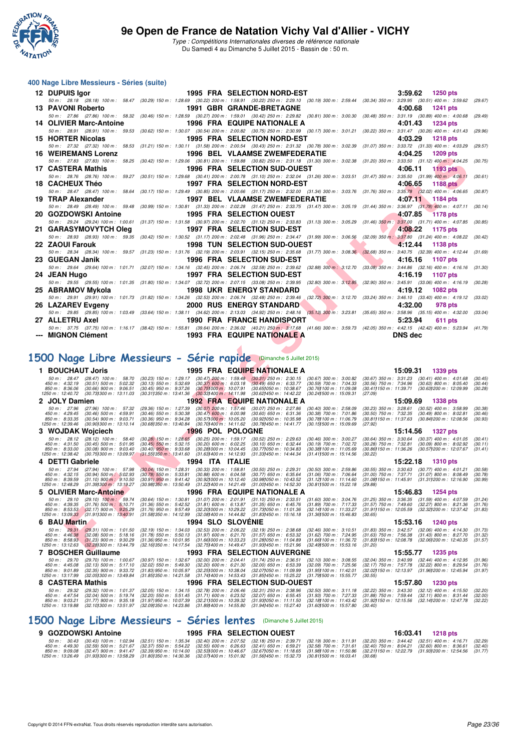

Type : Compétitions Internationales diverses de référence nationale Du Samedi 4 au Dimanche 5 Juillet 2015 - Bassin de : 50 m.

#### **400 Nage Libre Messieurs - Séries (suite)**

| 12 DUPUIS lgor             | <b>1995 FRA SELECTION NORD-EST</b>               | 3:59.62<br><b>1250 pts</b>                                                                                                                                                                    |
|----------------------------|--------------------------------------------------|-----------------------------------------------------------------------------------------------------------------------------------------------------------------------------------------------|
|                            |                                                  | 50 m: 28.18 (28.18) 100 m: 58.47 (30.29) 150 m: 1:28.69 (30.22) 200 m: 1:58.91 (30.22) 250 m: 2:29.10 (30.19) 300 m: 2:59.44 (30.34) 350 m: 3:29.95 (30.51) 400 m: 3:59.62 (29.67)            |
| 13 PAVONI Roberto          | <b>1991 GBR GRANDE-BRETAGNE</b>                  | 4:00.68<br>1241 pts                                                                                                                                                                           |
|                            |                                                  | 50 m : 27.86 (27.86) 100 m : 58.32 (30.46) 150 m : 1:28.59 (30.27) 200 m : 1:59.01 (30.42) 250 m : 2:29.82 (30.81) 300 m : 3:00.30 (30.48) 350 m : 3:31.19 (30.89) 400 m : 4:00.68<br>(29.49) |
| 14 OLIVIER Marc-Antoine    | <b>1996 FRA EQUIPE NATIONALE A</b>               | 4:01.43<br><b>1234 pts</b>                                                                                                                                                                    |
|                            |                                                  | 50 m: 28.91 (28.91) 100 m: 59.53 (30.62) 150 m: 1:30.07 (30.54) 200 m: 2:00.82 (30.75) 250 m: 2:30.99 (30.17) 300 m: 3:01.21 (30.22) 350 m: 3:31.47 (30.26) 400 m: 4:01.43<br>(29.96)         |
| 15 HORTER Nicolas          | 1995 FRA SELECTION NORD-EST                      | 4:03.29<br>1218 pts                                                                                                                                                                           |
|                            |                                                  | 50 m: 27.32 (27.32) 100 m: 58.53 (31.21) 150 m: 1:30.11 (31.58) 200 m: 2:00.54 (30.43) 250 m: 2:31.32 (30.78) 300 m: 3:02.39 (31.07) 350 m: 3:33.72 (31.33) 400 m: 4:03.29<br>(29.57)         |
| <b>16 WEIREMANS Lorenz</b> | 1996 BEL VLAAMSE ZWEMFEDERATIE                   | 4:04.25<br><b>1209 pts</b>                                                                                                                                                                    |
|                            |                                                  | 50 m: 27.83 (27.83) 100 m: 58.25 (30.42) 150 m: 1:29.06 (30.81) 200 m: 1:59.88 (30.82) 250 m: 2:31.18 (31.30) 300 m: 3:02.38 (31.20) 350 m: 3:33.50 (31.12) 400 m: 4:04.25<br>(30.75)         |
| 17 CASTERA Mathis          | <b>1996 FRA SELECTION SUD-OUEST</b>              | 4:06.11 1193 pts                                                                                                                                                                              |
|                            |                                                  | 50 m: 28.76 (28.76) 100 m: 59.27 (30.51) 150 m: 1:29.68 (30.41) 200 m: 2:00.78 (31.10) 250 m: 2:32.04 (31.26) 300 m: 3:03.51 (31.47) 350 m: 3:35.50 (31.99) 400 m: 4:06.11<br>(30.61)         |
| 18 CACHEUX Théo            | <b>1997 FRA SELECTION NORD-EST</b>               | 4:06.65<br>1188 pts                                                                                                                                                                           |
|                            |                                                  | 50 m: 28.47 (28.47) 100 m: 58.64 (30.17) 150 m: 1:29.49 (30.85) 200 m: 2:00.66 (31.17) 250 m: 2:32.00 (31.34) 300 m: 3:03.76 (31.76) 350 m: 3:35.78 (32.02) 400 m: 4:06.65<br>(30.87)         |
| 19 TRAP Alexander          | 1997 BEL VLAAMSE ZWEMFEDERATIE                   | 4:07.11 1184 pts                                                                                                                                                                              |
|                            |                                                  | 50 m: 28.49 (28.49) 100 m: 59.48 (30.99) 150 m: 1:30.81 (31.33) 200 m: 2:02.28 (31.47) 250 m: 2:33.75 (31.47) 300 m: 3:05.19 (31.44) 350 m: 3:36.97 (31.78) 400 m: 4:07.11<br>(30.14)         |
| 20 GOZDOWSKI Antoine       | <b>1995 FRA SELECTION OUEST</b>                  | 4:07.85<br><b>1178 pts</b>                                                                                                                                                                    |
|                            |                                                  | 50 m: 29.24 (29.24) 100 m: 1:00.61 (31.37) 150 m: 1:31.58 (30.97) 200 m: 2:02.70 (31.12) 250 m: 2:33.83 (31.13) 300 m: 3:05.29 (31.46) 350 m: 3:37.00 (31.71) 400 m: 4:07.85 (30.85)          |
|                            | 21 GARASYMOVYTCH Oleg 1997 FRA SELECTION SUD-EST | 4:08.22<br>1175 pts                                                                                                                                                                           |
|                            |                                                  | 50 m : 28.93 (28.93) 100 m : 59.35 (30.42) 150 m : 1:30.52 (31.17) 200 m : 2:02.48 (31.96) 250 m : 2:34.47 (31.99) 300 m : 3:06.56 (32.09) 350 m : 3:37.80 (31.24) 400 m : 4:08.22<br>(30.42) |
| 22 ZAOUI Farouk            | <b>1998 TUN SELECTION SUD-OUEST</b>              | 4:12.44<br>1138 pts                                                                                                                                                                           |
|                            |                                                  | 50 m: 28.34 (28.34) 100 m: 59.57 (31.23) 150 m: 1:31.76 (32.19) 200 m: 2:03.91 (32.15) 250 m: 2:35.68 (31.77) 300 m: 3:08.36 (32.68) 350 m: 3:40.75 (32.39) 400 m: 4:12.44 (31.69)            |
| 23 GUEGAN Janik            | 1996 FRA SELECTION SUD-EST                       | 4:16.16<br>1107 pts                                                                                                                                                                           |
|                            |                                                  | 50 m: 29.64 (29.64) 100 m: 1:01.71 (32.07) 150 m: 1:34.16 (32.45) 200 m: 2:06.74 (32.58) 250 m: 2:39.62 (32.88) 300 m: 3:12.70 (33.08) 350 m: 3:44.86 (32.16) 400 m: 4:16.16 (31.30)          |
| 24 JEAN Hugo               | 1997 FRA SELECTION SUD-EST                       | 4:16.19<br>1107 pts                                                                                                                                                                           |
|                            |                                                  | 50 m: 29.55 (29.55) 100 m: 1:01.35 (31.80) 150 m: 1:34.07 (32.72) 200 m: 2:07.15 (33.08) 250 m: 2:39.95 (32.80) 300 m: 3:12.85 (32.90) 350 m: 3:45.91 (33.06) 400 m: 4:16.19 (30.28)          |
| 25 ABRAMOV Mykola          | <b>1998 UKR ENERGY STANDARD</b>                  | 4:19.12 1082 pts                                                                                                                                                                              |
|                            |                                                  | 50 m: 29.91 (29.91) 100 m: 1:01.73 (31.82) 150 m: 1:34.26 (32.53) 200 m: 2:06.74 (32.48) 250 m: 2:39.46 (32.72) 300 m: 3:12.70 (33.24) 350 m: 3:46.10 (33.40) 400 m: 4:19.12<br>(33.02)       |
| 26 LAZAREV Evgeny          | <b>2000 RUS ENERGY STANDARD</b>                  | 4:32.00<br>978 pts                                                                                                                                                                            |
|                            |                                                  | 50 m: 29.85 (29.85) 100 m: 1:03.49 (33.64) 150 m: 1:38.11 (34.62) 200 m: 2:13.03 (34.92) 250 m: 2:48.16 (35.13) 300 m: 3:23.81 (35.65) 350 m: 3:58.96 (35.15) 400 m: 4:32.00<br>(33.04)       |
| 27 ALLETRU Axel            | <b>1990 FRA FRANCE HANDISPORT</b>                | 5:23.94<br><b>611 pts</b>                                                                                                                                                                     |
|                            |                                                  | 50 m: 37.75 (37.75) 100 m: 1:16.17 (38.42) 150 m: 1:55.81 (39.64) 200 m: 2:36.02 (40.21) 250 m: 3:17.68 (41.66) 300 m: 3:59.73 (42.05) 350 m: 4:42.15 (42.42) 400 m: 5:23.94 (41.79)          |
| --- MIGNON Clément         | <b>1993 FRA EQUIPE NATIONALE A</b>               | <b>DNS</b> dec                                                                                                                                                                                |

# **[1500 Nage Libre Messieurs - Série rapide](http://www.ffnatation.fr/webffn/resultats.php?idact=nat&go=epr&idcpt=32627&idepr=56)** (Dimanche 5 Juillet 2015)

| WEINEMANJ LUICIL                                                                                                                                                                             |                                                                                                                                                                                                          | 1990 DEL VLAAMSEZWEMFEDERATIE                                                                       |                                                                                                          | 4.U4.ZJ                                                                                                             | າ 209 ມເອ                                              |                    |
|----------------------------------------------------------------------------------------------------------------------------------------------------------------------------------------------|----------------------------------------------------------------------------------------------------------------------------------------------------------------------------------------------------------|-----------------------------------------------------------------------------------------------------|----------------------------------------------------------------------------------------------------------|---------------------------------------------------------------------------------------------------------------------|--------------------------------------------------------|--------------------|
| 50 m: 27.83 (27.83) 100 m: 58.25 (30.42) 150 m: 1:29.06 (30.81) 200 m: 1:59.88 (30.82) 250 m: 2:31.18 (31.30) 300 m: 3:02.38 (31.20) 350 m: 3:33.50 (31.12) 400 m: 4:04.25 (30.75)           |                                                                                                                                                                                                          |                                                                                                     |                                                                                                          |                                                                                                                     |                                                        |                    |
| 17 CASTERA Mathis                                                                                                                                                                            |                                                                                                                                                                                                          | 1996 FRA SELECTION SUD-OUEST                                                                        |                                                                                                          | 4:06.11                                                                                                             | <b>1193 pts</b>                                        |                    |
| 50 m: 28.76 (28.76) 100 m: 59.27 (30.51) 150 m: 1:29.68 (30.41) 200 m: 2:00.78 (31.10) 250 m: 2:32.04 (31.26) 300 m: 3:03.51 (31.47) 350 m: 3:35.50 (31.99) 400 m: 4:06.11                   |                                                                                                                                                                                                          |                                                                                                     |                                                                                                          |                                                                                                                     |                                                        | (30.61)            |
| 18 CACHEUX Théo                                                                                                                                                                              |                                                                                                                                                                                                          | <b>1997 FRA SELECTION NORD-EST</b>                                                                  |                                                                                                          | 4:06.65                                                                                                             | <b>1188 pts</b>                                        |                    |
| 50 m: 28.47 (28.47) 100 m: 58.64 (30.17) 150 m: 1:29.49 (30.85) 200 m: 2:00.66 (31.17) 250 m: 2:32.00 (31.34) 300 m: 3:03.76 (31.76) 350 m: 3:35.78 (32.02) 400 m: 4:06.65 (30.87)           |                                                                                                                                                                                                          |                                                                                                     |                                                                                                          |                                                                                                                     |                                                        |                    |
| 19 TRAP Alexander                                                                                                                                                                            |                                                                                                                                                                                                          | <b>1997 BEL VLAAMSE ZWEMFEDERATIE</b>                                                               |                                                                                                          | 4:07.11                                                                                                             | 1184 pts                                               |                    |
| 50 m : 28.49 (28.49) 100 m : 59.48 (30.99) 150 m : 1:30.81 (31.33) 200 m : 2:02.28 (31.47) 250 m : 2:33.75 (31.47) 300 m : 3:05.19 (31.44) 350 m : 3:36.97 (31.78) 400 m : 4:07.11 (30.14)   |                                                                                                                                                                                                          |                                                                                                     |                                                                                                          |                                                                                                                     |                                                        |                    |
| 20 GOZDOWSKI Antoine                                                                                                                                                                         |                                                                                                                                                                                                          |                                                                                                     |                                                                                                          | 4:07.85                                                                                                             | <b>1178 pts</b>                                        |                    |
|                                                                                                                                                                                              |                                                                                                                                                                                                          | <b>1995 FRA SELECTION OUEST</b>                                                                     |                                                                                                          |                                                                                                                     |                                                        |                    |
| 50 m: 29.24 (29.24) 100 m: 1:00.61 (31.37) 150 m: 1:31.58 (30.97) 200 m: 2:02.70 (31.12) 250 m: 2:33.83 (31.13) 300 m: 3:05.29 (31.46) 350 m: 3:37.00 (31.71) 400 m: 4:07.85 (30.85)         |                                                                                                                                                                                                          |                                                                                                     |                                                                                                          |                                                                                                                     |                                                        |                    |
| 21 GARASYMOVYTCH Oleg                                                                                                                                                                        |                                                                                                                                                                                                          | <b>1997 FRA SELECTION SUD-EST</b>                                                                   |                                                                                                          | 4:08.22                                                                                                             | 1175 pts                                               |                    |
| 50 m : 28.93 (28.93) 100 m : 59.35 (30.42) 150 m : 1:30.52 (31.17) 200 m : 2:02.48 (31.96) 250 m : 234.47 (31.99) 300 m : 3:06.56 (32.09) 350 m : 3:37.80 (31.24) 400 m : 4:08.22 (30.42)    |                                                                                                                                                                                                          |                                                                                                     |                                                                                                          |                                                                                                                     |                                                        |                    |
| 22 ZAOUI Farouk                                                                                                                                                                              |                                                                                                                                                                                                          | <b>1998 TUN SELECTION SUD-OUEST</b>                                                                 |                                                                                                          | 4:12.44                                                                                                             | 1138 pts                                               |                    |
| 50 m : 28.34 (28.34) 100 m : 59.57 (31.23) 150 m : 1:31.76 (32.19) 200 m : 2:03.91 (32.15) 250 m : 2:35.68 (31.77) 300 m : 3:08.36 (32.68) 350 m : 3:40.75 (32.39) 400 m : 4:12.44 (31.69)   |                                                                                                                                                                                                          |                                                                                                     |                                                                                                          |                                                                                                                     |                                                        |                    |
| 23   GUEGAN Janik                                                                                                                                                                            |                                                                                                                                                                                                          | 1996 FRA SELECTION SUD-EST                                                                          |                                                                                                          | 4:16.16                                                                                                             | 1107 pts                                               |                    |
| 50 m: 29.64 (29.64) 100 m: 1:01.71 (32.07) 150 m: 1:34.16 (32.45) 200 m: 2:06.74 (32.58) 250 m: 2:39.62 (32.88) 300 m: 3:12.70 (33.08) 350 m: 3:44.86 (32.16) 400 m: 4:16.16 (31.30)         |                                                                                                                                                                                                          |                                                                                                     |                                                                                                          |                                                                                                                     |                                                        |                    |
|                                                                                                                                                                                              |                                                                                                                                                                                                          | 1997 FRA SELECTION SUD-EST                                                                          |                                                                                                          | 4:16.19                                                                                                             | 1107 pts                                               |                    |
| 24 JEAN Hugo                                                                                                                                                                                 |                                                                                                                                                                                                          |                                                                                                     |                                                                                                          |                                                                                                                     |                                                        |                    |
| 50 m : 29.55 (29.55) 100 m : 1:01.35 (31.80) 150 m : 1:34.07 (32.72) 200 m : 2:07.15 (33.08) 250 m : 2:39.95 (32.80) 300 m : 3:12.85 (32.90) 350 m : 3:45.91 (33.06) 400 m : 4:16.19 (30.28) |                                                                                                                                                                                                          |                                                                                                     |                                                                                                          |                                                                                                                     |                                                        |                    |
| 25 ABRAMOV Mykola                                                                                                                                                                            |                                                                                                                                                                                                          | <b>1998 UKR ENERGY STANDARD</b>                                                                     |                                                                                                          | 4:19.12                                                                                                             | 1082 pts                                               |                    |
| 50 m: 29.91 (29.91) 100 m: 1:01.73 (31.82) 150 m: 1:34.26 (32.53) 200 m: 2:06.74 (32.48) 250 m: 2:39.46 (32.72) 300 m: 3:12.70 (33.24) 350 m: 3:46.10 (33.40) 400 m: 4:19.12 (33.02)         |                                                                                                                                                                                                          |                                                                                                     |                                                                                                          |                                                                                                                     |                                                        |                    |
| 26 LAZAREV Evgeny                                                                                                                                                                            |                                                                                                                                                                                                          | <b>2000 RUS ENERGY STANDARD</b>                                                                     |                                                                                                          | 4:32.00                                                                                                             | 978 pts                                                |                    |
| 50 m: 29.85 (29.85) 100 m: 1:03.49 (33.64) 150 m: 1:38.11 (34.62) 200 m: 2:13.03 (34.92) 250 m: 2:48.16 (35.18) 300 m: 3:23.81 (35.65) 350 m: 3:58.96 (35.15) 400 m: 4:32.00 (33.04)         |                                                                                                                                                                                                          |                                                                                                     |                                                                                                          |                                                                                                                     |                                                        |                    |
| 27   ALLETRU Axel                                                                                                                                                                            |                                                                                                                                                                                                          | <b>1990 FRA FRANCE HANDISPORT</b>                                                                   |                                                                                                          | 5:23.94                                                                                                             | 611 pts                                                |                    |
| 50 m: 37.75 (37.75) 100 m: 1:16.17 (38.42) 150 m: 1:55.81 (39.64) 200 m: 2:36.02 (40.21) 250 m; 3:17.68 (41.66) 300 m: 3:59.73 (42.05) 350 m: 4:42.15 (42.42) 400 m: 5:23.94 (41.79)         |                                                                                                                                                                                                          |                                                                                                     |                                                                                                          |                                                                                                                     |                                                        |                    |
| --- MIGNON Clément                                                                                                                                                                           |                                                                                                                                                                                                          | <b>1993 FRA EQUIPE NATIONALE A</b>                                                                  |                                                                                                          | <b>DNS</b> dec                                                                                                      |                                                        |                    |
|                                                                                                                                                                                              |                                                                                                                                                                                                          |                                                                                                     |                                                                                                          |                                                                                                                     |                                                        |                    |
|                                                                                                                                                                                              |                                                                                                                                                                                                          |                                                                                                     |                                                                                                          |                                                                                                                     |                                                        |                    |
|                                                                                                                                                                                              |                                                                                                                                                                                                          |                                                                                                     |                                                                                                          |                                                                                                                     |                                                        |                    |
| 500 Nage Libre Messieurs - Série rapide (Dimanche 5 Juillet 2015)                                                                                                                            |                                                                                                                                                                                                          |                                                                                                     |                                                                                                          |                                                                                                                     |                                                        |                    |
|                                                                                                                                                                                              |                                                                                                                                                                                                          |                                                                                                     |                                                                                                          |                                                                                                                     |                                                        |                    |
|                                                                                                                                                                                              |                                                                                                                                                                                                          |                                                                                                     |                                                                                                          |                                                                                                                     |                                                        |                    |
| 1 BOUCHAUT Joris                                                                                                                                                                             |                                                                                                                                                                                                          | 1995 FRA EQUIPE NATIONALE A                                                                         |                                                                                                          |                                                                                                                     | 15:09.31 1339 pts                                      |                    |
| $(28.47)$ 100 m : 58.70<br>50 m : 28.47                                                                                                                                                      | $(30.23)$ 150 m : 1:29.17                                                                                                                                                                                | $(30.47)$ 200 m : 1:59.48 $(30.31)$ 250 m : 2:30.15                                                 | $(30.67)$ 300 m : 3:00.82                                                                                | $(30.67)$ 350 m : 3:31.23 $(30.41)$ 400 m : 4:01.68                                                                 |                                                        | (30.45)            |
| $(30.51)$ 500 m : 5:02.32<br>450 m : 4:32.19<br>850 m : 8:36.06<br>$(30.66)$ 900 m : 9:06.51                                                                                                 | $(30.13)$ 550 m : 5:32.69<br>$(30.37)$ 600 m : 6:03.18<br>$(30.45)$ 950 m : 9:37.26<br>(30.751000 m: 10:07.91                                                                                            | $(30.49)$ 650 m : 6:33.77<br>(30.651050 m: 10:38.67                                                 | (30.59) 700 m : 7:04.33<br>(30.761100 m: 11:09.08                                                        | $(30.56)$ 750 m : 7:34.96<br>(30.411150 m: 11:39.71 (30.631200 m: 12:09.99)                                         | $(30.63)$ 800 m : 8:05.40                              | (30.44)<br>(30.28) |
| 1250 m: 12:40.72<br>(30.731300 m: 13:11.03)                                                                                                                                                  | $(30.311350 \text{ m} : 13.41.36)$<br>$(30.33)400 \text{ m}$ : 14:11.98                                                                                                                                  | (30.62) 450 m : 14:42.22                                                                            | (30.241500 m: 15:09.31                                                                                   | (27.09)                                                                                                             |                                                        |                    |
| 2 JOLY Damien                                                                                                                                                                                |                                                                                                                                                                                                          | <b>1992 FRA EQUIPE NATIONALE A</b>                                                                  |                                                                                                          | 15:09.69                                                                                                            | <b>1338 pts</b>                                        |                    |
| 50 m: 27.96<br>(27.96) 100 m: 57.32                                                                                                                                                          | $(30.07)$ 200 m : 1:57.46<br>$(29.36)$ 150 m : 1:27.39                                                                                                                                                   | $(30.07)$ 250 m : 2:27.86                                                                           | $(30.40)$ 300 m : 2:58.09                                                                                | $(30.23)$ 350 m : 3:28.61                                                                                           | $(30.52)$ 400 m : 3:58.99                              | (30.38)            |
| $(30.46)$ 500 m : $4.59.91$<br>450 m: 4:29.45                                                                                                                                                | $(30.46)$ 550 m : 5:30.38<br>$(30.47)$ 600 m : 6:00.98                                                                                                                                                   | $(30.60)$ 650 m : 6:31.36                                                                           | $(30.38)$ 700 m : 7:01.86                                                                                | $(30.50)$ 750 m : 7:32.35                                                                                           | $(30.49)$ 800 m : 8:02.81                              | (30.46)            |
| 850 m: 8:33.35<br>$(30.54)$ 900 m : 9:03.71<br>1250 m: 12:39.46<br>(30.901300 m : 13:10.14)                                                                                                  | $(30.36)$ 950 m : 9:34.28<br>$(30.57)000 \text{ m}$ : 10:05.20<br>(30.681350 m : 13:40.84)                                                                                                               | (30.92) 050 m: 10:35.98                                                                             | (30.78) 100 m : 11:06.79<br>(30.151500 m: 15.09.69)                                                      | (30.81)150 m : 11.37.63<br>(27.92)                                                                                  | (30.84) 200 m : 12:08.56                               | (30.93)            |
|                                                                                                                                                                                              |                                                                                                                                                                                                          | $(30.70)400 \text{ m}$ : 14:11.62<br>(30.78) 450 m : 14:41.77                                       |                                                                                                          |                                                                                                                     |                                                        |                    |
| 3 WOJDAK Wojciech                                                                                                                                                                            |                                                                                                                                                                                                          | <b>1996 POL POLOGNE</b>                                                                             |                                                                                                          | 15:14.56                                                                                                            | <b>1327 pts</b>                                        |                    |
| 50 m: 28.12 (28.12) 100 m: 58.40<br>$(30.45)$ 500 m : 5:01.95<br>450 m: 4:31.50                                                                                                              | $(30.20)$ 600 m : 6:02.25                                                                                                                                                                                | $(30.25)$ 200 m : 1:59.17<br>$(30.52)$ 250 m : 2:29.63<br>$(30.10)$ 650 m : 6:32.44                 |                                                                                                          | $(30.64)$ 350 m : 3:30.64<br>$(30.28)$ 750 m : 7:32.81                                                              | $(30.37)$ 400 m : 4:01.05                              | (30.41)<br>(30.11) |
| 850 m: 8:33.00<br>$(30.08)$ 900 m : 9:03.40                                                                                                                                                  | $(30.28)$ 150 m : 1:28.65<br>$(30.45)$ 550 m : 5:32.15<br>$(30.40)$ 950 m : 9:33.68<br>$(30.28)000 \text{ m}$ : 10:04.45                                                                                 | (30.77) 050 m : 10:34.83                                                                            | (30.46) 300 m : 3:00.27<br>(30.19) 700 m : 7:02.72<br>(30.38) 100 m : 11:05.69                           | (30.86) 150 m: 11:36.26 (30.57) 200 m: 12:07.67                                                                     | $(30.09)$ 800 m : 8:02.92                              | (31.41)            |
| 1250 m: 12:38.42<br>(30.75) 300 m : 13:09.97                                                                                                                                                 | $(31.55)350 \text{ m}$ : 13:41.60                                                                                                                                                                        | $(31.63)400 \text{ m}$ : 14:12.93<br>(31.33) 450 m : 14:44.34                                       | $(31.41)500 \text{ m}$ : 15:14.56                                                                        | (30.22)                                                                                                             |                                                        |                    |
| 4 DETTI Gabriele                                                                                                                                                                             | 1994 ITA ITALIE                                                                                                                                                                                          |                                                                                                     |                                                                                                          | 15:22.18                                                                                                            | <b>1310 pts</b>                                        |                    |
| $50 \text{ m}$ : 27.94<br>(27.94) 100 m: 57.98                                                                                                                                               |                                                                                                                                                                                                          | $(30.33)$ 200 m : 1:58.81<br>$(30.50)$ 250 m : 2:29.31                                              |                                                                                                          | $(30.55)$ 350 m : 3:30.63                                                                                           | $(30.77)$ 400 m : 4:01.21                              | (30.58)            |
| $(30.94)$ 500 m $\cdot$ 5:02.93<br>450 m : 4:32.15                                                                                                                                           | $(30.04)$ 150 m : 1:28.31<br>$(30.78)$ 550 m : 5:33.81<br>$(30.88)$ 600 m : 6:04.58                                                                                                                      | $(30.77)$ 650 m : 6:35.64                                                                           | (30.50) 300 m : 2:59.86<br>(31.06) 700 m : 7:06.64                                                       | $(31.00)$ 750 m : 7:37.71                                                                                           | $(31.07)$ 800 m : 8:08.49                              | (30.78)            |
| 850 m: 8:39.59<br>$(31.10)$ 900 m : 9:10.50<br>1250 m: 12:48.29<br>(31.391300 m : 13:19.27                                                                                                   | $(30.91)$ 950 m : 9:41.42<br>$(30.92)000 \text{ m}$ : 10:12.40<br>(30.981350 m : 13:50.49)                                                                                                               | (30.98) 050 m : 10:43.52<br>$(31.22)400 \text{ m}$ : 14:21.49<br>$(31.001450 \text{ m} : 14.52.30)$ | $(31.12)100 \text{ m}$ : 11:14.60<br>(30.811500 m: 15:22.18)                                             | (31.08) 150 m: 11:45.91 (31.31) 200 m: 12:16.90<br>(29.88)                                                          |                                                        | (30.99)            |
|                                                                                                                                                                                              |                                                                                                                                                                                                          |                                                                                                     |                                                                                                          |                                                                                                                     |                                                        |                    |
| 5 OLIVIER Marc-Antoine                                                                                                                                                                       |                                                                                                                                                                                                          | <b>1996 FRA EQUIPE NATIONALE A</b>                                                                  |                                                                                                          | 15:46.83                                                                                                            | 1254 pts                                               |                    |
| 50 m: 29.10<br>$(29.10)$ 100 m : 59.74<br>450 m : 4:39.35<br>$(31.76)$ 500 m : 5:10.71                                                                                                       | $(30.64)$ 150 m : 1:30.81<br>(31.36) 550 m : 5:42.52<br>$(31.81)$ 600 m : 6:13.87                                                                                                                        | $(31.07)$ 200 m : 2:01.91<br>$(31.10)$ 250 m : 2:33.51<br>$(31.35)$ 650 m : 6:45.76                 | $(31.60)$ 300 m : 3:04.76<br>(31.89) 700 m : 7:17.33                                                     | $(31.25)$ 350 m : 3:36.35<br>$(31.57)$ 750 m : 7:49.60                                                              | $(31.59)$ 400 m : 4:07.59<br>$(32.27)$ 800 m : 8:21.36 | (31.24)<br>(31.76) |
| 850 m: 8:53.53<br>$(32.17)$ 900 m : 9:25.29                                                                                                                                                  | $(31.76)$ 950 m : 9:57.49<br>(32.201000 m: 10:29.22)                                                                                                                                                     | (31.73) 050 m: 11:01.36                                                                             | (32.141100 m: 11:33.27)                                                                                  | (31.911150 m: 12:05.59 (32.321200 m: 12:37.42)                                                                      |                                                        | (31.83)            |
| 1250 m: 13:09.33<br>$(31.91)300 \text{ m}$ : 13:40.91                                                                                                                                        | $(31.581350 \text{ m} : 14.12.99)$<br>(32.08) 400 m : 14:44.82                                                                                                                                           | (31.83)450 m : 15.16.18                                                                             | (31.361500 m: 15:46.83                                                                                   | (30.65)                                                                                                             |                                                        |                    |
| 6 BAU Martin                                                                                                                                                                                 |                                                                                                                                                                                                          | <b>1994 SLO SLOVENIE</b>                                                                            |                                                                                                          | 15:53.16                                                                                                            | <b>1240 pts</b>                                        |                    |
| 50 m: 29.31 (29.31) 100 m: 1:01.50                                                                                                                                                           | (32.19) 150 m : 1:34.03                                                                                                                                                                                  | $(32.53)$ 200 m : 2:06.22<br>(32.19) 250 m : 2:38.68                                                |                                                                                                          | $(31.83)$ 350 m : 3:42.57                                                                                           | $(32.06)$ 400 m : 4:14.30                              | (31.73)            |
| 450 m : 4:46.38<br>(32.08) 500 m : 5:18.16                                                                                                                                                   | $(31.78)$ 550 m : 5:50.13<br>$(31.97)$ 600 m : 6:21.70                                                                                                                                                   | $(31.57)$ 650 m : 6:53.32                                                                           | (32.46) 300 m : 3:10.51<br>(31.62) 700 m : 7:24.95                                                       | $(31.63)$ 750 m : 7:56.38                                                                                           | $(31.43)$ 800 m : 8:27.70                              | (31.32)<br>(31.57) |
| 850 m : 8:58.93 (31.23) 900 m : 9:30.29<br>1250 m: 13:12.63<br>(32.28) 300 m : 13:44.79                                                                                                      | $(31.36)$ 950 m : 10:01.95<br>$(31.66)000 \text{ m}$ : 10:33.23<br>$(32.16)350 \text{ m}: 14.17.54$                                                                                                      | (31.28) 050 m : 11:04.89<br>(32.75) 400 m : 14:49.47<br>(31.93)450 m : 15.21.96                     | (31.66) 100 m : 11:36.72<br>(32.49) 500 m : 15:53.16                                                     | (31.83) 150 m : 12:08.78 (32.06) 200 m : 12:40.35<br>(31.20)                                                        |                                                        |                    |
| 7 BOSCHER Guillaume                                                                                                                                                                          |                                                                                                                                                                                                          | <b>1993 FRA SELECTION AUVERGNE</b>                                                                  |                                                                                                          |                                                                                                                     | 1235 pts                                               |                    |
| $50 m$ : 29.70<br>$(29.70)$ 100 m : 1:00.67                                                                                                                                                  |                                                                                                                                                                                                          | $(32.00)$ 200 m : 2:04.41<br>$(31.74)$ 250 m : 2:36.51                                              |                                                                                                          | 15:55.77<br>$(32.04)$ 350 m : 3:40.99                                                                               | $(32.44)$ 400 m : 4:12.95                              | (31.96)            |
| 450 m: 4:45.08<br>$(32.13)$ 500 m : 5:17.10                                                                                                                                                  | (30.97) 150 m : 1:32.67<br>(32.02) 550 m : 5:49.30<br>$(32.20)$ 600 m : 6:21.30                                                                                                                          | $(32.00)$ 650 m : 6:53.39                                                                           | (32.10) 300 m : 3:08.55<br>(32.09) 700 m : 7:25.56                                                       | $(32.17)$ 750 m : 7:57.78                                                                                           | $(32.22)$ 800 m : 8:29.54                              | (31.76)            |
| 850 m: 9:01.89<br>$(32.35)$ 900 m : 9:33.72                                                                                                                                                  | $(31.83)$ 950 m : 10:05.97                                                                                                                                                                               | $(32.25)000 \text{ m}$ : 10:38.04<br>(32.07) 050 m : 11:09.99                                       | (31.95) 100 m : 11:42.01                                                                                 | (32.02) 150 m: 12:13.97 (31.96) 200 m: 12:45.94                                                                     |                                                        | (31.97)            |
| 1250 m: 13:17.99<br>(32.05) 300 m : 13:49.84                                                                                                                                                 | $(31.85)350 \text{ m}$ : 14:21.58                                                                                                                                                                        | $(31.74)400 \text{ m}: 14.53.43$<br>(31.85) 450 m : 15:25.22                                        | (31.791500 m: 15:55.77                                                                                   | (30.55)                                                                                                             |                                                        |                    |
| 8 CASTERA Mathis                                                                                                                                                                             |                                                                                                                                                                                                          | 1996 FRA SELECTION SUD-OUEST                                                                        |                                                                                                          | 15:57.80                                                                                                            | <b>1230 pts</b>                                        |                    |
| (29.32) 100 m: 1:01.37<br>$50 \text{ m}$ : 29.32                                                                                                                                             |                                                                                                                                                                                                          | $(32.78)$ 200 m : 2:06.46<br>(32.31) 250 m : 2:38.96                                                |                                                                                                          | (32.22) 350 m : 3:43.30                                                                                             | $(32.12)$ 400 m : 4:15.50                              | (32.20)            |
| 450 m : 4:47.54<br>$(32.04)$ 500 m : 5:19.74<br>850 m: 9:03.21<br>$(31.77)$ 900 m : 9:35.18<br>1250 m: 13:19.88<br>(32.101300 m : 13:51.97                                                   | (32.05) 150 m : 1:34.15<br>(32.20) 550 m : 5:51.45<br>$(31.71)$ 600 m : 6:23.52<br>$(31.97)$ 950 m : 10:07.39<br>$(32.21)000 \text{ m}$ : 10:39.32<br>(32.091350 m : 14:23.86<br>(31.891400 m : 14:55.80 | $(32.07)$ 650 m : 6:55.45<br>$(31.93)050 \text{ m}$ : 11:11.50<br>(31.941450 m: 15:27.40)           | (32.50) 300 m : 3:11.18<br>(31.93) 700 m : 7:27.33<br>(32.18) 100 m : 11:43.42<br>(31.601500 m: 15.57.80 | $(31.88)$ 750 m : 7:59.44 $(32.11)$ 800 m : 8:31.44<br>(31.92) 150 m : 12:15.56 (32.14) 200 m : 12:47.78<br>(30.40) |                                                        | (32.00)<br>(32.22) |

#### **[1500 Nage Libre Messieurs - Séries lentes](http://www.ffnatation.fr/webffn/resultats.php?idact=nat&go=epr&idcpt=32627&idepr=56)** (Dimanche 5 Juillet 2015)

| 9 GOZDOWSKI Antoine |                                                                                                                                                                                         | <b>1995 FRA SELECTION OUEST</b> |  | 16:03.41 1218 pts |  |
|---------------------|-----------------------------------------------------------------------------------------------------------------------------------------------------------------------------------------|---------------------------------|--|-------------------|--|
|                     | 50 m: 30.43 (30.43) 100 m: 1:02.94 (32.51) 150 m: 1:35.34 (32.40) 200 m: 2:07.52 (32.18) 250 m: 2:39.71 (32.19) 300 m: 3:11.91 (32.20) 350 m: 3:44.42 (32.51) 400 m: 4:16.71 (32.29     |                                 |  |                   |  |
|                     | 450 m: 4:49.30 (32.59) 500 m: 5:21.67 (32.37) 550 m: 5:54.22 (32.55) 600 m: 6:26.63 (32.41) 650 m: 6:59.21 (32.59) 700 m: 7:31.61 (32.40) 750 m: 8:04.21 (32.60) 800 m: 8:36.61 (32.40) |                                 |  |                   |  |
|                     | 850 m: 9:09.08 (32.47) 900 m: 9:41.47 (32.39) 950 m: 10:14.00 (32.531000 m: 10:46.67 (32.671050 m: 11:18.65 (31.981100 m: 11:50.86 (32.211150 m: 12:22.79 (31.931200 m: 12:54.56 (31.77 |                                 |  |                   |  |
|                     | 1250 m : 13:26.49 (31.931300 m : 13:58.29 (31.801350 m : 14:30.36 (32.071400 m : 15:01.92 (31.561450 m : 15:32.73 (30.811500 m : 16:03.41 (30.68)                                       |                                 |  |                   |  |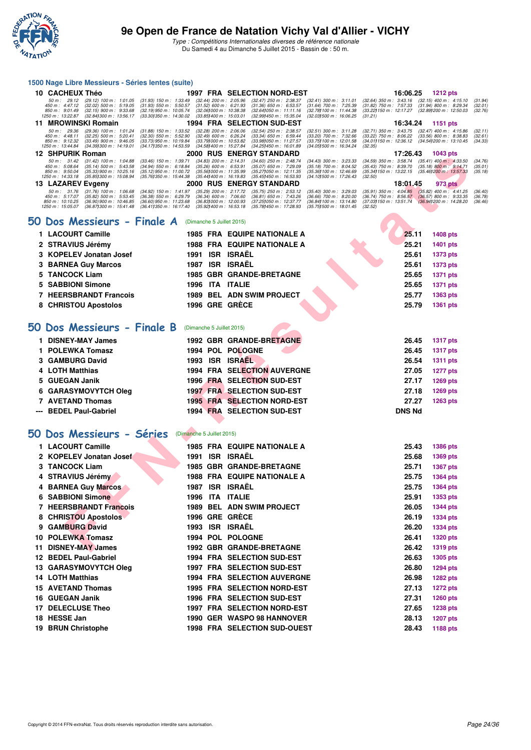

Type : Compétitions Internationales diverses de référence nationale Du Samedi 4 au Dimanche 5 Juillet 2015 - Bassin de : 50 m.

#### **1500 Nage Libre Messieurs - Séries lentes (suite)**

| 10 CACHEUX Théo                                                                                                                                                                                        | <b>1997 FRA SELECTION NORD-EST</b>                                                                                                                                                                                                      |                                                                                                                         |                                                                                                              | 16:06.25                                                                                                            | <b>1212 pts</b>                                                                   |                               |
|--------------------------------------------------------------------------------------------------------------------------------------------------------------------------------------------------------|-----------------------------------------------------------------------------------------------------------------------------------------------------------------------------------------------------------------------------------------|-------------------------------------------------------------------------------------------------------------------------|--------------------------------------------------------------------------------------------------------------|---------------------------------------------------------------------------------------------------------------------|-----------------------------------------------------------------------------------|-------------------------------|
| $(29.12)$ 100 m : 1:01.05<br>50 m : 29.12<br>$450 \text{ m}$ : $4.47.12$<br>$(32.02)$ 500 m : 5:19.05<br>850 m : 9:01.49<br>$(32.15)$ 900 m : 9:33.68<br>1250 m : 13:22.87<br>(32.841300 m : 13:56.17  | $(31.93)$ 150 m : 1:33.49<br>$(32.44)$ 200 m : 2:05.96<br>$(31.93)$ 550 m : 5:50.57<br>$(31.52)$ 600 m : 6:21.93<br>(32.19) 950 m : 10:05.74<br>(32.061000 m: 10.38.38<br>(33.301350 m : 14:30.02<br>$(33.851400 \text{ m} : 15.03.01)$ | $(32.47)$ 250 m : 2:38.37<br>$(31.36)$ 650 m : 6:53.57<br>$(32.641050 \text{ m} : 11:11.16)$<br>(32.991450 m : 15:35.04 | $(32.41)$ 300 m : 3:11.01<br>$(31.64)$ 700 m : 7:25.39<br>(32.781100 m : 11:44.38<br>(32.031500 m : 16:06.25 | $(32.64)$ 350 m : 3:43.16<br>$(31.82)$ 750 m : 7:57.33<br>(33.22) 150 m : 12:17.27<br>(31.21)                       | $(32.15)$ 400 m : 4:15.10<br>$(31.94)$ 800 m : 8:29.34<br>(32.891200 m : 12.50.03 | (31.94)<br>(32.01)<br>(32.76) |
| <b>MROWINSKI Romain</b><br>11.                                                                                                                                                                         | <b>1994 FRA SELECTION SUD-EST</b>                                                                                                                                                                                                       |                                                                                                                         |                                                                                                              | 16:34.24                                                                                                            | 1151 pts                                                                          |                               |
| 50 m : 29.36<br>$(29.36)$ 100 m : 1:01.24<br>$450 \text{ m}$ : $4:48.11$<br>$(32.25)$ 500 m : 5:20.41<br>850 m : 9:12.32<br>$(33.49)$ 900 m : 9:46.05<br>(34.391300 m : 14:19.01)<br>1250 m : 13:44.84 | $(31.88)$ 150 m : 1:33.52<br>$(32.28)$ 200 m : $2.06.06$<br>$(32.30)$ 550 m : 5:52.90<br>$(32.49)$ 600 m : 6:26.24<br>(33.73) 950 m : 10:19.84<br>(33.791000 m : 10:53.82<br>(34.171350 m : 14:53.59)<br>(34.581400 m : 15:27.84        | $(32.54)$ 250 m : 2:38.57<br>$(33.34)$ 650 m : 6:59.44<br>(33.981050 m: 11:27.57<br>(34.251450 m : 16:01.89             | $(32.51)$ 300 m : 3:11.28<br>$(33.20)$ 700 m : 7:32.66<br>(33.751100 m : 12:01.58<br>(34.051500 m : 16:34.24 | $(32.71)$ 350 m : 3:43.75<br>$(33.22)$ 750 m : 8:06.22<br>(34.011150 m: 12:36.12 (34.541200 m: 13:10.45)<br>(32.35) | $(32.47)$ 400 m : 4:15.86<br>$(33.56)$ 800 m : 8:38.83                            | (32.11)<br>(32.61)<br>(34.33) |
| 12 SHPURIK Roman                                                                                                                                                                                       | <b>2000 RUS ENERGY STANDARD</b>                                                                                                                                                                                                         |                                                                                                                         |                                                                                                              | 17:26.43                                                                                                            | 1043 pts                                                                          |                               |
| $(31.42)$ 100 m : 1:04.88<br>50 m : 31.42                                                                                                                                                              | $(33.46)$ 150 m : 1:39.71<br>$(34.83)$ 200 m : 2:14.31                                                                                                                                                                                  | $(34.60)$ 250 m : 2:48.74                                                                                               | $(34.43)$ 300 m : 3:23.33                                                                                    |                                                                                                                     | $(35.41)$ 400 m : 4:33.50                                                         | (34.76)                       |
| 450 m : 5:08.64<br>$(35.14)$ 500 m : 5:43.58<br>850 m : 9:50.04<br>$(35.33)$ 900 m : 10:25.16<br>1250 m : 14:33.18<br>(35.851300 m : 15.08.94                                                          | $(35.26)$ 600 m : 6:53.91<br>$(34.94)$ 550 m : 6:18.84<br>(35.12) 950 m : 11:00.72<br>(35.561000 m: 11:35.99<br>(35.761350 m : 15:44.38<br>(35.441400 m : 16:19.83                                                                      | $(35.07)$ 650 m : 7:29.09<br>(35.271050 m : 12:11.35<br>(35.45) 450 m : 16:53.93                                        | $(35.18)$ 700 m : 8:04.52<br>(35.36) 100 m : 12:46.69<br>(34.101500 m : 17:26.43)                            | $(34.59)$ 350 m : 3:58.74<br>$(35.43)$ 750 m : $8:39.70$<br>(35.34) 150 m : 13:22.15<br>(32.50)                     | $(35.18)$ 800 m : 9:14.71<br>(35.461200 m : 13:57.33                              | (35.01)<br>(35.18)            |
| 13 LAZAREV Evgeny                                                                                                                                                                                      | <b>2000 RUS ENERGY STANDARD</b>                                                                                                                                                                                                         |                                                                                                                         |                                                                                                              | 18:01.45                                                                                                            | 973 pts                                                                           |                               |

#### **50 Dos Messieurs - Finale A** (Dimanche 5 Juillet 2015)

|    | JHF UNIN NUIHAH                                                                                                                                                                                  |                                                                                                                | nuo                       |                                                                                                                                                                                                                                        |                                                                                                                |                                                                                               | בוע ט <del>י</del> ט ו                                                                      |                   |
|----|--------------------------------------------------------------------------------------------------------------------------------------------------------------------------------------------------|----------------------------------------------------------------------------------------------------------------|---------------------------|----------------------------------------------------------------------------------------------------------------------------------------------------------------------------------------------------------------------------------------|----------------------------------------------------------------------------------------------------------------|-----------------------------------------------------------------------------------------------|---------------------------------------------------------------------------------------------|-------------------|
|    | 50 m: 31.42<br>$(31.42)$ 100 m : 1:04.88<br>450 m: 5:08.64<br>(35.14) 500 m : 5:43.58<br>850 m: 9:50.04<br>$(35.33)$ 900 m : 10:25.16<br>1250 m: 14:33.18<br>(35.85) 300 m : 15:08.94            | $(33.46)$ 150 m : 1:39.71<br>$(34.94)$ 550 m : 6:18.84<br>(35.12) 950 m : 11:00.72<br>(35.76) 350 m : 15:44.38 |                           | $(34.83)$ 200 m : 2:14.31<br>(34.60) 250 m : 2:48.74<br>$(35.26)$ 600 m : 6:53.91<br>$(35.07)$ 650 m : 7:29.09<br>(35.56) 000 m: 11:35.99<br>(35.27) 050 m: 12:11.35<br>$(35.441400 \text{ m} : 16.19.83)$<br>(35.45) 450 m : 16:53.93 | $(34.43)$ 300 m : 3:23.33<br>$(35.18)$ 700 m : 8:04.52<br>(35.36) 100 m : 12:46.69<br>(34.10) 500 m : 17:26.43 | $(34.59)$ 350 m : 3:58.74<br>$(35.43)$ 750 m : 8:39.70<br>(35.34) 150 m : 13:22.15<br>(32.50) | $(35.41)$ 400 m : 4:33.50<br>$(35.18) 800 \text{ m}$ : 9:14.71<br>(35.46) 200 m : 13:57.33  | (3<br>(3)<br>(3)  |
|    | 13 LAZAREV Evgeny                                                                                                                                                                                |                                                                                                                |                           | 2000 RUS ENERGY STANDARD                                                                                                                                                                                                               |                                                                                                                | 18:01.45                                                                                      | 973 pts                                                                                     |                   |
|    | $(31.76)$ 100 m : 1:06.68<br>50 m: 31.76<br>450 m: 5:17.07<br>$(35.82)$ 500 m : 5:53.45<br>850 m: 10:10.25<br>(36.90) 900 m : 10:46.85<br>1250 m : 15:05.07<br>$(36.87)300 \text{ m}$ : 15:41.48 | (34.92) 150 m : 1:41.97<br>$(36.38)$ 550 m : 6:29.79<br>(36.60) 950 m: 11:23.68<br>(36.411350 m : 16:17.40     |                           | (35.29) 200 m : 2:17.72<br>(35.75) 250 m : 2:53.12<br>$(36.34)$ 600 m : 7:06.60<br>$(36.81)$ 650 m : 7:43.26<br>(36.83) 000 m : 12:00.93<br>(37.25) 050 m: 12:37.77<br>$(35.92)400 \text{ m}$ : 16:53.18<br>(35.78) 450 m : 17:28.93   | $(35.40)$ 300 m : 3:29.03<br>$(36.66)$ 700 m : 8:20.00<br>(36.84) 100 m : 13:14.80<br>(35.75) 500 m : 18:01.45 | $(35.91)$ 350 m : 4:04.85<br>$(36.74)$ 750 m : 8:56.57<br>(37.03) 150 m : 13:51.74<br>(32.52) | $(35.82)$ 400 m : 4:41.25<br>$(36.57)$ 800 m : 9:33.35<br>$(36.94)200 \text{ m}$ : 14:28.20 | (3)<br>(3)<br>(3) |
| 50 | Dos Messieurs - Finale A                                                                                                                                                                         |                                                                                                                |                           | (Dimanche 5 Juillet 2015)                                                                                                                                                                                                              |                                                                                                                |                                                                                               |                                                                                             |                   |
|    | 1 LACOURT Camille                                                                                                                                                                                |                                                                                                                |                           | <b>1985 FRA EQUIPE NATIONALE A</b>                                                                                                                                                                                                     |                                                                                                                | 25.11                                                                                         | 1408 pts                                                                                    |                   |
|    | 2 STRAVIUS Jérémy                                                                                                                                                                                |                                                                                                                |                           | <b>1988 FRA EQUIPE NATIONALE A</b>                                                                                                                                                                                                     |                                                                                                                | 25.21                                                                                         | 1401 pts                                                                                    |                   |
|    | 3 KOPELEV Jonatan Josef                                                                                                                                                                          |                                                                                                                |                           | 1991 ISR ISRAËL                                                                                                                                                                                                                        |                                                                                                                | 25.61                                                                                         | 1373 pts                                                                                    |                   |
| 3  | <b>BARNEA Guy Marcos</b>                                                                                                                                                                         |                                                                                                                |                           | 1987 ISR ISRAËL                                                                                                                                                                                                                        |                                                                                                                | 25.61                                                                                         | 1373 pts                                                                                    |                   |
| 5  | <b>TANCOCK Liam</b>                                                                                                                                                                              |                                                                                                                |                           | <b>1985 GBR GRANDE-BRETAGNE</b>                                                                                                                                                                                                        |                                                                                                                | 25.65                                                                                         | <b>1371 pts</b>                                                                             |                   |
| 5  | <b>SABBIONI Simone</b>                                                                                                                                                                           |                                                                                                                |                           | 1996 ITA ITALIE                                                                                                                                                                                                                        |                                                                                                                | 25.65                                                                                         | <b>1371 pts</b>                                                                             |                   |
| 7  | <b>HEERSBRANDT Francois</b>                                                                                                                                                                      |                                                                                                                |                           | 1989 BEL ADN SWIM PROJECT                                                                                                                                                                                                              |                                                                                                                | 25.77                                                                                         | 1363 pts                                                                                    |                   |
|    | 8 CHRISTOU Apostolos                                                                                                                                                                             |                                                                                                                |                           | 1996 GRE GRÈCE                                                                                                                                                                                                                         |                                                                                                                | 25.79                                                                                         | 1361 pts                                                                                    |                   |
|    | 50 Dos Messieurs - Finale B                                                                                                                                                                      |                                                                                                                | (Dimanche 5 Juillet 2015) |                                                                                                                                                                                                                                        |                                                                                                                |                                                                                               |                                                                                             |                   |
|    | 1 DISNEY-MAY James                                                                                                                                                                               |                                                                                                                |                           | <b>1992 GBR GRANDE-BRETAGNE</b>                                                                                                                                                                                                        |                                                                                                                | 26.45                                                                                         | <b>1317 pts</b>                                                                             |                   |
| 1  | <b>POLEWKA Tomasz</b>                                                                                                                                                                            |                                                                                                                |                           | 1994 POL POLOGNE                                                                                                                                                                                                                       |                                                                                                                | 26.45                                                                                         | <b>1317 pts</b>                                                                             |                   |
|    | 3 GAMBURG David                                                                                                                                                                                  |                                                                                                                |                           | 1993 ISR ISRAEL                                                                                                                                                                                                                        |                                                                                                                | 26.54                                                                                         | <b>1311 pts</b>                                                                             |                   |
| 4  | <b>LOTH Matthias</b>                                                                                                                                                                             |                                                                                                                |                           | <b>1994 FRA SELECTION AUVERGNE</b>                                                                                                                                                                                                     |                                                                                                                | 27.05                                                                                         | 1277 pts                                                                                    |                   |
| 5  | <b>GUEGAN Janik</b>                                                                                                                                                                              |                                                                                                                |                           | 1996 FRA SELECTION SUD-EST                                                                                                                                                                                                             |                                                                                                                | 27.17                                                                                         | 1269 pts                                                                                    |                   |
| 6  | <b>GARASYMOVYTCH Oleg</b>                                                                                                                                                                        |                                                                                                                |                           | <b>1997 FRA SELECTION SUD-EST</b>                                                                                                                                                                                                      |                                                                                                                | 27.18                                                                                         | 1269 pts                                                                                    |                   |
| 7  | <b>AVETAND Thomas</b>                                                                                                                                                                            |                                                                                                                |                           | <b>1995 FRA SELECTION NORD-EST</b>                                                                                                                                                                                                     |                                                                                                                | 27.27                                                                                         | 1263 pts                                                                                    |                   |
|    | <b>BEDEL Paul-Gabriel</b>                                                                                                                                                                        |                                                                                                                |                           | <b>1994 FRA SELECTION SUD-EST</b>                                                                                                                                                                                                      |                                                                                                                | <b>DNS Nd</b>                                                                                 |                                                                                             |                   |
|    | 50 Dos Messieurs - Séries                                                                                                                                                                        |                                                                                                                |                           |                                                                                                                                                                                                                                        |                                                                                                                |                                                                                               |                                                                                             |                   |
|    |                                                                                                                                                                                                  | (Dimanche 5 Juillet 2015)                                                                                      |                           |                                                                                                                                                                                                                                        |                                                                                                                |                                                                                               |                                                                                             |                   |
|    | 1 LACOURT Camille                                                                                                                                                                                |                                                                                                                |                           | <b>1985 FRA EQUIPE NATIONALE A</b>                                                                                                                                                                                                     |                                                                                                                | 25.43                                                                                         | 1386 pts                                                                                    |                   |
| 2  | <b>KOPELEV Jonatan Josef</b>                                                                                                                                                                     |                                                                                                                |                           | 1991 ISR ISRAËL                                                                                                                                                                                                                        |                                                                                                                | 25.68                                                                                         | 1369 pts                                                                                    |                   |
| 3  | <b>TANCOCK Liam</b>                                                                                                                                                                              |                                                                                                                |                           | <b>1985 GBR GRANDE-BRETAGNE</b>                                                                                                                                                                                                        |                                                                                                                | 25.71                                                                                         | 1367 pts                                                                                    |                   |
| 4  | <b>STRAVIUS Jérémy</b>                                                                                                                                                                           |                                                                                                                |                           | 1988 FRA EQUIPE NATIONALE A                                                                                                                                                                                                            |                                                                                                                | 25.75                                                                                         | 1364 pts                                                                                    |                   |
| 4  | <b>BARNEA Guy Marcos</b>                                                                                                                                                                         |                                                                                                                |                           | 1987 ISR ISRAËL                                                                                                                                                                                                                        |                                                                                                                | 25.75                                                                                         | <b>1364 pts</b>                                                                             |                   |
|    | <b>6 SABBIONI Simone</b>                                                                                                                                                                         | 1996                                                                                                           |                           | <b>ITA ITALIE</b>                                                                                                                                                                                                                      |                                                                                                                | 25.91                                                                                         | 1353 pts                                                                                    |                   |
| 7  | <b>HEERSBRANDT Francois</b>                                                                                                                                                                      |                                                                                                                |                           | <b>1989 BEL ADN SWIM PROJECT</b>                                                                                                                                                                                                       |                                                                                                                | 26.05                                                                                         | <b>1344 pts</b>                                                                             |                   |
|    | 8 CHRISTOU Apostolos                                                                                                                                                                             |                                                                                                                |                           | 1996 GRE GRÈCE                                                                                                                                                                                                                         |                                                                                                                | 26.19                                                                                         | 1334 pts                                                                                    |                   |
| 9  | <b>GAMBURG David</b>                                                                                                                                                                             | 1993                                                                                                           |                           | <b>ISR ISRAËL</b>                                                                                                                                                                                                                      |                                                                                                                | 26.20                                                                                         | 1334 pts                                                                                    |                   |
| 10 | <b>POLEWKA Tomasz</b>                                                                                                                                                                            |                                                                                                                |                           | 1994 POL POLOGNE                                                                                                                                                                                                                       |                                                                                                                | 26.41                                                                                         | <b>1320 pts</b>                                                                             |                   |
| 11 | <b>DISNEY-MAY James</b>                                                                                                                                                                          |                                                                                                                |                           | <b>1992 GBR GRANDE-BRETAGNE</b>                                                                                                                                                                                                        |                                                                                                                | 26.42                                                                                         | 1319 pts                                                                                    |                   |

# **[50 Dos Messieurs - Séries](http://www.ffnatation.fr/webffn/resultats.php?idact=nat&go=epr&idcpt=32627&idepr=61)** (Dimanche 5 Juillet 2015)

|     | 1 LACOURT Camille           | 1985 |            | <b>FRA EQUIPE NATIONALE A</b>       | 25.43 | 1386 pts        |
|-----|-----------------------------|------|------------|-------------------------------------|-------|-----------------|
|     | 2 KOPELEV Jonatan Josef     | 1991 |            | <b>ISR ISRAËL</b>                   | 25.68 | <b>1369 pts</b> |
|     | <b>TANCOCK Liam</b>         | 1985 |            | <b>GBR GRANDE-BRETAGNE</b>          | 25.71 | <b>1367 pts</b> |
|     | 4 STRAVIUS Jérémy           | 1988 |            | <b>FRA EQUIPE NATIONALE A</b>       | 25.75 | <b>1364 pts</b> |
|     | 4 BARNEA Guy Marcos         | 1987 | <b>ISR</b> | <b>ISRAËL</b>                       | 25.75 | 1364 pts        |
| 6.  | <b>SABBIONI Simone</b>      | 1996 | <b>ITA</b> | <b>ITALIE</b>                       | 25.91 | 1353 pts        |
|     | <b>HEERSBRANDT Francois</b> | 1989 |            | <b>BEL ADN SWIM PROJECT</b>         | 26.05 | <b>1344 pts</b> |
|     | 8 CHRISTOU Apostolos        |      |            | 1996 GRE GRÈCE                      | 26.19 | 1334 pts        |
| 9   | <b>GAMBURG David</b>        | 1993 | <b>ISR</b> | <b>ISRAËL</b>                       | 26.20 | <b>1334 pts</b> |
| 10  | <b>POLEWKA Tomasz</b>       | 1994 |            | <b>POL POLOGNE</b>                  | 26.41 | <b>1320 pts</b> |
| 11  | <b>DISNEY-MAY James</b>     |      |            | <b>1992 GBR GRANDE-BRETAGNE</b>     | 26.42 | <b>1319 pts</b> |
| 12  | <b>BEDEL Paul-Gabriel</b>   |      |            | 1994 FRA SELECTION SUD-EST          | 26.63 | 1305 pts        |
| 13. | <b>GARASYMOVYTCH Oleg</b>   | 1997 |            | <b>FRA SELECTION SUD-EST</b>        | 26.80 | <b>1294 pts</b> |
|     | <b>14 LOTH Matthias</b>     |      |            | <b>1994 FRA SELECTION AUVERGNE</b>  | 26.98 | <b>1282 pts</b> |
|     | <b>15 AVETAND Thomas</b>    |      |            | <b>1995 FRA SELECTION NORD-EST</b>  | 27.13 | <b>1272 pts</b> |
|     | 16 GUEGAN Janik             |      |            | 1996 FRA SELECTION SUD-EST          | 27.31 | 1260 pts        |
| 17  | <b>DELECLUSE Theo</b>       | 1997 |            | <b>FRA SELECTION NORD-EST</b>       | 27.65 | <b>1238 pts</b> |
|     | 18 HESSE Jan                | 1990 |            | <b>GER WASPO 98 HANNOVER</b>        | 28.13 | 1207 pts        |
| 19  | <b>BRUN Christophe</b>      |      |            | <b>1998 FRA SELECTION SUD-OUEST</b> | 28.43 | 1188 pts        |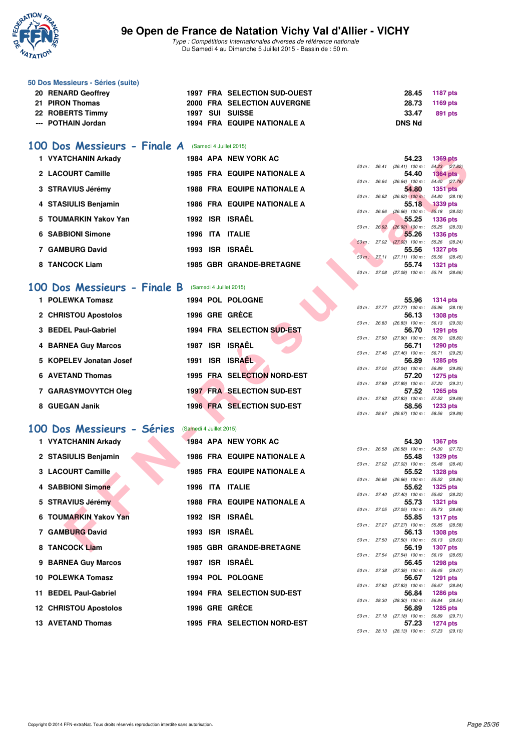

**50 Dos Messieurs - Séries (suite)**

#### **9e Open de France de Natation Vichy Val d'Allier - VICHY**

Type : Compétitions Internationales diverses de référence nationale Du Samedi 4 au Dimanche 5 Juillet 2015 - Bassin de : 50 m.

**20 RENARD Geoffrey 1997 FRA SELECTION SUD-OUEST 28.45 1187 pts**

| 21 PIRON Thomas                                      | <b>2000 FRA SELECTION AUVERGNE</b> |             | 28.73                                               | 1169 pts                            |
|------------------------------------------------------|------------------------------------|-------------|-----------------------------------------------------|-------------------------------------|
| 22 ROBERTS Timmy                                     | 1997 SUI SUISSE                    |             | 33.47                                               | 891 pts                             |
| <b>POTHAIN Jordan</b><br>$---$                       | 1994 FRA EQUIPE NATIONALE A        |             | <b>DNS Nd</b>                                       |                                     |
|                                                      |                                    |             |                                                     |                                     |
| 100 Dos Messieurs - Finale A (Samedi 4 Juillet 2015) |                                    |             |                                                     |                                     |
| 1 VYATCHANIN Arkady                                  | 1984 APA NEW YORK AC               |             | 54.23                                               | <b>1369 pts</b>                     |
| 2 LACOURT Camille                                    | <b>1985 FRA EQUIPE NATIONALE A</b> |             | 50 m: 26.41 (26.41) 100 m: 54.23 (27.82)<br>54.40   | <b>1364 pts</b>                     |
|                                                      |                                    |             | 50 m : 26.64 (26.64) 100 m : 54.40 (27.76)          |                                     |
| 3 STRAVIUS Jérémy                                    | <b>1988 FRA EQUIPE NATIONALE A</b> |             | 54.80<br>50 m : 26.62 (26.62) 100 m :               | <b>1351 pts</b><br>54.80 (28.18)    |
| 4 STASIULIS Benjamin                                 | <b>1986 FRA EQUIPE NATIONALE A</b> |             | 55.18                                               | <b>1339 pts</b>                     |
| <b>TOUMARKIN Yakov Yan</b>                           | 1992 ISR ISRAËL                    | 50 m: 26.66 | $(26.66)$ 100 m : 55.18 $(28.52)$                   |                                     |
| 5                                                    |                                    |             | 55.25<br>50 m : 26.92 (26.92) 100 m : 55.25 (28.33) | <b>1336 pts</b>                     |
| <b>SABBIONI Simone</b><br>6                          | 1996 ITA ITALIE                    |             | 55.26                                               | <b>1336 pts</b>                     |
| 7 GAMBURG David                                      | 1993 ISR ISRAËL                    |             | 50 m : 27.02 (27.02) 100 m : 55.26 (28.24)<br>55.56 |                                     |
|                                                      |                                    |             | 50 m: 27.11 (27.11) 100 m: 55.56 (28.45)            | <b>1327 pts</b>                     |
| 8 TANCOCK Liam                                       | <b>1985 GBR GRANDE-BRETAGNE</b>    |             | 55.74                                               | <b>1321 pts</b>                     |
|                                                      |                                    |             | 50 m: 27.08 (27.08) 100 m: 55.74 (28.66)            |                                     |
| 100 Dos Messieurs - Finale B                         | (Samedi 4 Juillet 2015)            |             |                                                     |                                     |
| 1 POLEWKA Tomasz                                     | 1994 POL POLOGNE                   |             | 55.96                                               | <b>1314 pts</b>                     |
|                                                      |                                    |             | 50 m: 27.77 (27.77) 100 m: 55.96 (28.19)            |                                     |
| 2 CHRISTOU Apostolos                                 | 1996 GRE GRECE                     |             | 56.13                                               | <b>1308 pts</b>                     |
| 3 BEDEL Paul-Gabriel                                 | 1994 FRA SELECTION SUD-EST         |             | 50 m: 26.83 (26.83) 100 m: 56.13 (29.30)<br>56.70   | <b>1291 pts</b>                     |
|                                                      |                                    |             | 50 m : 27.90 (27.90) 100 m : 56.70                  | (28.80)                             |
| <b>BARNEA Guy Marcos</b>                             | 1987 ISR ISRAËL                    |             | 56.71<br>$50 m$ : 27.46 (27.46) 100 m :             | <b>1290 pts</b><br>56.71 (29.25)    |
| 5 KOPELEV Jonatan Josef                              | 1991 ISR ISRAEL                    |             | 56.89                                               | 1285 pts                            |
|                                                      |                                    |             | 50 m: 27.04 (27.04) 100 m: 56.89 (29.85)            |                                     |
| <b>AVETAND Thomas</b><br>6                           | 1995 FRA SELECTION NORD-EST        |             | 57.20<br>50 m : 27.89 (27.89) 100 m : 57.20         | <b>1275 pts</b><br>(29.31)          |
| 7 GARASYMOVYTCH Oleg                                 | <b>1997 FRA SELECTION SUD-EST</b>  |             | 57.52                                               | <b>1265 pts</b>                     |
|                                                      |                                    |             | 50 m : 27.83 (27.83) 100 m : 57.52                  | (29.69)                             |
| 8 GUEGAN Janik                                       | 1996 FRA SELECTION SUD-EST         |             | 58.56<br>50 m: 28.67 (28.67) 100 m: 58.56 (29.89)   | <b>1233 pts</b>                     |
|                                                      |                                    |             |                                                     |                                     |
| 100 Dos Messieurs - Séries                           | (Samedi 4 Juillet 2015)            |             |                                                     |                                     |
| 1 VYATCHANIN Arkady                                  | 1984 APA NEW YORK AC               |             | 54.30                                               | <b>1367 pts</b>                     |
| 2 STASIULIS Benjamin                                 | <b>1986 FRA EQUIPE NATIONALE A</b> |             | 50 m : 26.58 (26.58) 100 m :<br>55.48               | 54.30 (27.72)<br><b>1329 pts</b>    |
|                                                      |                                    |             | 50 m: 27.02 (27.02) 100 m: 55.48 (28.46)            |                                     |
| <b>LACOURT Camille</b><br>з                          | <b>1985 FRA EQUIPE NATIONALE A</b> |             | 55.52                                               | <b>1328 pts</b>                     |
| <b>SABBIONI Simone</b><br>4                          | 1996 ITA ITALIE                    |             | 50 m : 26.66 (26.66) 100 m : 55.52 (28.86)<br>55.62 | <b>1325 pts</b>                     |
|                                                      |                                    |             | $50 m$ : 27.40 (27.40) 100 m :                      | 55.62<br>(28.22)                    |
| <b>STRAVIUS Jérémy</b><br>5                          | 1988 FRA EQUIPE NATIONALE A        |             | 55.73                                               | <b>1321 pts</b>                     |
| <b>TOUMARKIN Yakov Yan</b><br>6                      | 1992 ISR ISRAËL                    |             | 50 m : 27.05 (27.05) 100 m :<br>55.85               | 55.73<br>(28.68)<br><b>1317 pts</b> |
|                                                      |                                    |             | 50 m : 27.27 (27.27) 100 m :                        | 55.85<br>(28.58)                    |
| 7 GAMBURG David                                      | 1993 ISR ISRAËL                    |             | 56.13                                               | <b>1308 pts</b>                     |
| 8 TANCOCK Liam                                       | <b>1985 GBR GRANDE-BRETAGNE</b>    |             | 50 m : 27.50 (27.50) 100 m :<br>56.19               | 56.13 (28.63)<br><b>1307 pts</b>    |
|                                                      |                                    |             |                                                     |                                     |

**9 BARNEA Guy Marcos** 1987 ISR ISRAËL

10 POLEWKA Tomasz 1994 POL POLOGNE

**12 CHRISTOU Apostolos 1996 GRE GRÈCE 56.89 1285 pts**

11 BEDEL Paul-Gabriel 1994 FRA SELECTION SUD-EST

13 AVETAND Thomas 1995 FRA SELECTION NORD-EST

50 m : 27.54 (27.54) 100 m : 56.19 (28.65)<br>56.45 1298 pts

50 m : 27.38 (27.38) 100 m : 56.45 (29.07)<br>56.67 1291 pts

50 m : 27.83 (27.83) 100 m : 56.67 (28.84)<br>56.84 1286 pts

50 m : 28.30 (28.30) 100 m : 56.84 (28.54)<br>55.89 1285 pts

50 m : 27.18 (27.18) 100 m : 56.89 (29.71)<br>57.23 1274 pts

50 m : 28.13 (28.13) 100 m : 57.23 (29.10)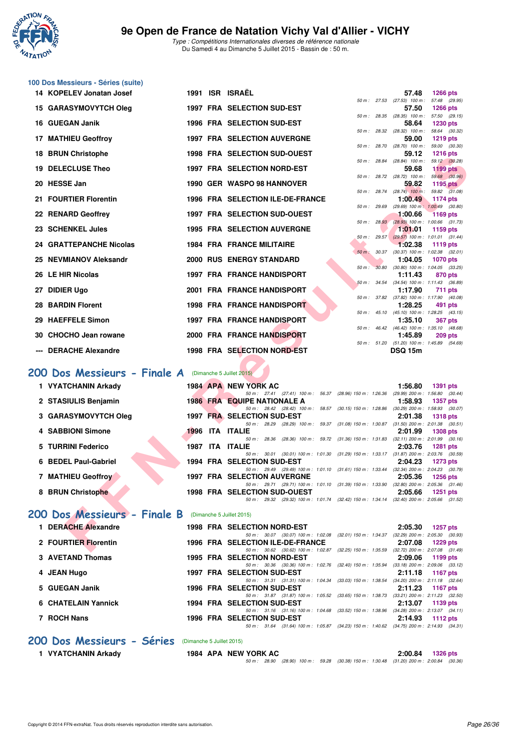

Type : Compétitions Internationales diverses de référence nationale Du Samedi 4 au Dimanche 5 Juillet 2015 - Bassin de : 50 m.

|     | 100 Dos Messieurs - Séries (suite)                                            |                           |                                                                                                                                    |              |              |                            |                                                              |
|-----|-------------------------------------------------------------------------------|---------------------------|------------------------------------------------------------------------------------------------------------------------------------|--------------|--------------|----------------------------|--------------------------------------------------------------|
|     | 14 KOPELEV Jonatan Josef                                                      |                           | 1991 ISR ISRAËL                                                                                                                    | 50 m: 27.53  |              | 57.48                      | <b>1266 pts</b><br>(27.53) 100 m : 57.48 (29.95)             |
|     | <b>15 GARASYMOVYTCH Oleg</b>                                                  |                           | 1997 FRA SELECTION SUD-EST                                                                                                         |              |              | 57.50                      | <b>1266 pts</b><br>50 m: 28.35 (28.35) 100 m: 57.50 (29.15)  |
|     | 16 GUEGAN Janik                                                               |                           | 1996 FRA SELECTION SUD-EST                                                                                                         |              |              | 58.64                      | 1230 pts                                                     |
|     | 17 MATHIEU Geoffroy                                                           |                           | <b>1997 FRA SELECTION AUVERGNE</b>                                                                                                 | 50 m : 28.32 |              | $(28.32)$ 100 m :<br>59.00 | 58.64 (30.32)<br><b>1219 pts</b>                             |
| 18  | <b>BRUN Christophe</b>                                                        |                           | <b>1998 FRA SELECTION SUD-OUEST</b>                                                                                                | 50 m: 28.70  |              | 59.12                      | $(28.70)$ 100 m : 59.00 $(30.30)$<br><b>1216 pts</b>         |
| 19. | <b>DELECLUSE Theo</b>                                                         |                           | 1997 FRA SELECTION NORD-EST                                                                                                        |              |              | 59.68                      | 50 m: 28.84 (28.84) 100 m: 59.12 (30.28)<br><b>1199 pts</b>  |
|     | 20 HESSE Jan                                                                  |                           | 1990 GER WASPO 98 HANNOVER                                                                                                         | 50 m : 28.72 |              | $(28.72)$ 100 m :<br>59.82 | 59.68 (30.96)<br>1195 pts                                    |
| 21  | <b>FOURTIER Florentin</b>                                                     |                           | 1996 FRA SELECTION ILE-DE-FRANCE                                                                                                   |              |              | 1:00.49                    | 50 m: 28.74 (28.74) 100 m: 59.82 (31.08)<br><b>1174 pts</b>  |
|     | 22 RENARD Geoffrey                                                            |                           | <b>1997 FRA SELECTION SUD-OUEST</b>                                                                                                | 50 m : 29.69 |              | 1:00.66                    | (29.69) 100 m: 1:00.49 (30.80)<br><b>1169 pts</b>            |
| 23  | <b>SCHENKEL Jules</b>                                                         |                           | <b>1995 FRA SELECTION AUVERGNE</b>                                                                                                 |              | 50 m: 28.93  | 1:01.01                    | $(28.93)$ 100 m : 1:00.66 (31.73)<br>1159 pts                |
|     | 24 GRATTEPANCHE Nicolas                                                       |                           | <b>1984 FRA FRANCE MILITAIRE</b>                                                                                                   |              | 50 m: 29.57  | 1:02.38                    | $(29.57)$ 100 m : 1:01.01 $(31.44)$<br>1119 pts              |
| 25  | <b>NEVMIANOV Aleksandr</b>                                                    |                           | <b>2000 RUS ENERGY STANDARD</b>                                                                                                    |              | 50 m: 30.37  |                            | $(30.37)$ 100 m : 1:02.38 $(32.01)$                          |
|     |                                                                               |                           |                                                                                                                                    | $50 m$ :     |              | 1:04.05                    | <b>1070 pts</b><br>30.80 (30.80) 100 m : 1:04.05 (33.25)     |
| 26. | <b>LE HIR Nicolas</b>                                                         |                           | <b>1997 FRA FRANCE HANDISPORT</b>                                                                                                  |              | 50 m : 34.54 | 1:11.43                    | 870 pts<br>$(34.54)$ 100 m : 1:11.43 $(36.89)$               |
| 27  | <b>DIDIER Ugo</b>                                                             |                           | 2001 FRA FRANCE HANDISPORT                                                                                                         |              |              | 1:17.90                    | 711 pts<br>50 m: 37.82 (37.82) 100 m: 1:17.90 (40.08)        |
| 28  | <b>BARDIN Florent</b>                                                         |                           | <b>1998 FRA FRANCE HANDISPORT</b>                                                                                                  |              | 50 m : 45.10 | 1:28.25                    | 491 pts<br>$(45.10)$ 100 m : 1:28.25 $(43.15)$               |
|     | 29 HAEFFELE Simon                                                             |                           | <b>1997 FRA FRANCE HANDISPORT</b>                                                                                                  |              |              | 1:35.10                    | <b>367 pts</b><br>50 m: 46.42 (46.42) 100 m: 1:35.10 (48.68) |
| 30  | <b>CHOCHO Jean rowane</b>                                                     |                           | 2000 FRA FRANCE HANDISPORT                                                                                                         |              |              | 1:45.89                    | <b>209 pts</b><br>50 m: 51.20 (51.20) 100 m: 1:45.89 (54.69) |
|     | <b>DERACHE Alexandre</b>                                                      |                           | 1998 FRA SELECTION NORD-EST                                                                                                        |              |              | DSQ 15m                    |                                                              |
|     |                                                                               |                           |                                                                                                                                    |              |              |                            |                                                              |
|     | 200 Dos Messieurs - Finale A (Dimanche 5 Juillet 2015)<br>1 VYATCHANIN Arkady |                           | 1984 APA NEW YORK AC                                                                                                               |              |              | 1:56.80                    |                                                              |
|     |                                                                               |                           | 50 m: 27.41 (27.41) 100 m: 56.37 (28.96) 150 m: 1:26.36 (29.99) 200 m: 1:56.80 (30.44)                                             |              |              |                            | 1391 pts                                                     |
|     | 2 STASIULIS Benjamin                                                          |                           | <b>1986 FRA EQUIPE NATIONALE A</b><br>50 m: 28.42 (28.42) 100 m: 58.57 (30.15) 150 m: 1:28.86                                      |              |              | 1:58.93                    | <b>1357 pts</b><br>$(30.29)$ 200 m : 1:58.93 $(30.07)$       |
|     | 3 GARASYMOVYTCH Oleg                                                          |                           | 1997 FRA SELECTION SUD-EST<br>50 m: 28.29 (28.29) 100 m: 59.37 (31.08) 150 m: 1:30.87 (31.50) 200 m: 2:01.38 (30.51)               |              |              | 2:01.38                    | <b>1318 pts</b>                                              |
|     | 4 SABBIONI Simone                                                             |                           | 1996 ITA ITALIE<br>50 m: 28.36 (28.36) 100 m: 59.72 (31.36) 150 m: 1:31.83 (32.11) 200 m: 2:01.99 (30.16)                          |              |              | 2:01.99                    | <b>1308 pts</b>                                              |
|     | 5 TURRINI Federico                                                            |                           | 1987 ITA ITALIE<br>50 m: 30.01 (30.01) 100 m: 1:01.30 (31.29) 150 m: 1:33.17 (31.87) 200 m: 2:03.76 (30.59)                        |              |              | 2:03.76                    | <b>1281 pts</b>                                              |
|     | 6 BEDEL Paul-Gabriel                                                          |                           | 1994 FRA SELECTION SUD-EST                                                                                                         |              |              | 2:04.23                    | 1273 pts                                                     |
|     | 7 MATHIEU Geoffroy                                                            |                           | 50 m: 29.49 (29.49) 100 m: 1:01.10 (31.61) 150 m: 1:33.44 (32.34) 200 m: 2:04.23 (30.79)<br><b>1997 FRA SELECTION AUVERGNE</b>     |              |              | 2:05.36                    | <b>1256 pts</b>                                              |
|     | 8 BRUN Christophe                                                             |                           | 50 m: 29.71 (29.71) 100 m: 1:01.10 (31.39) 150 m: 1:33.90 (32.80) 200 m: 2:05.36 (31.46)<br>1998 FRA SELECTION SUD-OUEST           |              |              | 2:05.66                    | 1251 pts                                                     |
|     |                                                                               |                           | 50 m: 29.32 (29.32) 100 m: 1:01.74 (32.42) 150 m: 1:34.14 (32.40) 200 m: 2:05.66 (31.52)                                           |              |              |                            |                                                              |
|     | 200 Dos Messieurs - Finale B (Dimanche 5 Juillet 2015)                        |                           |                                                                                                                                    |              |              |                            |                                                              |
|     | 1 DERACHE Alexandre                                                           |                           | <b>1998 FRA SELECTION NORD-EST</b><br>50 m : 30.07 (30.07) 100 m : 1:02.08 (32.01) 150 m : 1:34.37 (32.29) 200 m : 2:05.30 (30.93) |              |              | 2:05.30                    | 1257 pts                                                     |
|     | 2 FOURTIER Florentin                                                          |                           | 1996 FRA SELECTION ILE-DE-FRANCE<br>50 m: 30.62 (30.62) 100 m: 1:02.87 (32.25) 150 m: 1:35.59 (32.72) 200 m: 2:07.08 (31.49)       |              |              | 2:07.08                    | 1229 pts                                                     |
|     | 3 AVETAND Thomas                                                              |                           | 1995 FRA SELECTION NORD-EST<br>50 m: 30.36 (30.36) 100 m: 1:02.76 (32.40) 150 m: 1:35.94 (33.18) 200 m: 2:09.06 (33.12)            |              |              | 2:09.06                    | 1199 pts                                                     |
|     | 4 JEAN Hugo                                                                   |                           | 1997 FRA SELECTION SUD-EST                                                                                                         |              |              | 2:11.18                    | <b>1167 pts</b>                                              |
|     | 5 GUEGAN Janik                                                                |                           | 50 m: 31.31 (31.31) 100 m: 1:04.34 (33.03) 150 m: 1:38.54 (34.20) 200 m: 2:11.18 (32.64)<br>1996 FRA SELECTION SUD-EST             |              |              | 2:11.23                    | <b>1167 pts</b>                                              |
|     | 6 CHATELAIN Yannick                                                           |                           | 50 m: 31.87 (31.87) 100 m: 1:05.52 (33.65) 150 m: 1:38.73 (33.21) 200 m: 2:11.23 (32.50)<br>1994 FRA SELECTION SUD-EST             |              |              | 2:13.07                    | 1139 pts                                                     |
|     | 7 ROCH Nans                                                                   |                           | 50 m: 31.16 (31.16) 100 m: 1:04.68 (33.52) 150 m: 1:38.96 (34.28) 200 m: 2:13.07 (34.11)<br>1996 FRA SELECTION SUD-EST             |              |              | 2:14.93                    | 1112 pts                                                     |
|     |                                                                               |                           | 50 m: 31.64 (31.64) 100 m: 1:05.87 (34.23) 150 m: 1:40.62 (34.75) 200 m: 2:14.93 (34.31)                                           |              |              |                            |                                                              |
|     | 200 Dos Messieurs - Séries                                                    | (Dimanche 5 Juillet 2015) |                                                                                                                                    |              |              |                            |                                                              |
|     | 1 VYATCHANIN Arkady                                                           |                           | 1984 APA NEW YORK AC                                                                                                               |              |              | 2:00.84                    | 1326 pts                                                     |

50 m : 28.90 (28.90) 100 m : 59.28 (30.38) 150 m : 1:30.48 (31.20) 200 m : 2:00.84 (30.36)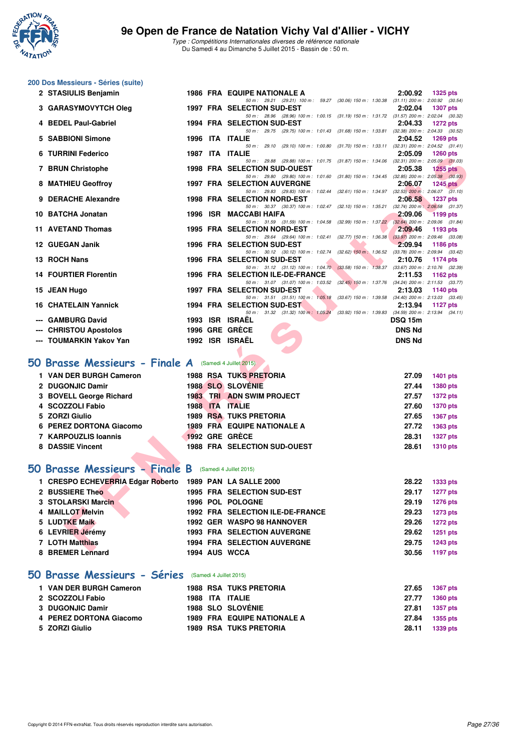

Type : Compétitions Internationales diverses de référence nationale Du Samedi 4 au Dimanche 5 Juillet 2015 - Bassin de : 50 m.

# **200 Dos Messieurs - Séries (suite)**

| 2 STASIULIS Benjamin                                  |  | <b>1986 FRA EQUIPE NATIONALE A</b>                                                                                              | 2:00.92        | <b>1325 pts</b>                                 |
|-------------------------------------------------------|--|---------------------------------------------------------------------------------------------------------------------------------|----------------|-------------------------------------------------|
| 3 GARASYMOVYTCH Oleg                                  |  | 50 m: 29.21 (29.21) 100 m: 59.27 (30.06) 150 m: 1:30.38 (31.11) 200 m: 2:00.92 (30.54)<br>1997 FRA SELECTION SUD-EST            | 2:02.04        | <b>1307 pts</b>                                 |
|                                                       |  | 50 m: 28.96 (28.96) 100 m: 1:00.15 (31.19) 150 m: 1:31.72 (31.57) 200 m: 2:02.04 (30.32)                                        |                |                                                 |
| 4 BEDEL Paul-Gabriel                                  |  | 1994 FRA SELECTION SUD-EST<br>50 m: 29.75 (29.75) 100 m: 1:01.43 (31.68) 150 m: 1:33.81 (32.38) 200 m: 2:04.33 (30.52)          | 2:04.33        | <b>1272 pts</b>                                 |
| 5 SABBIONI Simone                                     |  | 1996 ITA ITALIE                                                                                                                 | 2:04.52        | <b>1269 pts</b>                                 |
| 6 TURRINI Federico                                    |  | 50 m: 29.10 (29.10) 100 m: 1:00.80 (31.70) 150 m: 1:33.11 (32.31) 200 m: 2:04.52 (31.41)<br>1987 ITA ITALIE                     | 2:05.09        | <b>1260 pts</b>                                 |
|                                                       |  | 50 m: 29.88 (29.88) 100 m: 1:01.75 (31.87) 150 m: 1:34.06 (32.31) 200 m: 2:05.09 (31.03)                                        |                |                                                 |
| 7 BRUN Christophe                                     |  | <b>1998 FRA SELECTION SUD-OUEST</b><br>50 m: 29.80 (29.80) 100 m: 1:01.60 (31.80) 150 m: 1:34.45 (32.85) 200 m: 2:05.38 (30.93) | 2:05.38        | $1255$ pts                                      |
| 8 MATHIEU Geoffroy                                    |  | <b>1997 FRA SELECTION AUVERGNE</b>                                                                                              | 2:06.07        | 1245 $p$ ts                                     |
| 9 DERACHE Alexandre                                   |  | 50 m: 29.83 (29.83) 100 m: 1:02.44 (32.61) 150 m: 1:34.97 (32.53) 200 m: 2:06.07 (31.10)<br><b>1998 FRA SELECTION NORD-EST</b>  | 2:06.58        | <b>1237 pts</b>                                 |
|                                                       |  | 50 m: 30.37 (30.37) 100 m: 1:02.47 (32.10) 150 m: 1:35.21 (32.74) 200 m: 2:06.58 (31.37)                                        |                |                                                 |
| 10 BATCHA Jonatan                                     |  | 1996 ISR MACCABI HAIFA<br>50 m: 31.59 (31.59) 100 m: 1:04.58 (32.99) 150 m: 1:37.22 (32.64) 200 m: 2:09.06 (31.84)              | 2:09.06        | <b>1199 pts</b>                                 |
| 11 AVETAND Thomas                                     |  | 1995 FRA SELECTION NORD-EST                                                                                                     | 2:09.46        | 1193 pts                                        |
| 12 GUEGAN Janik                                       |  | 50 m: 29.64 (29.64) 100 m: 1:02.41 (32.77) 150 m: 1:36.38 (33.97) 200 m: 2:09.46 (33.08)<br>1996 FRA SELECTION SUD-EST          | 2:09.94        | 1186 pts                                        |
|                                                       |  | 50 m: 30.12 (30.12) 100 m: 1:02.74 (32.62) 150 m: 1:36.52 (33.78) 200 m: 2:09.94 (33.42)                                        |                |                                                 |
| 13 ROCH Nans                                          |  | 1996 FRA SELECTION SUD-EST<br>50 m: 31.12 (31.12) 100 m: 1:04.70 (33.58) 150 m: 1:38.37 (33.67) 200 m: 2:10.76 (32.39)          | 2:10.76        | <b>1174 pts</b>                                 |
| <b>14 FOURTIER Florentin</b>                          |  | 1996 FRA SELECTION ILE-DE-FRANCE                                                                                                | 2:11.53        | 1162 pts                                        |
|                                                       |  | 50 m: 31.07 (31.07) 100 m: 1:03.52 (32.45) 150 m: 1:37.76 (34.24) 200 m: 2:11.53 (33.77)<br>1997 FRA SELECTION SUD-EST          |                |                                                 |
| 15 JEAN Hugo                                          |  | 50 m: 31.51 (31.51) 100 m: 1:05.18 (33.67) 150 m: 1:39.58                                                                       | 2:13.03        | 1140 pts<br>$(34.40)$ 200 m : 2:13.03 $(33.45)$ |
| <b>16 CHATELAIN Yannick</b>                           |  | 1994 FRA SELECTION SUD-EST                                                                                                      | 2:13.94        | 1127 pts                                        |
| --- GAMBURG David                                     |  | 50 m: 31.32 (31.32) 100 m: 1:05.24 (33.92) 150 m: 1:39.83 (34.59) 200 m: 2:13.94 (34.11)<br>1993 ISR ISRAËL                     | <b>DSQ 15m</b> |                                                 |
| --- CHRISTOU Apostolos                                |  | 1996 GRE GRÈCE                                                                                                                  | <b>DNS Nd</b>  |                                                 |
| --- TOUMARKIN Yakov Yan                               |  | 1992 ISR ISRAËL                                                                                                                 | <b>DNS Nd</b>  |                                                 |
|                                                       |  |                                                                                                                                 |                |                                                 |
| O Brasse Messieurs - Finale A (Samedi 4 Juillet 2015) |  |                                                                                                                                 |                |                                                 |
| 1 VAN DER BURGH Cameron                               |  | <b>1988 RSA TUKS PRETORIA</b>                                                                                                   | 27.09          | <b>1401 pts</b>                                 |
| 2 DUGONJIC Damir                                      |  | <b>1988 SLO SLOVENIE</b>                                                                                                        | 27.44          | <b>1380 pts</b>                                 |
| 3 BOVELL George Richard                               |  | <b>1983 TRI ADN SWIM PROJECT</b>                                                                                                | 27.57          | <b>1372 pts</b>                                 |
| 4 SCOZZOLI Fabio                                      |  | 1988 ITA ITALIE                                                                                                                 | 27.60          | <b>1370 pts</b>                                 |
| 5 ZORZI Giulio                                        |  | <b>1989 RSA TUKS PRETORIA</b>                                                                                                   | 27.65          | <b>1367 pts</b>                                 |
| 6 PEREZ DORTONA Giacomo                               |  | 1989 FRA EQUIPE NATIONALE A                                                                                                     | 27.72          | 1363 pts                                        |
| 7 KARPOUZLIS Ioannis                                  |  | 1992 GRE GRECE                                                                                                                  | 28.31          | <b>1327 pts</b>                                 |
| 8 DASSIE Vincent                                      |  | 1988 FRA SELECTION SUD-OUEST                                                                                                    | 28.61          | <b>1310 pts</b>                                 |
|                                                       |  |                                                                                                                                 |                |                                                 |
| <b>0 Brasse Messieurs - Finale B</b>                  |  | (Samedi 4 Juillet 2015)                                                                                                         |                |                                                 |
| 1 CRESPO ECHEVERRIA Edgar Roberto                     |  | <b>1989 PAN LA SALLE 2000</b>                                                                                                   | 28.22          | 1333 pts                                        |
| 2 BUSSIERE Theo                                       |  | 1995 FRA SELECTION SUD-EST                                                                                                      | 29.17          | <b>1277 pts</b>                                 |
| 3 STOLARSKI Marcin                                    |  | 1996 POL POLOGNE                                                                                                                | 29.19          | <b>1276 pts</b>                                 |
| 4 MAILLOT Melvin<br><b>5 LUDTKE Maik</b>              |  | 1992 FRA SELECTION ILE-DE-FRANCE<br>1992 GER WASPO 98 HANNOVER                                                                  | 29.23<br>29.26 | <b>1273 pts</b><br><b>1272 pts</b>              |
| 6 LEVRIER Jérémy                                      |  | 1993 FRA SELECTION AUVERGNE                                                                                                     | 29.62          | 1251 pts                                        |
| 7 LOTH Matthias                                       |  | <b>1994 FRA SELECTION AUVERGNE</b>                                                                                              | 29.75          | <b>1243 pts</b>                                 |
| 0.00000001                                            |  | $1001$ ALIC MIOOA                                                                                                               | oo ee          | <b>CARD AND ALL</b>                             |

#### **50 Brasse Messieurs - Finale A** (Samedi 4 Juillet 2015)

| 1 VAN DER BURGH Cameron |  | <b>1988 RSA TUKS PRETORIA</b>       | 27.09 | <b>1401 pts</b> |
|-------------------------|--|-------------------------------------|-------|-----------------|
| 2 DUGONJIC Damir        |  | <b>1988 SLO SLOVENIE</b>            | 27.44 | 1380 pts        |
| 3 BOVELL George Richard |  | <b>1983 TRI ADN SWIM PROJECT</b>    | 27.57 | <b>1372 pts</b> |
| 4 SCOZZOLI Fabio        |  | 1988 ITA ITALIE                     | 27.60 | <b>1370 pts</b> |
| 5 ZORZI Giulio          |  | <b>1989 RSA TUKS PRETORIA</b>       | 27.65 | 1367 pts        |
| 6 PEREZ DORTONA Giacomo |  | 1989 FRA EQUIPE NATIONALE A         | 27.72 | 1363 pts        |
| 7 KARPOUZLIS Ioannis    |  | 1992 GRE GRÈCE                      | 28.31 | <b>1327 pts</b> |
| 8 DASSIE Vincent        |  | <b>1988 FRA SELECTION SUD-OUEST</b> | 28.61 | <b>1310 pts</b> |
|                         |  |                                     |       |                 |

#### **[50 Brasse Messieurs - Finale B](http://www.ffnatation.fr/webffn/resultats.php?idact=nat&go=epr&idcpt=32627&idepr=71)** (Samedi 4 Juillet 2015)

| 1 CRESPO ECHEVERRIA Edgar Roberto 1989 PAN LA SALLE 2000 |  |                                    |       | 28.22 1333 pts  |
|----------------------------------------------------------|--|------------------------------------|-------|-----------------|
| 2 BUSSIERE Theo                                          |  | 1995 FRA SELECTION SUD-EST         | 29.17 | <b>1277 pts</b> |
| 3 STOLARSKI Marcin                                       |  | 1996 POL POLOGNE                   |       | 29.19 1276 pts  |
| 4 MAILLOT Melvin                                         |  | 1992 FRA SELECTION ILE-DE-FRANCE   | 29.23 | 1273 pts        |
| 5 LUDTKE Maik                                            |  | 1992 GER WASPO 98 HANNOVER         | 29.26 | <b>1272 pts</b> |
| 6 LEVRIER Jérémy                                         |  | <b>1993 FRA SELECTION AUVERGNE</b> | 29.62 | 1251 pts        |
| 7 LOTH Matthias                                          |  | <b>1994 FRA SELECTION AUVERGNE</b> | 29.75 | 1243 pts        |
| 8 BREMER Lennard                                         |  | 1994 AUS WCCA                      |       | 30.56 1197 pts  |
|                                                          |  |                                    |       |                 |

### **[50 Brasse Messieurs - Séries](http://www.ffnatation.fr/webffn/resultats.php?idact=nat&go=epr&idcpt=32627&idepr=71)** (Samedi 4 Juillet 2015)

| 1 VAN DER BURGH Cameron |  | <b>1988 RSA TUKS PRETORIA</b>      | 27.65 | 1367 pts |
|-------------------------|--|------------------------------------|-------|----------|
| 2 SCOZZOLI Fabio        |  | 1988 ITA ITALIE                    | 27.77 | 1360 pts |
| 3 DUGONJIC Damir        |  | <b>1988 SLO SLOVÉNIE</b>           | 27.81 | 1357 pts |
| 4 PEREZ DORTONA Giacomo |  | <b>1989 FRA EQUIPE NATIONALE A</b> | 27.84 | 1355 pts |
| 5 ZORZI Giulio          |  | <b>1989 RSA TUKS PRETORIA</b>      | 28.11 | 1339 pts |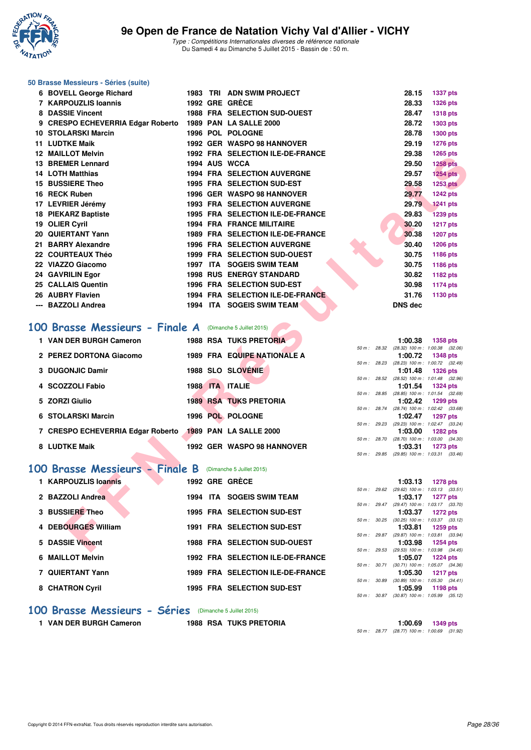

| 50 Brasse Messieurs - Séries (suite)                       |  |                                                                    |              |                                            |                                                                 |
|------------------------------------------------------------|--|--------------------------------------------------------------------|--------------|--------------------------------------------|-----------------------------------------------------------------|
| 6 BOVELL George Richard                                    |  | 1983 TRI ADN SWIM PROJECT                                          |              | 28.15                                      | <b>1337 pts</b>                                                 |
| 7 KARPOUZLIS Ioannis                                       |  | 1992 GRE GRÈCE                                                     |              | 28.33                                      | <b>1326 pts</b>                                                 |
| 8 DASSIE Vincent                                           |  | 1988 FRA SELECTION SUD-OUEST                                       |              | 28.47                                      | <b>1318 pts</b>                                                 |
| 9 CRESPO ECHEVERRIA Edgar Roberto                          |  | <b>1989 PAN LA SALLE 2000</b>                                      |              | 28.72                                      | 1303 pts                                                        |
| 10 STOLARSKI Marcin<br><b>11 LUDTKE Maik</b>               |  | 1996 POL POLOGNE<br>1992 GER WASPO 98 HANNOVER                     |              | 28.78<br>29.19                             | 1300 pts                                                        |
| <b>12 MAILLOT Melvin</b>                                   |  | 1992 FRA SELECTION ILE-DE-FRANCE                                   |              | 29.38                                      | <b>1276 pts</b><br>1265 pts                                     |
| 13 BREMER Lennard                                          |  | 1994 AUS WCCA                                                      |              | 29.50                                      | <b>1258 pts</b>                                                 |
| <b>14 LOTH Matthias</b>                                    |  | <b>1994 FRA SELECTION AUVERGNE</b>                                 |              | 29.57                                      | <b>1254 pts</b>                                                 |
| 15 BUSSIERE Theo                                           |  | 1995 FRA SELECTION SUD-EST                                         |              | 29.58                                      | <b>1253 pts</b>                                                 |
| 16 RECK Ruben                                              |  | 1996 GER WASPO 98 HANNOVER                                         |              | 29.77                                      | <b>1242 pts</b>                                                 |
| 17 LEVRIER Jérémy                                          |  | <b>1993 FRA SELECTION AUVERGNE</b>                                 |              | 29.79                                      | <b>1241 pts</b>                                                 |
| <b>18 PIEKARZ Baptiste</b>                                 |  | 1995 FRA SELECTION ILE-DE-FRANCE                                   |              | 29.83                                      | <b>1239 pts</b>                                                 |
| 19 OLIER Cyril                                             |  | <b>1994 FRA FRANCE MILITAIRE</b>                                   |              | 30.20                                      | <b>1217 pts</b>                                                 |
| 20 QUIERTANT Yann                                          |  | <b>1989 FRA SELECTION ILE-DE-FRANCE</b>                            |              | 30.38                                      | <b>1207 pts</b>                                                 |
| 21 BARRY Alexandre<br>22 COURTEAUX Théo                    |  | 1996 FRA SELECTION AUVERGNE<br><b>1999 FRA SELECTION SUD-OUEST</b> |              | 30.40<br>30.75                             | <b>1206 pts</b><br>1186 pts                                     |
| 22 VIAZZO Giacomo                                          |  | 1997 ITA SOGEIS SWIM TEAM                                          |              | 30.75                                      | 1186 pts                                                        |
| 24 GAVRILIN Egor                                           |  | <b>1998 RUS ENERGY STANDARD</b>                                    |              | 30.82                                      | 1182 pts                                                        |
| 25 CALLAIS Quentin                                         |  | 1996 FRA SELECTION SUD-EST                                         |              | 30.98                                      | <b>1174 pts</b>                                                 |
| 26 AUBRY Flavien                                           |  | 1994 FRA SELECTION ILE-DE-FRANCE                                   |              | 31.76                                      | 1130 pts                                                        |
| --- BAZZOLI Andrea                                         |  | 1994 ITA SOGEIS SWIM TEAM                                          |              | <b>DNS dec</b>                             |                                                                 |
| 100 Brasse Messieurs - Finale A<br>1 VAN DER BURGH Cameron |  | (Dimanche 5 Juillet 2015)<br><b>1988 RSA TUKS PRETORIA</b>         |              | 1:00.38                                    | <b>1358 pts</b>                                                 |
| 2 PEREZ DORTONA Giacomo                                    |  | 1989 FRA EQUIPE NATIONALE A                                        |              | 1:00.72                                    | 50 m : 28.32 (28.32) 100 m : 1:00.38 (32.06)<br><b>1348 pts</b> |
| 3 DUGONJIC Damir                                           |  | <b>1988 SLO SLOVENIE</b>                                           |              | 1:01.48                                    | 50 m : 28.23 (28.23) 100 m : 1:00.72 (32.49)<br><b>1326 pts</b> |
|                                                            |  | 1988 ITA ITALIE                                                    | 50 m : 28.52 |                                            | (28.52) 100 m: 1:01.48 (32.96)                                  |
| 4 SCOZZOLI Fabio                                           |  |                                                                    |              | 1:01.54                                    | <b>1324 pts</b><br>50 m : 28.85 (28.85) 100 m : 1:01.54 (32.69) |
| 5 ZORZI Giulio                                             |  | <b>1989 RSA TUKS PRETORIA</b>                                      |              | 1:02.42                                    | 1299 pts                                                        |
| 6 STOLARSKI Marcin                                         |  | 1996 POL POLOGNE                                                   | 50 m : 28.74 | 1:02.47                                    | (28.74) 100 m: 1:02.42 (33.68)<br><b>1297 pts</b>               |
| 7 CRESPO ECHEVERRIA Edgar Roberto                          |  | <b>1989 PAN LA SALLE 2000</b>                                      | 50 m : 29.23 |                                            | (29.23) 100 m: 1:02.47 (33.24)                                  |
|                                                            |  |                                                                    | 50 m : 28.70 | 1:03.00                                    | <b>1282 pts</b><br>$(28.70)$ 100 m : 1:03.00 $(34.30)$          |
| 8 LUDTKE Maik                                              |  | <b>1992 GER WASPO 98 HANNOVER</b>                                  | 50 m : 29.85 | 1:03.31                                    | <b>1273 pts</b><br>$(29.85)$ 100 m : 1:03.31 $(33.46)$          |
|                                                            |  |                                                                    |              |                                            |                                                                 |
| 100 Brasse Messieurs - Finale B (Dimanche 5 Juillet 2015)  |  |                                                                    |              |                                            |                                                                 |
| 1 KARPOUZLIS loannis                                       |  | 1992 GRE GRECE                                                     |              | 1:03.13                                    | <b>1278 pts</b>                                                 |
| 2 BAZZOLI Andrea                                           |  | 1994 ITA SOGEIS SWIM TEAM                                          | 50 m : 29.62 | 1:03.17                                    | $(29.62)$ 100 m : 1:03.13 $(33.51)$<br><b>1277 pts</b>          |
|                                                            |  |                                                                    | 50 m : 29.47 |                                            | (29.47) 100 m: 1:03.17 (33.70)                                  |
| 3 BUSSIERE Theo                                            |  | 1995 FRA SELECTION SUD-EST                                         |              | 1:03.37                                    | 1272 pts<br>50 m: 30.25 (30.25) 100 m: 1:03.37 (33.12)          |
| 4 DEBOURGES William                                        |  | 1991 FRA SELECTION SUD-EST                                         |              | 1:03.81                                    | 1259 pts                                                        |
| 5 DASSIE Vincent                                           |  | <b>1988 FRA SELECTION SUD-OUEST</b>                                | 50 m : 29.87 | 1:03.98                                    | (29.87) 100 m: 1:03.81 (33.94)<br><b>1254 pts</b>               |
|                                                            |  |                                                                    |              |                                            | 50 m: 29.53 (29.53) 100 m: 1:03.98 (34.45)                      |
| 6 MAILLOT Melvin                                           |  | 1992 FRA SELECTION ILE-DE-FRANCE                                   |              | 1:05.07                                    | <b>1224 pts</b><br>50 m: 30.71 (30.71) 100 m: 1:05.07 (34.36)   |
| 7 QUIERTANT Yann                                           |  | 1989 FRA SELECTION ILE-DE-FRANCE                                   | 50 m : 30.89 | 1:05.30                                    | <b>1217 pts</b><br>$(30.89)$ 100 m : 1:05.30 $(34.41)$          |
| 8 CHATRON Cyril                                            |  | 1995 FRA SELECTION SUD-EST                                         |              | 1:05.99                                    | 1198 pts                                                        |
|                                                            |  |                                                                    |              | 50 m: 30.87 (30.87) 100 m: 1:05.99 (35.12) |                                                                 |

#### **[100 Brasse Messieurs - Séries](http://www.ffnatation.fr/webffn/resultats.php?idact=nat&go=epr&idcpt=32627&idepr=72)** (Dimanche 5 Juillet 2015)

1 VAN DER BURGH Cameron 1988 RSA TUKS PRETORIA 1300.69 1349 pts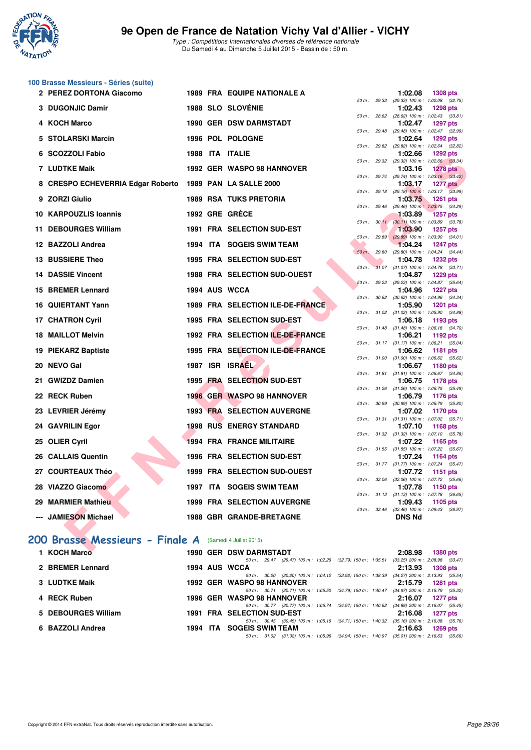

| 100 Brasse Messieurs - Séries (suite)                    |  |                                                                                                                        |              |                                                                            |
|----------------------------------------------------------|--|------------------------------------------------------------------------------------------------------------------------|--------------|----------------------------------------------------------------------------|
| 2 PEREZ DORTONA Giacomo                                  |  | <b>1989 FRA EQUIPE NATIONALE A</b>                                                                                     | 50 m : 29.33 | 1:02.08<br><b>1308 pts</b><br>(29.33) 100 m: 1:02.08 (32.75)               |
| 3 DUGONJIC Damir                                         |  | 1988 SLO SLOVÉNIE                                                                                                      |              | 1:02.43<br><b>1298 pts</b><br>50 m : 28.62 (28.62) 100 m : 1:02.43 (33.81) |
| 4 KOCH Marco                                             |  | <b>1990 GER DSW DARMSTADT</b>                                                                                          |              | 1:02.47<br><b>1297 pts</b><br>50 m: 29.48 (29.48) 100 m: 1:02.47 (32.99)   |
| 5 STOLARSKI Marcin                                       |  | 1996 POL POLOGNE                                                                                                       |              | 1:02.64<br><b>1292 pts</b>                                                 |
| 6 SCOZZOLI Fabio                                         |  | 1988 ITA ITALIE                                                                                                        |              | 50 m : 29.82 (29.82) 100 m : 1:02.64 (32.82)<br>1:02.66<br><b>1292 pts</b> |
| <b>7 LUDTKE Maik</b>                                     |  | 1992 GER WASPO 98 HANNOVER                                                                                             |              | 50 m : 29.32 (29.32) 100 m : 1:02.66 (33.34)<br>1:03.16<br><b>1278 pts</b> |
| 8 CRESPO ECHEVERRIA Edgar Roberto 1989 PAN LA SALLE 2000 |  |                                                                                                                        |              | 50 m: 29.74 (29.74) 100 m: 1:03.16 (33.42)<br>1:03.17<br><b>1277 pts</b>   |
| 9 ZORZI Giulio                                           |  | <b>1989 RSA TUKS PRETORIA</b>                                                                                          |              | 50 m : 29.18 (29.18) 100 m : 1:03.17 (33.99)<br>1:03.75<br>1261 pts        |
| 10 KARPOUZLIS Ioannis                                    |  | 1992 GRE GRECE                                                                                                         | 50 m : 29.46 | (29.46) 100 m: 1:03.75 (34.29)<br>1:03.89<br><b>1257 pts</b>               |
| 11 DEBOURGES William                                     |  | 1991 FRA SELECTION SUD-EST                                                                                             |              | 50 m: 30.11 (30.11) 100 m: 1:03.89 (33.78)<br>1:03.90<br><b>1257 pts</b>   |
| 12 BAZZOLI Andrea                                        |  | 1994 ITA SOGEIS SWIM TEAM                                                                                              | 50 m: 29.89  | $(29.89)$ 100 m : 1:03.90 $(34.01)$<br>1:04.24<br><b>1247 pts</b>          |
| 13 BUSSIERE Theo                                         |  | 1995 FRA SELECTION SUD-EST                                                                                             |              | 50 m : 29.80 (29.80) 100 m : 1:04.24 (34.44)<br>1:04.78<br><b>1232 pts</b> |
| <b>14 DASSIE Vincent</b>                                 |  |                                                                                                                        |              | 50 m: 31.07 (31.07) 100 m: 1:04.78 (33.71)                                 |
|                                                          |  | <b>1988 FRA SELECTION SUD-OUEST</b>                                                                                    | 50 m: 29.23  | 1:04.87<br>1229 pts<br>(29.23) 100 m: 1:04.87 (35.64)                      |
| 15 BREMER Lennard                                        |  | 1994 AUS WCCA                                                                                                          |              | 1:04.96<br><b>1227 pts</b><br>50 m : 30.62 (30.62) 100 m : 1:04.96 (34.34) |
| <b>16 QUIERTANT Yann</b>                                 |  | 1989 FRA SELECTION ILE-DE-FRANCE                                                                                       |              | 1:05.90<br><b>1201 pts</b><br>50 m: 31.02 (31.02) 100 m: 1:05.90 (34.88)   |
| 17 CHATRON Cyril                                         |  | 1995 FRA SELECTION SUD-EST                                                                                             |              | 1:06.18<br>1193 pts<br>50 m: 31.48 (31.48) 100 m: 1:06.18 (34.70)          |
| <b>18 MAILLOT Melvin</b>                                 |  | 1992 FRA SELECTION ILE-DE-FRANCE                                                                                       |              | 1:06.21<br>1192 pts<br>50 m: 31.17 (31.17) 100 m: 1:06.21 (35.04)          |
| 19 PIEKARZ Baptiste                                      |  | 1995 FRA SELECTION ILE-DE-FRANCE                                                                                       |              | 1:06.62<br>1181 pts<br>50 m: 31.00 (31.00) 100 m: 1:06.62 (35.62)          |
| 20 NEVO Gal                                              |  | 1987 ISR ISRAEL                                                                                                        |              | 1:06.67<br>1180 pts<br>50 m: 31.81 (31.81) 100 m: 1:06.67 (34.86)          |
| 21 GWIZDZ Damien                                         |  | 1995 FRA SELECTION SUD-EST                                                                                             |              | 1:06.75<br><b>1178 pts</b>                                                 |
| 22 RECK Ruben                                            |  | 1996 GER WASPO 98 HANNOVER                                                                                             |              | 50 m: 31.26 (31.26) 100 m: 1:06.75 (35.49)<br>1:06.79<br><b>1176 pts</b>   |
| 23 LEVRIER Jérémy                                        |  | <b>1993 FRA SELECTION AUVERGNE</b>                                                                                     |              | 50 m : 30.99 (30.99) 100 m : 1:06.79 (35.80)<br>1:07.02<br>1170 pts        |
| 24 GAVRILIN Egor                                         |  | <b>1998 RUS ENERGY STANDARD</b>                                                                                        |              | 50 m: 31.31 (31.31) 100 m: 1:07.02 (35.71)<br>1:07.10<br>1168 pts          |
| 25 OLIER Cyril                                           |  | <b>1994 FRA FRANCE MILITAIRE</b>                                                                                       |              | 50 m: 31.32 (31.32) 100 m: 1:07.10 (35.78)<br>1:07.22<br>1165 pts          |
| 26 CALLAIS Quentin                                       |  | <b>1996 FRA SELECTION SUD-EST</b>                                                                                      |              | 50 m: 31.55 (31.55) 100 m: 1:07.22 (35.67)<br>1:07.24<br>1164 pts          |
| 27 COURTEAUX Théo                                        |  | 1999 FRA SELECTION SUD-OUEST                                                                                           |              | 50 m: 31.77 (31.77) 100 m: 1:07.24 (35.47)<br>1:07.72<br>1151 pts          |
| 28 VIAZZO Giacomo                                        |  | 1997 ITA SOGEIS SWIM TEAM                                                                                              |              | 50 m : 32.06 (32.06) 100 m : 1:07.72 (35.66)<br>1:07.78<br>1150 pts        |
| 29 MARMIER Mathieu                                       |  | <b>1999 FRA SELECTION AUVERGNE</b>                                                                                     |              | 50 m: 31.13 (31.13) 100 m: 1:07.78 (36.65)<br>1:09.43                      |
|                                                          |  |                                                                                                                        |              | 1105 pts<br>50 m : 32.46 (32.46) 100 m : 1:09.43 (36.97)                   |
| --- JAMIESON Michael                                     |  | <b>1988 GBR GRANDE-BRETAGNE</b>                                                                                        |              | <b>DNS Nd</b>                                                              |
| 200 Brasse Messieurs - Finale A (Samedi 4 Juillet 2015)  |  |                                                                                                                        |              |                                                                            |
| 1 KOCH Marco                                             |  | <b>1990 GER DSW DARMSTADT</b>                                                                                          |              | 2:08.98<br><b>1380 pts</b>                                                 |
| 2 BREMER Lennard                                         |  | 50 m : 29.47 (29.47) 100 m : 1:02.26 (32.79) 150 m : 1:35.51<br>1994 AUS WCCA                                          |              | $(33.25)$ 200 m : 2:08.98 $(33.47)$<br>2:13.93<br><b>1308 pts</b>          |
| 3 LUDTKE Maik                                            |  | 50 m: 30.20 (30.20) 100 m: 1:04.12 (33.92) 150 m: 1:38.39 (34.27) 200 m: 2:13.93 (35.54)<br>1992 GER WASPO 98 HANNOVER |              | 2:15.79<br>1281 pts                                                        |
| 4 RECK Ruben                                             |  | 50 m: 30.71 (30.71) 100 m: 1:05.50 (34.79) 150 m: 1:40.47 (34.97) 200 m: 2:15.79 (35.32)<br>1996 GER WASPO 98 HANNOVER |              | 2:16.07<br>1277 pts                                                        |
| 5 DEBOURGES William                                      |  | 50 m: 30.77 (30.77) 100 m: 1:05.74 (34.97) 150 m: 1:40.62 (34.88) 200 m: 2:16.07 (35.45)<br>1991 FRA SELECTION SUD-EST |              | 2:16.08<br><b>1277 pts</b>                                                 |

50 m : 31.02 (31.02) 100 m : 1:05.96 (34.94) 150 m : 1:40.97 (35.01) 200 m : 2:16.63 (35.66)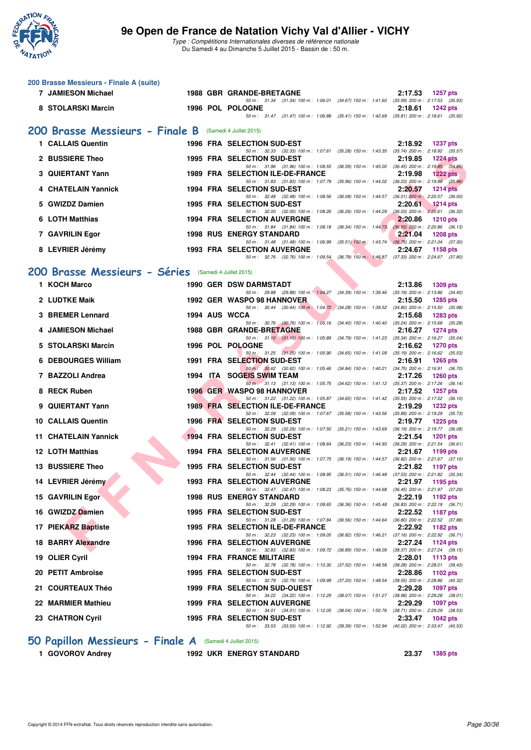

Type : Compétitions Internationales diverses de référence nationale Du Samedi 4 au Dimanche 5 Juillet 2015 - Bassin de : 50 m.

| 200 Brasse Messieurs - Finale A (suite) |                                                                                                                                                                                                                                                                                                                                                                                                                                                                                                                                                                                                                                         |                                 |                                                                                                                                 |                                                                                                                                                                                                                                                                                                                                                                                                                                                                                                                                                                                                                                                                                                                                                                                                                                                                                                                                                                                                                                                                                                     |                                                                                                                                                                                                                                                                                                                                                                                                                                                                                                                                                                                                                                                                                                                                                                                                                                                                                                                                                                                                                                                                                                                                                                                                                                                                                                                                                                                                                                                                                                                                                                                                                                                                                                                                                                                                                                                                                                                                                                                                                                                                                                                                                                                                                                                                                                                                                                                                                                                                                                                                                                                                                                                                                          |
|-----------------------------------------|-----------------------------------------------------------------------------------------------------------------------------------------------------------------------------------------------------------------------------------------------------------------------------------------------------------------------------------------------------------------------------------------------------------------------------------------------------------------------------------------------------------------------------------------------------------------------------------------------------------------------------------------|---------------------------------|---------------------------------------------------------------------------------------------------------------------------------|-----------------------------------------------------------------------------------------------------------------------------------------------------------------------------------------------------------------------------------------------------------------------------------------------------------------------------------------------------------------------------------------------------------------------------------------------------------------------------------------------------------------------------------------------------------------------------------------------------------------------------------------------------------------------------------------------------------------------------------------------------------------------------------------------------------------------------------------------------------------------------------------------------------------------------------------------------------------------------------------------------------------------------------------------------------------------------------------------------|------------------------------------------------------------------------------------------------------------------------------------------------------------------------------------------------------------------------------------------------------------------------------------------------------------------------------------------------------------------------------------------------------------------------------------------------------------------------------------------------------------------------------------------------------------------------------------------------------------------------------------------------------------------------------------------------------------------------------------------------------------------------------------------------------------------------------------------------------------------------------------------------------------------------------------------------------------------------------------------------------------------------------------------------------------------------------------------------------------------------------------------------------------------------------------------------------------------------------------------------------------------------------------------------------------------------------------------------------------------------------------------------------------------------------------------------------------------------------------------------------------------------------------------------------------------------------------------------------------------------------------------------------------------------------------------------------------------------------------------------------------------------------------------------------------------------------------------------------------------------------------------------------------------------------------------------------------------------------------------------------------------------------------------------------------------------------------------------------------------------------------------------------------------------------------------------------------------------------------------------------------------------------------------------------------------------------------------------------------------------------------------------------------------------------------------------------------------------------------------------------------------------------------------------------------------------------------------------------------------------------------------------------------------------------------------|
|                                         |                                                                                                                                                                                                                                                                                                                                                                                                                                                                                                                                                                                                                                         |                                 |                                                                                                                                 |                                                                                                                                                                                                                                                                                                                                                                                                                                                                                                                                                                                                                                                                                                                                                                                                                                                                                                                                                                                                                                                                                                     | 2:17.53<br><b>1257 pts</b>                                                                                                                                                                                                                                                                                                                                                                                                                                                                                                                                                                                                                                                                                                                                                                                                                                                                                                                                                                                                                                                                                                                                                                                                                                                                                                                                                                                                                                                                                                                                                                                                                                                                                                                                                                                                                                                                                                                                                                                                                                                                                                                                                                                                                                                                                                                                                                                                                                                                                                                                                                                                                                                               |
|                                         |                                                                                                                                                                                                                                                                                                                                                                                                                                                                                                                                                                                                                                         |                                 |                                                                                                                                 |                                                                                                                                                                                                                                                                                                                                                                                                                                                                                                                                                                                                                                                                                                                                                                                                                                                                                                                                                                                                                                                                                                     | 2:18.61<br><b>1242 pts</b>                                                                                                                                                                                                                                                                                                                                                                                                                                                                                                                                                                                                                                                                                                                                                                                                                                                                                                                                                                                                                                                                                                                                                                                                                                                                                                                                                                                                                                                                                                                                                                                                                                                                                                                                                                                                                                                                                                                                                                                                                                                                                                                                                                                                                                                                                                                                                                                                                                                                                                                                                                                                                                                               |
|                                         |                                                                                                                                                                                                                                                                                                                                                                                                                                                                                                                                                                                                                                         |                                 |                                                                                                                                 |                                                                                                                                                                                                                                                                                                                                                                                                                                                                                                                                                                                                                                                                                                                                                                                                                                                                                                                                                                                                                                                                                                     |                                                                                                                                                                                                                                                                                                                                                                                                                                                                                                                                                                                                                                                                                                                                                                                                                                                                                                                                                                                                                                                                                                                                                                                                                                                                                                                                                                                                                                                                                                                                                                                                                                                                                                                                                                                                                                                                                                                                                                                                                                                                                                                                                                                                                                                                                                                                                                                                                                                                                                                                                                                                                                                                                          |
|                                         |                                                                                                                                                                                                                                                                                                                                                                                                                                                                                                                                                                                                                                         |                                 |                                                                                                                                 |                                                                                                                                                                                                                                                                                                                                                                                                                                                                                                                                                                                                                                                                                                                                                                                                                                                                                                                                                                                                                                                                                                     |                                                                                                                                                                                                                                                                                                                                                                                                                                                                                                                                                                                                                                                                                                                                                                                                                                                                                                                                                                                                                                                                                                                                                                                                                                                                                                                                                                                                                                                                                                                                                                                                                                                                                                                                                                                                                                                                                                                                                                                                                                                                                                                                                                                                                                                                                                                                                                                                                                                                                                                                                                                                                                                                                          |
|                                         |                                                                                                                                                                                                                                                                                                                                                                                                                                                                                                                                                                                                                                         |                                 |                                                                                                                                 |                                                                                                                                                                                                                                                                                                                                                                                                                                                                                                                                                                                                                                                                                                                                                                                                                                                                                                                                                                                                                                                                                                     | 2:18.92<br><b>1237 pts</b>                                                                                                                                                                                                                                                                                                                                                                                                                                                                                                                                                                                                                                                                                                                                                                                                                                                                                                                                                                                                                                                                                                                                                                                                                                                                                                                                                                                                                                                                                                                                                                                                                                                                                                                                                                                                                                                                                                                                                                                                                                                                                                                                                                                                                                                                                                                                                                                                                                                                                                                                                                                                                                                               |
|                                         |                                                                                                                                                                                                                                                                                                                                                                                                                                                                                                                                                                                                                                         |                                 |                                                                                                                                 |                                                                                                                                                                                                                                                                                                                                                                                                                                                                                                                                                                                                                                                                                                                                                                                                                                                                                                                                                                                                                                                                                                     | 2:19.85<br><b>1224 pts</b>                                                                                                                                                                                                                                                                                                                                                                                                                                                                                                                                                                                                                                                                                                                                                                                                                                                                                                                                                                                                                                                                                                                                                                                                                                                                                                                                                                                                                                                                                                                                                                                                                                                                                                                                                                                                                                                                                                                                                                                                                                                                                                                                                                                                                                                                                                                                                                                                                                                                                                                                                                                                                                                               |
|                                         |                                                                                                                                                                                                                                                                                                                                                                                                                                                                                                                                                                                                                                         |                                 |                                                                                                                                 |                                                                                                                                                                                                                                                                                                                                                                                                                                                                                                                                                                                                                                                                                                                                                                                                                                                                                                                                                                                                                                                                                                     | 2:19.98<br><b>1222 pts</b>                                                                                                                                                                                                                                                                                                                                                                                                                                                                                                                                                                                                                                                                                                                                                                                                                                                                                                                                                                                                                                                                                                                                                                                                                                                                                                                                                                                                                                                                                                                                                                                                                                                                                                                                                                                                                                                                                                                                                                                                                                                                                                                                                                                                                                                                                                                                                                                                                                                                                                                                                                                                                                                               |
|                                         |                                                                                                                                                                                                                                                                                                                                                                                                                                                                                                                                                                                                                                         |                                 |                                                                                                                                 |                                                                                                                                                                                                                                                                                                                                                                                                                                                                                                                                                                                                                                                                                                                                                                                                                                                                                                                                                                                                                                                                                                     | 2:20.57<br>$1214$ pts                                                                                                                                                                                                                                                                                                                                                                                                                                                                                                                                                                                                                                                                                                                                                                                                                                                                                                                                                                                                                                                                                                                                                                                                                                                                                                                                                                                                                                                                                                                                                                                                                                                                                                                                                                                                                                                                                                                                                                                                                                                                                                                                                                                                                                                                                                                                                                                                                                                                                                                                                                                                                                                                    |
|                                         |                                                                                                                                                                                                                                                                                                                                                                                                                                                                                                                                                                                                                                         |                                 |                                                                                                                                 |                                                                                                                                                                                                                                                                                                                                                                                                                                                                                                                                                                                                                                                                                                                                                                                                                                                                                                                                                                                                                                                                                                     |                                                                                                                                                                                                                                                                                                                                                                                                                                                                                                                                                                                                                                                                                                                                                                                                                                                                                                                                                                                                                                                                                                                                                                                                                                                                                                                                                                                                                                                                                                                                                                                                                                                                                                                                                                                                                                                                                                                                                                                                                                                                                                                                                                                                                                                                                                                                                                                                                                                                                                                                                                                                                                                                                          |
|                                         |                                                                                                                                                                                                                                                                                                                                                                                                                                                                                                                                                                                                                                         |                                 |                                                                                                                                 |                                                                                                                                                                                                                                                                                                                                                                                                                                                                                                                                                                                                                                                                                                                                                                                                                                                                                                                                                                                                                                                                                                     | 2:20.61<br><b>1214 pts</b>                                                                                                                                                                                                                                                                                                                                                                                                                                                                                                                                                                                                                                                                                                                                                                                                                                                                                                                                                                                                                                                                                                                                                                                                                                                                                                                                                                                                                                                                                                                                                                                                                                                                                                                                                                                                                                                                                                                                                                                                                                                                                                                                                                                                                                                                                                                                                                                                                                                                                                                                                                                                                                                               |
|                                         |                                                                                                                                                                                                                                                                                                                                                                                                                                                                                                                                                                                                                                         |                                 |                                                                                                                                 |                                                                                                                                                                                                                                                                                                                                                                                                                                                                                                                                                                                                                                                                                                                                                                                                                                                                                                                                                                                                                                                                                                     | 2:20.86<br><b>1210 pts</b>                                                                                                                                                                                                                                                                                                                                                                                                                                                                                                                                                                                                                                                                                                                                                                                                                                                                                                                                                                                                                                                                                                                                                                                                                                                                                                                                                                                                                                                                                                                                                                                                                                                                                                                                                                                                                                                                                                                                                                                                                                                                                                                                                                                                                                                                                                                                                                                                                                                                                                                                                                                                                                                               |
|                                         |                                                                                                                                                                                                                                                                                                                                                                                                                                                                                                                                                                                                                                         |                                 |                                                                                                                                 |                                                                                                                                                                                                                                                                                                                                                                                                                                                                                                                                                                                                                                                                                                                                                                                                                                                                                                                                                                                                                                                                                                     | 2:21.04<br><b>1208 pts</b>                                                                                                                                                                                                                                                                                                                                                                                                                                                                                                                                                                                                                                                                                                                                                                                                                                                                                                                                                                                                                                                                                                                                                                                                                                                                                                                                                                                                                                                                                                                                                                                                                                                                                                                                                                                                                                                                                                                                                                                                                                                                                                                                                                                                                                                                                                                                                                                                                                                                                                                                                                                                                                                               |
|                                         |                                                                                                                                                                                                                                                                                                                                                                                                                                                                                                                                                                                                                                         |                                 |                                                                                                                                 |                                                                                                                                                                                                                                                                                                                                                                                                                                                                                                                                                                                                                                                                                                                                                                                                                                                                                                                                                                                                                                                                                                     | 2:24.67<br>1158 pts                                                                                                                                                                                                                                                                                                                                                                                                                                                                                                                                                                                                                                                                                                                                                                                                                                                                                                                                                                                                                                                                                                                                                                                                                                                                                                                                                                                                                                                                                                                                                                                                                                                                                                                                                                                                                                                                                                                                                                                                                                                                                                                                                                                                                                                                                                                                                                                                                                                                                                                                                                                                                                                                      |
|                                         |                                                                                                                                                                                                                                                                                                                                                                                                                                                                                                                                                                                                                                         |                                 |                                                                                                                                 |                                                                                                                                                                                                                                                                                                                                                                                                                                                                                                                                                                                                                                                                                                                                                                                                                                                                                                                                                                                                                                                                                                     |                                                                                                                                                                                                                                                                                                                                                                                                                                                                                                                                                                                                                                                                                                                                                                                                                                                                                                                                                                                                                                                                                                                                                                                                                                                                                                                                                                                                                                                                                                                                                                                                                                                                                                                                                                                                                                                                                                                                                                                                                                                                                                                                                                                                                                                                                                                                                                                                                                                                                                                                                                                                                                                                                          |
|                                         |                                                                                                                                                                                                                                                                                                                                                                                                                                                                                                                                                                                                                                         |                                 |                                                                                                                                 |                                                                                                                                                                                                                                                                                                                                                                                                                                                                                                                                                                                                                                                                                                                                                                                                                                                                                                                                                                                                                                                                                                     |                                                                                                                                                                                                                                                                                                                                                                                                                                                                                                                                                                                                                                                                                                                                                                                                                                                                                                                                                                                                                                                                                                                                                                                                                                                                                                                                                                                                                                                                                                                                                                                                                                                                                                                                                                                                                                                                                                                                                                                                                                                                                                                                                                                                                                                                                                                                                                                                                                                                                                                                                                                                                                                                                          |
|                                         |                                                                                                                                                                                                                                                                                                                                                                                                                                                                                                                                                                                                                                         |                                 |                                                                                                                                 |                                                                                                                                                                                                                                                                                                                                                                                                                                                                                                                                                                                                                                                                                                                                                                                                                                                                                                                                                                                                                                                                                                     | 2:13.86<br><b>1309 pts</b>                                                                                                                                                                                                                                                                                                                                                                                                                                                                                                                                                                                                                                                                                                                                                                                                                                                                                                                                                                                                                                                                                                                                                                                                                                                                                                                                                                                                                                                                                                                                                                                                                                                                                                                                                                                                                                                                                                                                                                                                                                                                                                                                                                                                                                                                                                                                                                                                                                                                                                                                                                                                                                                               |
|                                         |                                                                                                                                                                                                                                                                                                                                                                                                                                                                                                                                                                                                                                         |                                 |                                                                                                                                 |                                                                                                                                                                                                                                                                                                                                                                                                                                                                                                                                                                                                                                                                                                                                                                                                                                                                                                                                                                                                                                                                                                     | 2:15.50<br><b>1285 pts</b>                                                                                                                                                                                                                                                                                                                                                                                                                                                                                                                                                                                                                                                                                                                                                                                                                                                                                                                                                                                                                                                                                                                                                                                                                                                                                                                                                                                                                                                                                                                                                                                                                                                                                                                                                                                                                                                                                                                                                                                                                                                                                                                                                                                                                                                                                                                                                                                                                                                                                                                                                                                                                                                               |
|                                         |                                                                                                                                                                                                                                                                                                                                                                                                                                                                                                                                                                                                                                         |                                 |                                                                                                                                 |                                                                                                                                                                                                                                                                                                                                                                                                                                                                                                                                                                                                                                                                                                                                                                                                                                                                                                                                                                                                                                                                                                     | 2:15.68<br>1283 pts                                                                                                                                                                                                                                                                                                                                                                                                                                                                                                                                                                                                                                                                                                                                                                                                                                                                                                                                                                                                                                                                                                                                                                                                                                                                                                                                                                                                                                                                                                                                                                                                                                                                                                                                                                                                                                                                                                                                                                                                                                                                                                                                                                                                                                                                                                                                                                                                                                                                                                                                                                                                                                                                      |
|                                         |                                                                                                                                                                                                                                                                                                                                                                                                                                                                                                                                                                                                                                         |                                 |                                                                                                                                 |                                                                                                                                                                                                                                                                                                                                                                                                                                                                                                                                                                                                                                                                                                                                                                                                                                                                                                                                                                                                                                                                                                     | 2:16.27<br><b>1274 pts</b>                                                                                                                                                                                                                                                                                                                                                                                                                                                                                                                                                                                                                                                                                                                                                                                                                                                                                                                                                                                                                                                                                                                                                                                                                                                                                                                                                                                                                                                                                                                                                                                                                                                                                                                                                                                                                                                                                                                                                                                                                                                                                                                                                                                                                                                                                                                                                                                                                                                                                                                                                                                                                                                               |
|                                         |                                                                                                                                                                                                                                                                                                                                                                                                                                                                                                                                                                                                                                         |                                 |                                                                                                                                 |                                                                                                                                                                                                                                                                                                                                                                                                                                                                                                                                                                                                                                                                                                                                                                                                                                                                                                                                                                                                                                                                                                     |                                                                                                                                                                                                                                                                                                                                                                                                                                                                                                                                                                                                                                                                                                                                                                                                                                                                                                                                                                                                                                                                                                                                                                                                                                                                                                                                                                                                                                                                                                                                                                                                                                                                                                                                                                                                                                                                                                                                                                                                                                                                                                                                                                                                                                                                                                                                                                                                                                                                                                                                                                                                                                                                                          |
|                                         |                                                                                                                                                                                                                                                                                                                                                                                                                                                                                                                                                                                                                                         |                                 |                                                                                                                                 |                                                                                                                                                                                                                                                                                                                                                                                                                                                                                                                                                                                                                                                                                                                                                                                                                                                                                                                                                                                                                                                                                                     | 2:16.62<br><b>1270 pts</b>                                                                                                                                                                                                                                                                                                                                                                                                                                                                                                                                                                                                                                                                                                                                                                                                                                                                                                                                                                                                                                                                                                                                                                                                                                                                                                                                                                                                                                                                                                                                                                                                                                                                                                                                                                                                                                                                                                                                                                                                                                                                                                                                                                                                                                                                                                                                                                                                                                                                                                                                                                                                                                                               |
|                                         |                                                                                                                                                                                                                                                                                                                                                                                                                                                                                                                                                                                                                                         |                                 |                                                                                                                                 |                                                                                                                                                                                                                                                                                                                                                                                                                                                                                                                                                                                                                                                                                                                                                                                                                                                                                                                                                                                                                                                                                                     | 2:16.91<br><b>1265 pts</b>                                                                                                                                                                                                                                                                                                                                                                                                                                                                                                                                                                                                                                                                                                                                                                                                                                                                                                                                                                                                                                                                                                                                                                                                                                                                                                                                                                                                                                                                                                                                                                                                                                                                                                                                                                                                                                                                                                                                                                                                                                                                                                                                                                                                                                                                                                                                                                                                                                                                                                                                                                                                                                                               |
|                                         |                                                                                                                                                                                                                                                                                                                                                                                                                                                                                                                                                                                                                                         |                                 |                                                                                                                                 |                                                                                                                                                                                                                                                                                                                                                                                                                                                                                                                                                                                                                                                                                                                                                                                                                                                                                                                                                                                                                                                                                                     | 2:17.26<br><b>1260 pts</b>                                                                                                                                                                                                                                                                                                                                                                                                                                                                                                                                                                                                                                                                                                                                                                                                                                                                                                                                                                                                                                                                                                                                                                                                                                                                                                                                                                                                                                                                                                                                                                                                                                                                                                                                                                                                                                                                                                                                                                                                                                                                                                                                                                                                                                                                                                                                                                                                                                                                                                                                                                                                                                                               |
|                                         |                                                                                                                                                                                                                                                                                                                                                                                                                                                                                                                                                                                                                                         |                                 |                                                                                                                                 |                                                                                                                                                                                                                                                                                                                                                                                                                                                                                                                                                                                                                                                                                                                                                                                                                                                                                                                                                                                                                                                                                                     | 2:17.52<br><b>1257 pts</b>                                                                                                                                                                                                                                                                                                                                                                                                                                                                                                                                                                                                                                                                                                                                                                                                                                                                                                                                                                                                                                                                                                                                                                                                                                                                                                                                                                                                                                                                                                                                                                                                                                                                                                                                                                                                                                                                                                                                                                                                                                                                                                                                                                                                                                                                                                                                                                                                                                                                                                                                                                                                                                                               |
|                                         |                                                                                                                                                                                                                                                                                                                                                                                                                                                                                                                                                                                                                                         |                                 |                                                                                                                                 |                                                                                                                                                                                                                                                                                                                                                                                                                                                                                                                                                                                                                                                                                                                                                                                                                                                                                                                                                                                                                                                                                                     | 2:19.29<br><b>1232 pts</b>                                                                                                                                                                                                                                                                                                                                                                                                                                                                                                                                                                                                                                                                                                                                                                                                                                                                                                                                                                                                                                                                                                                                                                                                                                                                                                                                                                                                                                                                                                                                                                                                                                                                                                                                                                                                                                                                                                                                                                                                                                                                                                                                                                                                                                                                                                                                                                                                                                                                                                                                                                                                                                                               |
|                                         |                                                                                                                                                                                                                                                                                                                                                                                                                                                                                                                                                                                                                                         |                                 |                                                                                                                                 |                                                                                                                                                                                                                                                                                                                                                                                                                                                                                                                                                                                                                                                                                                                                                                                                                                                                                                                                                                                                                                                                                                     | 2:19.77                                                                                                                                                                                                                                                                                                                                                                                                                                                                                                                                                                                                                                                                                                                                                                                                                                                                                                                                                                                                                                                                                                                                                                                                                                                                                                                                                                                                                                                                                                                                                                                                                                                                                                                                                                                                                                                                                                                                                                                                                                                                                                                                                                                                                                                                                                                                                                                                                                                                                                                                                                                                                                                                                  |
|                                         |                                                                                                                                                                                                                                                                                                                                                                                                                                                                                                                                                                                                                                         |                                 |                                                                                                                                 |                                                                                                                                                                                                                                                                                                                                                                                                                                                                                                                                                                                                                                                                                                                                                                                                                                                                                                                                                                                                                                                                                                     | <b>1225 pts</b>                                                                                                                                                                                                                                                                                                                                                                                                                                                                                                                                                                                                                                                                                                                                                                                                                                                                                                                                                                                                                                                                                                                                                                                                                                                                                                                                                                                                                                                                                                                                                                                                                                                                                                                                                                                                                                                                                                                                                                                                                                                                                                                                                                                                                                                                                                                                                                                                                                                                                                                                                                                                                                                                          |
|                                         |                                                                                                                                                                                                                                                                                                                                                                                                                                                                                                                                                                                                                                         |                                 |                                                                                                                                 |                                                                                                                                                                                                                                                                                                                                                                                                                                                                                                                                                                                                                                                                                                                                                                                                                                                                                                                                                                                                                                                                                                     | 2:21.54<br><b>1201 pts</b>                                                                                                                                                                                                                                                                                                                                                                                                                                                                                                                                                                                                                                                                                                                                                                                                                                                                                                                                                                                                                                                                                                                                                                                                                                                                                                                                                                                                                                                                                                                                                                                                                                                                                                                                                                                                                                                                                                                                                                                                                                                                                                                                                                                                                                                                                                                                                                                                                                                                                                                                                                                                                                                               |
|                                         |                                                                                                                                                                                                                                                                                                                                                                                                                                                                                                                                                                                                                                         |                                 |                                                                                                                                 |                                                                                                                                                                                                                                                                                                                                                                                                                                                                                                                                                                                                                                                                                                                                                                                                                                                                                                                                                                                                                                                                                                     | 2:21.67<br>1199 pts                                                                                                                                                                                                                                                                                                                                                                                                                                                                                                                                                                                                                                                                                                                                                                                                                                                                                                                                                                                                                                                                                                                                                                                                                                                                                                                                                                                                                                                                                                                                                                                                                                                                                                                                                                                                                                                                                                                                                                                                                                                                                                                                                                                                                                                                                                                                                                                                                                                                                                                                                                                                                                                                      |
|                                         |                                                                                                                                                                                                                                                                                                                                                                                                                                                                                                                                                                                                                                         |                                 |                                                                                                                                 |                                                                                                                                                                                                                                                                                                                                                                                                                                                                                                                                                                                                                                                                                                                                                                                                                                                                                                                                                                                                                                                                                                     | 2:21.82<br>1197 pts                                                                                                                                                                                                                                                                                                                                                                                                                                                                                                                                                                                                                                                                                                                                                                                                                                                                                                                                                                                                                                                                                                                                                                                                                                                                                                                                                                                                                                                                                                                                                                                                                                                                                                                                                                                                                                                                                                                                                                                                                                                                                                                                                                                                                                                                                                                                                                                                                                                                                                                                                                                                                                                                      |
|                                         |                                                                                                                                                                                                                                                                                                                                                                                                                                                                                                                                                                                                                                         |                                 |                                                                                                                                 |                                                                                                                                                                                                                                                                                                                                                                                                                                                                                                                                                                                                                                                                                                                                                                                                                                                                                                                                                                                                                                                                                                     | 2:21.97<br>1195 pts                                                                                                                                                                                                                                                                                                                                                                                                                                                                                                                                                                                                                                                                                                                                                                                                                                                                                                                                                                                                                                                                                                                                                                                                                                                                                                                                                                                                                                                                                                                                                                                                                                                                                                                                                                                                                                                                                                                                                                                                                                                                                                                                                                                                                                                                                                                                                                                                                                                                                                                                                                                                                                                                      |
|                                         |                                                                                                                                                                                                                                                                                                                                                                                                                                                                                                                                                                                                                                         |                                 |                                                                                                                                 |                                                                                                                                                                                                                                                                                                                                                                                                                                                                                                                                                                                                                                                                                                                                                                                                                                                                                                                                                                                                                                                                                                     | 2:22.19<br>1192 pts                                                                                                                                                                                                                                                                                                                                                                                                                                                                                                                                                                                                                                                                                                                                                                                                                                                                                                                                                                                                                                                                                                                                                                                                                                                                                                                                                                                                                                                                                                                                                                                                                                                                                                                                                                                                                                                                                                                                                                                                                                                                                                                                                                                                                                                                                                                                                                                                                                                                                                                                                                                                                                                                      |
|                                         |                                                                                                                                                                                                                                                                                                                                                                                                                                                                                                                                                                                                                                         |                                 |                                                                                                                                 |                                                                                                                                                                                                                                                                                                                                                                                                                                                                                                                                                                                                                                                                                                                                                                                                                                                                                                                                                                                                                                                                                                     |                                                                                                                                                                                                                                                                                                                                                                                                                                                                                                                                                                                                                                                                                                                                                                                                                                                                                                                                                                                                                                                                                                                                                                                                                                                                                                                                                                                                                                                                                                                                                                                                                                                                                                                                                                                                                                                                                                                                                                                                                                                                                                                                                                                                                                                                                                                                                                                                                                                                                                                                                                                                                                                                                          |
|                                         |                                                                                                                                                                                                                                                                                                                                                                                                                                                                                                                                                                                                                                         |                                 |                                                                                                                                 |                                                                                                                                                                                                                                                                                                                                                                                                                                                                                                                                                                                                                                                                                                                                                                                                                                                                                                                                                                                                                                                                                                     | 2:22.52<br><b>1187 pts</b>                                                                                                                                                                                                                                                                                                                                                                                                                                                                                                                                                                                                                                                                                                                                                                                                                                                                                                                                                                                                                                                                                                                                                                                                                                                                                                                                                                                                                                                                                                                                                                                                                                                                                                                                                                                                                                                                                                                                                                                                                                                                                                                                                                                                                                                                                                                                                                                                                                                                                                                                                                                                                                                               |
|                                         |                                                                                                                                                                                                                                                                                                                                                                                                                                                                                                                                                                                                                                         |                                 |                                                                                                                                 |                                                                                                                                                                                                                                                                                                                                                                                                                                                                                                                                                                                                                                                                                                                                                                                                                                                                                                                                                                                                                                                                                                     | 2:22.92<br>1182 pts                                                                                                                                                                                                                                                                                                                                                                                                                                                                                                                                                                                                                                                                                                                                                                                                                                                                                                                                                                                                                                                                                                                                                                                                                                                                                                                                                                                                                                                                                                                                                                                                                                                                                                                                                                                                                                                                                                                                                                                                                                                                                                                                                                                                                                                                                                                                                                                                                                                                                                                                                                                                                                                                      |
|                                         |                                                                                                                                                                                                                                                                                                                                                                                                                                                                                                                                                                                                                                         |                                 |                                                                                                                                 |                                                                                                                                                                                                                                                                                                                                                                                                                                                                                                                                                                                                                                                                                                                                                                                                                                                                                                                                                                                                                                                                                                     | 2:27.24<br>1124 pts                                                                                                                                                                                                                                                                                                                                                                                                                                                                                                                                                                                                                                                                                                                                                                                                                                                                                                                                                                                                                                                                                                                                                                                                                                                                                                                                                                                                                                                                                                                                                                                                                                                                                                                                                                                                                                                                                                                                                                                                                                                                                                                                                                                                                                                                                                                                                                                                                                                                                                                                                                                                                                                                      |
|                                         |                                                                                                                                                                                                                                                                                                                                                                                                                                                                                                                                                                                                                                         |                                 |                                                                                                                                 |                                                                                                                                                                                                                                                                                                                                                                                                                                                                                                                                                                                                                                                                                                                                                                                                                                                                                                                                                                                                                                                                                                     | 2:28.01<br>1113 pts                                                                                                                                                                                                                                                                                                                                                                                                                                                                                                                                                                                                                                                                                                                                                                                                                                                                                                                                                                                                                                                                                                                                                                                                                                                                                                                                                                                                                                                                                                                                                                                                                                                                                                                                                                                                                                                                                                                                                                                                                                                                                                                                                                                                                                                                                                                                                                                                                                                                                                                                                                                                                                                                      |
|                                         |                                                                                                                                                                                                                                                                                                                                                                                                                                                                                                                                                                                                                                         |                                 | 50 m: 32.78 (32.78) 100 m: 1:10.30 (37.52) 150 m: 1:48.58<br><b>1995 FRA SELECTION SUD-EST</b>                                  |                                                                                                                                                                                                                                                                                                                                                                                                                                                                                                                                                                                                                                                                                                                                                                                                                                                                                                                                                                                                                                                                                                     | $(38.28)$ 200 m : 2:28.01 $(39.43)$<br>2:28.86<br>1102 pts                                                                                                                                                                                                                                                                                                                                                                                                                                                                                                                                                                                                                                                                                                                                                                                                                                                                                                                                                                                                                                                                                                                                                                                                                                                                                                                                                                                                                                                                                                                                                                                                                                                                                                                                                                                                                                                                                                                                                                                                                                                                                                                                                                                                                                                                                                                                                                                                                                                                                                                                                                                                                               |
| 20 PETIT Ambroise                       |                                                                                                                                                                                                                                                                                                                                                                                                                                                                                                                                                                                                                                         |                                 |                                                                                                                                 |                                                                                                                                                                                                                                                                                                                                                                                                                                                                                                                                                                                                                                                                                                                                                                                                                                                                                                                                                                                                                                                                                                     | 50 m : 32.79 (32.79) 100 m : 1:09.99 (37.20) 150 m : 1:48.54 (38.55) 200 m : 2:28.86 (40.32)                                                                                                                                                                                                                                                                                                                                                                                                                                                                                                                                                                                                                                                                                                                                                                                                                                                                                                                                                                                                                                                                                                                                                                                                                                                                                                                                                                                                                                                                                                                                                                                                                                                                                                                                                                                                                                                                                                                                                                                                                                                                                                                                                                                                                                                                                                                                                                                                                                                                                                                                                                                             |
|                                         |                                                                                                                                                                                                                                                                                                                                                                                                                                                                                                                                                                                                                                         |                                 |                                                                                                                                 |                                                                                                                                                                                                                                                                                                                                                                                                                                                                                                                                                                                                                                                                                                                                                                                                                                                                                                                                                                                                                                                                                                     |                                                                                                                                                                                                                                                                                                                                                                                                                                                                                                                                                                                                                                                                                                                                                                                                                                                                                                                                                                                                                                                                                                                                                                                                                                                                                                                                                                                                                                                                                                                                                                                                                                                                                                                                                                                                                                                                                                                                                                                                                                                                                                                                                                                                                                                                                                                                                                                                                                                                                                                                                                                                                                                                                          |
| 21 COURTEAUX Théo                       |                                                                                                                                                                                                                                                                                                                                                                                                                                                                                                                                                                                                                                         |                                 | <b>1999 FRA SELECTION SUD-OUEST</b><br>50 m: 34.22 (34.22) 100 m: 1:12.29 (38.07) 150 m: 1:51.27 (38.98) 200 m: 2:29.28 (38.01) |                                                                                                                                                                                                                                                                                                                                                                                                                                                                                                                                                                                                                                                                                                                                                                                                                                                                                                                                                                                                                                                                                                     | 2:29.28<br><b>1097 pts</b>                                                                                                                                                                                                                                                                                                                                                                                                                                                                                                                                                                                                                                                                                                                                                                                                                                                                                                                                                                                                                                                                                                                                                                                                                                                                                                                                                                                                                                                                                                                                                                                                                                                                                                                                                                                                                                                                                                                                                                                                                                                                                                                                                                                                                                                                                                                                                                                                                                                                                                                                                                                                                                                               |
| 22 MARMIER Mathieu                      |                                                                                                                                                                                                                                                                                                                                                                                                                                                                                                                                                                                                                                         |                                 | <b>1999 FRA SELECTION AUVERGNE</b><br>50 m: 34.01 (34.01) 100 m: 1:12.05 (38.04) 150 m: 1:50.76 (38.71) 200 m: 2:29.29 (38.53)  |                                                                                                                                                                                                                                                                                                                                                                                                                                                                                                                                                                                                                                                                                                                                                                                                                                                                                                                                                                                                                                                                                                     | 2:29.29<br>1097 pts                                                                                                                                                                                                                                                                                                                                                                                                                                                                                                                                                                                                                                                                                                                                                                                                                                                                                                                                                                                                                                                                                                                                                                                                                                                                                                                                                                                                                                                                                                                                                                                                                                                                                                                                                                                                                                                                                                                                                                                                                                                                                                                                                                                                                                                                                                                                                                                                                                                                                                                                                                                                                                                                      |
|                                         | 7 JAMIESON Michael<br>8 STOLARSKI Marcin<br>1 CALLAIS Quentin<br>2 BUSSIERE Theo<br>3 QUIERTANT Yann<br><b>CHATELAIN Yannick</b><br>5 GWIZDZ Damien<br>6 LOTH Matthias<br>7 GAVRILIN Egor<br>8 LEVRIER Jérémy<br>1 KOCH Marco<br>2 LUDTKE Maik<br>3 BREMER Lennard<br>4 JAMIESON Michael<br><b>STOLARSKI Marcin</b><br>6 DEBOURGES William<br>7 BAZZOLI Andrea<br>8 RECK Ruben<br><b>QUIERTANT Yann</b><br><b>10 CALLAIS Quentin</b><br>11 CHATELAIN Yannick<br><b>12 LOTH Matthias</b><br>13 BUSSIERE Theo<br>14 LEVRIER Jérémy<br>15 GAVRILIN Egor<br>16 GWIZDZ Damien<br>17 PIEKARZ Baptiste<br>18 BARRY Alexandre<br>19 OLIER Cyril | 200 Brasse Messieurs - Finale B |                                                                                                                                 | <b>1988 GBR GRANDE-BRETAGNE</b><br>1996 POL POLOGNE<br>(Samedi 4 Juillet 2015)<br>1996 FRA SELECTION SUD-EST<br><b>1995 FRA SELECTION SUD-EST</b><br>1989 FRA SELECTION ILE-DE-FRANCE<br><b>1994 FRA SELECTION SUD-EST</b><br><b>1995 FRA SELECTION SUD-EST</b><br><b>1994 FRA SELECTION AUVERGNE</b><br><b>1998 RUS ENERGY STANDARD</b><br><b>1993 FRA SELECTION AUVERGNE</b><br>200 Brasse Messieurs - Séries (Samedi 4 Juillet 2015)<br><b>1990 GER DSW DARMSTADT</b><br><b>1992 GER WASPO 98 HANNOVER</b><br>1994 AUS WCCA<br><b>1988 GBR GRANDE-BRETAGNE</b><br>1996 POL POLOGNE<br><b>1991 FRA SELECTION SUD-EST</b><br>1994 ITA SOGEIS SWIM TEAM<br><b>1996 GER WASPO 98 HANNOVER</b><br><b>1989 FRA SELECTION ILE-DE-FRANCE</b><br><b>1996 FRA SELECTION SUD-EST</b><br>1994 FRA SELECTION SUD-EST<br><b>1994 FRA SELECTION AUVERGNE</b><br><b>1995 FRA SELECTION SUD-EST</b><br>1993 FRA SELECTION AUVERGNE<br><b>1998 RUS ENERGY STANDARD</b><br><b>1995 FRA SELECTION SUD-EST</b><br>1995 FRA SELECTION ILE-DE-FRANCE<br><b>1996 FRA SELECTION AUVERGNE</b><br>1994 FRA FRANCE MILITAIRE | 50 m: 31.34 (31.34) 100 m: 1:06.01 (34.67) 150 m: 1:41.60 (35.59) 200 m: 2:17.53 (35.93)<br>50 m: 31.47 (31.47) 100 m: 1:06.88 (35.41) 150 m: 1:42.69 (35.81) 200 m: 2:18.61 (35.92)<br>50 m: 32.33 (32.33) 100 m: 1:07.61 (35.28) 150 m: 1:43.35 (35.74) 200 m: 2:18.92 (35.57)<br>50 m: 31.96 (31.96) 100 m: 1:08.55 (36.59) 150 m: 1:45.00 (36.45) 200 m: 2:19.85 (34.85)<br>50 m: 31.83 (31.83) 100 m: 1:07.79 (35.96) 150 m: 1:44.02 (36.23) 200 m: 2:19.98 (35.96)<br>50 m: 32.48 (32.48) 100 m: 1.08.56 (36.08) 150 m: 1.44.57 (36.01) 200 m: 2.20.57 (36.00)<br>50 m: 32.00 (32.00) 100 m: 1:08.26 (36.26) 150 m: 1:44.29 (36.03) 200 m: 2:20.61 (36.32)<br>50 m: 31.84 (31.84) 100 m: 1:08.18 (36.34) 150 m: 1:44.73 (36.55) 200 m: 2:20.86 (36.13)<br>50 m: 31.48 (31.48) 100 m: 1:06.99 (35.51) 150 m: 1:43.74 (36.75) 200 m: 2:21.04 (37.30)<br>50 m: 32.76 (32.76) 100 m: 1:09.54 (36.78) 150 m: 1:46.87 (37.33) 200 m: 2:24.67 (37.80)<br>50 m: 29.88 (29.88) 100 m: 1:04.27 (34.39) 150 m: 1:39.46 (35.19) 200 m: 2:13.86 (34.40)<br>50 m: 30.44 (30.44) 100 m: 1:04.72 (34.28) 150 m: 1:39.52 (34.80) 200 m: 2:15.50 (35.98)<br>50 m: 30.76 (30.76) 100 m: 1:05.16 (34.40) 150 m: 1:40.40 (35.24) 200 m: 2:15.68 (35.28)<br>50 m: 31.10 (31.10) 100 m: 1:05.89 (34.79) 150 m: 1:41.23 (35.34) 200 m: 2:16.27 (35.04)<br>50 m: 31.25 (31.25) 100 m: 1:05.90 (34.65) 150 m: 1:41.09 (35.19) 200 m: 2:16.62 (35.53)<br>50 m : 30.62 (30.62) 100 m : 1:05.46 (34.84) 150 m : 1:40.21 (34.75) 200 m : 2:16.91 (36.70)<br>50 m: 31.13 (31.13) 100 m: 1:05.75 (34.62) 150 m: 1:41.12 (35.37) 200 m: 2:17.26 (36.14)<br>50 m: 31.22 (31.22) 100 m: 1:05.87 (34.65) 150 m: 1:41.42 (35.55) 200 m: 2:17.52 (36.10)<br>50 m: 32.09 (32.09) 100 m: 1:07.67 (35.58) 150 m: 1:43.56 (35.89) 200 m: 2:19.29 (35.73)<br>50 m: 32.29 (32.29) 100 m: 1:07.50 (35.21) 150 m: 1:43.69 (36.19) 200 m: 2:19.77 (36.08)<br>50 m: 32.41 (32.41) 100 m: 1:08.64 (36.23) 150 m: 1:44.93 (36.29) 200 m: 2:21.54 (36.61)<br>50 m: 31.56 (31.56) 100 m: 1:07.75 (36.19) 150 m: 1:44.57 (36.82) 200 m: 2:21.67 (37.10)<br>50 m: 32.44 (32.44) 100 m: 1:08.95 (36.51) 150 m: 1:46.48 (37.53) 200 m: 2:21.82 (35.34)<br>50 m : 32.47 (32.47) 100 m : 1:08.23 (35.76) 150 m : 1:44.68 (36.45) 200 m : 2:21.97 (37.29)<br>50 m : 32.29 (32.29) 100 m : 1:08.65 (36.36) 150 m : 1:45.48 (36.83) 200 m : 2:22.19 (36.71)<br>50 m: 31.28 (31.28) 100 m: 1:07.84 (36.56) 150 m: 1:44.64 (36.80) 200 m: 2:22.52 (37.88)<br>50 m: 32.23 (32.23) 100 m: 1:09.05 (36.82) 150 m: 1:46.21 (37.16) 200 m: 2:22.92 (36.71)<br>50 m: 32.83 (32.83) 100 m: 1:09.72 (36.89) 150 m: 1:48.09 (38.37) 200 m: 2:27.24 (39.15) |

**1 GOVOROV Andrey 1992 UKR ENERGY STANDARD 23.37 1385 pts**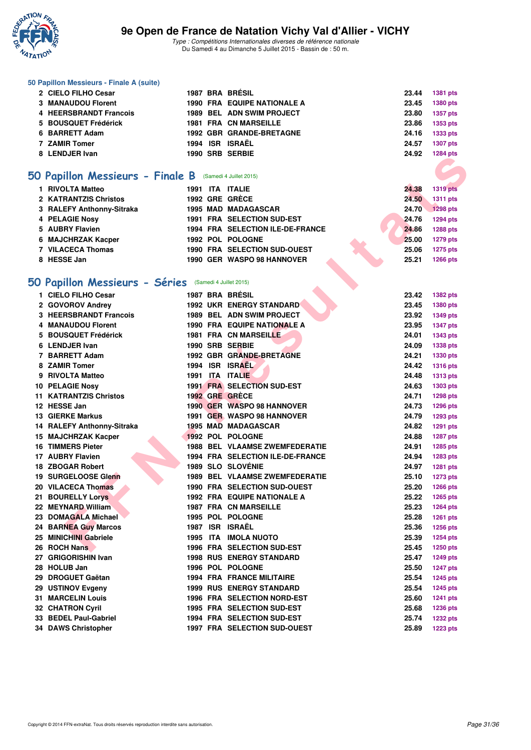

#### **50 Papillon Messieurs - Finale A (suite)**

| 2 CIELO FILHO Cesar    |  | 1987 BRA BRÉSIL                    | 23.44 | 1381 pts        |
|------------------------|--|------------------------------------|-------|-----------------|
| 3 MANAUDOU Florent     |  | <b>1990 FRA EQUIPE NATIONALE A</b> | 23.45 | 1380 pts        |
| 4 HEERSBRANDT Francois |  | <b>1989 BEL ADN SWIM PROJECT</b>   | 23.80 | 1357 pts        |
| 5 BOUSQUET Frédérick   |  | <b>1981 FRA CN MARSEILLE</b>       | 23.86 | 1353 pts        |
| 6 BARRETT Adam         |  | <b>1992 GBR GRANDE-BRETAGNE</b>    | 24.16 | 1333 pts        |
| 7 ZAMIR Tomer          |  | 1994 ISR ISRAËL                    | 24.57 | 1307 pts        |
| 8 LENDJER Ivan         |  | 1990 SRB SERBIE                    | 24.92 | <b>1284 pts</b> |

#### **[50 Papillon Messieurs - Finale B](http://www.ffnatation.fr/webffn/resultats.php?idact=nat&go=epr&idcpt=32627&idepr=81)** (Samedi 4 Juillet 2015)

| 1 RIVOLTA Matteo          | 1991 ITA ITALIE |                                  | 24.38 | <b>1319 pts</b> |
|---------------------------|-----------------|----------------------------------|-------|-----------------|
| 2 KATRANTZIS Christos     | 1992 GRE GRÈCE  |                                  | 24.50 | 1311 pts        |
| 3 RALEFY Anthonny-Sitraka |                 | <b>1995 MAD MADAGASCAR</b>       | 24.70 | 1298 pts        |
| 4 PELAGIE Nosy            |                 | 1991 FRA SELECTION SUD-EST       | 24.76 | 1294 pts        |
| 5 AUBRY Flavien           |                 | 1994 FRA SELECTION ILE-DE-FRANCE | 24.86 | <b>1288 pts</b> |
| 6 MAJCHRZAK Kacper        |                 | 1992 POL POLOGNE                 | 25.00 | <b>1279 pts</b> |
| 7 VILACECA Thomas         |                 | 1990 FRA SELECTION SUD-OUEST     | 25.06 | <b>1275 pts</b> |
| 8 HESSE Jan               |                 | 1990 GER WASPO 98 HANNOVER       | 25.21 | <b>1266 pts</b> |

# **[50 Papillon Messieurs - Séries](http://www.ffnatation.fr/webffn/resultats.php?idact=nat&go=epr&idcpt=32627&idepr=81)** (Samedi 4 Juillet 2015)

|                                                          |  |                                       |       | בוע דטגו        |
|----------------------------------------------------------|--|---------------------------------------|-------|-----------------|
|                                                          |  |                                       |       |                 |
| iO Papillon Messieurs - Finale B (Samedi 4 Juillet 2015) |  |                                       |       |                 |
| 1 RIVOLTA Matteo                                         |  | 1991 ITA ITALIE                       | 24.38 | <b>1319 pts</b> |
| 2 KATRANTZIS Christos                                    |  | 1992 GRE GRECE                        | 24.50 | 1311 pts        |
| 3 RALEFY Anthonny-Sitraka                                |  | <b>1995 MAD MADAGASCAR</b>            | 24.70 | <b>1298 pts</b> |
| 4 PELAGIE Nosy                                           |  | 1991 FRA SELECTION SUD-EST            | 24.76 | <b>1294 pts</b> |
| 5 AUBRY Flavien                                          |  | 1994 FRA SELECTION ILE-DE-FRANCE      | 24.86 | 1288 pts        |
| 6 MAJCHRZAK Kacper                                       |  | 1992 POL POLOGNE                      | 25.00 | 1279 pts        |
| 7 VILACECA Thomas                                        |  | <b>1990 FRA SELECTION SUD-OUEST</b>   | 25.06 | <b>1275 pts</b> |
| 8 HESSE Jan                                              |  | 1990 GER WASPO 98 HANNOVER            | 25.21 | <b>1266 pts</b> |
|                                                          |  |                                       |       |                 |
| iO Papillon Messieurs - Séries (Samedi 4 Juillet 2015)   |  |                                       |       |                 |
| 1 CIELO FILHO Cesar                                      |  | 1987 BRA BRÉSIL                       | 23.42 | 1382 pts        |
| 2 GOVOROV Andrey                                         |  | 1992 UKR ENERGY STANDARD              | 23.45 | 1380 pts        |
| 3 HEERSBRANDT Francois                                   |  | 1989 BEL ADN SWIM PROJECT             | 23.92 | <b>1349 pts</b> |
| 4 MANAUDOU Florent                                       |  | 1990 FRA EQUIPE NATIONALE A           | 23.95 | <b>1347 pts</b> |
| 5 BOUSQUET Frédérick                                     |  | <b>1981 FRA CN MARSEILLE</b>          | 24.01 | <b>1343 pts</b> |
| 6 LENDJER Ivan                                           |  | 1990 SRB SERBIE                       | 24.09 | 1338 pts        |
| 7 BARRETT Adam                                           |  | 1992 GBR GRANDE-BRETAGNE              | 24.21 | 1330 pts        |
| 8 ZAMIR Tomer                                            |  | 1994 ISR ISRAEL                       | 24.42 | <b>1316 pts</b> |
| 9 RIVOLTA Matteo                                         |  | 1991 ITA ITALIE                       | 24.48 | <b>1313 pts</b> |
| 10 PELAGIE Nosy                                          |  | <b>1991 FRA SELECTION SUD-EST</b>     | 24.63 | 1303 pts        |
| <b>11 KATRANTZIS Christos</b>                            |  | 1992 GRE GRÈCE                        | 24.71 | <b>1298 pts</b> |
| 12 HESSE Jan                                             |  | 1990 GER WASPO 98 HANNOVER            | 24.73 | <b>1296 pts</b> |
| <b>13 GIERKE Markus</b>                                  |  | 1991 GER WASPO 98 HANNOVER            | 24.79 | <b>1293 pts</b> |
| 14 RALEFY Anthonny-Sitraka                               |  | <b>1995 MAD MADAGASCAR</b>            | 24.82 | <b>1291 pts</b> |
| 15 MAJCHRZAK Kacper                                      |  | 1992 POL POLOGNE                      | 24.88 | <b>1287 pts</b> |
| <b>16 TIMMERS Pieter</b>                                 |  | <b>1988 BEL VLAAMSE ZWEMFEDERATIE</b> | 24.91 | <b>1285 pts</b> |
| 17 AUBRY Flavien                                         |  | 1994 FRA SELECTION ILE-DE-FRANCE      | 24.94 | 1283 pts        |
| 18 ZBOGAR Robert                                         |  | <b>1989 SLO SLOVÉNIE</b>              | 24.97 | 1281 pts        |
| 19 SURGELOOSE Glenn                                      |  | <b>1989 BEL VLAAMSE ZWEMFEDERATIE</b> | 25.10 | <b>1273 pts</b> |
| 20 VILACECA Thomas                                       |  | 1990 FRA SELECTION SUD-OUEST          | 25.20 | <b>1266 pts</b> |
| 21 BOURELLY Lorys                                        |  | 1992 FRA EQUIPE NATIONALE A           | 25.22 | 1265 pts        |
| 22 MEYNARD William                                       |  | <b>1987 FRA CN MARSEILLE</b>          | 25.23 | <b>1264 pts</b> |
| 23 DOMAGALA Michael                                      |  | 1995 POL POLOGNE                      | 25.28 | <b>1261 pts</b> |
| <b>24 BARNEA Guy Marcos</b>                              |  | 1987 ISR ISRAËL                       | 25.36 | <b>1256 pts</b> |
| 25 MINICHINI Gabriele                                    |  | 1995 ITA IMOLA NUOTO                  | 25.39 | <b>1254 pts</b> |
| 26 ROCH Nans                                             |  | 1996 FRA SELECTION SUD-EST            | 25.45 | 1250 pts        |
| 27 GRIGORISHIN Ivan                                      |  | <b>1998 RUS ENERGY STANDARD</b>       | 25.47 | <b>1249 pts</b> |
| 28 HOLUB Jan                                             |  | 1996 POL POLOGNE                      | 25.50 | <b>1247 pts</b> |
| 29 DROGUET Gaëtan                                        |  | <b>1994 FRA FRANCE MILITAIRE</b>      | 25.54 | <b>1245 pts</b> |
| 29 USTINOV Evgeny                                        |  | <b>1999 RUS ENERGY STANDARD</b>       | 25.54 | <b>1245 pts</b> |
| <b>31 MARCELIN Louis</b>                                 |  | 1996 FRA SELECTION NORD-EST           | 25.60 | 1241 pts        |
| <b>32 CHATRON Cyril</b>                                  |  | 1995 FRA SELECTION SUD-EST            | 25.68 | 1236 pts        |
| 33 BEDEL Paul-Gabriel                                    |  | 1994 FRA SELECTION SUD-EST            | 25.74 | 1232 pts        |
| 34 DAWS Christopher                                      |  | 1997 FRA SELECTION SUD-OUEST          | 25.89 | 1223 pts        |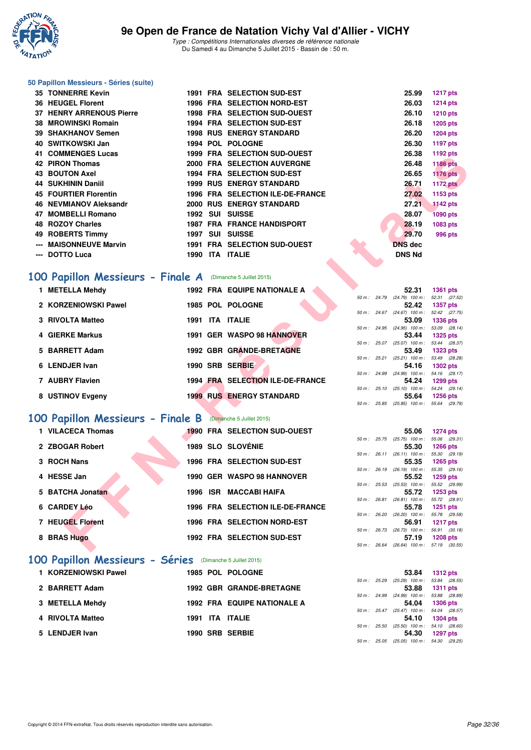

#### **50 Papillon Messieurs - Séries (suite)**

|     | 35 TONNERRE Kevin               |      |     | <b>1991 FRA SELECTION SUD-EST</b>   | 25.99          | <b>1217 pts</b> |
|-----|---------------------------------|------|-----|-------------------------------------|----------------|-----------------|
|     | 36 HEUGEL Florent               |      |     | <b>1996 FRA SELECTION NORD-EST</b>  | 26.03          | <b>1214 pts</b> |
|     | <b>37 HENRY ARRENOUS Pierre</b> |      |     | <b>1998 FRA SELECTION SUD-OUEST</b> | 26.10          | <b>1210 pts</b> |
|     | 38 MROWINSKI Romain             |      |     | <b>1994 FRA SELECTION SUD-EST</b>   | 26.18          | 1205 pts        |
|     | 39 SHAKHANOV Semen              |      |     | <b>1998 RUS ENERGY STANDARD</b>     | 26.20          | <b>1204 pts</b> |
|     | 40 SWITKOWSKI Jan               |      |     | 1994 POL POLOGNE                    | 26.30          | <b>1197 pts</b> |
|     | <b>41 COMMENGES Lucas</b>       |      |     | <b>1999 FRA SELECTION SUD-OUEST</b> | 26.38          | 1192 pts        |
|     | 42 PIRON Thomas                 |      |     | <b>2000 FRA SELECTION AUVERGNE</b>  | 26.48          | <b>1186 pts</b> |
|     | 43 BOUTON Axel                  |      |     | <b>1994 FRA SELECTION SUD-EST</b>   | 26.65          | <b>1176 pts</b> |
|     | 44 SUKHININ Daniil              |      |     | <b>1999 RUS ENERGY STANDARD</b>     | 26.71          | 1172 pts        |
|     | <b>45 FOURTIER Florentin</b>    |      |     | 1996 FRA SELECTION ILE-DE-FRANCE    | 27.02          | 1153 pts        |
|     | <b>46 NEVMIANOV Aleksandr</b>   |      |     | <b>2000 RUS ENERGY STANDARD</b>     | 27.21          | <b>1142 pts</b> |
| 47  | <b>MOMBELLI Romano</b>          | 1992 | SUI | <b>SUISSE</b>                       | 28.07          | <b>1090 pts</b> |
|     | 48 ROZOY Charles                |      |     | <b>1987 FRA FRANCE HANDISPORT</b>   | 28.19          | 1083 pts        |
|     | 49 ROBERTS Timmy                | 1997 | SUI | <b>SUISSE</b>                       | 29.70          | 996 pts         |
| --- | <b>MAISONNEUVE Marvin</b>       |      |     | <b>1991 FRA SELECTION SUD-OUEST</b> | <b>DNS</b> dec |                 |
|     | <b>DOTTO Luca</b>               | 1990 |     | <b>ITA ITALIE</b>                   | <b>DNS Nd</b>  |                 |
|     |                                 |      |     |                                     |                |                 |

#### **[100 Papillon Messieurs - Finale A](http://www.ffnatation.fr/webffn/resultats.php?idact=nat&go=epr&idcpt=32627&idepr=82)** (Dimanche 5 Juillet 2015)

| UUIWILINULJ LUUAS                                                 |  | 1999 FRA SELECTION SUD-OULSI       |  | 20.00                                               | טוען <b>בע</b> וו |  |
|-------------------------------------------------------------------|--|------------------------------------|--|-----------------------------------------------------|-------------------|--|
| <b>42 PIRON Thomas</b>                                            |  | 2000 FRA SELECTION AUVERGNE        |  | 26.48                                               | <b>1186 pts</b>   |  |
| <b>43 BOUTON Axel</b>                                             |  | 1994 FRA SELECTION SUD-EST         |  | 26.65                                               | <b>1176 pts</b>   |  |
| <b>44 SUKHININ Daniil</b>                                         |  | <b>1999 RUS ENERGY STANDARD</b>    |  | 26.71                                               | <b>1172 pts</b>   |  |
| <b>45 FOURTIER Florentin</b>                                      |  | 1996 FRA SELECTION ILE-DE-FRANCE   |  | 27.02                                               | 1153 pts          |  |
| 46 NEVMIANOV Aleksandr                                            |  | 2000 RUS ENERGY STANDARD           |  | 27.21                                               | <b>1142 pts</b>   |  |
| 47 MOMBELLI Romano                                                |  | 1992 SUI SUISSE                    |  | 28.07                                               | <b>1090 pts</b>   |  |
| 48 ROZOY Charles                                                  |  | <b>1987 FRA FRANCE HANDISPORT</b>  |  | 28.19                                               | 1083 pts          |  |
| 49 ROBERTS Timmy                                                  |  | 1997 SUI SUISSE                    |  | 29.70                                               | <b>996 pts</b>    |  |
| <b>MAISONNEUVE Marvin</b>                                         |  | 1991 FRA SELECTION SUD-OUEST       |  | <b>DNS</b> dec                                      |                   |  |
| --- DOTTO Luca                                                    |  | 1990 ITA ITALIE                    |  | <b>DNS Nd</b>                                       |                   |  |
|                                                                   |  |                                    |  |                                                     |                   |  |
| <b>00 Papillon Messieurs - Finale A</b> (Dimanche 5 Juillet 2015) |  |                                    |  |                                                     |                   |  |
| 1 METELLA Mehdy                                                   |  | <b>1992 FRA EQUIPE NATIONALE A</b> |  | 52.31                                               | <b>1361 pts</b>   |  |
|                                                                   |  |                                    |  | 50 m: 24.79 (24.79) 100 m: 52.31 (27.52)            |                   |  |
| 2 KORZENIOWSKI Pawel                                              |  | 1985 POL POLOGNE                   |  | 52.42<br>50 m: 24.67 (24.67) 100 m: 52.42 (27.75)   | <b>1357 pts</b>   |  |
| 3 RIVOLTA Matteo                                                  |  | 1991 ITA ITALIE                    |  | 53.09                                               | <b>1336 pts</b>   |  |
|                                                                   |  |                                    |  | 50 m: 24.95 (24.95) 100 m: 53.09 (28.14)            |                   |  |
| 4 GIERKE Markus                                                   |  | 1991 GER WASPO 98 HANNOVER         |  | 53.44                                               | <b>1325 pts</b>   |  |
| 5 BARRETT Adam                                                    |  | 1992 GBR GRANDE-BRETAGNE           |  | 50 m: 25.07 (25.07) 100 m: 53.44 (28.37)<br>53.49   | <b>1323 pts</b>   |  |
|                                                                   |  |                                    |  | 50 m: 25.21 (25.21) 100 m: 53.49 (28.28)            |                   |  |
| 6 LENDJER Ivan                                                    |  | 1990 SRB SERBIE                    |  | 54.16                                               | 1302 pts          |  |
| 7 AUBRY Flavien                                                   |  | 1994 FRA SELECTION ILE-DE-FRANCE   |  | 50 m: 24.99 (24.99) 100 m: 54.16 (29.17)<br>54.24   | 1299 pts          |  |
|                                                                   |  |                                    |  | 50 m: 25.10 (25.10) 100 m: 54.24 (29.14)            |                   |  |
| 8 USTINOV Evgeny                                                  |  | <b>1999 RUS ENERGY STANDARD</b>    |  | 55.64                                               | <b>1256 pts</b>   |  |
|                                                                   |  |                                    |  | 50 m: 25.85 (25.85) 100 m: 55.64 (29.79)            |                   |  |
| 00 Papillon Messieurs - Finale B (Dimanche 5 Juillet 2015)        |  |                                    |  |                                                     |                   |  |
| 1 VILACECA Thomas                                                 |  | 1990 FRA SELECTION SUD-OUEST       |  |                                                     |                   |  |
|                                                                   |  |                                    |  | 55.06<br>50 m: 25.75 (25.75) 100 m: 55.06 (29.31)   | <b>1274 pts</b>   |  |
| 2 ZBOGAR Robert                                                   |  | <b>1989 SLO SLOVÉNIE</b>           |  | 55.30                                               | <b>1266 pts</b>   |  |
|                                                                   |  |                                    |  | 50 m: 26.11 (26.11) 100 m: 55.30 (29.19)            |                   |  |
| 3 ROCH Nans                                                       |  | 1996 FRA SELECTION SUD-EST         |  | 55.35<br>50 m : 26.19 (26.19) 100 m : 55.35 (29.16) | 1265 pts          |  |
| 4 HESSE Jan                                                       |  | 1990 GER WASPO 98 HANNOVER         |  | 55.52                                               | <b>1259 pts</b>   |  |
|                                                                   |  |                                    |  | 50 m: 25.53 (25.53) 100 m: 55.52 (29.99)            |                   |  |
| 5 BATCHA Jonatan                                                  |  | 1996 ISR MACCABI HAIFA             |  | 55.72                                               | <b>1253 pts</b>   |  |
| 6 CARDEY Léo                                                      |  | 1996 FRA SELECTION ILE-DE-FRANCE   |  | 50 m: 26.81 (26.81) 100 m: 55.72 (28.91)<br>55.78   | 1251 pts          |  |
|                                                                   |  |                                    |  | 50 m: 26.20 (26.20) 100 m: 55.78 (29.58)            |                   |  |
| 7 HEUGEL Florent                                                  |  | 1996 FRA SELECTION NORD-EST        |  | 56.91                                               | <b>1217 pts</b>   |  |
|                                                                   |  |                                    |  | 50 m: 26.73 (26.73) 100 m: 56.91 (30.18)            |                   |  |
| 8 BRAS Hugo                                                       |  | 1992 FRA SELECTION SUD-EST         |  | 57.19<br>50 m: 26.64 (26.64) 100 m: 57.19 (30.55)   | <b>1208 pts</b>   |  |
|                                                                   |  |                                    |  |                                                     |                   |  |

# **[100 Papillon Messieurs - Finale B](http://www.ffnatation.fr/webffn/resultats.php?idact=nat&go=epr&idcpt=32627&idepr=82)** (Dimanche 5 Juillet 2015)

| 1 VILACECA Thomas |                                                     |      |                                                                                                                                                                                                                                                                 | 55.06 |                                                                                                                           |                                                                                                                                                                                                                                                                                                                                                                         |
|-------------------|-----------------------------------------------------|------|-----------------------------------------------------------------------------------------------------------------------------------------------------------------------------------------------------------------------------------------------------------------|-------|---------------------------------------------------------------------------------------------------------------------------|-------------------------------------------------------------------------------------------------------------------------------------------------------------------------------------------------------------------------------------------------------------------------------------------------------------------------------------------------------------------------|
|                   |                                                     |      |                                                                                                                                                                                                                                                                 |       |                                                                                                                           |                                                                                                                                                                                                                                                                                                                                                                         |
|                   |                                                     |      |                                                                                                                                                                                                                                                                 |       |                                                                                                                           |                                                                                                                                                                                                                                                                                                                                                                         |
| 3 ROCH Nans       |                                                     |      |                                                                                                                                                                                                                                                                 | 55.35 |                                                                                                                           |                                                                                                                                                                                                                                                                                                                                                                         |
| 4 HESSE Jan       |                                                     |      |                                                                                                                                                                                                                                                                 | 55.52 |                                                                                                                           |                                                                                                                                                                                                                                                                                                                                                                         |
|                   |                                                     |      |                                                                                                                                                                                                                                                                 |       |                                                                                                                           |                                                                                                                                                                                                                                                                                                                                                                         |
|                   |                                                     |      |                                                                                                                                                                                                                                                                 |       |                                                                                                                           |                                                                                                                                                                                                                                                                                                                                                                         |
|                   |                                                     |      |                                                                                                                                                                                                                                                                 |       |                                                                                                                           |                                                                                                                                                                                                                                                                                                                                                                         |
| 7 HEUGEL Florent  |                                                     |      |                                                                                                                                                                                                                                                                 | 56.91 |                                                                                                                           |                                                                                                                                                                                                                                                                                                                                                                         |
| 8 BRAS Hugo       |                                                     |      |                                                                                                                                                                                                                                                                 | 57.19 |                                                                                                                           |                                                                                                                                                                                                                                                                                                                                                                         |
|                   | 2 ZBOGAR Robert<br>5 BATCHA Jonatan<br>6 CARDEY Léo | 1996 | <b>1990 FRA SELECTION SUD-OUEST</b><br>1989 SLO SLOVÉNIE<br>1996 FRA SELECTION SUD-EST<br>1990 GER WASPO 98 HANNOVER<br><b>ISR MACCABI HAIFA</b><br>1996 FRA SELECTION ILE-DE-FRANCE<br><b>1996 FRA SELECTION NORD-EST</b><br><b>1992 FRA SELECTION SUD-EST</b> |       | 55.30<br>$50 m$ : 26.11<br>50 m : 26.19<br>50 m : 25.53<br>55.72<br>50 m : 26.81<br>55.78<br>50 m : 26.20<br>50 m : 26.73 | 1274 pts<br>50 m : 25.75 (25.75) 100 m :<br>55.06 (29.<br><b>1266 pts</b><br>$(26.11)$ 100 m :<br>55.30 (29.<br>1265 pts<br>$(26.19)$ 100 m :<br>55.35 (29.<br>1259 pts<br>$(25.53)$ 100 m :<br>55.52 (29.<br>1253 pts<br>(26.81) 100 m : 55.72 (28.<br><b>1251 pts</b><br>(26.20) 100 m : 55.78 (29.<br><b>1217 pts</b><br>56.91 (30.<br>$(26.73)$ 100 m :<br>1208 pts |

#### **[100 Papillon Messieurs - Séries](http://www.ffnatation.fr/webffn/resultats.php?idact=nat&go=epr&idcpt=32627&idepr=82)** (Dimanche 5 Juillet 2015)

| 1 KORZENIOWSKI Pawel | <b>1985 POL POLOGNE</b>            |              | 53.84                                                                                                 | 1312 pts       |
|----------------------|------------------------------------|--------------|-------------------------------------------------------------------------------------------------------|----------------|
| 2 BARRETT Adam       | <b>1992 GBR GRANDE-BRETAGNE</b>    |              | 50 m: 25.29 (25.29) 100 m: 53.84 (28.55)                                                              | 53.88 1311 pts |
| 3 METELLA Mehdy      | <b>1992 FRA EQUIPE NATIONALE A</b> |              | 50 m: 24.99 (24.99) 100 m: 53.88 (28.89)                                                              | 54.04 1306 pts |
| 4 RIVOLTA Matteo     | 1991 ITA ITALIE                    | 50 m : 25.47 | $(25.47)$ 100 m : 54.04 (28.57)                                                                       | 54.10 1304 pts |
| 5 LENDJER Ivan       | 1990 SRB SERBIE                    |              | 50 m: 25.50 (25.50) 100 m: 54.10 (28.60)<br>54.30<br>$50 m - 25.05$ $(25.05) 100 m - 54.30$ $(29.25)$ | 1297 pts       |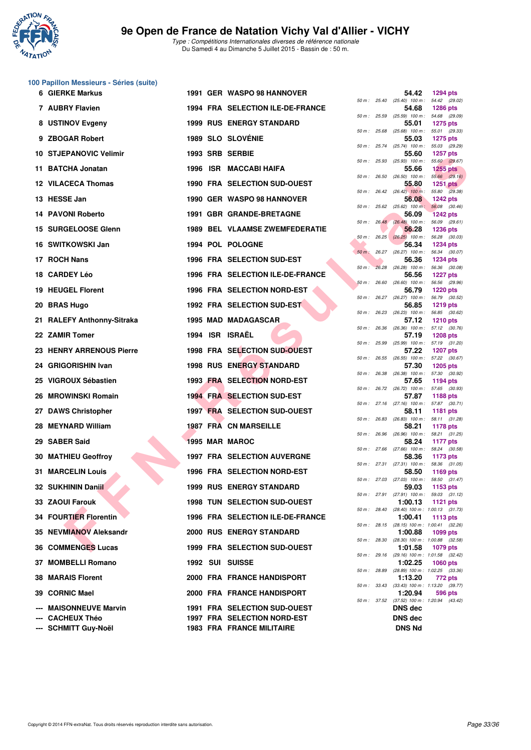

**100 Papillon Messieurs - Séries (suite)**

#### **9e Open de France de Natation Vichy Val d'Allier - VICHY**

|     | <b>6 GIERKE Markus</b>        |  | 1991 GER WASPO 98 HANNOVER            |                | 54.42                                                 | <b>1294 pts</b>                  |         |
|-----|-------------------------------|--|---------------------------------------|----------------|-------------------------------------------------------|----------------------------------|---------|
|     | 7 AUBRY Flavien               |  | 1994 FRA SELECTION ILE-DE-FRANCE      |                | 50 m: 25.40 (25.40) 100 m: 54.42 (29.02)<br>54.68     | <b>1286 pts</b>                  |         |
|     | 8 USTINOV Evgeny              |  | <b>1999 RUS ENERGY STANDARD</b>       |                | 50 m: 25.59 (25.59) 100 m: 54.68 (29.09)<br>55.01     | <b>1275 pts</b>                  |         |
|     | 9 ZBOGAR Robert               |  | <b>1989 SLO SLOVÉNIE</b>              | 50 m: 25.68    | $(25.68)$ 100 m :<br>55.03                            | 55.01 (29.33)<br><b>1275 pts</b> |         |
|     | <b>10 STJEPANOVIC Velimir</b> |  | 1993 SRB SERBIE                       |                | 50 m: 25.74 (25.74) 100 m: 55.03 (29.29)<br>55.60     | <b>1257 pts</b>                  |         |
| 11. | <b>BATCHA Jonatan</b>         |  | 1996 ISR MACCABI HAIFA                |                | 50 m: 25.93 (25.93) 100 m: 55.60 (29.67)<br>55.66     | <b>1255 pts</b>                  |         |
|     | 12 VILACECA Thomas            |  | 1990 FRA SELECTION SUD-OUEST          | 50 m: 26.50    | $(26.50)$ 100 m : 55.66 $(29.16)$<br>55.80            | <b>1251 pts</b>                  |         |
|     | 13 HESSE Jan                  |  | 1990 GER WASPO 98 HANNOVER            |                | 50 m: 26.42 (26.42) 100 m: 55.80 (29.38)<br>56.08     | <b>1242 pts</b>                  |         |
|     | <b>14 PAVONI Roberto</b>      |  | 1991 GBR GRANDE-BRETAGNE              |                | 50 m : 25.62 (25.62) 100 m :<br>56.09                 | 56.08 (30.46)<br><b>1242 pts</b> |         |
|     | 15 SURGELOOSE Glenn           |  | <b>1989 BEL VLAAMSE ZWEMFEDERATIE</b> |                | $50 \text{ m}: 26,48$ $(26.48)$ 100 m :<br>56.28      | 56.09 (29.61)<br><b>1236 pts</b> |         |
|     | 16 SWITKOWSKI Jan             |  | 1994 POL POLOGNE                      |                | 50 m: 26.25 (26.25) 100 m: 56.28 (30.03)<br>56.34     | <b>1234 pts</b>                  |         |
|     | 17 ROCH Nans                  |  | 1996 FRA SELECTION SUD-EST            | $50 m$ : 26.27 | $(26.27)$ 100 m : 56.34 $(30.07)$                     |                                  |         |
|     |                               |  |                                       | $50 m$ :       | 56.36<br>26.28 (26.28) 100 m : 56.36 (30.08)          | <b>1234 pts</b>                  |         |
|     | 18 CARDEY Léo                 |  | 1996 FRA SELECTION ILE-DE-FRANCE      | 50 m: 26.60    | 56.56<br>$(26.60)$ 100 m : 56.56 $(29.96)$            | <b>1227 pts</b>                  |         |
|     | <b>19 HEUGEL Florent</b>      |  | 1996 FRA SELECTION NORD-EST           |                | 56.79<br>50 m: 26.27 (26.27) 100 m: 56.79 (30.52)     | <b>1220 pts</b>                  |         |
|     | 20 BRAS Hugo                  |  | 1992 FRA SELECTION SUD-EST            | 50 m: 26.23    | 56.85<br>$(26.23)$ 100 m :                            | <b>1219 pts</b><br>56.85 (30.62) |         |
|     | 21 RALEFY Anthonny-Sitraka    |  | <b>1995 MAD MADAGASCAR</b>            | 50 m: 26.36    | 57.12<br>$(26.36)$ 100 m : 57.12 $(30.76)$            | <b>1210 pts</b>                  |         |
|     | 22 ZAMIR Tomer                |  | 1994 ISR ISRAËL                       |                | 57.19<br>50 m: 25.99 (25.99) 100 m: 57.19 (31.20)     | <b>1208 pts</b>                  |         |
|     | 23 HENRY ARRENOUS Pierre      |  | 1998 FRA SELECTION SUD-OUEST          | 50 m: 26.55    | 57.22<br>$(26.55)$ 100 m : 57.22 $(30.67)$            | <b>1207 pts</b>                  |         |
| 24. | <b>GRIGORISHIN Ivan</b>       |  | <b>1998 RUS ENERGY STANDARD</b>       |                | 57.30<br>50 m: 26.38 (26.38) 100 m: 57.30 (30.92)     | <b>1205 pts</b>                  |         |
|     | 25 VIGROUX Sébastien          |  | 1993 FRA SELECTION NORD-EST           |                | 57.65<br>50 m : 26.72 (26.72) 100 m :                 | 1194 pts<br>57.65 (30.93)        |         |
| 26  | <b>MROWINSKI Romain</b>       |  | <b>1994 FRA SELECTION SUD-EST</b>     |                | 57.87<br>50 m: 27.16 (27.16) 100 m: 57.87 (30.71)     | <b>1188 pts</b>                  |         |
|     | 27 DAWS Christopher           |  | <b>1997 FRA SELECTION SUD-OUEST</b>   | 50 m: 26.83    | 58.11<br>$(26.83)$ 100 m : 58.11 $(31.28)$            | <b>1181 pts</b>                  |         |
|     | 28 MEYNARD William            |  | <b>1987 FRA CN MARSEILLE</b>          |                | 58.21                                                 | <b>1178 pts</b>                  |         |
| 29  | <b>SABER Said</b>             |  | 1995 MAR MAROC                        | 50 m: 26.96    | $(26.96)$ 100 m : 58.21 $(31.25)$<br>58.24            | <b>1177 pts</b>                  |         |
| 30  | <b>MATHIEU Geoffroy</b>       |  | <b>1997 FRA SELECTION AUVERGNE</b>    |                | 50 m : 27.66 (27.66) 100 m : 58.24 (30.58)<br>58.36   | 1173 pts                         |         |
|     | <b>31 MARCELIN Louis</b>      |  | <b>1996 FRA SELECTION NORD-EST</b>    |                | 50 m: 27.31 (27.31) 100 m: 58.36 (31.05)<br>58.50     | 1169 pts                         |         |
|     | 32   SUKHININ Daniil          |  | <b>1999 RUS ENERGY STANDARD</b>       |                | 50 m: 27.03 (27.03) 100 m: 58.50 (31.47)<br>59.03     | 1153 pts                         |         |
|     | 33 ZAOUI Farouk               |  | <b>1998 TUN SELECTION SUD-OUEST</b>   |                | 50 m: 27.91 (27.91) 100 m: 59.03 (31.12)<br>1:00.13   | 1121 pts                         |         |
|     | 34 FOURTIER Florentin         |  | 1996 FRA SELECTION ILE-DE-FRANCE      | 50 m : 28.40   | $(28.40)$ 100 m : 1:00.13 $(31.73)$<br>1:00.41        | 1113 pts                         |         |
|     | 35 NEVMIANOV Aleksandr        |  | <b>2000 RUS ENERGY STANDARD</b>       |                | 50 m: 28.15 (28.15) 100 m: 1:00.41 (32.26)<br>1:00.88 | 1099 pts                         |         |
|     | 36 COMMENGES Lucas            |  | 1999 FRA SELECTION SUD-OUEST          |                | 50 m: 28.30 (28.30) 100 m: 1:00.88 (32.58)<br>1:01.58 | 1079 pts                         |         |
|     | 37 MOMBELLI Romano            |  | 1992 SUI SUISSE                       |                | 50 m: 29.16 (29.16) 100 m: 1:01.58 (32.42)<br>1:02.25 | <b>1060 pts</b>                  |         |
|     | <b>38 MARAIS Florent</b>      |  | 2000 FRA FRANCE HANDISPORT            |                | 50 m: 28.89 (28.89) 100 m: 1:02.25 (33.36)<br>1:13.20 | 772 pts                          |         |
|     | 39 CORNIC Mael                |  | 2000 FRA FRANCE HANDISPORT            |                | 50 m: 33.43 (33.43) 100 m: 1:13.20 (39.77)<br>1:20.94 |                                  | 596 pts |
|     | <b>MAISONNEUVE Marvin</b>     |  | 1991 FRA SELECTION SUD-OUEST          | 50 m : 37.52   | (37.52) 100 m: 1:20.94 (43.42)<br><b>DNS</b> dec      |                                  |         |
|     | <b>CACHEUX Théo</b>           |  | 1997 FRA SELECTION NORD-EST           |                | <b>DNS dec</b>                                        |                                  |         |
|     | --- SCHMITT Guy-Noël          |  | <b>1983 FRA FRANCE MILITAIRE</b>      |                | <b>DNS Nd</b>                                         |                                  |         |

| $50 m$ : | 25.40 | 54.42<br>$(25.40)$ 100 m :   | 1294 pts<br>(29.02)<br>54.42          |
|----------|-------|------------------------------|---------------------------------------|
|          |       | 54.68                        | <b>1286 pts</b>                       |
| $50 m$ : | 25.59 | $(25.59)$ 100 m :<br>55.01   | 54.68<br>(29.09)<br>1275 pts          |
| $50 m$ : | 25.68 | $(25.68)$ 100 m :            | 55.01<br>(29.33)                      |
| $50 m$ : | 25.74 | 55.03<br>$(25.74)$ 100 m :   | <b>1275 pts</b><br>55.03<br>(29.29)   |
|          |       | 55.60                        | 1257 pts                              |
| $50 m$ : | 25.93 | $(25.93)$ 100 m :<br>55.66   | 55.60<br>(29.67)<br><b>1255 pts</b>   |
| $50 m$ : | 26.50 | $(26.50)$ 100 m :            | 55.66<br>(29.16)                      |
| $50 m$ : | 26.42 | 55.80<br>$(26.42)$ 100 m :   | <b>1251 pts</b><br>55.80<br>(29.38)   |
|          |       | 56.08                        | <b>1242 pts</b>                       |
| $50 m$ : | 25.62 | $(25.62)$ 100 m;<br>56.09    | (30.46)<br>56.08<br>1242 pts          |
| $50 m$ : | 26.48 | $(26.48)$ 100 m :            | 56.09<br>(29.61)                      |
| $50 m$ : | 26.25 | 56.28                        | 1236 pts                              |
|          |       | $(26.25)$ 100 m :<br>56.34   | 56.28<br>(30.03)<br>1234 pts          |
| $50 m$ : | 26.27 | $(26.27)$ 100 m :            | (30.07)<br>56.34                      |
| $50 m$ : | 26.28 | 56.36<br>$(26.28)$ 100 m :   | <b>1234 pts</b><br>56.36<br>(30.08)   |
|          |       | 56.56                        | <b>1227 pts</b>                       |
| 50 m :   | 26.60 | $(26.60)$ 100 m :<br>56.79   | (29.96)<br>56.56<br><b>1220 pts</b>   |
| $50 m$ : | 26.27 | $(26.27)$ 100 m :            | 56.79<br>(30.52)                      |
| 50 m :   | 26.23 | 56.85<br>$(26.23)$ 100 m :   | <b>1219 pts</b><br>(30.62)<br>56.85   |
|          |       | 57.12                        | 1210 pts                              |
| $50 m$ : | 26.36 | $(26.36)$ 100 m :<br>57.19   | 57.12<br>(30.76)<br>1208 pts          |
| $50 m$ : | 25.99 | $(25.99)$ 100 m :            | 57.19<br>(31.20)                      |
| 50 m :   | 26.55 | 57.22<br>$(26.55)$ 100 m :   | 1207 pts<br>57.22<br>(30.67)          |
|          |       | 57.30                        | 1205 pts                              |
| $50 m$ : | 26.38 | $(26.38)$ 100 m :<br>57.65   | 57.30<br>(30.92)<br>1194 pts          |
| $50 m$ : | 26.72 | $(26.72)$ 100 m :            | (30.93)<br>57.65                      |
| 50 m :   | 27.16 | 57.87<br>$(27.16)$ 100 m :   | 1188 pts<br>57.87<br>(30.71)          |
|          |       | 58.11                        | 1181<br>pts                           |
| $50 m$ : | 26.83 | $(26.83)$ 100 m :<br>58.21   | 58.11<br>(31.28)<br>1178 pts          |
| $50 m$ : | 26.96 | $(26.96)$ 100 m :            | 58.21<br>(31.25)                      |
| $50 m$ : | 27.66 | 58.24<br>$(27.66)$ 100 m :   | 1177 pts<br>58.24<br>(30.58)          |
|          |       | 58.36                        | 1173 pts                              |
| $50 m$ : | 27.31 | $(27.31)$ 100 m :<br>58.50   | 58.36<br>(31.05)<br>1169 pts          |
| $50 m$ : | 27.03 | $(27.03)$ 100 m :            | 58.50<br>(31.47)                      |
| $50 m$ : | 27.91 | 59.03<br>$(27.91)$ 100 m :   | 1153 pts<br>(31.12)<br>59.03          |
|          |       | 1:00.13                      | 1121<br>pts                           |
| $50 m$ : | 28.40 | $(28.40)$ 100 m :<br>1:00.41 | 1:00.13<br>(31.73)<br><b>1113 pts</b> |
| $50 m$ : | 28.15 | $(28.15)$ 100 m :            | 1:00.41<br>(32.26)                    |
| $50 m$ : | 28.30 | 1:00.88<br>(28.30) 100 m :   | 1099 pts<br>1:00.88<br>(32.58)        |
|          |       | 1:01.58                      | 1079 pts                              |
| $50 m$ : | 29.16 | $(29.16) 100 m$ :<br>1:02.25 | 1:01.58<br>(32.42)<br>1060 pts        |
| $50 m$ : | 28.89 | $(28.89) 100 m$ :            | 1:02.25<br>(33.36)                    |
| $50 m$ : | 33.43 | 1:13.20<br>$(33.43) 100 m$ : | <b>772 pts</b><br>1:13.20<br>(39.77)  |
|          |       | 1:20.94                      | <b>596 pts</b>                        |
| $50 m$ : | 37.52 | $(37.52)$ 100 m :<br>DNS dec | 1:20.94<br>(43.42)                    |
|          |       | DNS dec                      |                                       |
|          |       | <b>DNS Nd</b>                |                                       |
|          |       |                              |                                       |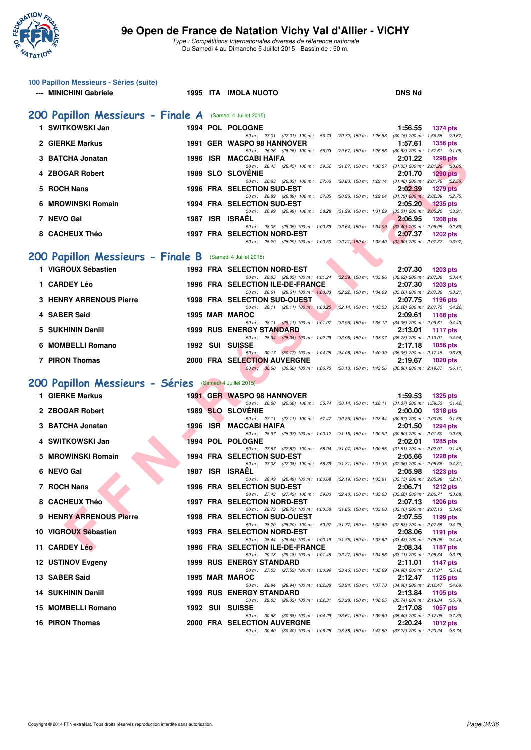

|   | 100 Papillon Messieurs - Séries (suite) |  |                                                                                                                                 |                                                        |
|---|-----------------------------------------|--|---------------------------------------------------------------------------------------------------------------------------------|--------------------------------------------------------|
|   | --- MINICHINI Gabriele                  |  | 1995 ITA IMOLA NUOTO                                                                                                            | <b>DNS Nd</b>                                          |
|   | 200 Papillon Messieurs - Finale A       |  | (Samedi 4 Juillet 2015)                                                                                                         |                                                        |
|   | 1 SWITKOWSKI Jan                        |  | 1994 POL POLOGNE                                                                                                                | 1:56.55<br><b>1374 pts</b>                             |
|   | 2 GIERKE Markus                         |  | 50 m: 27.01 (27.01) 100 m: 56.73 (29.72) 150 m: 1:26.88 (30.15) 200 m: 1:56.55 (29.67)<br>1991 GER WASPO 98 HANNOVER            | 1:57.61<br>1356 pts                                    |
|   | <b>BATCHA Jonatan</b>                   |  | 50 m: 26.26 (26.26) 100 m: 55.93 (29.67) 150 m: 1:26.56 (30.63) 200 m: 1:57.61 (31.05)<br>1996 ISR MACCABI HAIFA                | 2:01.22<br><b>1298 pts</b>                             |
|   | 4 ZBOGAR Robert                         |  | 50 m: 28.45 (28.45) 100 m: 59.52 (31.07) 150 m: 1:30.57 (31.05) 200 m: 2:01.22 (30.65)<br><b>1989 SLO SLOVENIE</b>              | 2:01.70<br><b>1290 pts</b>                             |
|   | 5 ROCH Nans                             |  | 50 m: 26.83 (26.83) 100 m: 57.66 (30.83) 150 m: 1:29.14 (31.48) 200 m: 2:01.70 (32.56)<br>1996 FRA SELECTION SUD-EST            | 2:02.39<br><b>1279 pts</b>                             |
|   | <b>MROWINSKI Romain</b>                 |  | 50 m: 26.89 (26.89) 100 m: 57.85 (30.96) 150 m: 1:29.64 (31.79) 200 m: 2:02.39 (32.75)<br>1994 FRA SELECTION SUD-EST            | 2:05.20<br>1235 pts                                    |
|   |                                         |  | 50 m: 26.99 (26.99) 100 m: 58.28 (31.29) 150 m: 1.31.29 (33.01) 200 m: 2:05.20 (33.91)                                          |                                                        |
|   | 7 NEVO Gal                              |  | 1987 ISR ISRAEL<br>50 m : 28.05 (28.05) 100 m : 1:00.69 (32.64) 150 m : 1:34.09 (33.40) 200 m : 2:06.95 (32.86)                 | 2:06.95<br><b>1208 pts</b>                             |
|   | 8 CACHEUX Théo                          |  | <b>1997 FRA SELECTION NORD-EST</b><br>50 m: 28.29 (28.29) 100 m: 1:00.50 (32.21) 150 m: 1:33.40 (32.90) 200 m: 2:07.37 (33.97)  | 2:07.37<br><b>1202 pts</b>                             |
|   | 200 Papillon Messieurs - Finale B       |  | (Samedi 4 Juillet 2015)                                                                                                         |                                                        |
|   | 1 VIGROUX Sébastien                     |  | 1993 FRA SELECTION NORD-EST                                                                                                     | 2:07.30<br><b>1203 pts</b>                             |
|   | 1 CARDEY Léo                            |  | 50 m: 28.85 (28.85) 100 m: 1:01.24 (32.39) 150 m: 1:33.86 (32.62) 200 m: 2:07.30 (33.44)<br>1996 FRA SELECTION ILE-DE-FRANCE    | 2:07.30<br>1203 pts                                    |
|   | <b>3 HENRY ARRENOUS Pierre</b>          |  | 50 m: 28.61 (28.61) 100 m: 1:00.83 (32.22) 150 m: 1:34.09 (33.26) 200 m: 2:07.30 (33.21)<br><b>1998 FRA SELECTION SUD-OUEST</b> | 2:07.75<br><b>1196 pts</b>                             |
|   | 4 SABER Said                            |  | 50 m: 28.11 (28.11) 100 m: 1:00.25 (32.14) 150 m: 1:33.53 (33.28) 200 m: 2:07.75 (34.22)<br>1995 MAR MAROC                      | 2:09.61<br><b>1168 pts</b>                             |
|   | <b>SUKHININ Daniil</b>                  |  | 50 m: 28.11 (28.11) 100 m: 1:01.07 (32.96) 150 m: 1:35.12 (34.05) 200 m: 2:09.61 (34.49)<br><b>1999 RUS ENERGY STANDARD</b>     | 2:13.01<br>1117 pts                                    |
|   |                                         |  | 50 m: 28.34 (28.34) 100 m: 1:02.29 (33.95) 150 m: 1:38.07 (35.78) 200 m: 2:13.01 (34.94)                                        |                                                        |
| 6 | <b>MOMBELLI Romano</b>                  |  | 1992 SUI SUISSE<br>50 m: 30.17 (30.17) 100 m: 1:04.25 (34.08) 150 m: 1:40.30 (36.05) 200 m: 2:17.18 (36.88)                     | 2:17.18<br><b>1056 pts</b>                             |
|   | 7 PIRON Thomas                          |  | 2000 FRA SELECTION AUVERGNE<br>50 m · 30.60 (30.60) 100 m · 1:06.70 (36.10) 150 m · 1:43.56 (36.86) 200 m · 2:19.67 (36.11)     | 2:19.67<br><b>1020 pts</b>                             |
|   | 200 Papillon Messieurs - Séries         |  | (Samedi 4 Juillet 2015)                                                                                                         |                                                        |
|   | 1 GIERKE Markus                         |  | 1991 GER WASPO 98 HANNOVER                                                                                                      | 1:59.53<br><b>1325 pts</b>                             |
|   | 2 ZBOGAR Robert                         |  | 50 m: 26.60 (26.60) 100 m: 56.74 (30.14) 150 m: 1:28.11 (31.37) 200 m: 1:59.53 (31.42)<br>1989 SLO SLOVENIE                     | 2:00.00<br><b>1318 pts</b>                             |
|   | 3 BATCHA Jonatan                        |  | 50 m: 27.11 (27.11) 100 m: 57.47 (30.36) 150 m: 1:28.44 (30.97) 200 m: 2:00.00 (31.56)<br>1996 ISR MACCABI HAIFA                | 2:01.50<br><b>1294 pts</b>                             |
| 4 | SWITKOWSKI Jan                          |  | 50 m: 28.97 (28.97) 100 m: 1:00.12 (31.15) 150 m: 1:30.92 (30.80) 200 m: 2:01.50 (30.58)<br>1994 POL POLOGNE                    | 2:02.01<br><b>1285 pts</b>                             |
| 5 | <b>MROWINSKI Romain</b>                 |  | 50 m: 27.87 (27.87) 100 m: 58.94 (31.07) 150 m: 1:30.55 (31.61) 200 m: 2:02.01 (31.46)<br><b>1994 FRA SELECTION SUD-EST</b>     | 2:05.66<br><b>1228 pts</b>                             |
|   |                                         |  | 50 m: 27.08 (27.08) 100 m: 58.39 (31.31) 150 m: 1:31.35 (32.96) 200 m: 2:05.66 (34.31)                                          |                                                        |
|   | 6 NEVO Gal                              |  | 1987 ISR ISRAEL<br>50 m : 28.49 (28.49) 100 m : 1:00.68 (32.19) 150 m : 1:33.81 (33.13) 200 m : 2:05.98 (32.17)                 | 2:05.98<br><b>1223 pts</b>                             |
|   | 7 ROCH Nans                             |  | 1996 FRA SELECTION SUD-EST<br>50 m: 27.43 (27.43) 100 m: 59.83 (32.40) 150 m: 1.33.03 (33.20) 200 m: 2:06.71 (33.68)            | 2:06.71<br><b>1212 pts</b>                             |
|   | 8 CACHEUX Théo                          |  | <b>1997 FRA SELECTION NORD-EST</b><br>50 m: 28.73 (28.73) 100 m: 1:00.58 (31.85) 150 m: 1:33.68 (33.10) 200 m: 2:07.13 (33.45)  | 2:07.13<br><b>1206 pts</b>                             |
|   | 9 HENRY ARRENOUS Pierre                 |  | <b>1998 FRA SELECTION SUD-OUEST</b><br>50 m: 28.20 (28.20) 100 m: 59.97 (31.77) 150 m: 1:32.80 (32.83) 200 m: 2:07.55 (34.75)   | 2:07.55<br>1199 pts                                    |
|   | 10 VIGROUX Sébastien                    |  | 1993 FRA SELECTION NORD-EST<br>50 m: 28.44 (28.44) 100 m: 1:00.19 (31.75) 150 m: 1:33.62 (33.43) 200 m: 2:08.06 (34.44)         | 2:08.06<br>1191 pts                                    |
|   | 11 CARDEY Léo                           |  | 1996 FRA SELECTION ILE-DE-FRANCE                                                                                                | 2:08.34<br><b>1187 pts</b>                             |
|   | 12 USTINOV Evgeny                       |  | 50 m: 29.18 (29.18) 100 m: 1:01.45 (32.27) 150 m: 1:34.56 (33.11) 200 m: 2:08.34 (33.78)<br><b>1999 RUS ENERGY STANDARD</b>     | 2:11.01<br>1147 pts                                    |
|   | 13 SABER Said                           |  | 50 m: 27.53 (27.53) 100 m: 1:00.99 (33.46) 150 m: 1:35.89 (34.90) 200 m: 2:11.01 (35.12)<br>1995 MAR MAROC                      | 2:12.47<br>1125 pts                                    |
|   | <b>14 SUKHININ Daniil</b>               |  | 50 m: 28.94 (28.94) 100 m: 1:02.88 (33.94) 150 m: 1:37.78 (34.90) 200 m: 2:12.47 (34.69)<br><b>1999 RUS ENERGY STANDARD</b>     | 2:13.84<br>1105 pts                                    |
|   | 15 MOMBELLI Romano                      |  | 50 m : 29.03 (29.03) 100 m : 1:02.31 (33.28) 150 m : 1:38.05<br>1992 SUI SUISSE                                                 | (35.74) 200 m : 2:13.84 (35.79)<br>2:17.08<br>1057 pts |
|   | <b>16 PIRON Thomas</b>                  |  | 50 m: 30.68 (30.68) 100 m: 1:04.29 (33.61) 150 m: 1:39.69 (35.40) 200 m: 2:17.08 (37.39)<br><b>2000 FRA SELECTION AUVERGNE</b>  | 2:20.24<br>1012 pts                                    |
|   |                                         |  | 50 m: 30.40 (30.40) 100 m: 1:06.28 (35.88) 150 m: 1:43.50 (37.22) 200 m: 2:20.24 (36.74)                                        |                                                        |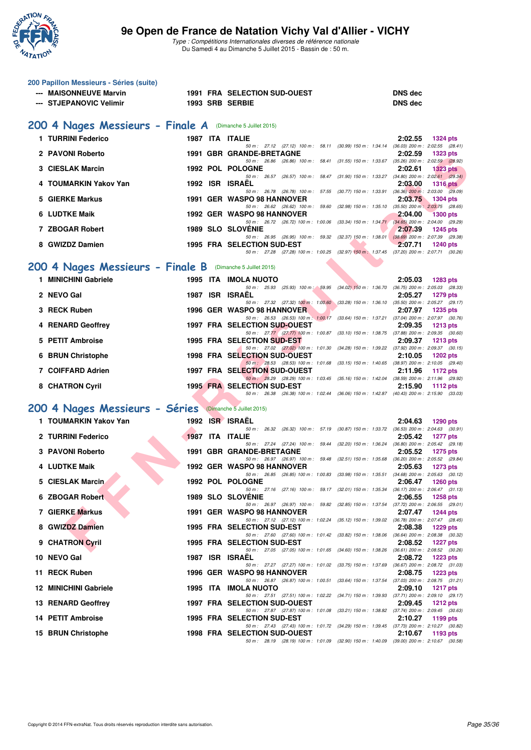

| 200 Papillon Messieurs - Séries (suite)                    |                 |                                                                                                                                     |                                                                   |
|------------------------------------------------------------|-----------------|-------------------------------------------------------------------------------------------------------------------------------------|-------------------------------------------------------------------|
| --- MAISONNEUVE Marvin<br>--- STJEPANOVIC Velimir          | 1993 SRB SERBIE | 1991 FRA SELECTION SUD-OUEST                                                                                                        | <b>DNS</b> dec<br><b>DNS dec</b>                                  |
|                                                            |                 |                                                                                                                                     |                                                                   |
| 200 4 Nages Messieurs - Finale A (Dimanche 5 Juillet 2015) |                 |                                                                                                                                     |                                                                   |
| 1 TURRINI Federico                                         | 1987 ITA ITALIE |                                                                                                                                     | 2:02.55<br><b>1324 pts</b>                                        |
| 2 PAVONI Roberto                                           |                 | 50 m: 27.12 (27.12) 100 m: 58.11 (30.99) 150 m: 1:34.14 (36.03) 200 m: 2:02.55 (28.41)<br>1991 GBR GRANDE-BRETAGNE                  | 2:02.59<br><b>1323 pts</b>                                        |
| 3 CIESLAK Marcin                                           |                 | 50 m: 26.86 (26.86) 100 m: 58.41 (31.55) 150 m: 1:33.67 (35.26) 200 m: 2:02.59 (28.92)<br>1992 POL POLOGNE                          | 2:02.61<br><b>1323 pts</b>                                        |
| 4 TOUMARKIN Yakov Yan                                      | 1992 ISR ISRAEL | 50 m: 26.57 (26.57) 100 m: 58.47 (31.90) 150 m: 1:33.27 (34.80) 200 m: 2:02.61 (29.34)                                              | 2:03.00<br><b>1316 pts</b>                                        |
|                                                            |                 | 50 m: 26.78 (26.78) 100 m: 57.55 (30.77) 150 m: 1:33.91 (36.36) 200 m: 2:03.00 (29.09)                                              |                                                                   |
| 5 GIERKE Markus                                            |                 | 1991 GER WASPO 98 HANNOVER<br>50 m : 26.62 (26.62) 100 m : 59.60 (32.98) 150 m : 1:35.10                                            | 2:03.75<br><b>1304 pts</b><br>$(35.50)$ 200 m : 2:03.75 $(28.65)$ |
| 6 LUDTKE Maik                                              |                 | 1992 GER WASPO 98 HANNOVER<br>50 m: 26.72 (26.72) 100 m: 1:00.06 (33.34) 150 m: 1:34.71 (34.65) 200 m: 2:04.00 (29.29)              | 2:04.00<br><b>1300 pts</b>                                        |
| 7 ZBOGAR Robert                                            |                 | <b>1989 SLO SLOVENIE</b><br>50 m : 26.95 (26.95) 100 m : 59.32 (32.37) 150 m : 1:38.01 (38.69) 200 m : 2:07.39 (29.38)              | 2:07.39<br><b>1245 pts</b>                                        |
| 8 GWIZDZ Damien                                            |                 | 1995 FRA SELECTION SUD-EST<br>50 m: 27.28 (27.28) 100 m: 1:00.25 (32.97) 150 m: 1:37.45 (37.20) 200 m: 2:07.71 (30.26)              | 2:07.71<br><b>1240 pts</b>                                        |
|                                                            |                 |                                                                                                                                     |                                                                   |
| 200 4 Nages Messieurs - Finale B<br>1 MINICHINI Gabriele   |                 | (Dimanche 5 Juillet 2015)                                                                                                           |                                                                   |
|                                                            |                 | <b>1995 ITA IMOLA NUOTO</b><br>50 m: 25.93 (25.93) 100 m: 59.95 (34.02) 150 m: 1:36.70 (36.75) 200 m: 2:05.03 (28.33)               | 2:05.03<br><b>1283 pts</b>                                        |
| 2 NEVO Gal                                                 | 1987            | <b>ISR ISRAEL</b><br>50 m: 27.32 (27.32) 100 m: 1:00.60 (33.28) 150 m: 1:36.10 (35.50) 200 m: 2:05.27 (29.17)                       | 2:05.27<br><b>1279 pts</b>                                        |
| 3 RECK Ruben                                               |                 | 1996 GER WASPO 98 HANNOVER<br>50 m: 26.53 (26.53) 100 m: 1:00.17 (33.64) 150 m: 1:37.21 (37.04) 200 m: 2:07.97 (30.76)              | 2:07.97<br><b>1235 pts</b>                                        |
| 4 RENARD Geoffrey                                          |                 | 1997 FRA SELECTION SUD-OUEST<br>50 m: 27.77 (27.77) 100 m: 1:00.87 (33.10) 150 m: 1:38.75 (37.88) 200 m: 2:09.35 (30.60)            | 2:09.35<br>$1213$ pts                                             |
| 5 PETIT Ambroise                                           |                 | 1995 FRA SELECTION SUD-EST                                                                                                          | 2:09.37<br><b>1213 pts</b>                                        |
| 6 BRUN Christophe                                          |                 | 50 m: 27.02 (27.02) 100 m: 1:01.30 (34.28) 150 m: 1:39.22 (37.92) 200 m: 2:09.37 (30.15)<br><b>1998 FRA SELECTION SUD-OUEST</b>     | 2:10.05<br><b>1202 pts</b>                                        |
| 7 COIFFARD Adrien                                          |                 | 50 m: 28.53 (28.53) 100 m: 1:01.68 (33.15) 150 m: 1:40.65 (38.97) 200 m: 2:10.05 (29.40)<br><b>1997 FRA SELECTION SUD-OUEST</b>     | 2:11.96<br><b>1172 pts</b>                                        |
| 8 CHATRON Cyril                                            |                 | 50 m : 28.29 (28.29) 100 m : 1:03.45 (35.16) 150 m : 1:42.04 (38.59) 200 m : 2:11.96 (29.92)<br><b>1995 FRA SELECTION SUD-EST</b>   | 2:15.90<br>1112 $pts$                                             |
|                                                            |                 | 50 m: 26.38 (26.38) 100 m: 1:02.44 (36.06) 150 m: 1:42.87 (40.43) 200 m: 2:15.90 (33.03)                                            |                                                                   |
| 200 4 Nages Messieurs - Séries (Dimanche 5 Juillet 2015)   |                 |                                                                                                                                     |                                                                   |
| 1 TOUMARKIN Yakov Yan                                      | 1992            | <b>ISR ISRAEL</b><br>50 m: 26.32 (26.32) 100 m: 57.19 (30.87) 150 m: 1:33.72 (36.53) 200 m: 2:04.63 (30.91)                         | 2:04.63<br>1290 pts                                               |
| 2 TURRINI Federico                                         | 1987 ITA ITALIE |                                                                                                                                     | 2:05.42<br><b>1277 pts</b>                                        |
| 3 PAVONI Roberto                                           |                 | 50 m: 27.24 (27.24) 100 m: 59.44 (32.20) 150 m: 1:36.24 (36.80) 200 m: 2:05.42 (29.18)<br>1991 GBR GRANDE-BRETAGNE                  | 2:05.52<br><b>1275 pts</b>                                        |
| 4 LUDTKE Maik                                              |                 | 50 m: 26.97 (26.97) 100 m: 59.48 (32.51) 150 m: 1:35.68 (36.20) 200 m: 2:05.52 (29.84)<br><b>1992 GER WASPO 98 HANNOVER</b>         | 2:05.63<br><b>1273 pts</b>                                        |
| <b>CIESLAK Marcin</b>                                      |                 | 50 m: 26.85 (26.85) 100 m: 1:00.83 (33.98) 150 m: 1:35.51 (34.68) 200 m: 2:05.63 (30.12)<br>1992 POL POLOGNE                        | 2:06.47<br><b>1260 pts</b>                                        |
| 6 ZBOGAR Robert                                            |                 | 50 m: 27.16 (27.16) 100 m: 59.17 (32.01) 150 m: 1:35.34<br><b>1989 SLO SLOVENIE</b>                                                 | $(36.17)$ 200 m : 2:06.47 $(31.13)$<br>2:06.55<br><b>1258 pts</b> |
| 7 GIERKE Markus                                            |                 | 50 m : 26.97 (26.97) 100 m : 59.82 (32.85) 150 m : 1:37.54<br>1991 GER WASPO 98 HANNOVER                                            | (37.72) 200 m : 2:06.55 (29.01)                                   |
|                                                            |                 | 50 m : 27.12 (27.12) 100 m : 1:02.24 (35.12) 150 m : 1:39.02 (36.78) 200 m : 2:07.47 (28.45)                                        | 2:07.47<br>1244 pts                                               |
| 8 GWIZDZ Damien                                            |                 | <b>1995 FRA SELECTION SUD-EST</b><br>50 m: 27.60 (27.60) 100 m: 1:01.42 (33.82) 150 m: 1:38.06                                      | 2:08.38<br>1229 pts<br>$(36.64)$ 200 m : 2:08.38 $(30.32)$        |
| 9 CHATRON Cyril                                            |                 | 1995 FRA SELECTION SUD-EST<br>50 m : 27.05 (27.05) 100 m : 1:01.65 (34.60) 150 m : 1:38.26                                          | 2:08.52<br><b>1227 pts</b><br>$(36.61)$ 200 m : 2:08.52 $(30.26)$ |
| 10 NEVO Gal                                                | 1987            | <b>ISR ISRAËL</b><br>50 m: 27.27 (27.27) 100 m: 1:01.02 (33.75) 150 m: 1:37.69                                                      | 2:08.72<br><b>1223 pts</b><br>$(36.67)$ 200 m : 2:08.72 $(31.03)$ |
| 11 RECK Ruben                                              |                 | 1996 GER WASPO 98 HANNOVER<br>50 m : 26.87 (26.87) 100 m : 1:00.51 (33.64) 150 m : 1:37.54                                          | 2:08.75<br>1223 pts                                               |
| <b>12 MINICHINI Gabriele</b>                               |                 | 1995 ITA IMOLA NUOTO                                                                                                                | (37.03) 200 m : 2:08.75 (31.21)<br>2:09.10<br><b>1217 pts</b>     |
| 13 RENARD Geoffrey                                         |                 | 50 m : 27.51 (27.51) 100 m : 1:02.22 (34.71) 150 m : 1:39.93 (37.71) 200 m : 2:09.10 (29.17)<br>1997 FRA SELECTION SUD-OUEST        | 2:09.45<br>1212 pts                                               |
| 14 PETIT Ambroise                                          |                 | 50 m : 27.87 (27.87) 100 m : 1:01.08 (33.21) 150 m : 1:38.82 (37.74) 200 m : 2:09.45 (30.63)<br><b>1995 FRA SELECTION SUD-EST</b>   | 2:10.27<br>1199 pts                                               |
| 15 BRUN Christophe                                         |                 | 50 m : 27.43 (27.43) 100 m : 1:01.72 (34.29) 150 m : 1:39.45 (37.73) 200 m : 2:10.27 (30.82)<br><b>1998 FRA SELECTION SUD-OUEST</b> | 2:10.67<br>1193 pts                                               |
|                                                            |                 | 50 m: 28.19 (28.19) 100 m: 1:01.09 (32.90) 150 m: 1:40.09 (39.00) 200 m: 2:10.67 (30.58)                                            |                                                                   |